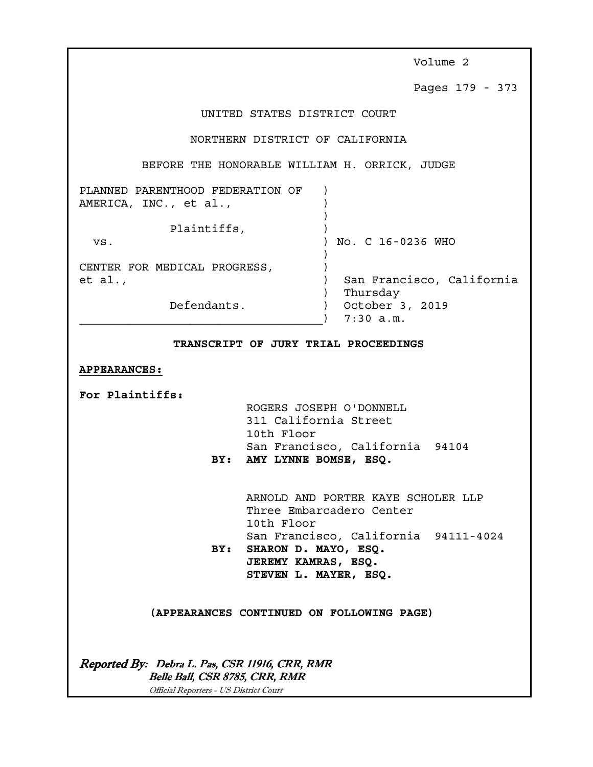Volume 2 Pages 179 - 373 UNITED STATES DISTRICT COURT NORTHERN DISTRICT OF CALIFORNIA BEFORE THE HONORABLE WILLIAM H. ORRICK, JUDGE PLANNED PARENTHOOD FEDERATION OF ) AMERICA, INC., et al., (1) ) Plaintiffs,  $)$  vs. ) No. C 16-0236 WHO ) CENTER FOR MEDICAL PROGRESS,  $\qquad$ et al., ) San Francisco, California ) Thursday Defendants. ) October 3, 2019  $)$  7:30 a.m.

# **TRANSCRIPT OF JURY TRIAL PROCEEDINGS**

# **APPEARANCES:**

**For Plaintiffs:**

 ROGERS JOSEPH O'DONNELL 311 California Street 10th Floor San Francisco, California 94104 **BY: AMY LYNNE BOMSE, ESQ.** 

 ARNOLD AND PORTER KAYE SCHOLER LLP Three Embarcadero Center 10th Floor San Francisco, California 94111-4024 **BY: SHARON D. MAYO, ESQ. JEREMY KAMRAS, ESQ.** 

 **STEVEN L. MAYER, ESQ.** 

**(APPEARANCES CONTINUED ON FOLLOWING PAGE)** 

Reported By: Debra L. Pas, CSR 11916, CRR, RMR Belle Ball, CSR 8785, CRR, RMR Official Reporters - US District Court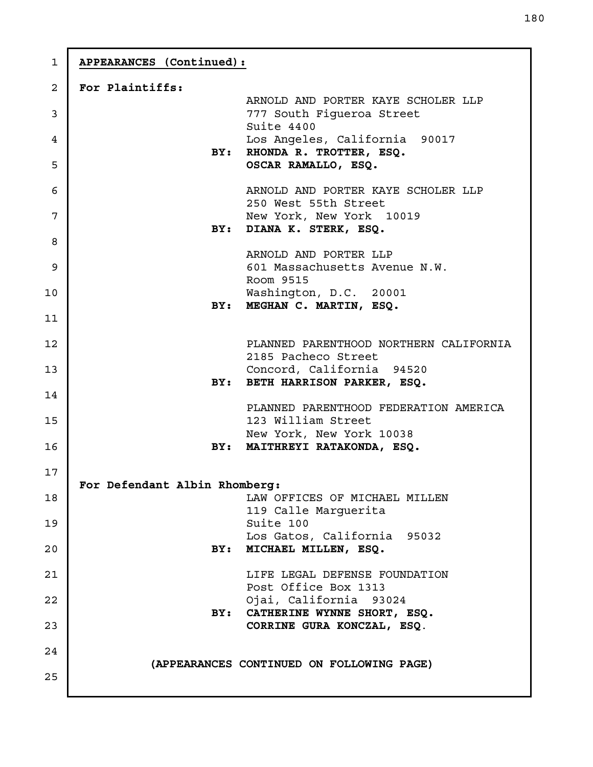| $\mathbf{1}$   | APPEARANCES (Continued):                                                               |
|----------------|----------------------------------------------------------------------------------------|
| $\overline{a}$ | For Plaintiffs:                                                                        |
| 3              | ARNOLD AND PORTER KAYE SCHOLER LLP<br>777 South Figueroa Street<br>Suite 4400          |
| 4<br>5         | Los Angeles, California 90017<br>RHONDA R. TROTTER, ESQ.<br>BY:<br>OSCAR RAMALLO, ESQ. |
|                |                                                                                        |
| 6<br>7         | ARNOLD AND PORTER KAYE SCHOLER LLP<br>250 West 55th Street<br>New York, New York 10019 |
|                | DIANA K. STERK, ESQ.<br>BY:                                                            |
| 8              | ARNOLD AND PORTER LLP                                                                  |
| 9              | 601 Massachusetts Avenue N.W.<br>Room 9515                                             |
| 10             | Washington, D.C. 20001                                                                 |
| 11             | MEGHAN C. MARTIN, ESQ.<br>BY:                                                          |
| 12             | PLANNED PARENTHOOD NORTHERN CALIFORNIA<br>2185 Pacheco Street                          |
| 13             | Concord, California 94520                                                              |
| 14             | BETH HARRISON PARKER, ESQ.<br>BY:                                                      |
| 15             | PLANNED PARENTHOOD FEDERATION AMERICA<br>123 William Street                            |
|                | New York, New York 10038                                                               |
| 16             | MAITHREYI RATAKONDA, ESQ.<br>BY:                                                       |
| 17             | For Defendant Albin Rhomberg:                                                          |
| 18             | LAW OFFICES OF MICHAEL MILLEN<br>119 Calle Marguerita                                  |
| 19             | Suite 100                                                                              |
| 20             | Los Gatos, California 95032<br>MICHAEL MILLEN, ESQ.<br>BY:                             |
| 21             | LIFE LEGAL DEFENSE FOUNDATION                                                          |
| 22             | Post Office Box 1313<br>Ojai, California 93024                                         |
| 23             | BY: CATHERINE WYNNE SHORT, ESQ.<br>CORRINE GURA KONCZAL, ESQ.                          |
|                |                                                                                        |
| 24             | (APPEARANCES CONTINUED ON FOLLOWING PAGE)                                              |
| 25             |                                                                                        |
|                |                                                                                        |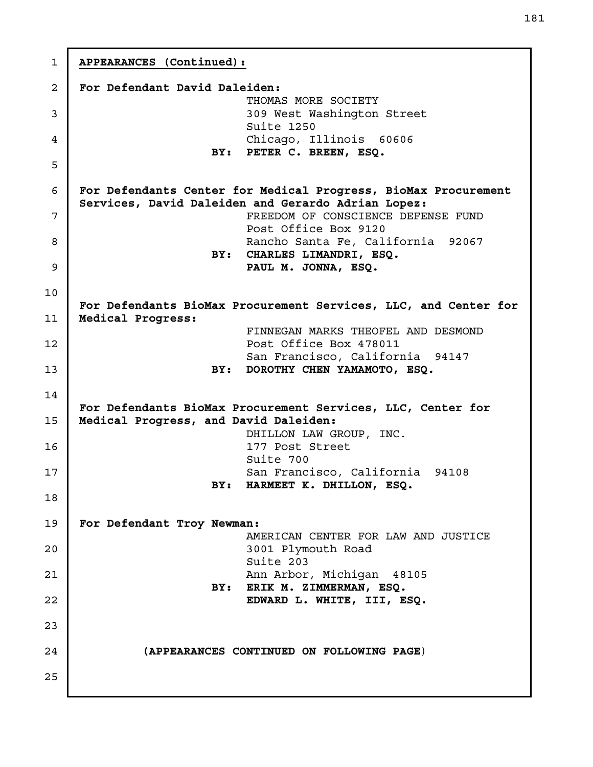**APPEARANCES (Continued): For Defendant David Daleiden:** THOMAS MORE SOCIETY 309 West Washington Street Suite 1250 Chicago, Illinois 60606 **BY: PETER C. BREEN, ESQ. For Defendants Center for Medical Progress, BioMax Procurement Services, David Daleiden and Gerardo Adrian Lopez:**  FREEDOM OF CONSCIENCE DEFENSE FUND Post Office Box 9120 Rancho Santa Fe, California 92067 **BY: CHARLES LIMANDRI, ESQ. PAUL M. JONNA, ESQ. For Defendants BioMax Procurement Services, LLC, and Center for Medical Progress:**  FINNEGAN MARKS THEOFEL AND DESMOND Post Office Box 478011 San Francisco, California 94147 **BY: DOROTHY CHEN YAMAMOTO, ESQ. For Defendants BioMax Procurement Services, LLC, Center for Medical Progress, and David Daleiden:** DHILLON LAW GROUP, INC. 177 Post Street Suite 700 San Francisco, California 94108 **BY: HARMEET K. DHILLON, ESQ. For Defendant Troy Newman:**  AMERICAN CENTER FOR LAW AND JUSTICE 3001 Plymouth Road Suite 203 Ann Arbor, Michigan 48105 **BY: ERIK M. ZIMMERMAN, ESQ. EDWARD L. WHITE, III, ESQ. (APPEARANCES CONTINUED ON FOLLOWING PAGE**) 1 2 3 4 5 6 7 8 9 10 11 12 13 14 15 16 17 18 19 20 21 22 23 24 25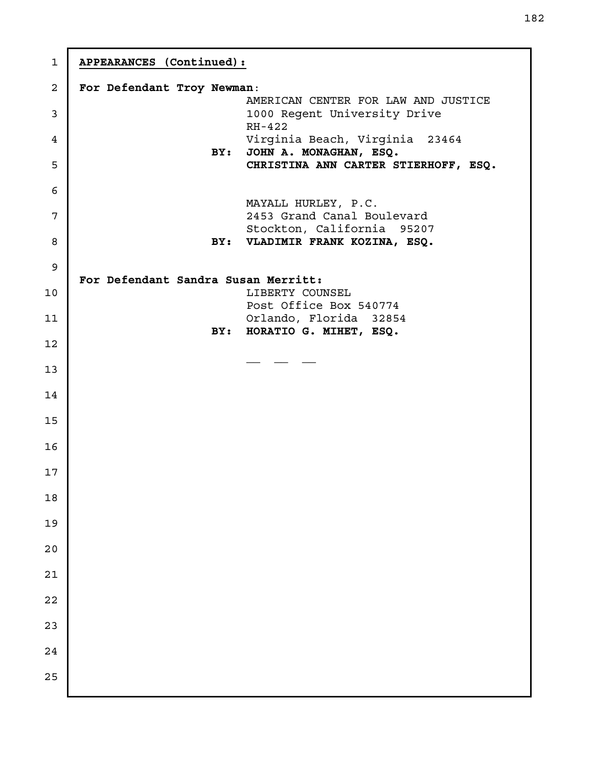| APPEARANCES (Continued):   |     |                                                        |
|----------------------------|-----|--------------------------------------------------------|
| For Defendant Troy Newman: |     |                                                        |
|                            |     | AMERICAN CENTER FOR LAW AND JUSTICE                    |
|                            |     | 1000 Regent University Drive<br>RH-422                 |
|                            |     | Virginia Beach, Virginia 23464                         |
|                            | BY: | JOHN A. MONAGHAN, ESQ.                                 |
|                            |     | CHRISTINA ANN CARTER STIERHOFF, ESQ.                   |
|                            |     |                                                        |
|                            |     | MAYALL HURLEY, P.C.<br>2453 Grand Canal Boulevard      |
|                            |     | Stockton, California 95207                             |
|                            |     | BY: VLADIMIR FRANK KOZINA, ESQ.                        |
|                            |     |                                                        |
|                            |     | For Defendant Sandra Susan Merritt:<br>LIBERTY COUNSEL |
|                            |     | Post Office Box 540774                                 |
|                            |     | Orlando, Florida 32854                                 |
|                            | BY: | HORATIO G. MIHET, ESQ.                                 |
|                            |     |                                                        |
|                            |     |                                                        |
|                            |     |                                                        |
|                            |     |                                                        |
|                            |     |                                                        |
|                            |     |                                                        |
|                            |     |                                                        |
|                            |     |                                                        |
|                            |     |                                                        |
|                            |     |                                                        |
|                            |     |                                                        |
|                            |     |                                                        |
|                            |     |                                                        |
|                            |     |                                                        |
|                            |     |                                                        |
|                            |     |                                                        |
|                            |     |                                                        |
|                            |     |                                                        |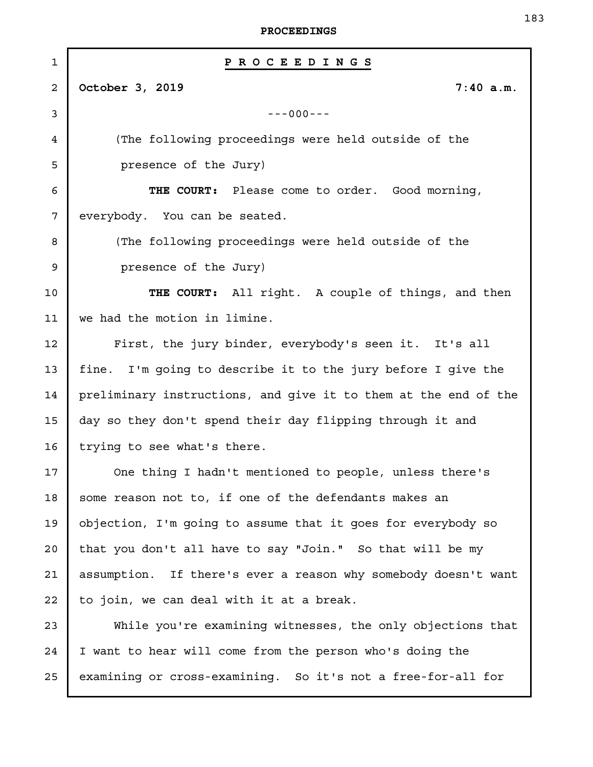| $\mathbf{1}$ | PROCEEDINGS                                                     |
|--------------|-----------------------------------------------------------------|
| 2            | October 3, 2019<br>7:40 a.m.                                    |
| 3            | $---000---$                                                     |
| 4            | (The following proceedings were held outside of the             |
| 5            | presence of the Jury)                                           |
| 6            | THE COURT: Please come to order. Good morning,                  |
| 7            | everybody. You can be seated.                                   |
| 8            | (The following proceedings were held outside of the             |
| 9            | presence of the Jury)                                           |
| 10           | THE COURT: All right. A couple of things, and then              |
| 11           | we had the motion in limine.                                    |
| 12           | First, the jury binder, everybody's seen it. It's all           |
| 13           | fine. I'm going to describe it to the jury before I give the    |
| 14           | preliminary instructions, and give it to them at the end of the |
| 15           | day so they don't spend their day flipping through it and       |
| 16           | trying to see what's there.                                     |
| 17           | One thing I hadn't mentioned to people, unless there's          |
| 18           | some reason not to, if one of the defendants makes an           |
| 19           | objection, I'm going to assume that it goes for everybody so    |
| $20 \,$      | that you don't all have to say "Join." So that will be my       |
| 21           | assumption. If there's ever a reason why somebody doesn't want  |
| 22           | to join, we can deal with it at a break.                        |
| 23           | While you're examining witnesses, the only objections that      |
| 24           | I want to hear will come from the person who's doing the        |
| 25           | examining or cross-examining. So it's not a free-for-all for    |
|              |                                                                 |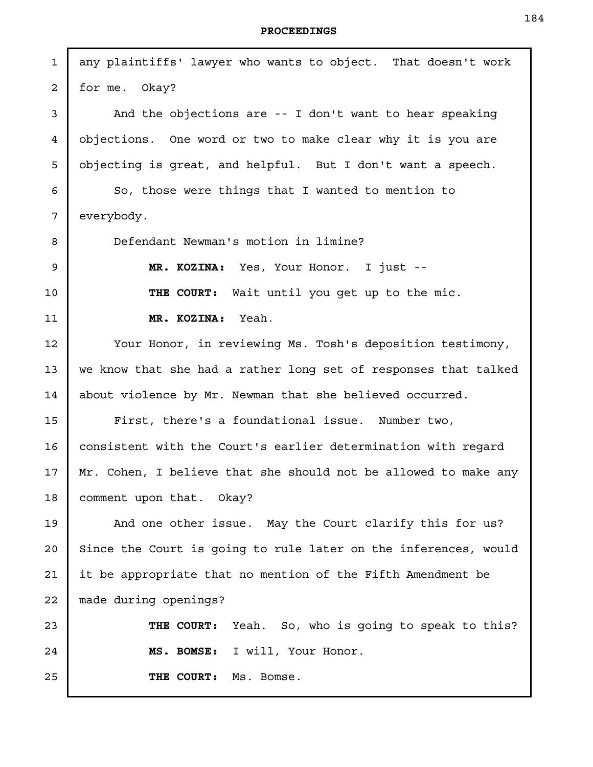| $\mathbf{1}$   | any plaintiffs' lawyer who wants to object. That doesn't work   |
|----------------|-----------------------------------------------------------------|
| $\overline{a}$ | for me. Okay?                                                   |
| 3              | And the objections are -- I don't want to hear speaking         |
| 4              | objections. One word or two to make clear why it is you are     |
| 5              | objecting is great, and helpful. But I don't want a speech.     |
| 6              | So, those were things that I wanted to mention to               |
| 7              | everybody.                                                      |
| 8              | Defendant Newman's motion in limine?                            |
| 9              | MR. KOZINA: Yes, Your Honor. I just --                          |
| 10             | THE COURT: Wait until you get up to the mic.                    |
| 11             | MR. KOZINA: Yeah.                                               |
| 12             | Your Honor, in reviewing Ms. Tosh's deposition testimony,       |
| 13             | we know that she had a rather long set of responses that talked |
| 14             | about violence by Mr. Newman that she believed occurred.        |
| 15             | First, there's a foundational issue. Number two,                |
| 16             | consistent with the Court's earlier determination with regard   |
| $17 \,$        | Mr. Cohen, I believe that she should not be allowed to make any |
| 18             | comment upon that. Okay?                                        |
| 19             | And one other issue. May the Court clarify this for us?         |
| 20             | Since the Court is going to rule later on the inferences, would |
| 21             | it be appropriate that no mention of the Fifth Amendment be     |
| 22             | made during openings?                                           |
| 23             | THE COURT: Yeah. So, who is going to speak to this?             |
| 24             | MS. BOMSE: I will, Your Honor.                                  |
| 25             | THE COURT:<br>Ms. Bomse.                                        |
|                |                                                                 |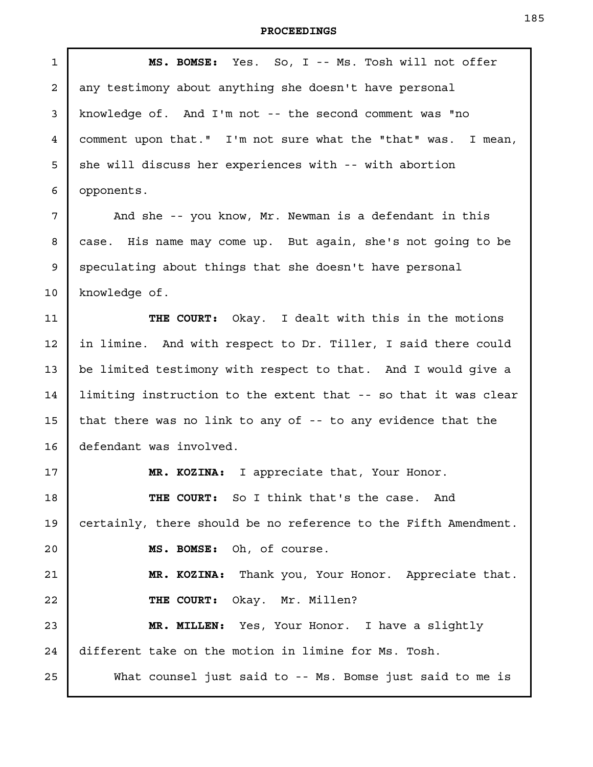| $\mathbf{1}$   | MS. BOMSE: Yes. So, I -- Ms. Tosh will not offer                |
|----------------|-----------------------------------------------------------------|
| $\overline{a}$ | any testimony about anything she doesn't have personal          |
| 3              | knowledge of. And I'm not -- the second comment was "no         |
| $\overline{4}$ | comment upon that." I'm not sure what the "that" was. I mean,   |
| 5              | she will discuss her experiences with -- with abortion          |
| 6              | opponents.                                                      |
| 7              | And she -- you know, Mr. Newman is a defendant in this          |
| 8              | case. His name may come up. But again, she's not going to be    |
| 9              | speculating about things that she doesn't have personal         |
| 10             | knowledge of.                                                   |
| 11             | THE COURT: Okay. I dealt with this in the motions               |
| 12             | in limine. And with respect to Dr. Tiller, I said there could   |
| 13             | be limited testimony with respect to that. And I would give a   |
| 14             | limiting instruction to the extent that -- so that it was clear |
| 15             | that there was no link to any of -- to any evidence that the    |
| 16             | defendant was involved.                                         |
| 17             | MR. KOZINA: I appreciate that, Your Honor.                      |
| 18             | THE COURT: So I think that's the case. And                      |
| 19             | certainly, there should be no reference to the Fifth Amendment. |
| 20             | MS. BOMSE: Oh, of course.                                       |
| 21             | MR. KOZINA: Thank you, Your Honor. Appreciate that.             |
| 22             | THE COURT: Okay. Mr. Millen?                                    |
| 23             | MR. MILLEN: Yes, Your Honor. I have a slightly                  |
| 24             | different take on the motion in limine for Ms. Tosh.            |
| 25             | What counsel just said to -- Ms. Bomse just said to me is       |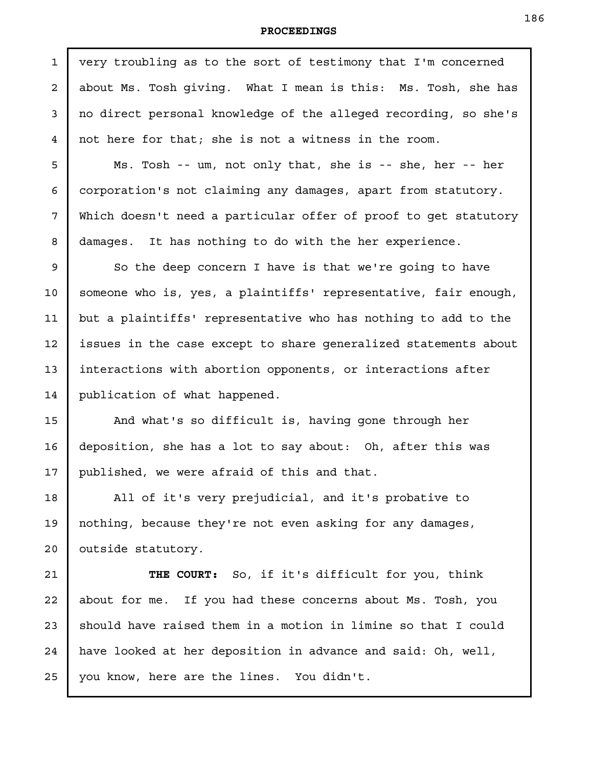very troubling as to the sort of testimony that I'm concerned about Ms. Tosh giving. What I mean is this: Ms. Tosh, she has no direct personal knowledge of the alleged recording, so she's not here for that; she is not a witness in the room. Ms. Tosh -- um, not only that, she is -- she, her -- her corporation's not claiming any damages, apart from statutory. Which doesn't need a particular offer of proof to get statutory damages. It has nothing to do with the her experience. So the deep concern I have is that we're going to have someone who is, yes, a plaintiffs' representative, fair enough, but a plaintiffs' representative who has nothing to add to the issues in the case except to share generalized statements about interactions with abortion opponents, or interactions after publication of what happened. And what's so difficult is, having gone through her deposition, she has a lot to say about: Oh, after this was published, we were afraid of this and that. All of it's very prejudicial, and it's probative to nothing, because they're not even asking for any damages, outside statutory. **THE COURT:** So, if it's difficult for you, think about for me. If you had these concerns about Ms. Tosh, you should have raised them in a motion in limine so that I could have looked at her deposition in advance and said: Oh, well, you know, here are the lines. You didn't. 1 2 3 4 5 6 7 8 9 10 11 12 13 14 15 16 17 18 19 20 21 22 23 24 25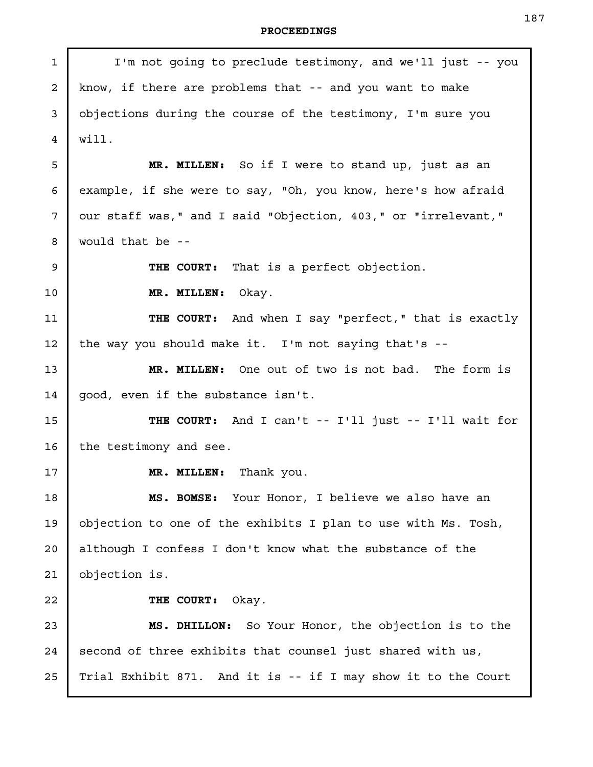J.

| $\mathbf{1}$ | I'm not going to preclude testimony, and we'll just -- you    |
|--------------|---------------------------------------------------------------|
| 2            | know, if there are problems that -- and you want to make      |
| 3            | objections during the course of the testimony, I'm sure you   |
| 4            | will.                                                         |
| 5            | MR. MILLEN: So if I were to stand up, just as an              |
| 6            | example, if she were to say, "Oh, you know, here's how afraid |
| 7            | our staff was," and I said "Objection, 403," or "irrelevant," |
| 8            | would that be --                                              |
| 9            | THE COURT: That is a perfect objection.                       |
| $10 \,$      | MR. MILLEN: Okay.                                             |
| 11           | THE COURT: And when I say "perfect," that is exactly          |
| 12           | the way you should make it. I'm not saying that's --          |
| 13           | MR. MILLEN: One out of two is not bad. The form is            |
| 14           | good, even if the substance isn't.                            |
| 15           | THE COURT: And I can't -- I'll just -- I'll wait for          |
| 16           | the testimony and see.                                        |
| 17           | MR. MILLEN: Thank you.                                        |
| 18           | MS. BOMSE: Your Honor, I believe we also have an              |
| 19           | objection to one of the exhibits I plan to use with Ms. Tosh, |
| 20           | although I confess I don't know what the substance of the     |
| 21           | objection is.                                                 |
| 22           | THE COURT:<br>Okay.                                           |
| 23           | MS. DHILLON: So Your Honor, the objection is to the           |
| 24           | second of three exhibits that counsel just shared with us,    |
| 25           | Trial Exhibit 871. And it is -- if I may show it to the Court |
|              |                                                               |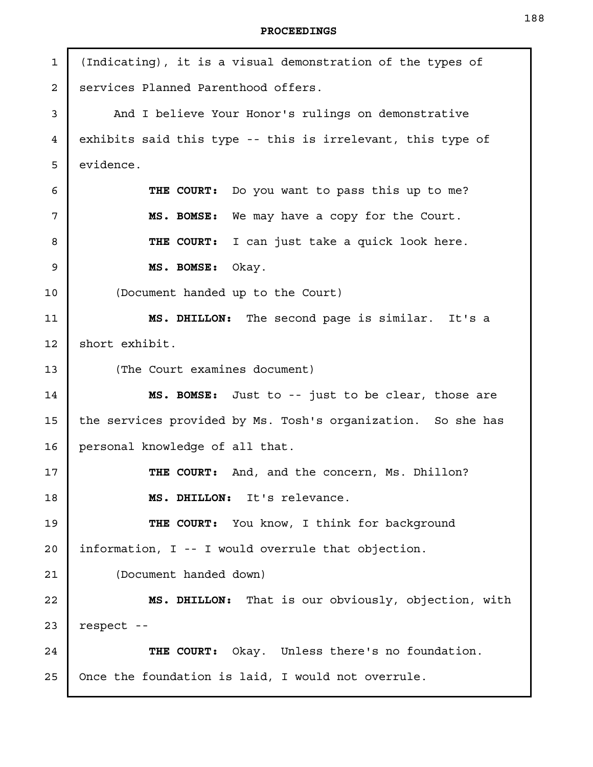(Indicating), it is a visual demonstration of the types of services Planned Parenthood offers. And I believe Your Honor's rulings on demonstrative exhibits said this type -- this is irrelevant, this type of evidence. **THE COURT:** Do you want to pass this up to me? **MS. BOMSE:** We may have a copy for the Court. **THE COURT:** I can just take a quick look here. **MS. BOMSE:** Okay. (Document handed up to the Court) **MS. DHILLON:** The second page is similar. It's a short exhibit. (The Court examines document) **MS. BOMSE:** Just to -- just to be clear, those are the services provided by Ms. Tosh's organization. So she has personal knowledge of all that. **THE COURT:** And, and the concern, Ms. Dhillon? **MS. DHILLON:** It's relevance. **THE COURT:** You know, I think for background information, I -- I would overrule that objection. (Document handed down) **MS. DHILLON:** That is our obviously, objection, with respect -- **THE COURT:** Okay. Unless there's no foundation. Once the foundation is laid, I would not overrule. 1 2 3 4 5 6 7 8 9 10 11 12 13 14 15 16 17 18 19 20 21 22 23 24 25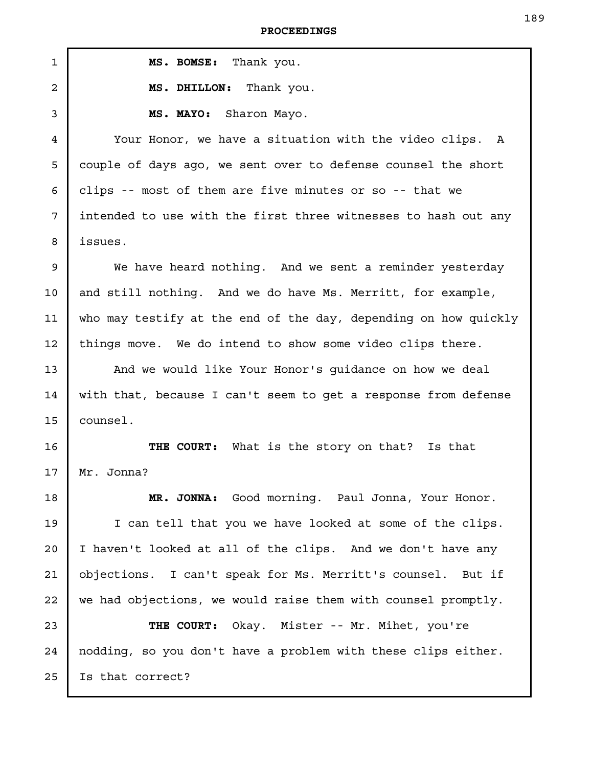| <b>PROCEEDINGS</b> |  |
|--------------------|--|
|--------------------|--|

| $\mathbf{1}$   | MS. BOMSE: Thank you.                                           |
|----------------|-----------------------------------------------------------------|
| $\overline{a}$ | MS. DHILLON: Thank you.                                         |
| 3              | MS. MAYO: Sharon Mayo.                                          |
| $\overline{4}$ | Your Honor, we have a situation with the video clips. A         |
| 5              | couple of days ago, we sent over to defense counsel the short   |
| 6              | clips -- most of them are five minutes or so -- that we         |
| 7              | intended to use with the first three witnesses to hash out any  |
| 8              | issues.                                                         |
| 9              | We have heard nothing. And we sent a reminder yesterday         |
| 10             | and still nothing. And we do have Ms. Merritt, for example,     |
| 11             | who may testify at the end of the day, depending on how quickly |
| 12             | things move. We do intend to show some video clips there.       |
| 13             | And we would like Your Honor's guidance on how we deal          |
| 14             | with that, because I can't seem to get a response from defense  |
| 15             | counsel.                                                        |
| 16             | THE COURT: What is the story on that? Is that                   |
| 17             | Mr. Jonna?                                                      |
| 18             | MR. JONNA: Good morning. Paul Jonna, Your Honor.                |
| 19             | I can tell that you we have looked at some of the clips.        |
| 20             | I haven't looked at all of the clips. And we don't have any     |
| 21             | objections. I can't speak for Ms. Merritt's counsel. But if     |
| 22             | we had objections, we would raise them with counsel promptly.   |
| 23             | THE COURT: Okay. Mister -- Mr. Mihet, you're                    |
| 24             | nodding, so you don't have a problem with these clips either.   |
| 25             | Is that correct?                                                |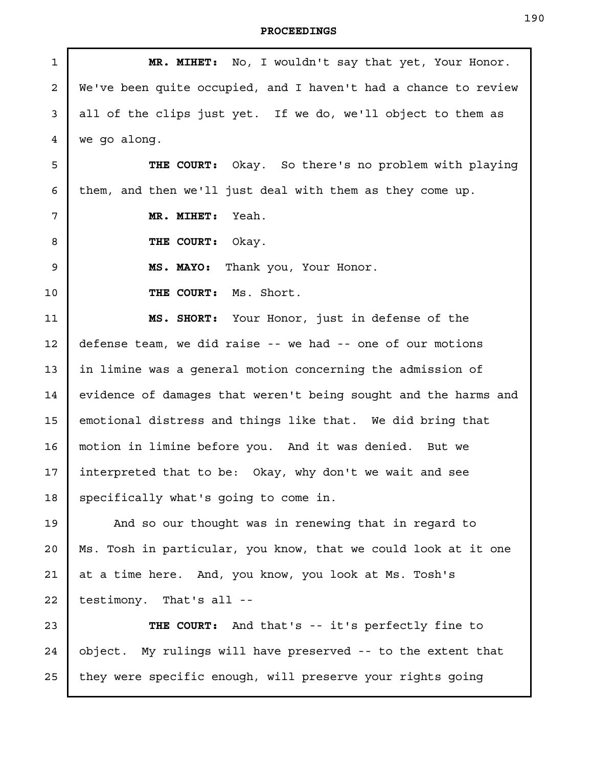| $\mathbf{1}$ | MR. MIHET: No, I wouldn't say that yet, Your Honor.             |
|--------------|-----------------------------------------------------------------|
| 2            | We've been quite occupied, and I haven't had a chance to review |
| 3            | all of the clips just yet. If we do, we'll object to them as    |
| 4            | we go along.                                                    |
| 5            | THE COURT: Okay. So there's no problem with playing             |
| 6            | them, and then we'll just deal with them as they come up.       |
| 7            | Yeah.<br>MR. MIHET:                                             |
| 8            | THE COURT:<br>Okay.                                             |
| 9            | Thank you, Your Honor.<br>MS. MAYO:                             |
| 10           | THE COURT: Ms. Short.                                           |
| 11           | MS. SHORT: Your Honor, just in defense of the                   |
| 12           | defense team, we did raise -- we had -- one of our motions      |
| 13           | in limine was a general motion concerning the admission of      |
| 14           | evidence of damages that weren't being sought and the harms and |
| 15           | emotional distress and things like that. We did bring that      |
| 16           | motion in limine before you. And it was denied. But we          |
| 17           | interpreted that to be: Okay, why don't we wait and see         |
| 18           | specifically what's going to come in.                           |
| 19           | And so our thought was in renewing that in regard to            |
| 20           | Ms. Tosh in particular, you know, that we could look at it one  |
| 21           | at a time here. And, you know, you look at Ms. Tosh's           |
| 22           | testimony. That's all --                                        |
| 23           | THE COURT: And that's -- it's perfectly fine to                 |
| 24           | object. My rulings will have preserved -- to the extent that    |
| 25           | they were specific enough, will preserve your rights going      |
|              |                                                                 |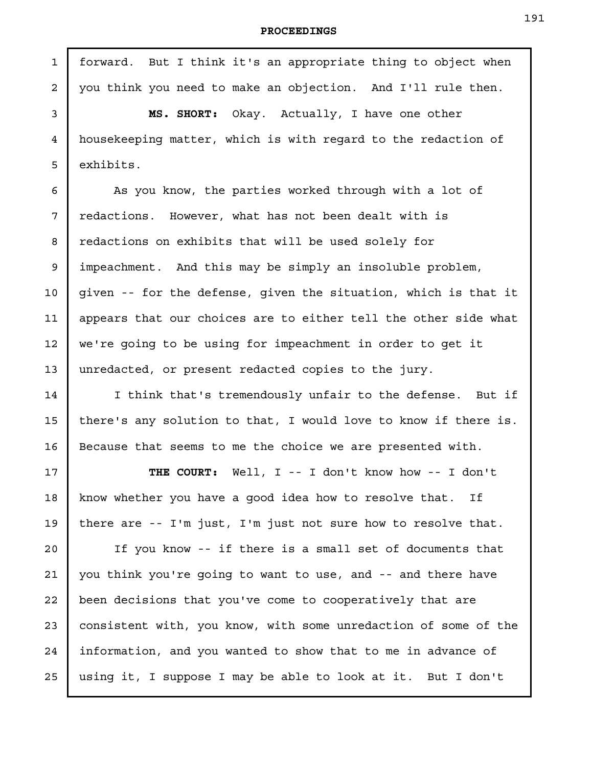forward. But I think it's an appropriate thing to object when you think you need to make an objection. And I'll rule then. **MS. SHORT:** Okay. Actually, I have one other housekeeping matter, which is with regard to the redaction of exhibits. As you know, the parties worked through with a lot of redactions. However, what has not been dealt with is redactions on exhibits that will be used solely for impeachment. And this may be simply an insoluble problem, given -- for the defense, given the situation, which is that it appears that our choices are to either tell the other side what we're going to be using for impeachment in order to get it unredacted, or present redacted copies to the jury. I think that's tremendously unfair to the defense. But if there's any solution to that, I would love to know if there is. Because that seems to me the choice we are presented with. **THE COURT:** Well, I -- I don't know how -- I don't know whether you have a good idea how to resolve that. If there are -- I'm just, I'm just not sure how to resolve that. If you know -- if there is a small set of documents that you think you're going to want to use, and -- and there have been decisions that you've come to cooperatively that are consistent with, you know, with some unredaction of some of the information, and you wanted to show that to me in advance of using it, I suppose I may be able to look at it. But I don't 1 2 3 4 5 6 7 8 9 10 11 12 13 14 15 16 17 18 19 20 21 22 23 24 25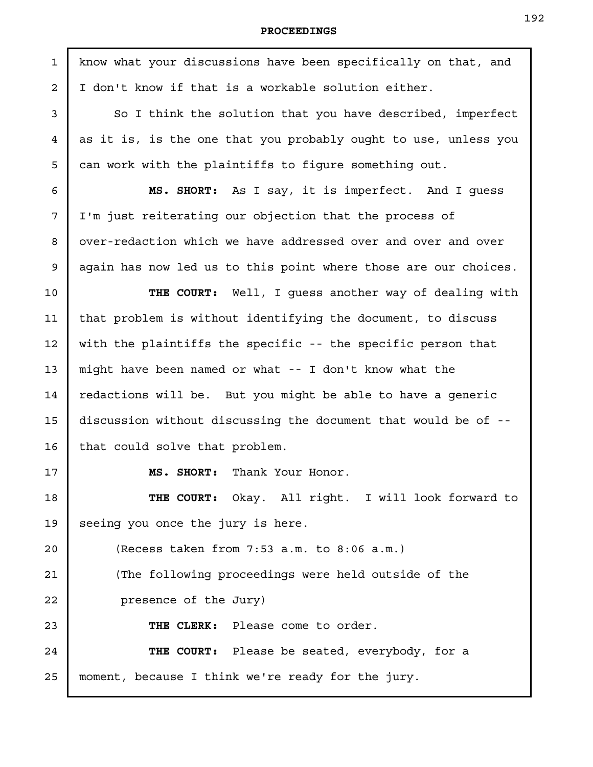| $\mathbf{1}$   | know what your discussions have been specifically on that, and  |
|----------------|-----------------------------------------------------------------|
| $\overline{a}$ | I don't know if that is a workable solution either.             |
| 3              | So I think the solution that you have described, imperfect      |
| 4              | as it is, is the one that you probably ought to use, unless you |
| 5              | can work with the plaintiffs to fiqure something out.           |
| 6              | MS. SHORT: As I say, it is imperfect. And I guess               |
| 7              | I'm just reiterating our objection that the process of          |
| 8              | over-redaction which we have addressed over and over and over   |
| 9              | again has now led us to this point where those are our choices. |
| 10             | THE COURT: Well, I guess another way of dealing with            |
| 11             | that problem is without identifying the document, to discuss    |
| 12             | with the plaintiffs the specific -- the specific person that    |
| 13             | might have been named or what -- I don't know what the          |
| 14             | redactions will be. But you might be able to have a generic     |
| 15             | discussion without discussing the document that would be of --  |
| 16             | that could solve that problem.                                  |
| 17             | Thank Your Honor.<br>MS. SHORT:                                 |
| 18             | THE COURT: Okay. All right. I will look forward to              |
| 19             | seeing you once the jury is here.                               |
| 20             | (Recess taken from $7:53$ a.m. to $8:06$ a.m.)                  |
| 21             | (The following proceedings were held outside of the             |
| 22             | presence of the Jury)                                           |
| 23             | THE CLERK: Please come to order.                                |
| 24             | THE COURT: Please be seated, everybody, for a                   |
| 25             | moment, because I think we're ready for the jury.               |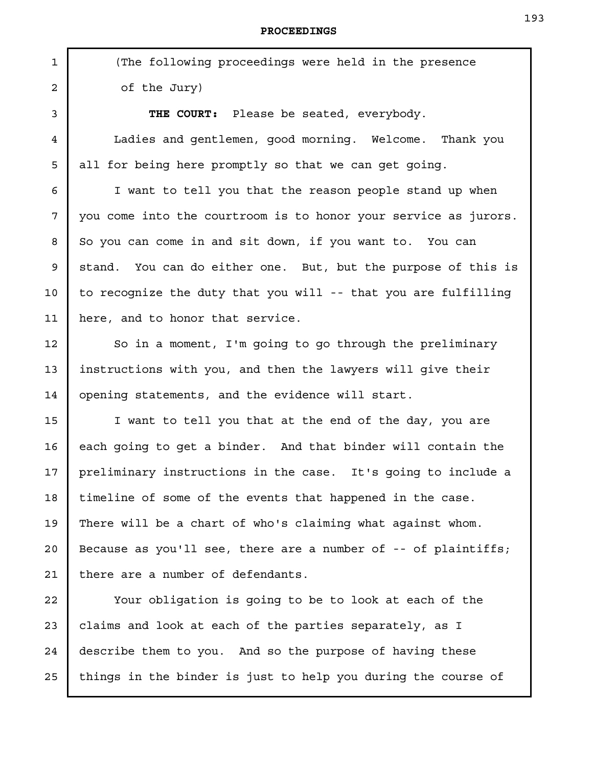(The following proceedings were held in the presence of the Jury)

**THE COURT:** Please be seated, everybody. Ladies and gentlemen, good morning. Welcome. Thank you all for being here promptly so that we can get going.

I want to tell you that the reason people stand up when you come into the courtroom is to honor your service as jurors. So you can come in and sit down, if you want to. You can stand. You can do either one. But, but the purpose of this is to recognize the duty that you will -- that you are fulfilling here, and to honor that service.

So in a moment, I'm going to go through the preliminary instructions with you, and then the lawyers will give their opening statements, and the evidence will start.

I want to tell you that at the end of the day, you are each going to get a binder. And that binder will contain the preliminary instructions in the case. It's going to include a timeline of some of the events that happened in the case. There will be a chart of who's claiming what against whom. Because as you'll see, there are a number of  $-$ - of plaintiffs; there are a number of defendants.

Your obligation is going to be to look at each of the claims and look at each of the parties separately, as I describe them to you. And so the purpose of having these things in the binder is just to help you during the course of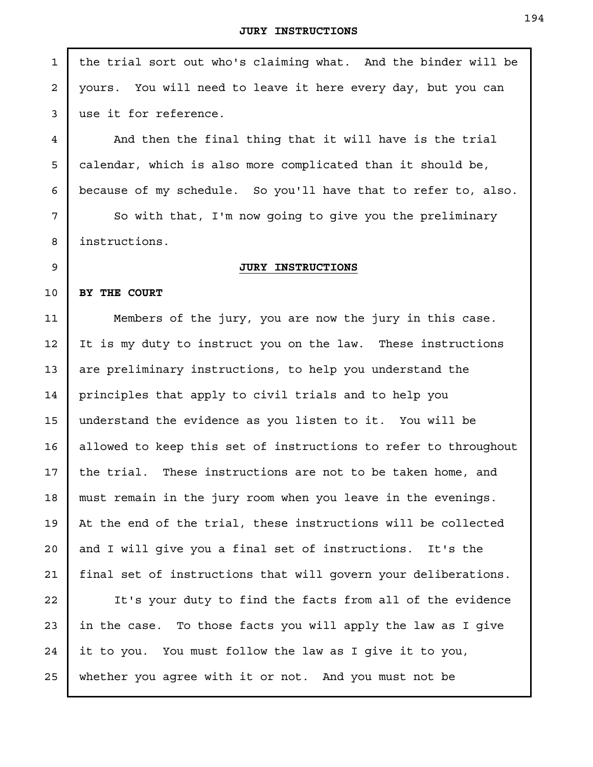| $\mathbf{1}$   | the trial sort out who's claiming what. And the binder will be  |
|----------------|-----------------------------------------------------------------|
| $\overline{a}$ | yours. You will need to leave it here every day, but you can    |
| 3              | use it for reference.                                           |
| 4              | And then the final thing that it will have is the trial         |
| 5              | calendar, which is also more complicated than it should be,     |
| 6              | because of my schedule. So you'll have that to refer to, also.  |
| 7              | So with that, I'm now going to give you the preliminary         |
| 8              | instructions.                                                   |
| 9              | <b>JURY INSTRUCTIONS</b>                                        |
| 10             | BY THE COURT                                                    |
| 11             | Members of the jury, you are now the jury in this case.         |
| 12             | It is my duty to instruct you on the law. These instructions    |
| 13             | are preliminary instructions, to help you understand the        |
| 14             | principles that apply to civil trials and to help you           |
| 15             | understand the evidence as you listen to it. You will be        |
| 16             | allowed to keep this set of instructions to refer to throughout |
| 17             | the trial. These instructions are not to be taken home, and     |
| 18             | must remain in the jury room when you leave in the evenings.    |
| 19             | At the end of the trial, these instructions will be collected   |
| 20             | and I will give you a final set of instructions. It's the       |
| 21             | final set of instructions that will govern your deliberations.  |
| 22             | It's your duty to find the facts from all of the evidence       |
| 23             | in the case. To those facts you will apply the law as I give    |
| 24             | it to you. You must follow the law as I give it to you,         |
| 25             | whether you agree with it or not. And you must not be           |
|                |                                                                 |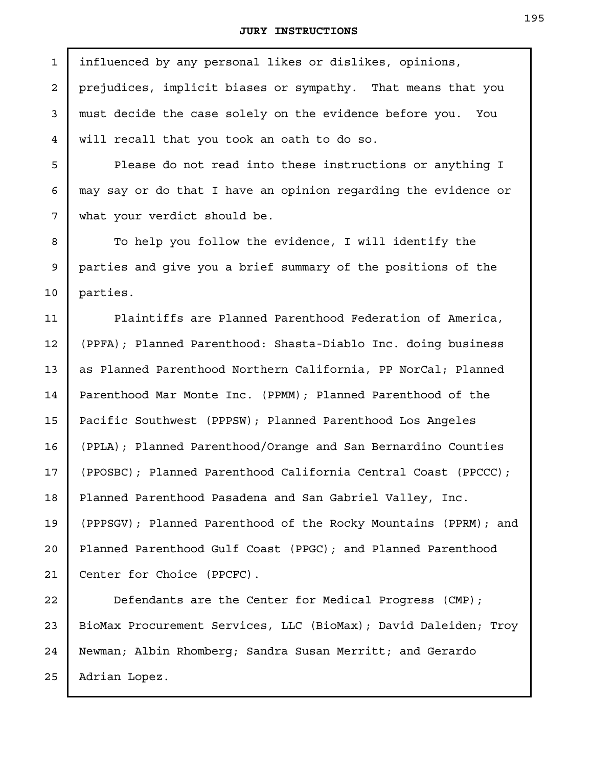| $\mathbf{1}$   | influenced by any personal likes or dislikes, opinions,         |
|----------------|-----------------------------------------------------------------|
| $\overline{a}$ | prejudices, implicit biases or sympathy. That means that you    |
| 3              | must decide the case solely on the evidence before you. You     |
| 4              | will recall that you took an oath to do so.                     |
| 5              | Please do not read into these instructions or anything I        |
| 6              | may say or do that I have an opinion regarding the evidence or  |
| 7              | what your verdict should be.                                    |
| 8              | To help you follow the evidence, I will identify the            |
| $\mathsf 9$    | parties and give you a brief summary of the positions of the    |
| 10             | parties.                                                        |
| 11             | Plaintiffs are Planned Parenthood Federation of America,        |
| 12             | (PPFA); Planned Parenthood: Shasta-Diablo Inc. doing business   |
| 13             | as Planned Parenthood Northern California, PP NorCal; Planned   |
| 14             | Parenthood Mar Monte Inc. (PPMM); Planned Parenthood of the     |
| 15             | Pacific Southwest (PPPSW); Planned Parenthood Los Angeles       |
| 16             | (PPLA); Planned Parenthood/Orange and San Bernardino Counties   |
| 17             | (PPOSBC); Planned Parenthood California Central Coast (PPCCC);  |
| 18             | Planned Parenthood Pasadena and San Gabriel Valley, Inc.        |
| 19             | (PPPSGV); Planned Parenthood of the Rocky Mountains (PPRM); and |
| 20             | Planned Parenthood Gulf Coast (PPGC); and Planned Parenthood    |
| 21             | Center for Choice (PPCFC).                                      |
| 22             | Defendants are the Center for Medical Progress (CMP);           |
| 23             | BioMax Procurement Services, LLC (BioMax); David Daleiden; Troy |
| 24             | Newman; Albin Rhomberg; Sandra Susan Merritt; and Gerardo       |
| 25             | Adrian Lopez.                                                   |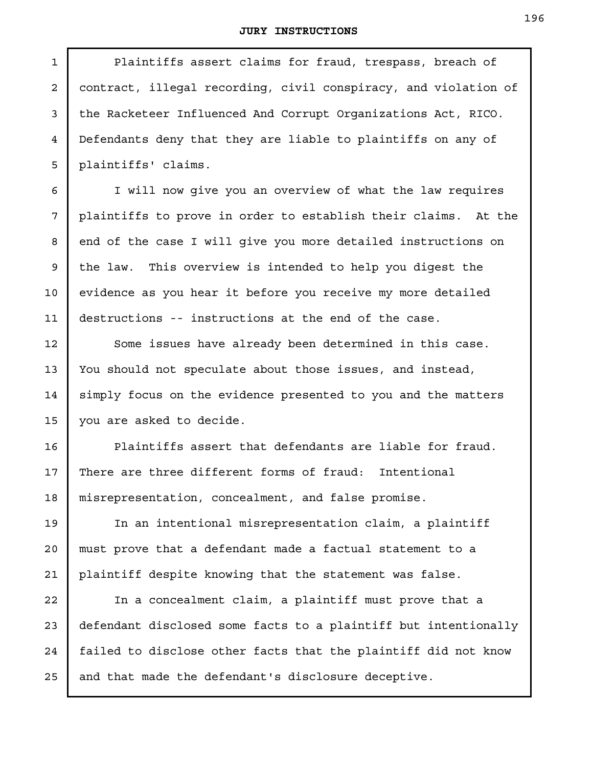Plaintiffs assert claims for fraud, trespass, breach of contract, illegal recording, civil conspiracy, and violation of the Racketeer Influenced And Corrupt Organizations Act, RICO. Defendants deny that they are liable to plaintiffs on any of plaintiffs' claims. I will now give you an overview of what the law requires plaintiffs to prove in order to establish their claims. At the end of the case I will give you more detailed instructions on the law. This overview is intended to help you digest the evidence as you hear it before you receive my more detailed destructions -- instructions at the end of the case. Some issues have already been determined in this case. You should not speculate about those issues, and instead, simply focus on the evidence presented to you and the matters you are asked to decide. Plaintiffs assert that defendants are liable for fraud. There are three different forms of fraud: Intentional misrepresentation, concealment, and false promise. In an intentional misrepresentation claim, a plaintiff must prove that a defendant made a factual statement to a plaintiff despite knowing that the statement was false. In a concealment claim, a plaintiff must prove that a defendant disclosed some facts to a plaintiff but intentionally failed to disclose other facts that the plaintiff did not know 1 2 3 4 5 6 7 8 9 10 11 12 13 14 15 16 17 18 19 20 21 22 23 24

and that made the defendant's disclosure deceptive.

25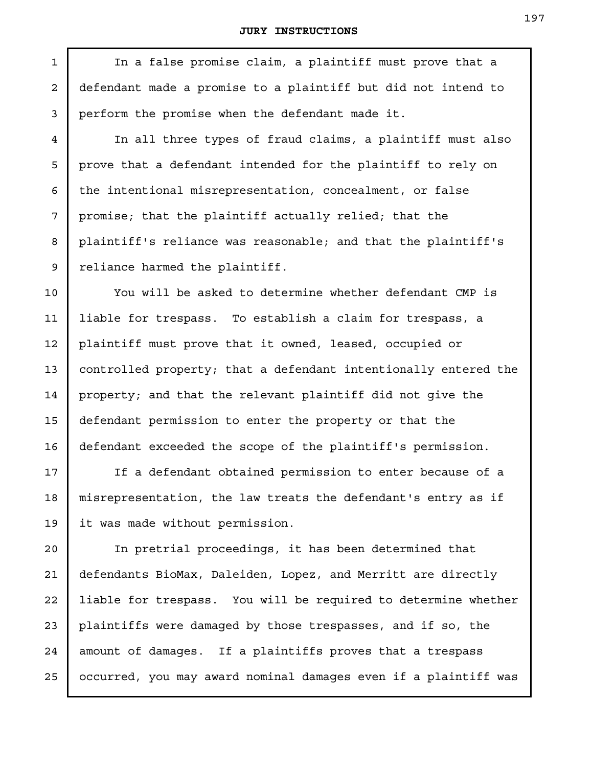1

In a false promise claim, a plaintiff must prove that a defendant made a promise to a plaintiff but did not intend to perform the promise when the defendant made it.

In all three types of fraud claims, a plaintiff must also prove that a defendant intended for the plaintiff to rely on the intentional misrepresentation, concealment, or false promise; that the plaintiff actually relied; that the plaintiff's reliance was reasonable; and that the plaintiff's reliance harmed the plaintiff.

You will be asked to determine whether defendant CMP is liable for trespass. To establish a claim for trespass, a plaintiff must prove that it owned, leased, occupied or controlled property; that a defendant intentionally entered the property; and that the relevant plaintiff did not give the defendant permission to enter the property or that the defendant exceeded the scope of the plaintiff's permission.

If a defendant obtained permission to enter because of a misrepresentation, the law treats the defendant's entry as if it was made without permission.

In pretrial proceedings, it has been determined that defendants BioMax, Daleiden, Lopez, and Merritt are directly liable for trespass. You will be required to determine whether plaintiffs were damaged by those trespasses, and if so, the amount of damages. If a plaintiffs proves that a trespass occurred, you may award nominal damages even if a plaintiff was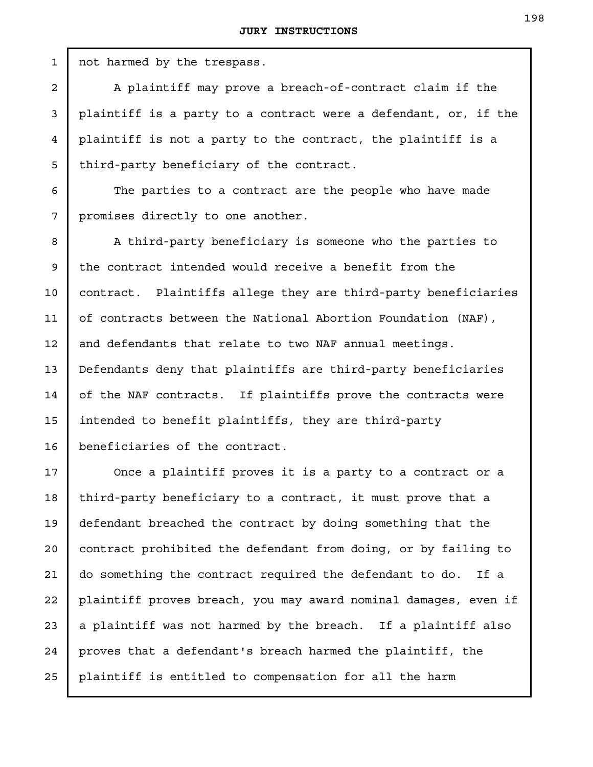not harmed by the trespass. A plaintiff may prove a breach-of-contract claim if the plaintiff is a party to a contract were a defendant, or, if the plaintiff is not a party to the contract, the plaintiff is a third-party beneficiary of the contract. The parties to a contract are the people who have made promises directly to one another. A third-party beneficiary is someone who the parties to the contract intended would receive a benefit from the contract. Plaintiffs allege they are third-party beneficiaries of contracts between the National Abortion Foundation (NAF), and defendants that relate to two NAF annual meetings. Defendants deny that plaintiffs are third-party beneficiaries of the NAF contracts. If plaintiffs prove the contracts were intended to benefit plaintiffs, they are third-party beneficiaries of the contract. Once a plaintiff proves it is a party to a contract or a third-party beneficiary to a contract, it must prove that a 1 2 3 4 5 6 7 8 9

defendant breached the contract by doing something that the contract prohibited the defendant from doing, or by failing to do something the contract required the defendant to do. If a plaintiff proves breach, you may award nominal damages, even if a plaintiff was not harmed by the breach. If a plaintiff also proves that a defendant's breach harmed the plaintiff, the plaintiff is entitled to compensation for all the harm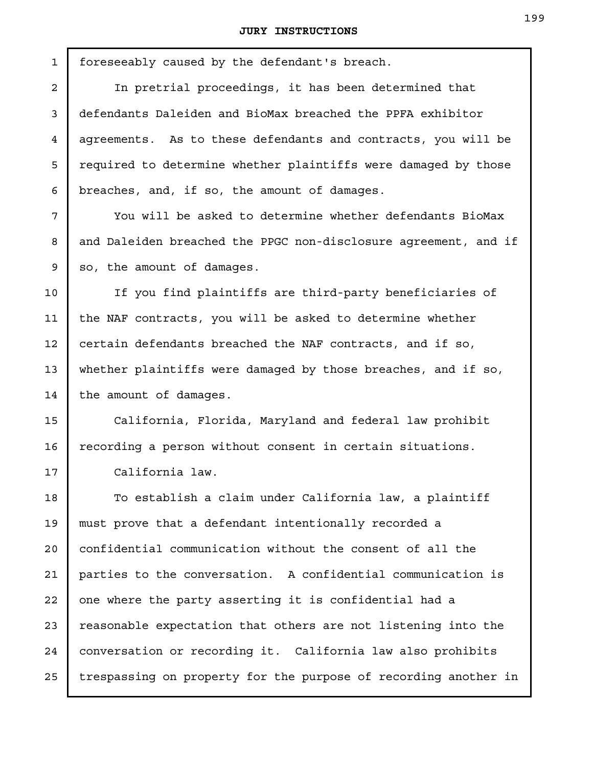foreseeably caused by the defendant's breach. In pretrial proceedings, it has been determined that so, the amount of damages. the amount of damages. California law. 1 2 3 4 5 6 7 8 9 10 11 12 13 14 15 16 17 18 19 20 21 22 23 24 25

defendants Daleiden and BioMax breached the PPFA exhibitor agreements. As to these defendants and contracts, you will be required to determine whether plaintiffs were damaged by those breaches, and, if so, the amount of damages. You will be asked to determine whether defendants BioMax and Daleiden breached the PPGC non-disclosure agreement, and if If you find plaintiffs are third-party beneficiaries of the NAF contracts, you will be asked to determine whether certain defendants breached the NAF contracts, and if so, whether plaintiffs were damaged by those breaches, and if so, California, Florida, Maryland and federal law prohibit

recording a person without consent in certain situations.

To establish a claim under California law, a plaintiff must prove that a defendant intentionally recorded a confidential communication without the consent of all the parties to the conversation. A confidential communication is one where the party asserting it is confidential had a reasonable expectation that others are not listening into the conversation or recording it. California law also prohibits trespassing on property for the purpose of recording another in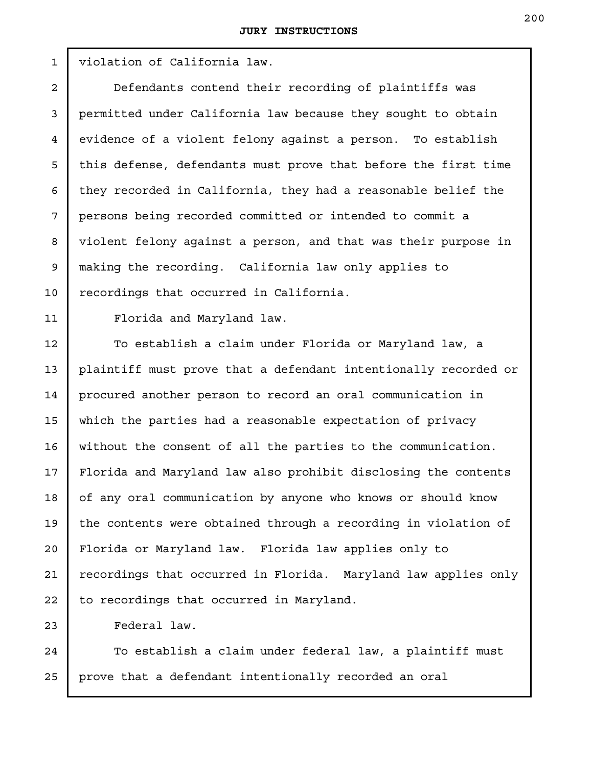violation of California law. Defendants contend their recording of plaintiffs was permitted under California law because they sought to obtain evidence of a violent felony against a person. To establish this defense, defendants must prove that before the first time they recorded in California, they had a reasonable belief the persons being recorded committed or intended to commit a violent felony against a person, and that was their purpose in making the recording. California law only applies to recordings that occurred in California. Florida and Maryland law. To establish a claim under Florida or Maryland law, a plaintiff must prove that a defendant intentionally recorded or procured another person to record an oral communication in which the parties had a reasonable expectation of privacy without the consent of all the parties to the communication. Florida and Maryland law also prohibit disclosing the contents of any oral communication by anyone who knows or should know the contents were obtained through a recording in violation of Florida or Maryland law. Florida law applies only to recordings that occurred in Florida. Maryland law applies only to recordings that occurred in Maryland. 1 2 3 4 5 6 7 8 9 10 11 12 13 14 15 16 17 18 19 20 21 22

Federal law.

23

To establish a claim under federal law, a plaintiff must prove that a defendant intentionally recorded an oral 24 25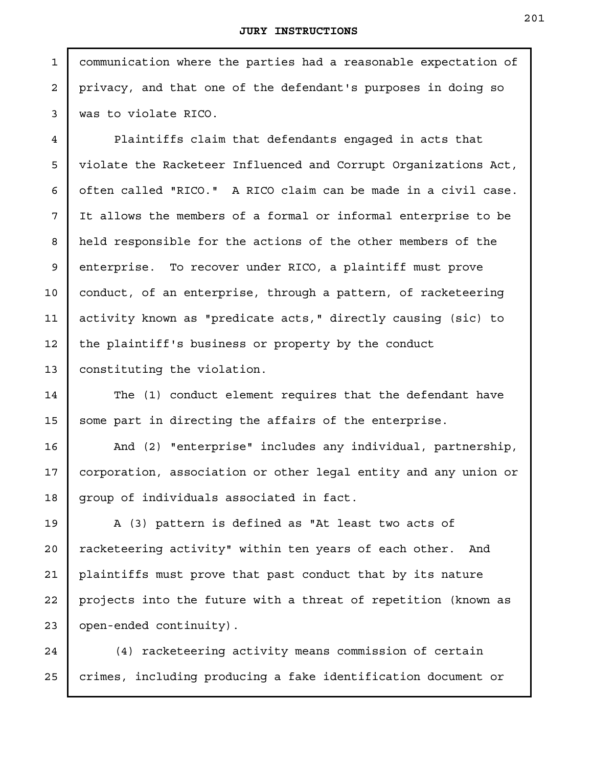communication where the parties had a reasonable expectation of privacy, and that one of the defendant's purposes in doing so was to violate RICO.

1

2

3

4

5

6

7

8

9

10

11

12

13

Plaintiffs claim that defendants engaged in acts that violate the Racketeer Influenced and Corrupt Organizations Act, often called "RICO." A RICO claim can be made in a civil case. It allows the members of a formal or informal enterprise to be held responsible for the actions of the other members of the enterprise. To recover under RICO, a plaintiff must prove conduct, of an enterprise, through a pattern, of racketeering activity known as "predicate acts," directly causing (sic) to the plaintiff's business or property by the conduct constituting the violation.

The (1) conduct element requires that the defendant have some part in directing the affairs of the enterprise. 14 15

And (2) "enterprise" includes any individual, partnership, corporation, association or other legal entity and any union or group of individuals associated in fact. 16 17 18

A (3) pattern is defined as "At least two acts of racketeering activity" within ten years of each other. And plaintiffs must prove that past conduct that by its nature projects into the future with a threat of repetition (known as open-ended continuity). 19 20 21 22 23

(4) racketeering activity means commission of certain crimes, including producing a fake identification document or 24 25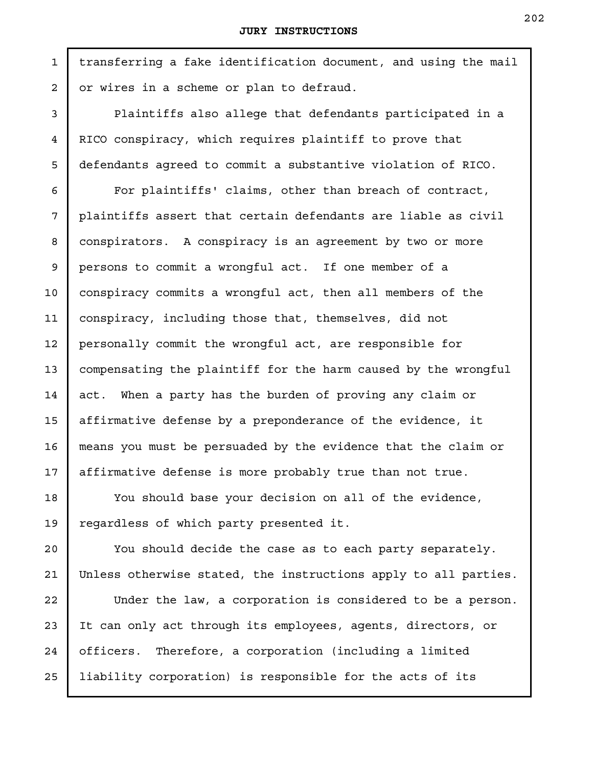transferring a fake identification document, and using the mail or wires in a scheme or plan to defraud.

Plaintiffs also allege that defendants participated in a RICO conspiracy, which requires plaintiff to prove that defendants agreed to commit a substantive violation of RICO.

For plaintiffs' claims, other than breach of contract, plaintiffs assert that certain defendants are liable as civil conspirators. A conspiracy is an agreement by two or more persons to commit a wrongful act. If one member of a conspiracy commits a wrongful act, then all members of the conspiracy, including those that, themselves, did not personally commit the wrongful act, are responsible for compensating the plaintiff for the harm caused by the wrongful act. When a party has the burden of proving any claim or affirmative defense by a preponderance of the evidence, it means you must be persuaded by the evidence that the claim or affirmative defense is more probably true than not true.

You should base your decision on all of the evidence, regardless of which party presented it.

You should decide the case as to each party separately. Unless otherwise stated, the instructions apply to all parties.

Under the law, a corporation is considered to be a person. It can only act through its employees, agents, directors, or officers. Therefore, a corporation (including a limited liability corporation) is responsible for the acts of its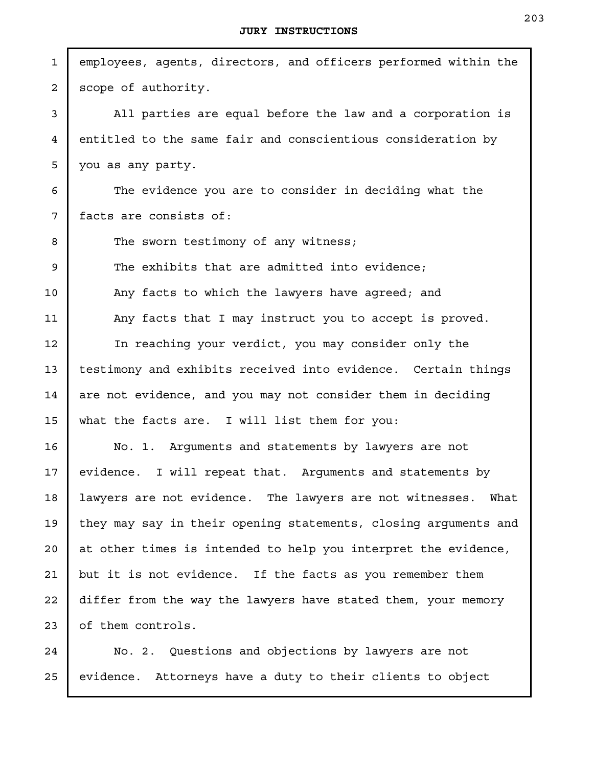| $\mathbf 1$    | employees, agents, directors, and officers performed within the |
|----------------|-----------------------------------------------------------------|
| $\overline{2}$ | scope of authority.                                             |
| 3              | All parties are equal before the law and a corporation is       |
| 4              | entitled to the same fair and conscientious consideration by    |
| 5              | you as any party.                                               |
| 6              | The evidence you are to consider in deciding what the           |
| 7              | facts are consists of:                                          |
| 8              | The sworn testimony of any witness;                             |
| 9              | The exhibits that are admitted into evidence;                   |
| 10             | Any facts to which the lawyers have agreed; and                 |
| 11             | Any facts that I may instruct you to accept is proved.          |
| 12             | In reaching your verdict, you may consider only the             |
| 13             | testimony and exhibits received into evidence. Certain things   |
| 14             | are not evidence, and you may not consider them in deciding     |
| 15             | what the facts are. I will list them for you:                   |
| 16             | No. 1. Arguments and statements by lawyers are not              |
| 17             | evidence. I will repeat that. Arguments and statements by       |
| 18             | lawyers are not evidence. The lawyers are not witnesses. What   |
| 19             | they may say in their opening statements, closing arguments and |
| 20             | at other times is intended to help you interpret the evidence,  |
| 21             | but it is not evidence. If the facts as you remember them       |
| 22             | differ from the way the lawyers have stated them, your memory   |
| 23             | of them controls.                                               |
| 24             | No. 2. Questions and objections by lawyers are not              |

evidence. Attorneys have a duty to their clients to object 25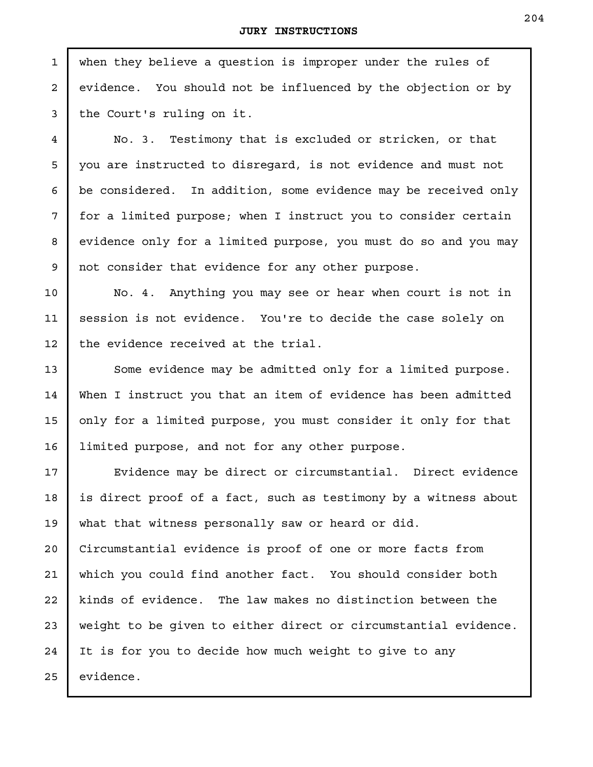when they believe a question is improper under the rules of evidence. You should not be influenced by the objection or by the Court's ruling on it.

No. 3. Testimony that is excluded or stricken, or that you are instructed to disregard, is not evidence and must not be considered. In addition, some evidence may be received only for a limited purpose; when I instruct you to consider certain evidence only for a limited purpose, you must do so and you may not consider that evidence for any other purpose.

No. 4. Anything you may see or hear when court is not in session is not evidence. You're to decide the case solely on the evidence received at the trial.

Some evidence may be admitted only for a limited purpose. When I instruct you that an item of evidence has been admitted only for a limited purpose, you must consider it only for that limited purpose, and not for any other purpose.

Evidence may be direct or circumstantial. Direct evidence is direct proof of a fact, such as testimony by a witness about what that witness personally saw or heard or did. Circumstantial evidence is proof of one or more facts from which you could find another fact. You should consider both kinds of evidence. The law makes no distinction between the weight to be given to either direct or circumstantial evidence. It is for you to decide how much weight to give to any evidence.

1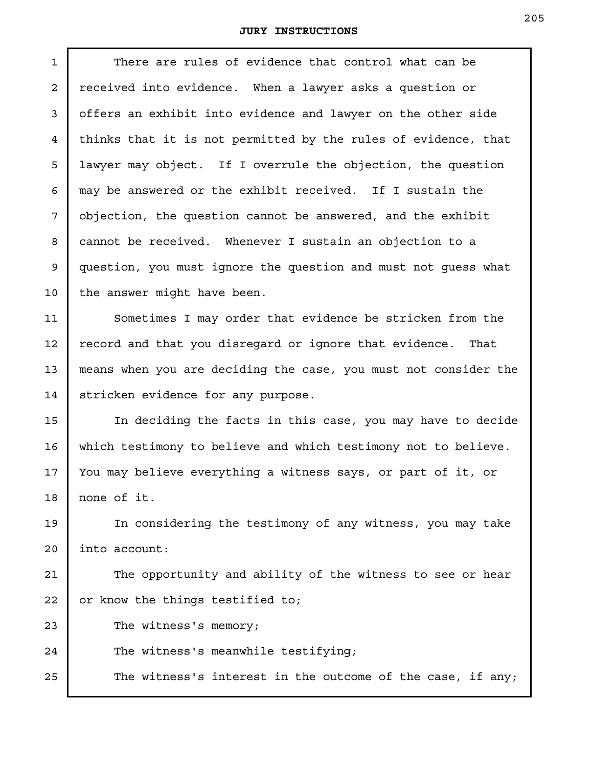$\mathsf I$ 

| 1              | There are rules of evidence that control what can be            |
|----------------|-----------------------------------------------------------------|
| $\overline{a}$ | received into evidence. When a lawyer asks a question or        |
| 3              | offers an exhibit into evidence and lawyer on the other side    |
| $\overline{4}$ | thinks that it is not permitted by the rules of evidence, that  |
| 5              | lawyer may object. If I overrule the objection, the question    |
| 6              | may be answered or the exhibit received. If I sustain the       |
| 7              | objection, the question cannot be answered, and the exhibit     |
| 8              | cannot be received. Whenever I sustain an objection to a        |
| 9              | question, you must ignore the question and must not quess what  |
| 10             | the answer might have been.                                     |
| 11             | Sometimes I may order that evidence be stricken from the        |
| 12             | record and that you disregard or ignore that evidence.<br>That  |
| 13             | means when you are deciding the case, you must not consider the |
| 14             | stricken evidence for any purpose.                              |
| 15             | In deciding the facts in this case, you may have to decide      |
| 16             | which testimony to believe and which testimony not to believe.  |
| 17             | You may believe everything a witness says, or part of it, or    |
| 18             | none of it.                                                     |
| 19             | In considering the testimony of any witness, you may take       |
| 20             | into account:                                                   |
| 21             | The opportunity and ability of the witness to see or hear       |
| 22             | or know the things testified to;                                |
| 23             | The witness's memory;                                           |
| 24             | The witness's meanwhile testifying;                             |
| 25             | The witness's interest in the outcome of the case, if any;      |
|                |                                                                 |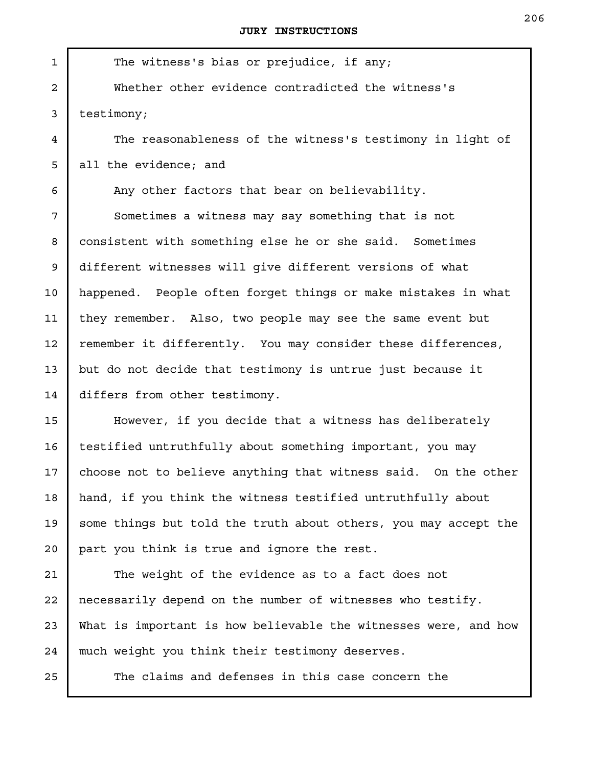The witness's bias or prejudice, if any; Whether other evidence contradicted the witness's testimony; The reasonableness of the witness's testimony in light of all the evidence; and Any other factors that bear on believability. Sometimes a witness may say something that is not consistent with something else he or she said. Sometimes different witnesses will give different versions of what happened. People often forget things or make mistakes in what they remember. Also, two people may see the same event but remember it differently. You may consider these differences, but do not decide that testimony is untrue just because it differs from other testimony. However, if you decide that a witness has deliberately testified untruthfully about something important, you may choose not to believe anything that witness said. On the other hand, if you think the witness testified untruthfully about some things but told the truth about others, you may accept the part you think is true and ignore the rest. The weight of the evidence as to a fact does not necessarily depend on the number of witnesses who testify. 1 2 3 4 5 6 7 8 9 10 11 12 13 14 15 16 17 18 19 20 21 22

What is important is how believable the witnesses were, and how much weight you think their testimony deserves. 23 24

The claims and defenses in this case concern the

25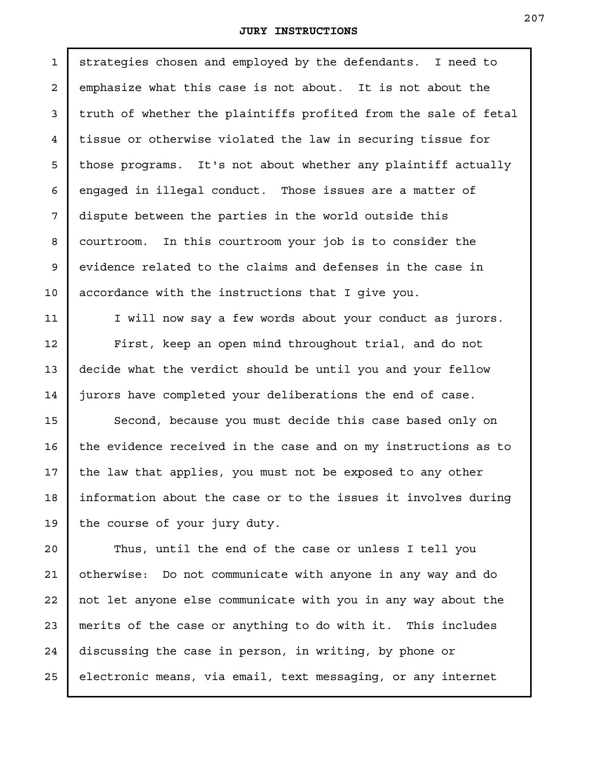strategies chosen and employed by the defendants. I need to emphasize what this case is not about. It is not about the truth of whether the plaintiffs profited from the sale of fetal tissue or otherwise violated the law in securing tissue for those programs. It's not about whether any plaintiff actually engaged in illegal conduct. Those issues are a matter of dispute between the parties in the world outside this courtroom. In this courtroom your job is to consider the evidence related to the claims and defenses in the case in accordance with the instructions that I give you. 1 2 3 4 5 6 7 8 9 10

I will now say a few words about your conduct as jurors. First, keep an open mind throughout trial, and do not decide what the verdict should be until you and your fellow jurors have completed your deliberations the end of case.

11

12

13

14

15

16

17

18

19

Second, because you must decide this case based only on the evidence received in the case and on my instructions as to the law that applies, you must not be exposed to any other information about the case or to the issues it involves during the course of your jury duty.

Thus, until the end of the case or unless I tell you otherwise: Do not communicate with anyone in any way and do not let anyone else communicate with you in any way about the merits of the case or anything to do with it. This includes discussing the case in person, in writing, by phone or electronic means, via email, text messaging, or any internet 20 21 22 23 24 25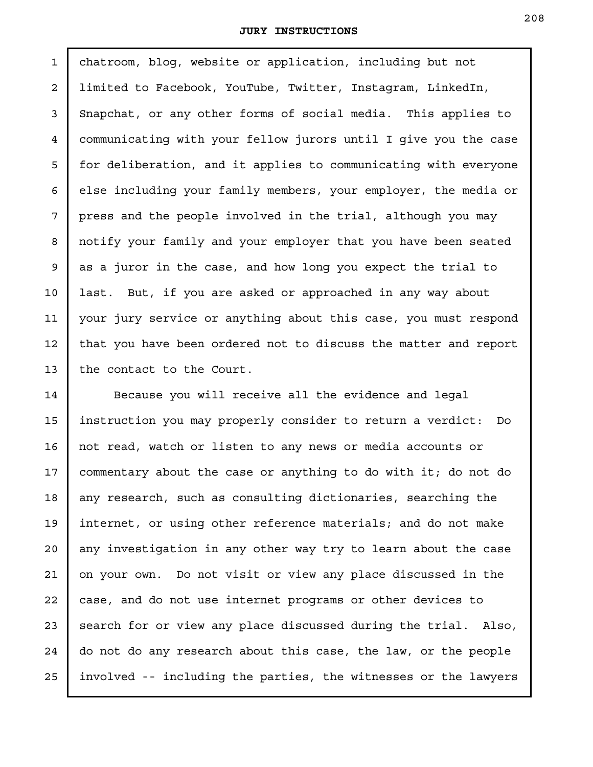chatroom, blog, website or application, including but not limited to Facebook, YouTube, Twitter, Instagram, LinkedIn, Snapchat, or any other forms of social media. This applies to communicating with your fellow jurors until I give you the case for deliberation, and it applies to communicating with everyone else including your family members, your employer, the media or press and the people involved in the trial, although you may notify your family and your employer that you have been seated as a juror in the case, and how long you expect the trial to last. But, if you are asked or approached in any way about your jury service or anything about this case, you must respond that you have been ordered not to discuss the matter and report the contact to the Court. 1 2 3 4 5 6 7 8 9 10 11 12 13

Because you will receive all the evidence and legal instruction you may properly consider to return a verdict: Do not read, watch or listen to any news or media accounts or commentary about the case or anything to do with it; do not do any research, such as consulting dictionaries, searching the internet, or using other reference materials; and do not make any investigation in any other way try to learn about the case on your own. Do not visit or view any place discussed in the case, and do not use internet programs or other devices to search for or view any place discussed during the trial. Also, do not do any research about this case, the law, or the people involved -- including the parties, the witnesses or the lawyers 14 15 16 17 18 19 20 21 22 23 24 25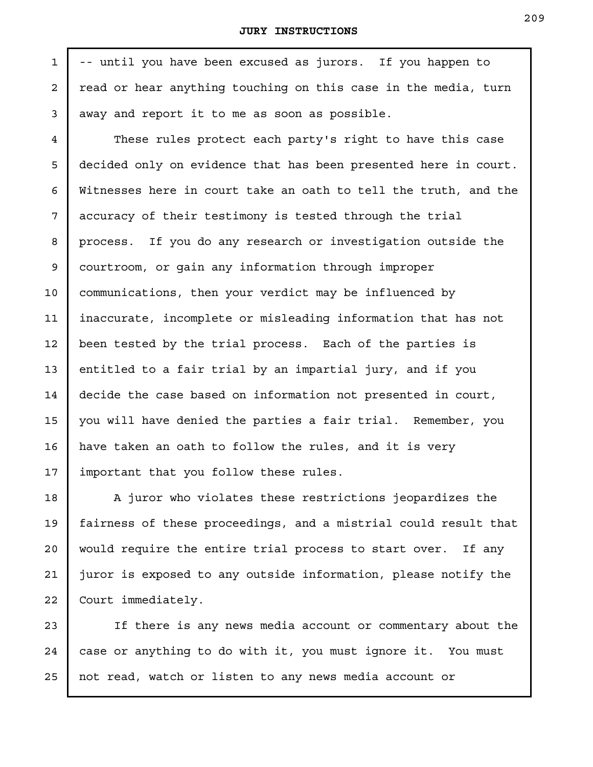-- until you have been excused as jurors. If you happen to read or hear anything touching on this case in the media, turn away and report it to me as soon as possible.

1

2

3

4

5

6

7

8

9

10

11

12

13

14

15

16

17

18

21

22

These rules protect each party's right to have this case decided only on evidence that has been presented here in court. Witnesses here in court take an oath to tell the truth, and the accuracy of their testimony is tested through the trial process. If you do any research or investigation outside the courtroom, or gain any information through improper communications, then your verdict may be influenced by inaccurate, incomplete or misleading information that has not been tested by the trial process. Each of the parties is entitled to a fair trial by an impartial jury, and if you decide the case based on information not presented in court, you will have denied the parties a fair trial. Remember, you have taken an oath to follow the rules, and it is very important that you follow these rules.

A juror who violates these restrictions jeopardizes the fairness of these proceedings, and a mistrial could result that would require the entire trial process to start over. If any juror is exposed to any outside information, please notify the Court immediately. 19 20

If there is any news media account or commentary about the case or anything to do with it, you must ignore it. You must not read, watch or listen to any news media account or 23 24 25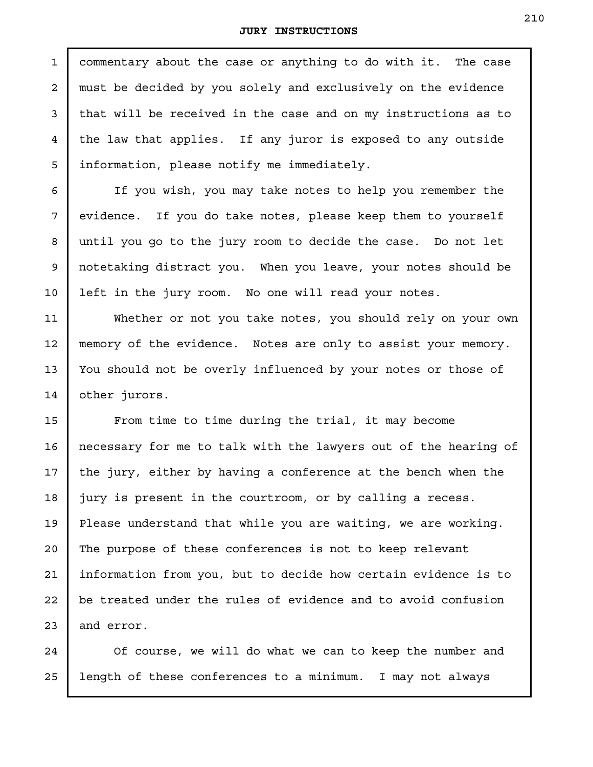commentary about the case or anything to do with it. The case must be decided by you solely and exclusively on the evidence that will be received in the case and on my instructions as to the law that applies. If any juror is exposed to any outside information, please notify me immediately. 1 2 3 4 5

If you wish, you may take notes to help you remember the evidence. If you do take notes, please keep them to yourself until you go to the jury room to decide the case. Do not let notetaking distract you. When you leave, your notes should be left in the jury room. No one will read your notes.

6

7

8

9

10

11

12

13

14

Whether or not you take notes, you should rely on your own memory of the evidence. Notes are only to assist your memory. You should not be overly influenced by your notes or those of other jurors.

From time to time during the trial, it may become necessary for me to talk with the lawyers out of the hearing of the jury, either by having a conference at the bench when the jury is present in the courtroom, or by calling a recess. Please understand that while you are waiting, we are working. The purpose of these conferences is not to keep relevant information from you, but to decide how certain evidence is to be treated under the rules of evidence and to avoid confusion and error. 15 16 17 18 19 20 21 22 23

Of course, we will do what we can to keep the number and length of these conferences to a minimum. I may not always 24 25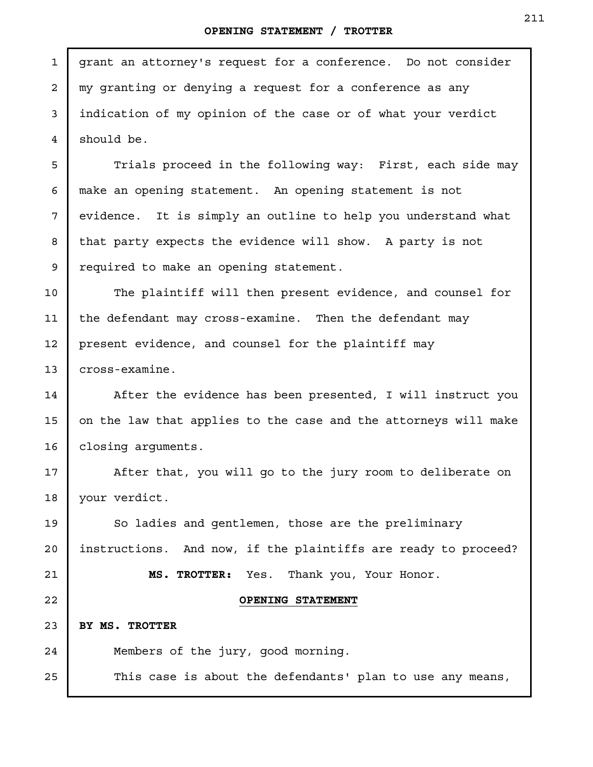## **OPENING STATEMENT / TROTTER**

grant an attorney's request for a conference. Do not consider my granting or denying a request for a conference as any indication of my opinion of the case or of what your verdict should be.

1

2

3

4

5

6

7

8

9

14

15

16

17

18

24

25

Trials proceed in the following way: First, each side may make an opening statement. An opening statement is not evidence. It is simply an outline to help you understand what that party expects the evidence will show. A party is not required to make an opening statement.

The plaintiff will then present evidence, and counsel for the defendant may cross-examine. Then the defendant may present evidence, and counsel for the plaintiff may cross-examine. 10 11 12 13

After the evidence has been presented, I will instruct you on the law that applies to the case and the attorneys will make closing arguments.

After that, you will go to the jury room to deliberate on your verdict.

So ladies and gentlemen, those are the preliminary instructions. And now, if the plaintiffs are ready to proceed? **MS. TROTTER:** Yes. Thank you, Your Honor. **OPENING STATEMENT BY MS. TROTTER**  19 20 21 22 23

Members of the jury, good morning.

This case is about the defendants' plan to use any means,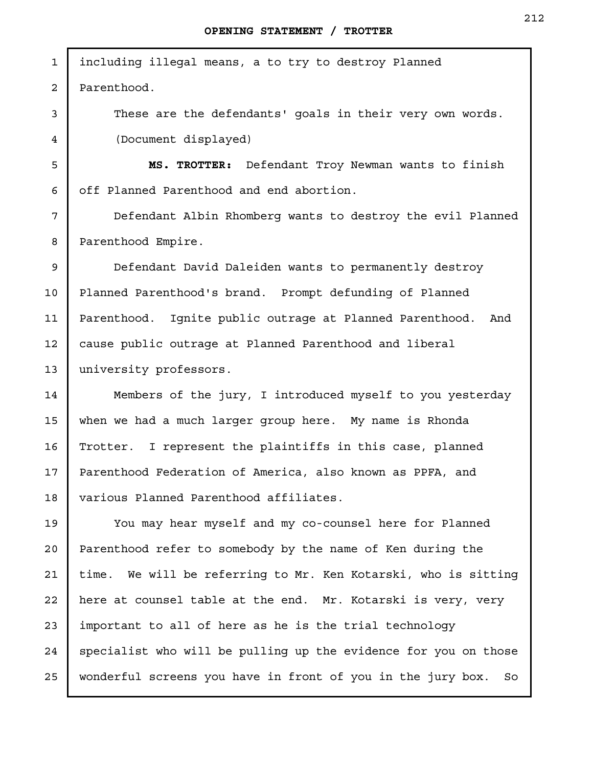including illegal means, a to try to destroy Planned Parenthood. 1 2

> These are the defendants' goals in their very own words. (Document displayed)

**MS. TROTTER:** Defendant Troy Newman wants to finish off Planned Parenthood and end abortion.

Defendant Albin Rhomberg wants to destroy the evil Planned Parenthood Empire.

Defendant David Daleiden wants to permanently destroy Planned Parenthood's brand. Prompt defunding of Planned Parenthood. Ignite public outrage at Planned Parenthood. And cause public outrage at Planned Parenthood and liberal university professors.

Members of the jury, I introduced myself to you yesterday when we had a much larger group here. My name is Rhonda Trotter. I represent the plaintiffs in this case, planned Parenthood Federation of America, also known as PPFA, and various Planned Parenthood affiliates.

You may hear myself and my co-counsel here for Planned Parenthood refer to somebody by the name of Ken during the time. We will be referring to Mr. Ken Kotarski, who is sitting here at counsel table at the end. Mr. Kotarski is very, very important to all of here as he is the trial technology specialist who will be pulling up the evidence for you on those wonderful screens you have in front of you in the jury box. So 25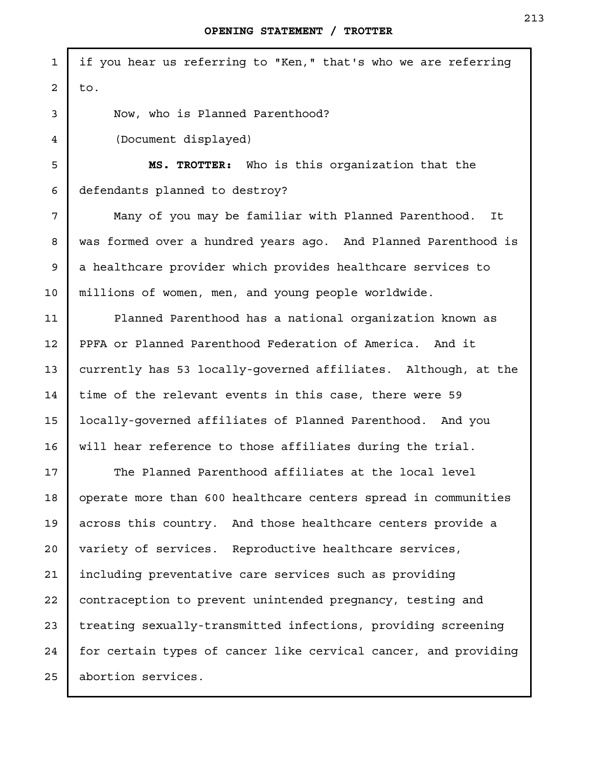| $\mathbf{1}$ | if you hear us referring to "Ken," that's who we are referring  |
|--------------|-----------------------------------------------------------------|
| 2            | to.                                                             |
| 3            | Now, who is Planned Parenthood?                                 |
| 4            | (Document displayed)                                            |
| 5            | MS. TROTTER: Who is this organization that the                  |
| 6            | defendants planned to destroy?                                  |
| 7            | Many of you may be familiar with Planned Parenthood.<br>It      |
| 8            | was formed over a hundred years ago. And Planned Parenthood is  |
| 9            | a healthcare provider which provides healthcare services to     |
| 10           | millions of women, men, and young people worldwide.             |
| 11           | Planned Parenthood has a national organization known as         |
| 12           | PPFA or Planned Parenthood Federation of America. And it        |
| 13           | currently has 53 locally-governed affiliates. Although, at the  |
| 14           | time of the relevant events in this case, there were 59         |
| 15           | locally-governed affiliates of Planned Parenthood. And you      |
| 16           | will hear reference to those affiliates during the trial.       |
| 17           | The Planned Parenthood affiliates at the local level            |
| 18           | operate more than 600 healthcare centers spread in communities  |
| 19           | across this country. And those healthcare centers provide a     |
| 20           | variety of services. Reproductive healthcare services,          |
| 21           | including preventative care services such as providing          |
| 22           | contraception to prevent unintended pregnancy, testing and      |
| 23           | treating sexually-transmitted infections, providing screening   |
| 24           | for certain types of cancer like cervical cancer, and providing |
| 25           | abortion services.                                              |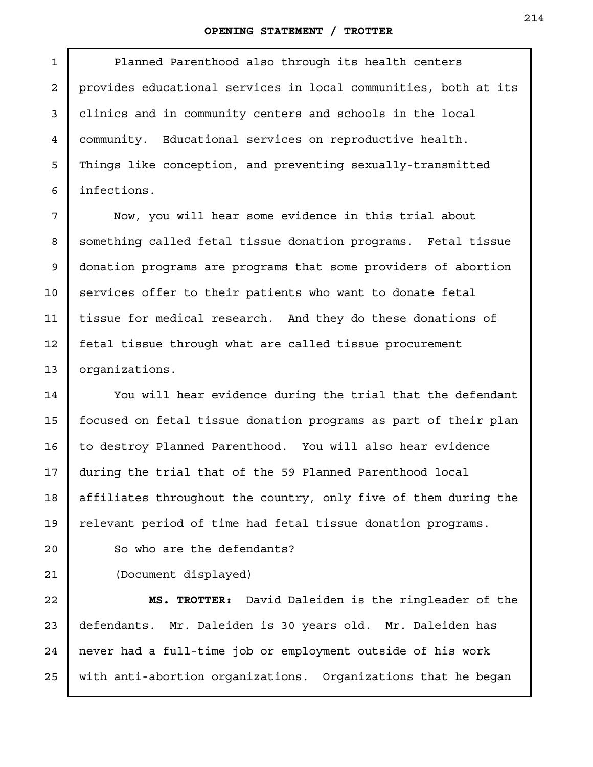## **OPENING STATEMENT / TROTTER**

1

Planned Parenthood also through its health centers provides educational services in local communities, both at its clinics and in community centers and schools in the local community. Educational services on reproductive health. Things like conception, and preventing sexually-transmitted infections.

Now, you will hear some evidence in this trial about something called fetal tissue donation programs. Fetal tissue donation programs are programs that some providers of abortion services offer to their patients who want to donate fetal tissue for medical research. And they do these donations of fetal tissue through what are called tissue procurement organizations.

You will hear evidence during the trial that the defendant focused on fetal tissue donation programs as part of their plan to destroy Planned Parenthood. You will also hear evidence during the trial that of the 59 Planned Parenthood local affiliates throughout the country, only five of them during the relevant period of time had fetal tissue donation programs.

(Document displayed)

So who are the defendants?

**MS. TROTTER:** David Daleiden is the ringleader of the defendants. Mr. Daleiden is 30 years old. Mr. Daleiden has never had a full-time job or employment outside of his work with anti-abortion organizations. Organizations that he began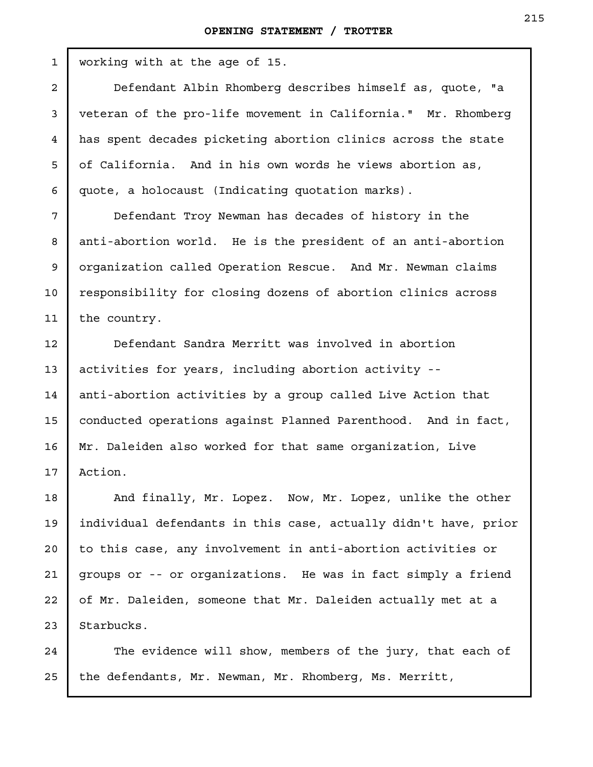working with at the age of 15.

Defendant Albin Rhomberg describes himself as, quote, "a veteran of the pro-life movement in California." Mr. Rhomberg has spent decades picketing abortion clinics across the state of California. And in his own words he views abortion as, quote, a holocaust (Indicating quotation marks).

Defendant Troy Newman has decades of history in the anti-abortion world. He is the president of an anti-abortion organization called Operation Rescue. And Mr. Newman claims responsibility for closing dozens of abortion clinics across the country.

Defendant Sandra Merritt was involved in abortion activities for years, including abortion activity - anti-abortion activities by a group called Live Action that conducted operations against Planned Parenthood. And in fact, Mr. Daleiden also worked for that same organization, Live Action.

And finally, Mr. Lopez. Now, Mr. Lopez, unlike the other individual defendants in this case, actually didn't have, prior to this case, any involvement in anti-abortion activities or groups or -- or organizations. He was in fact simply a friend of Mr. Daleiden, someone that Mr. Daleiden actually met at a Starbucks. 23

The evidence will show, members of the jury, that each of the defendants, Mr. Newman, Mr. Rhomberg, Ms. Merritt, 24 25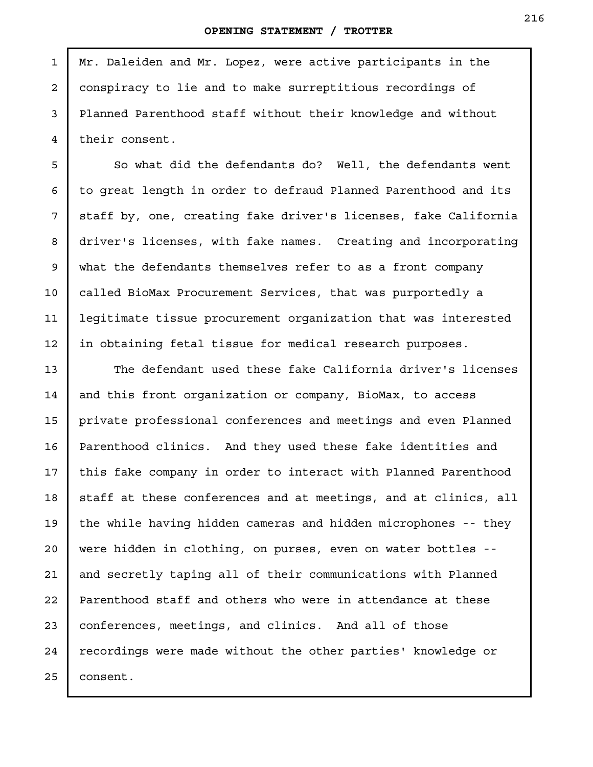Mr. Daleiden and Mr. Lopez, were active participants in the conspiracy to lie and to make surreptitious recordings of Planned Parenthood staff without their knowledge and without their consent.

So what did the defendants do? Well, the defendants went to great length in order to defraud Planned Parenthood and its staff by, one, creating fake driver's licenses, fake California driver's licenses, with fake names. Creating and incorporating what the defendants themselves refer to as a front company called BioMax Procurement Services, that was purportedly a legitimate tissue procurement organization that was interested in obtaining fetal tissue for medical research purposes.

The defendant used these fake California driver's licenses and this front organization or company, BioMax, to access private professional conferences and meetings and even Planned Parenthood clinics. And they used these fake identities and this fake company in order to interact with Planned Parenthood staff at these conferences and at meetings, and at clinics, all the while having hidden cameras and hidden microphones -- they were hidden in clothing, on purses, even on water bottles - and secretly taping all of their communications with Planned Parenthood staff and others who were in attendance at these conferences, meetings, and clinics. And all of those recordings were made without the other parties' knowledge or consent. 22 23 24 25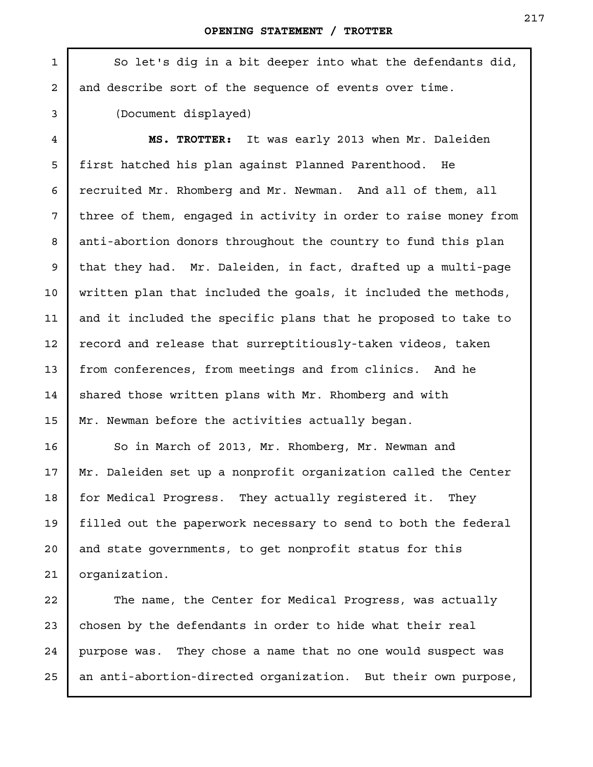So let's dig in a bit deeper into what the defendants did, and describe sort of the sequence of events over time. (Document displayed) **MS. TROTTER:** It was early 2013 when Mr. Daleiden first hatched his plan against Planned Parenthood. He recruited Mr. Rhomberg and Mr. Newman. And all of them, all three of them, engaged in activity in order to raise money from anti-abortion donors throughout the country to fund this plan that they had. Mr. Daleiden, in fact, drafted up a multi-page written plan that included the goals, it included the methods, and it included the specific plans that he proposed to take to record and release that surreptitiously-taken videos, taken 1 2 3 4 5 6 7 8 9 10 11 12

from conferences, from meetings and from clinics. And he shared those written plans with Mr. Rhomberg and with Mr. Newman before the activities actually began. 13 14 15

So in March of 2013, Mr. Rhomberg, Mr. Newman and Mr. Daleiden set up a nonprofit organization called the Center for Medical Progress. They actually registered it. They filled out the paperwork necessary to send to both the federal and state governments, to get nonprofit status for this organization.

The name, the Center for Medical Progress, was actually chosen by the defendants in order to hide what their real purpose was. They chose a name that no one would suspect was an anti-abortion-directed organization. But their own purpose, 22 23 25

24

16

17

18

19

20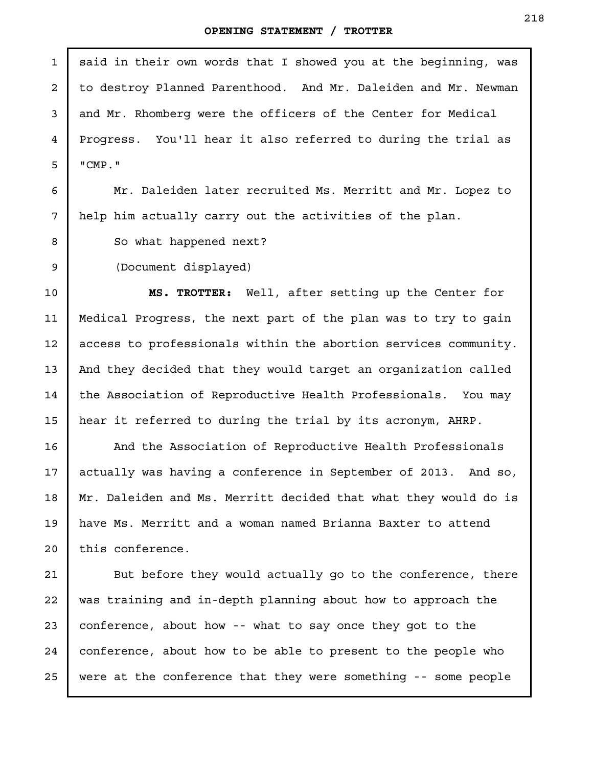said in their own words that I showed you at the beginning, was to destroy Planned Parenthood. And Mr. Daleiden and Mr. Newman and Mr. Rhomberg were the officers of the Center for Medical Progress. You'll hear it also referred to during the trial as "CMP." Mr. Daleiden later recruited Ms. Merritt and Mr. Lopez to help him actually carry out the activities of the plan. So what happened next? (Document displayed) **MS. TROTTER:** Well, after setting up the Center for Medical Progress, the next part of the plan was to try to gain access to professionals within the abortion services community. And they decided that they would target an organization called the Association of Reproductive Health Professionals. You may hear it referred to during the trial by its acronym, AHRP. And the Association of Reproductive Health Professionals actually was having a conference in September of 2013. And so, Mr. Daleiden and Ms. Merritt decided that what they would do is have Ms. Merritt and a woman named Brianna Baxter to attend this conference. But before they would actually go to the conference, there was training and in-depth planning about how to approach the conference, about how -- what to say once they got to the conference, about how to be able to present to the people who 1 2 3 4 5 6 7 8 9 10 11 12 13 14 15 16 17 18 19 20 21 22 23 24

were at the conference that they were something -- some people

25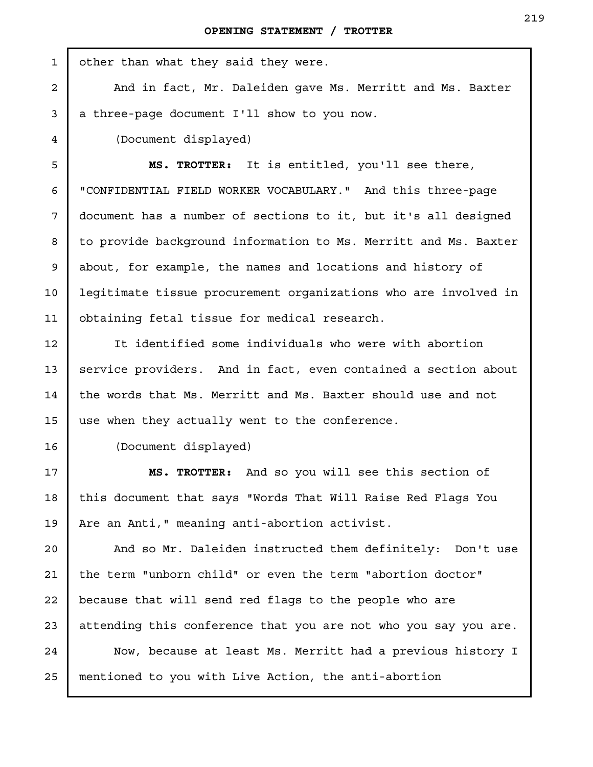| $\mathbf{1}$   | other than what they said they were.                            |
|----------------|-----------------------------------------------------------------|
| $\overline{a}$ | And in fact, Mr. Daleiden gave Ms. Merritt and Ms. Baxter       |
| 3              | a three-page document I'll show to you now.                     |
| 4              | (Document displayed)                                            |
| 5              | MS. TROTTER: It is entitled, you'll see there,                  |
| 6              | "CONFIDENTIAL FIELD WORKER VOCABULARY." And this three-page     |
| 7              | document has a number of sections to it, but it's all designed  |
| 8              | to provide background information to Ms. Merritt and Ms. Baxter |
| 9              | about, for example, the names and locations and history of      |
| 10             | legitimate tissue procurement organizations who are involved in |
| 11             | obtaining fetal tissue for medical research.                    |
| 12             | It identified some individuals who were with abortion           |
| 13             | service providers. And in fact, even contained a section about  |
| 14             | the words that Ms. Merritt and Ms. Baxter should use and not    |
| 15             | use when they actually went to the conference.                  |
| 16             | (Document displayed)                                            |
| 17             | And so you will see this section of<br>MS. TROTTER:             |
| 18             | this document that says "Words That Will Raise Red Flags You    |
| 19             | Are an Anti," meaning anti-abortion activist.                   |
| 20             | And so Mr. Daleiden instructed them definitely: Don't use       |
| 21             | the term "unborn child" or even the term "abortion doctor"      |
| 22             | because that will send red flags to the people who are          |
| 23             | attending this conference that you are not who you say you are. |
| 24             | Now, because at least Ms. Merritt had a previous history I      |
| 25             | mentioned to you with Live Action, the anti-abortion            |
|                |                                                                 |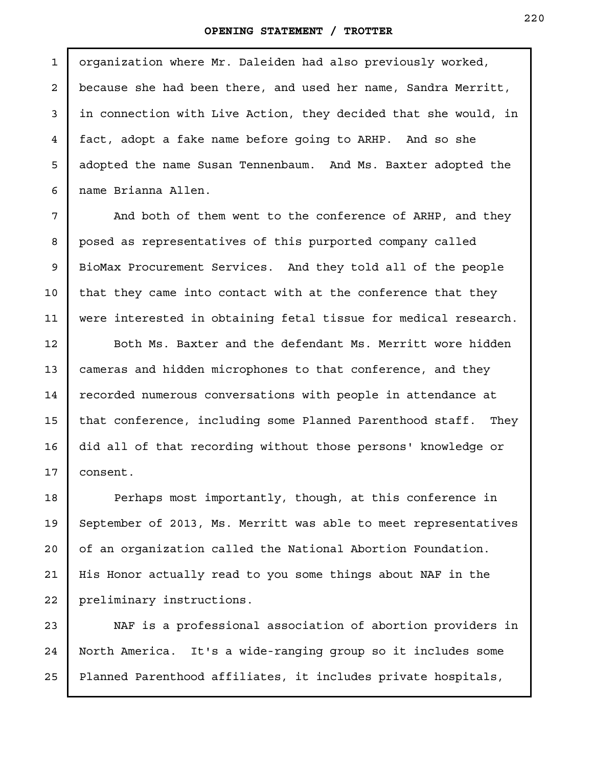organization where Mr. Daleiden had also previously worked, because she had been there, and used her name, Sandra Merritt, in connection with Live Action, they decided that she would, in fact, adopt a fake name before going to ARHP. And so she adopted the name Susan Tennenbaum. And Ms. Baxter adopted the name Brianna Allen.

And both of them went to the conference of ARHP, and they posed as representatives of this purported company called BioMax Procurement Services. And they told all of the people that they came into contact with at the conference that they were interested in obtaining fetal tissue for medical research.

Both Ms. Baxter and the defendant Ms. Merritt wore hidden cameras and hidden microphones to that conference, and they recorded numerous conversations with people in attendance at that conference, including some Planned Parenthood staff. They did all of that recording without those persons' knowledge or consent.

Perhaps most importantly, though, at this conference in September of 2013, Ms. Merritt was able to meet representatives of an organization called the National Abortion Foundation. His Honor actually read to you some things about NAF in the preliminary instructions.

NAF is a professional association of abortion providers in North America. It's a wide-ranging group so it includes some Planned Parenthood affiliates, it includes private hospitals, 25

1

2

3

4

5

6

7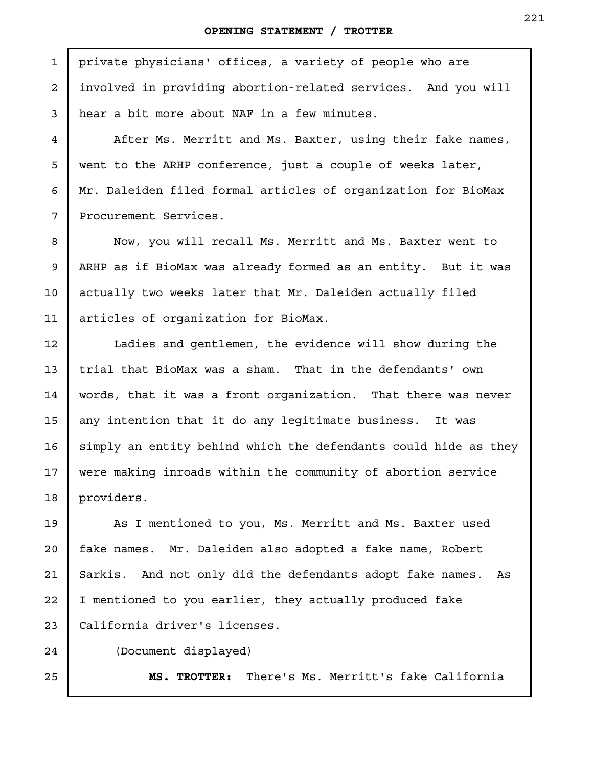private physicians' offices, a variety of people who are involved in providing abortion-related services. And you will hear a bit more about NAF in a few minutes.

After Ms. Merritt and Ms. Baxter, using their fake names, went to the ARHP conference, just a couple of weeks later, Mr. Daleiden filed formal articles of organization for BioMax Procurement Services.

Now, you will recall Ms. Merritt and Ms. Baxter went to ARHP as if BioMax was already formed as an entity. But it was actually two weeks later that Mr. Daleiden actually filed articles of organization for BioMax.

Ladies and gentlemen, the evidence will show during the trial that BioMax was a sham. That in the defendants' own words, that it was a front organization. That there was never any intention that it do any legitimate business. It was simply an entity behind which the defendants could hide as they were making inroads within the community of abortion service providers.

As I mentioned to you, Ms. Merritt and Ms. Baxter used fake names. Mr. Daleiden also adopted a fake name, Robert Sarkis. And not only did the defendants adopt fake names. As I mentioned to you earlier, they actually produced fake California driver's licenses. 19 20 21 22 23

24

25

1

2

3

4

5

6

7

8

9

10

11

12

13

14

15

16

17

18

(Document displayed)

**MS. TROTTER:** There's Ms. Merritt's fake California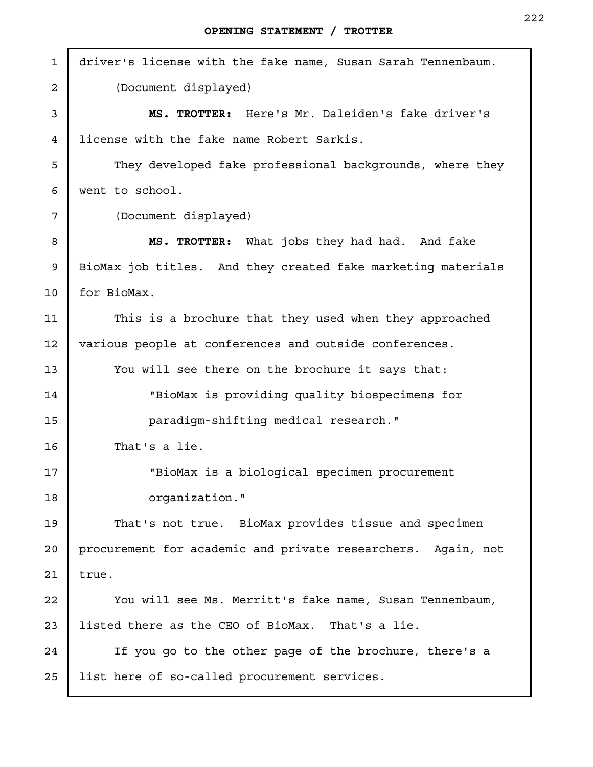| $\mathbf{1}$ | driver's license with the fake name, Susan Sarah Tennenbaum. |
|--------------|--------------------------------------------------------------|
| 2            | (Document displayed)                                         |
| 3            | MS. TROTTER: Here's Mr. Daleiden's fake driver's             |
| 4            | license with the fake name Robert Sarkis.                    |
| 5            | They developed fake professional backgrounds, where they     |
| 6            | went to school.                                              |
| 7            | (Document displayed)                                         |
| 8            | MS. TROTTER: What jobs they had had. And fake                |
| 9            | BioMax job titles. And they created fake marketing materials |
| 10           | for BioMax.                                                  |
| 11           | This is a brochure that they used when they approached       |
| 12           | various people at conferences and outside conferences.       |
| 13           | You will see there on the brochure it says that:             |
| 14           | "BioMax is providing quality biospecimens for                |
| 15           | paradigm-shifting medical research."                         |
| 16           | That's a lie.                                                |
| 17           | "BioMax is a biological specimen procurement                 |
| 18           | organization."                                               |
| 19           | That's not true. BioMax provides tissue and specimen         |
| 20           | procurement for academic and private researchers. Again, not |
| 21           | true.                                                        |
| 22           | You will see Ms. Merritt's fake name, Susan Tennenbaum,      |
| 23           | listed there as the CEO of BioMax. That's a lie.             |
| 24           | If you go to the other page of the brochure, there's a       |
| 25           | list here of so-called procurement services.                 |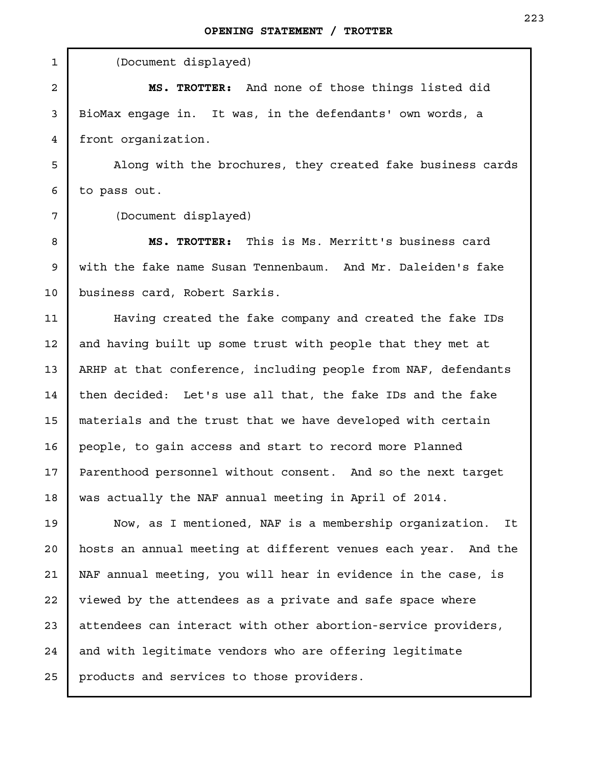(Document displayed) **MS. TROTTER:** And none of those things listed did BioMax engage in. It was, in the defendants' own words, a front organization. Along with the brochures, they created fake business cards to pass out. (Document displayed) **MS. TROTTER:** This is Ms. Merritt's business card with the fake name Susan Tennenbaum. And Mr. Daleiden's fake business card, Robert Sarkis. Having created the fake company and created the fake IDs and having built up some trust with people that they met at ARHP at that conference, including people from NAF, defendants then decided: Let's use all that, the fake IDs and the fake materials and the trust that we have developed with certain people, to gain access and start to record more Planned Parenthood personnel without consent. And so the next target was actually the NAF annual meeting in April of 2014. Now, as I mentioned, NAF is a membership organization. It hosts an annual meeting at different venues each year. And the NAF annual meeting, you will hear in evidence in the case, is viewed by the attendees as a private and safe space where attendees can interact with other abortion-service providers, and with legitimate vendors who are offering legitimate products and services to those providers. 1 2 3 4 5 6 7 8 9 10 11 12 13 14 15 16 17 18 19 20 21 22 23 24 25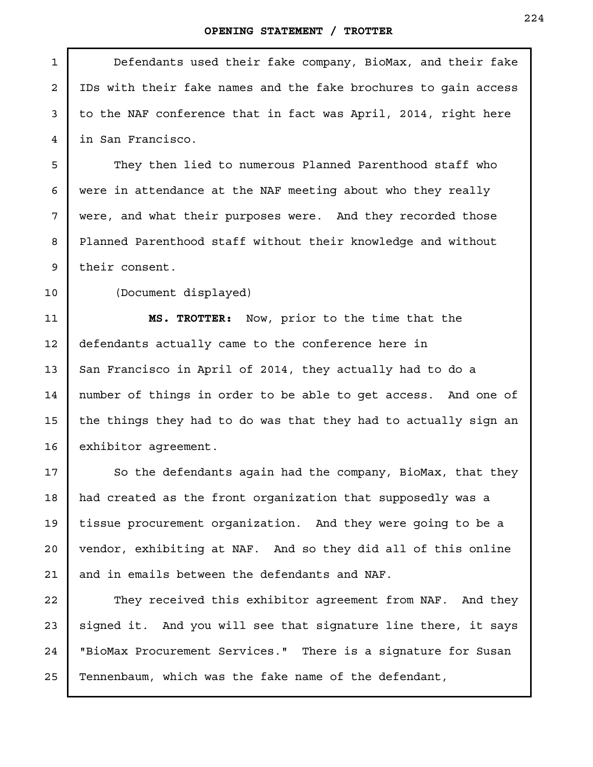| 1              | Defendants used their fake company, BioMax, and their fake      |
|----------------|-----------------------------------------------------------------|
| $\overline{a}$ | IDs with their fake names and the fake brochures to gain access |
| 3              | to the NAF conference that in fact was April, 2014, right here  |
| 4              | in San Francisco.                                               |
| 5              | They then lied to numerous Planned Parenthood staff who         |
| 6              | were in attendance at the NAF meeting about who they really     |
| 7              | were, and what their purposes were. And they recorded those     |
| 8              | Planned Parenthood staff without their knowledge and without    |
| 9              | their consent.                                                  |
| 10             | (Document displayed)                                            |
| 11             | MS. TROTTER: Now, prior to the time that the                    |
| 12             | defendants actually came to the conference here in              |
| 13             | San Francisco in April of 2014, they actually had to do a       |
| 14             | number of things in order to be able to get access. And one of  |
| 15             | the things they had to do was that they had to actually sign an |
| 16             | exhibitor agreement.                                            |
| 17             | So the defendants again had the company, BioMax, that they      |
| 18             | had created as the front organization that supposedly was a     |
| 19             | tissue procurement organization. And they were going to be a    |
| 20             | vendor, exhibiting at NAF. And so they did all of this online   |
| 21             | and in emails between the defendants and NAF.                   |
| 22             | They received this exhibitor agreement from NAF. And they       |
| 23             | signed it. And you will see that signature line there, it says  |
| 24             | "BioMax Procurement Services." There is a signature for Susan   |
| 25             | Tennenbaum, which was the fake name of the defendant,           |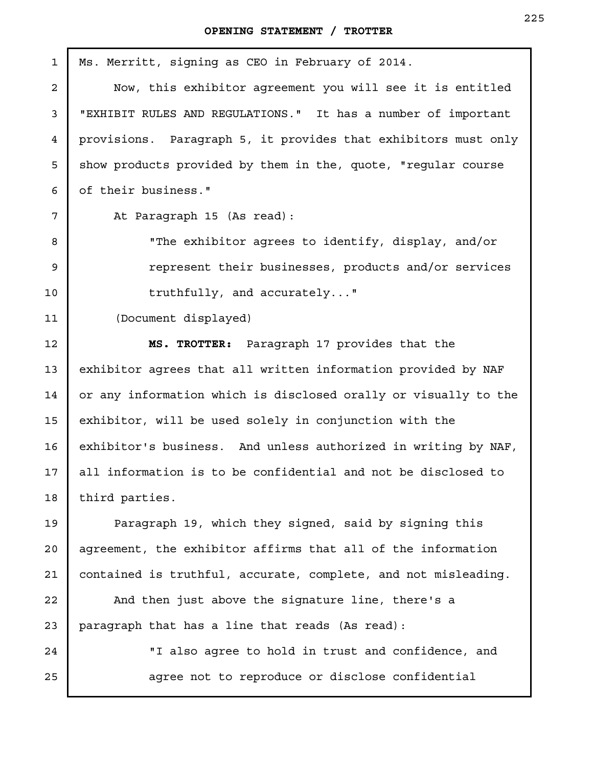| $\mathbf{1}$    | Ms. Merritt, signing as CEO in February of 2014.                |
|-----------------|-----------------------------------------------------------------|
| $\overline{a}$  | Now, this exhibitor agreement you will see it is entitled       |
| 3               | "EXHIBIT RULES AND REGULATIONS." It has a number of important   |
| 4               | provisions. Paragraph 5, it provides that exhibitors must only  |
| 5               | show products provided by them in the, quote, "regular course   |
| 6               | of their business."                                             |
| $7\overline{ }$ | At Paragraph 15 (As read):                                      |
| 8               | "The exhibitor agrees to identify, display, and/or              |
| 9               | represent their businesses, products and/or services            |
| $10 \,$         | truthfully, and accurately"                                     |
| 11              | (Document displayed)                                            |
| 12              | MS. TROTTER: Paragraph 17 provides that the                     |
| 13              | exhibitor agrees that all written information provided by NAF   |
| 14              | or any information which is disclosed orally or visually to the |
| 15              | exhibitor, will be used solely in conjunction with the          |
| 16              | exhibitor's business. And unless authorized in writing by NAF,  |
| 17              | all information is to be confidential and not be disclosed to   |
| 18              | third parties.                                                  |
| 19              | Paragraph 19, which they signed, said by signing this           |
| 20              | agreement, the exhibitor affirms that all of the information    |
| 21              | contained is truthful, accurate, complete, and not misleading.  |
| 22              | And then just above the signature line, there's a               |
| 23              | paragraph that has a line that reads (As read):                 |
| 24              | "I also agree to hold in trust and confidence, and              |
| 25              | agree not to reproduce or disclose confidential                 |
|                 |                                                                 |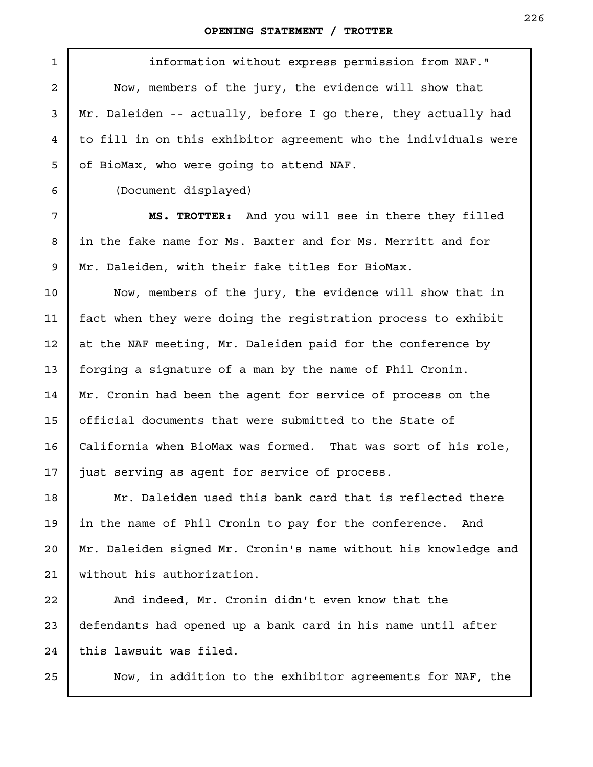| 1              | information without express permission from NAF."               |
|----------------|-----------------------------------------------------------------|
| $\overline{a}$ | Now, members of the jury, the evidence will show that           |
| 3              | Mr. Daleiden -- actually, before I go there, they actually had  |
| 4              | to fill in on this exhibitor agreement who the individuals were |
| 5              | of BioMax, who were going to attend NAF.                        |
| 6              | (Document displayed)                                            |
| 7              | MS. TROTTER: And you will see in there they filled              |
| 8              | in the fake name for Ms. Baxter and for Ms. Merritt and for     |
| 9              | Mr. Daleiden, with their fake titles for BioMax.                |
| 10             | Now, members of the jury, the evidence will show that in        |
| 11             | fact when they were doing the registration process to exhibit   |
| 12             | at the NAF meeting, Mr. Daleiden paid for the conference by     |
| 13             | forging a signature of a man by the name of Phil Cronin.        |
| 14             | Mr. Cronin had been the agent for service of process on the     |
| 15             | official documents that were submitted to the State of          |
| 16             | California when BioMax was formed. That was sort of his role,   |
| $17 \,$        | just serving as agent for service of process.                   |
| 18             | Mr. Daleiden used this bank card that is reflected there        |
| 19             | in the name of Phil Cronin to pay for the conference.<br>And    |
| 20             | Mr. Daleiden signed Mr. Cronin's name without his knowledge and |
| 21             | without his authorization.                                      |
| 22             | And indeed, Mr. Cronin didn't even know that the                |
| 23             | defendants had opened up a bank card in his name until after    |
| 24             | this lawsuit was filed.                                         |

Now, in addition to the exhibitor agreements for NAF, the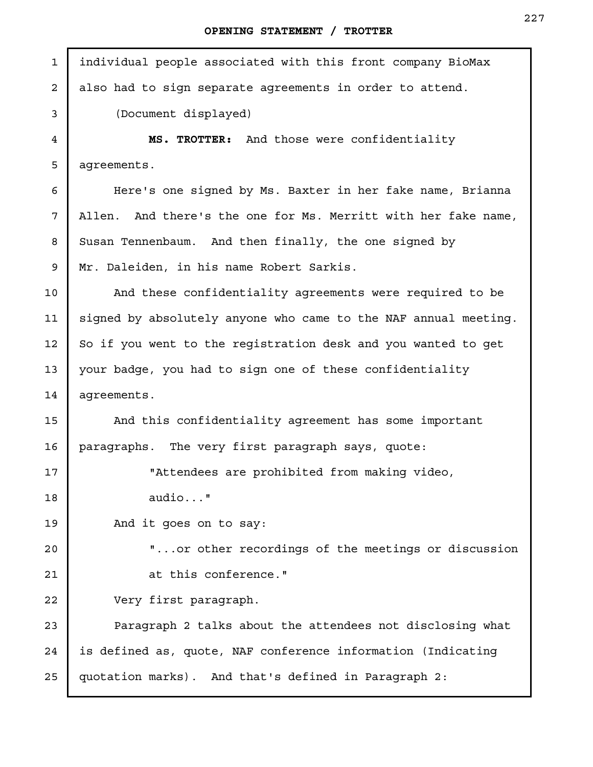J.

| $\mathbf{1}$ | individual people associated with this front company BioMax     |
|--------------|-----------------------------------------------------------------|
| 2            | also had to sign separate agreements in order to attend.        |
| 3            | (Document displayed)                                            |
| 4            | MS. TROTTER: And those were confidentiality                     |
| 5            | agreements.                                                     |
| 6            | Here's one signed by Ms. Baxter in her fake name, Brianna       |
| 7            | Allen. And there's the one for Ms. Merritt with her fake name,  |
| 8            | Susan Tennenbaum. And then finally, the one signed by           |
| 9            | Mr. Daleiden, in his name Robert Sarkis.                        |
| 10           | And these confidentiality agreements were required to be        |
| 11           | signed by absolutely anyone who came to the NAF annual meeting. |
| 12           | So if you went to the registration desk and you wanted to get   |
| 13           | your badge, you had to sign one of these confidentiality        |
| 14           | agreements.                                                     |
| 15           | And this confidentiality agreement has some important           |
| 16           | paragraphs. The very first paragraph says, quote:               |
| 17           | "Attendees are prohibited from making video,                    |
| 18           | $audio$ "                                                       |
| 19           | And it goes on to say:                                          |
| 20           | " or other recordings of the meetings or discussion             |
| 21           | at this conference."                                            |
| 22           | Very first paragraph.                                           |
| 23           | Paragraph 2 talks about the attendees not disclosing what       |
| 24           | is defined as, quote, NAF conference information (Indicating    |
| 25           | quotation marks). And that's defined in Paragraph 2:            |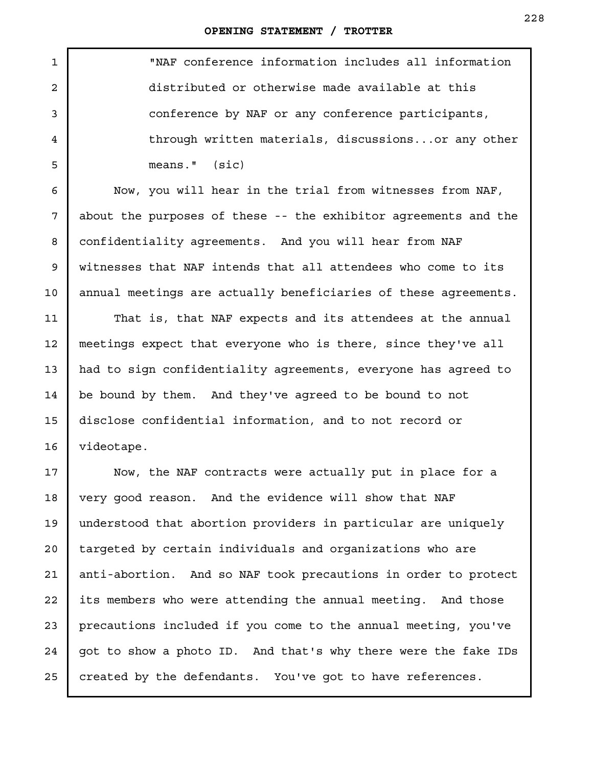| $\mathbf{1}$   | "NAF conference information includes all information            |
|----------------|-----------------------------------------------------------------|
| $\overline{a}$ | distributed or otherwise made available at this                 |
| 3              | conference by NAF or any conference participants,               |
| 4              | through written materials, discussionsor any other              |
| 5              | $means.$ " $(size)$                                             |
| 6              | Now, you will hear in the trial from witnesses from NAF,        |
| 7              | about the purposes of these -- the exhibitor agreements and the |
| 8              | confidentiality agreements. And you will hear from NAF          |
| 9              | witnesses that NAF intends that all attendees who come to its   |
| 10             | annual meetings are actually beneficiaries of these agreements. |
| 11             | That is, that NAF expects and its attendees at the annual       |
| 12             | meetings expect that everyone who is there, since they've all   |
| 13             | had to sign confidentiality agreements, everyone has agreed to  |
| 14             | be bound by them. And they've agreed to be bound to not         |
| 15             | disclose confidential information, and to not record or         |
| 16             | videotape.                                                      |
| 17             | Now, the NAF contracts were actually put in place for a         |
| 18             | very good reason. And the evidence will show that NAF           |
| 19             | understood that abortion providers in particular are uniquely   |
| 20             | targeted by certain individuals and organizations who are       |
| 21             | anti-abortion. And so NAF took precautions in order to protect  |
| 22             | its members who were attending the annual meeting. And those    |
| 23             | precautions included if you come to the annual meeting, you've  |
| 24             | got to show a photo ID. And that's why there were the fake IDs  |

created by the defendants. You've got to have references.

25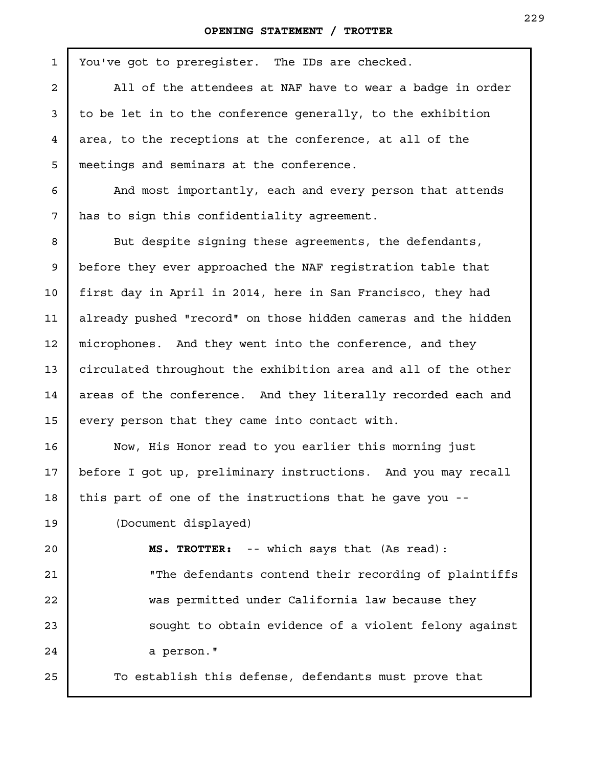| $\mathbf{1}$ | You've got to preregister. The IDs are checked.                |
|--------------|----------------------------------------------------------------|
| 2            | All of the attendees at NAF have to wear a badge in order      |
| 3            | to be let in to the conference generally, to the exhibition    |
| 4            | area, to the receptions at the conference, at all of the       |
| 5            | meetings and seminars at the conference.                       |
| 6            | And most importantly, each and every person that attends       |
| 7            | has to sign this confidentiality agreement.                    |
| 8            | But despite signing these agreements, the defendants,          |
| 9            | before they ever approached the NAF reqistration table that    |
| 10           | first day in April in 2014, here in San Francisco, they had    |
| 11           | already pushed "record" on those hidden cameras and the hidden |
| 12           | microphones. And they went into the conference, and they       |
| 13           | circulated throughout the exhibition area and all of the other |
| 14           | areas of the conference. And they literally recorded each and  |
| 15           | every person that they came into contact with.                 |
| 16           | Now, His Honor read to you earlier this morning just           |
| 17           | before I got up, preliminary instructions. And you may recall  |
| 18           | this part of one of the instructions that he gave you --       |
| 19           | (Document displayed)                                           |
| 20           | MS. TROTTER: -- which says that (As read):                     |
| 21           | "The defendants contend their recording of plaintiffs          |
| 22           | was permitted under California law because they                |
| 23           | sought to obtain evidence of a violent felony against          |
| 24           | a person."                                                     |
| 25           | To establish this defense, defendants must prove that          |
|              |                                                                |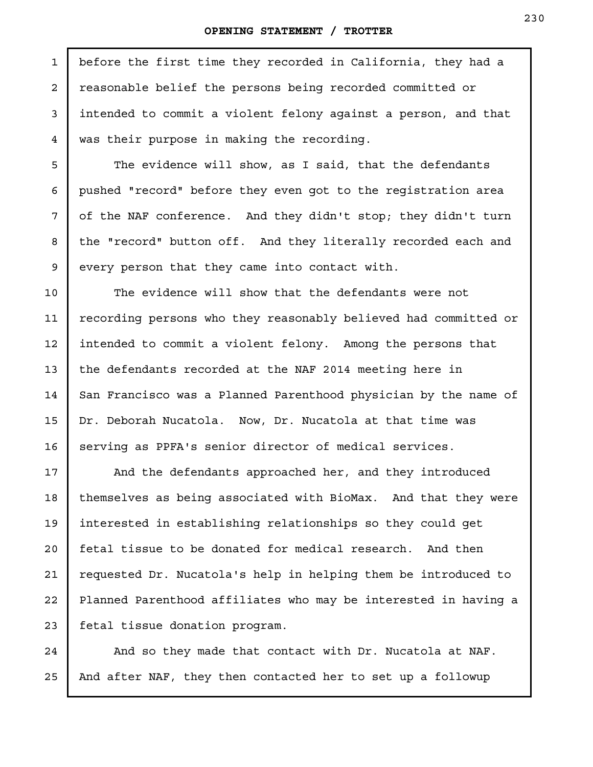before the first time they recorded in California, they had a reasonable belief the persons being recorded committed or intended to commit a violent felony against a person, and that was their purpose in making the recording.

The evidence will show, as I said, that the defendants pushed "record" before they even got to the registration area of the NAF conference. And they didn't stop; they didn't turn the "record" button off. And they literally recorded each and every person that they came into contact with.

The evidence will show that the defendants were not recording persons who they reasonably believed had committed or intended to commit a violent felony. Among the persons that the defendants recorded at the NAF 2014 meeting here in San Francisco was a Planned Parenthood physician by the name of Dr. Deborah Nucatola. Now, Dr. Nucatola at that time was serving as PPFA's senior director of medical services.

And the defendants approached her, and they introduced themselves as being associated with BioMax. And that they were interested in establishing relationships so they could get fetal tissue to be donated for medical research. And then requested Dr. Nucatola's help in helping them be introduced to Planned Parenthood affiliates who may be interested in having a fetal tissue donation program.

And so they made that contact with Dr. Nucatola at NAF. And after NAF, they then contacted her to set up a followup

1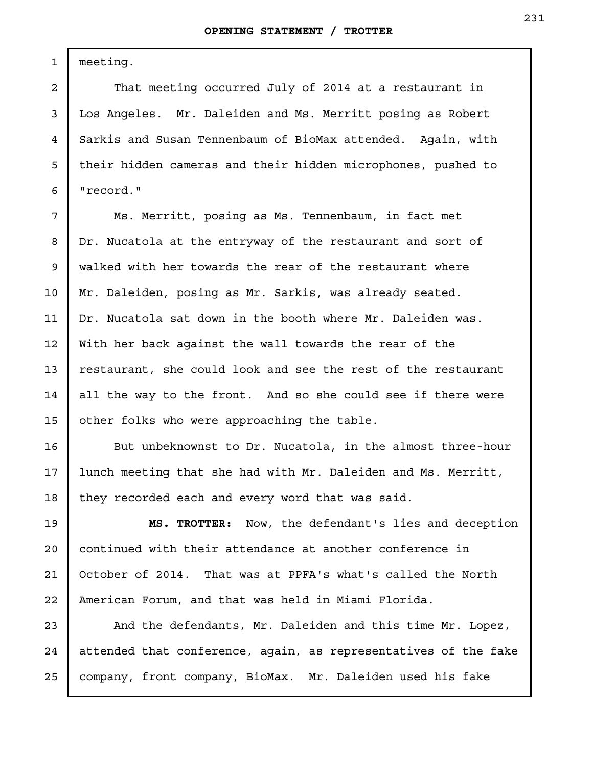meeting.

1

2

3

4

5

6

7

8

9

10

11

12

13

14

15

16

17

18

That meeting occurred July of 2014 at a restaurant in Los Angeles. Mr. Daleiden and Ms. Merritt posing as Robert Sarkis and Susan Tennenbaum of BioMax attended. Again, with their hidden cameras and their hidden microphones, pushed to "record."

Ms. Merritt, posing as Ms. Tennenbaum, in fact met Dr. Nucatola at the entryway of the restaurant and sort of walked with her towards the rear of the restaurant where Mr. Daleiden, posing as Mr. Sarkis, was already seated. Dr. Nucatola sat down in the booth where Mr. Daleiden was. With her back against the wall towards the rear of the restaurant, she could look and see the rest of the restaurant all the way to the front. And so she could see if there were other folks who were approaching the table.

But unbeknownst to Dr. Nucatola, in the almost three-hour lunch meeting that she had with Mr. Daleiden and Ms. Merritt, they recorded each and every word that was said.

**MS. TROTTER:** Now, the defendant's lies and deception continued with their attendance at another conference in October of 2014. That was at PPFA's what's called the North American Forum, and that was held in Miami Florida. 19 20 21 22

And the defendants, Mr. Daleiden and this time Mr. Lopez, attended that conference, again, as representatives of the fake company, front company, BioMax. Mr. Daleiden used his fake 23 24 25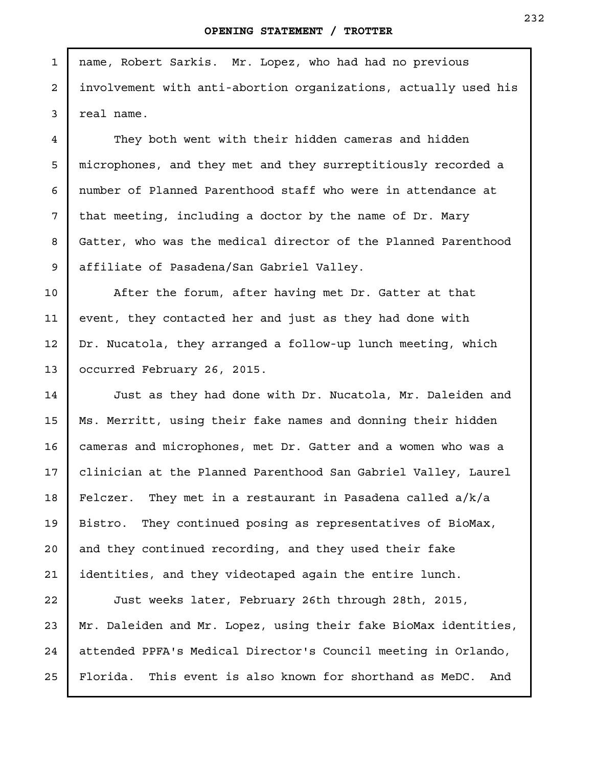name, Robert Sarkis. Mr. Lopez, who had had no previous involvement with anti-abortion organizations, actually used his real name.

1

2

3

4

5

6

7

8

9

10

11

12

13

They both went with their hidden cameras and hidden microphones, and they met and they surreptitiously recorded a number of Planned Parenthood staff who were in attendance at that meeting, including a doctor by the name of Dr. Mary Gatter, who was the medical director of the Planned Parenthood affiliate of Pasadena/San Gabriel Valley.

After the forum, after having met Dr. Gatter at that event, they contacted her and just as they had done with Dr. Nucatola, they arranged a follow-up lunch meeting, which occurred February 26, 2015.

Just as they had done with Dr. Nucatola, Mr. Daleiden and Ms. Merritt, using their fake names and donning their hidden cameras and microphones, met Dr. Gatter and a women who was a clinician at the Planned Parenthood San Gabriel Valley, Laurel Felczer. They met in a restaurant in Pasadena called a/k/a Bistro. They continued posing as representatives of BioMax, and they continued recording, and they used their fake identities, and they videotaped again the entire lunch. 14 15 16 17 18 19 20 21

Just weeks later, February 26th through 28th, 2015, Mr. Daleiden and Mr. Lopez, using their fake BioMax identities, attended PPFA's Medical Director's Council meeting in Orlando, Florida. This event is also known for shorthand as MeDC. And 22 23 24 25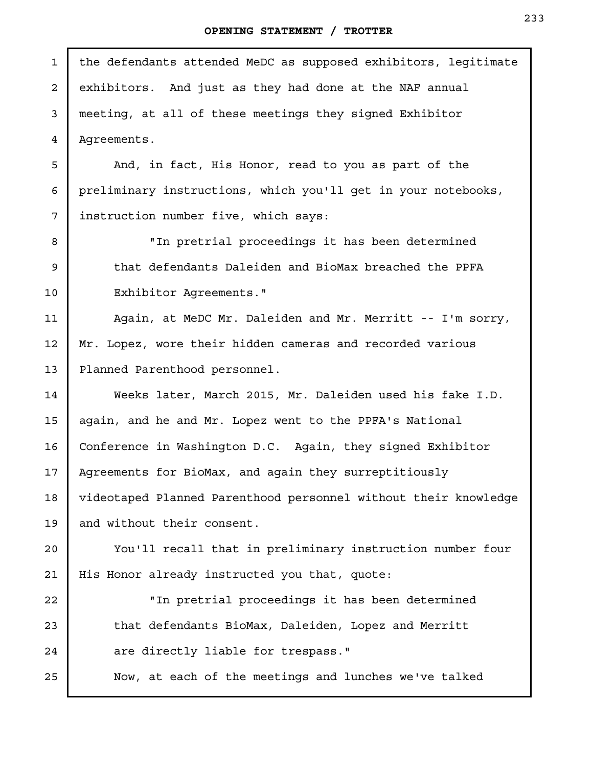| $\mathbf 1$    | the defendants attended MeDC as supposed exhibitors, legitimate |
|----------------|-----------------------------------------------------------------|
| $\overline{a}$ | exhibitors. And just as they had done at the NAF annual         |
| 3              | meeting, at all of these meetings they signed Exhibitor         |
| 4              | Agreements.                                                     |
| 5              | And, in fact, His Honor, read to you as part of the             |
| 6              | preliminary instructions, which you'll get in your notebooks,   |
| 7              | instruction number five, which says:                            |
| 8              | "In pretrial proceedings it has been determined                 |
| 9              | that defendants Daleiden and BioMax breached the PPFA           |
| 10             | Exhibitor Agreements."                                          |
| 11             | Again, at MeDC Mr. Daleiden and Mr. Merritt -- I'm sorry,       |
| 12             | Mr. Lopez, wore their hidden cameras and recorded various       |
| 13             | Planned Parenthood personnel.                                   |
| 14             | Weeks later, March 2015, Mr. Daleiden used his fake I.D.        |
| 15             | again, and he and Mr. Lopez went to the PPFA's National         |
| 16             | Conference in Washington D.C. Again, they signed Exhibitor      |
| 17             | Agreements for BioMax, and again they surreptitiously           |
| 18             | videotaped Planned Parenthood personnel without their knowledge |
| 19             | and without their consent.                                      |
| 20             | You'll recall that in preliminary instruction number four       |
| 21             | His Honor already instructed you that, quote:                   |
| 22             | "In pretrial proceedings it has been determined                 |
| 23             | that defendants BioMax, Daleiden, Lopez and Merritt             |
| 24             | are directly liable for trespass."                              |
| 25             | Now, at each of the meetings and lunches we've talked           |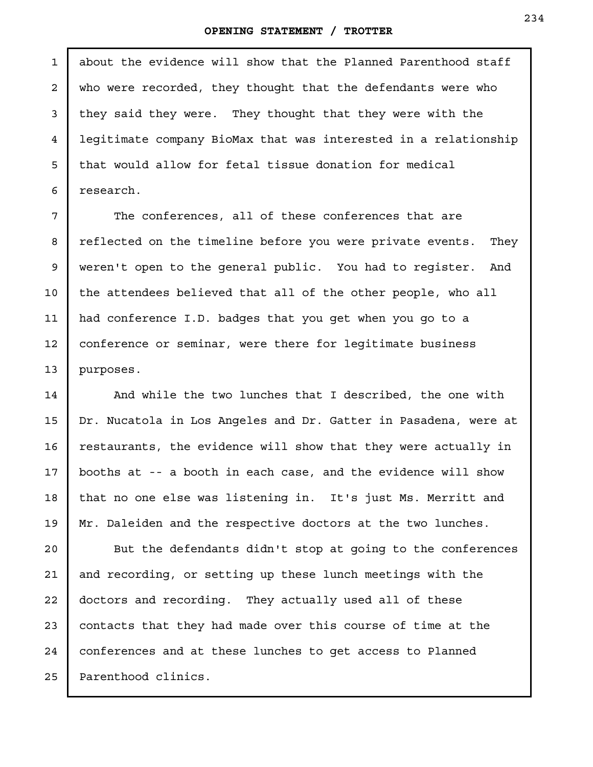about the evidence will show that the Planned Parenthood staff who were recorded, they thought that the defendants were who they said they were. They thought that they were with the legitimate company BioMax that was interested in a relationship that would allow for fetal tissue donation for medical research.

The conferences, all of these conferences that are reflected on the timeline before you were private events. They weren't open to the general public. You had to register. And the attendees believed that all of the other people, who all had conference I.D. badges that you get when you go to a conference or seminar, were there for legitimate business purposes.

And while the two lunches that I described, the one with Dr. Nucatola in Los Angeles and Dr. Gatter in Pasadena, were at restaurants, the evidence will show that they were actually in booths at -- a booth in each case, and the evidence will show that no one else was listening in. It's just Ms. Merritt and Mr. Daleiden and the respective doctors at the two lunches.

But the defendants didn't stop at going to the conferences and recording, or setting up these lunch meetings with the doctors and recording. They actually used all of these contacts that they had made over this course of time at the conferences and at these lunches to get access to Planned Parenthood clinics.

1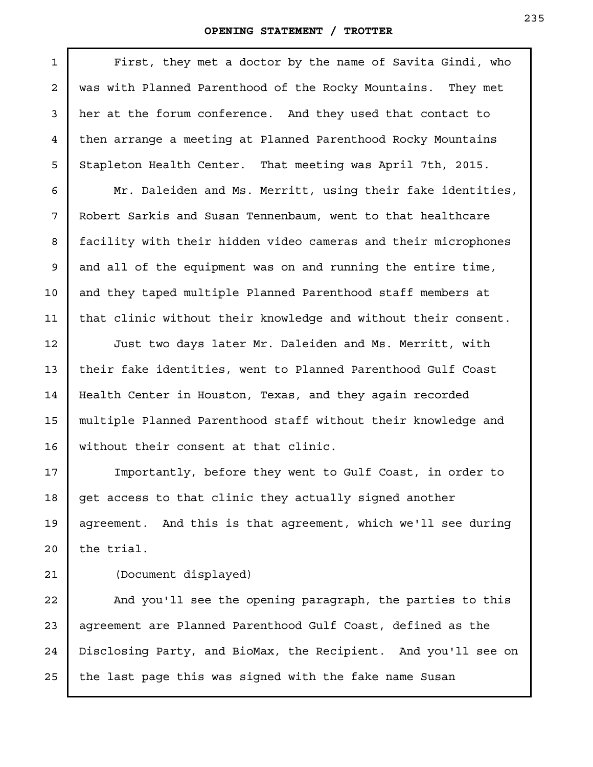| $\mathbf 1$ | First, they met a doctor by the name of Savita Gindi, who      |
|-------------|----------------------------------------------------------------|
| 2           | was with Planned Parenthood of the Rocky Mountains. They met   |
| 3           | her at the forum conference. And they used that contact to     |
| 4           | then arrange a meeting at Planned Parenthood Rocky Mountains   |
| 5           | Stapleton Health Center. That meeting was April 7th, 2015.     |
| 6           | Mr. Daleiden and Ms. Merritt, using their fake identities,     |
| 7           | Robert Sarkis and Susan Tennenbaum, went to that healthcare    |
| 8           | facility with their hidden video cameras and their microphones |
| 9           | and all of the equipment was on and running the entire time,   |
| 10          | and they taped multiple Planned Parenthood staff members at    |
| 11          | that clinic without their knowledge and without their consent. |
| 12          | Just two days later Mr. Daleiden and Ms. Merritt, with         |
| 13          | their fake identities, went to Planned Parenthood Gulf Coast   |
| 14          | Health Center in Houston, Texas, and they again recorded       |
| 15          | multiple Planned Parenthood staff without their knowledge and  |
| 16          | without their consent at that clinic.                          |
| 17          | Importantly, before they went to Gulf Coast, in order to       |
| 18          | get access to that clinic they actually signed another         |
| 19          | agreement. And this is that agreement, which we'll see during  |
| 20          | the trial.                                                     |
| 21          | (Document displayed)                                           |
| 22          | And you'll see the opening paragraph, the parties to this      |
| 23          | agreement are Planned Parenthood Gulf Coast, defined as the    |
| 24          | Disclosing Party, and BioMax, the Recipient. And you'll see on |
| 25          | the last page this was signed with the fake name Susan         |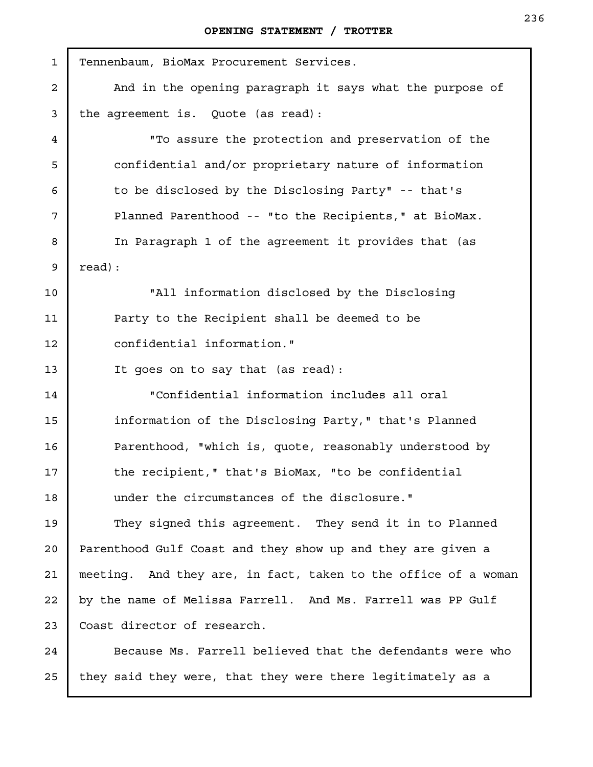| $\mathbf{1}$   | Tennenbaum, BioMax Procurement Services.                       |
|----------------|----------------------------------------------------------------|
| $\overline{a}$ | And in the opening paragraph it says what the purpose of       |
| 3              | the agreement is. Quote (as read):                             |
| 4              | "To assure the protection and preservation of the              |
| 5              | confidential and/or proprietary nature of information          |
| 6              | to be disclosed by the Disclosing Party" -- that's             |
| 7              | Planned Parenthood -- "to the Recipients," at BioMax.          |
| 8              | In Paragraph 1 of the agreement it provides that (as           |
| 9              | read) :                                                        |
| 10             | "All information disclosed by the Disclosing                   |
| 11             | Party to the Recipient shall be deemed to be                   |
| 12             | confidential information."                                     |
| 13             | It goes on to say that (as read):                              |
| 14             | "Confidential information includes all oral                    |
| 15             | information of the Disclosing Party," that's Planned           |
| 16             | Parenthood, "which is, quote, reasonably understood by         |
| 17             | the recipient," that's BioMax, "to be confidential             |
| 18             | under the circumstances of the disclosure."                    |
| 19             | They signed this agreement. They send it in to Planned         |
| 20             | Parenthood Gulf Coast and they show up and they are given a    |
| 21             | meeting. And they are, in fact, taken to the office of a woman |
| 22             | by the name of Melissa Farrell. And Ms. Farrell was PP Gulf    |
| 23             | Coast director of research.                                    |
| 24             | Because Ms. Farrell believed that the defendants were who      |

they said they were, that they were there legitimately as a 25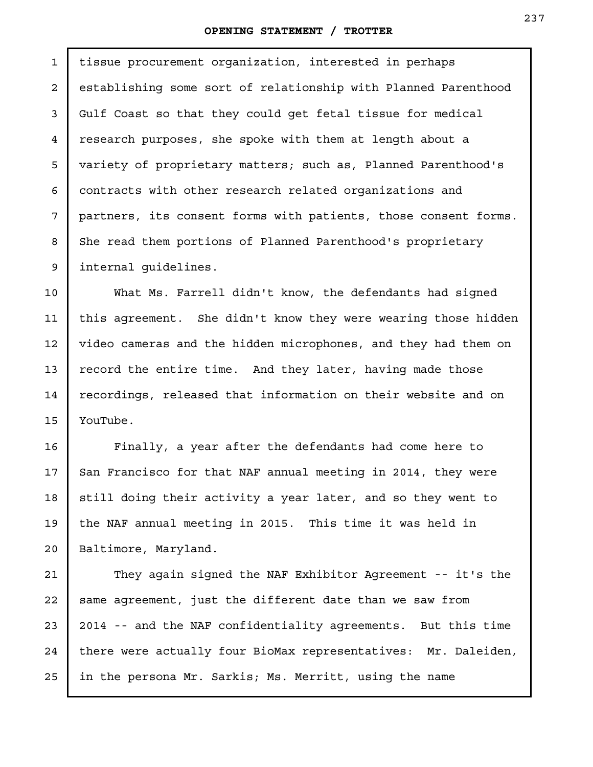tissue procurement organization, interested in perhaps establishing some sort of relationship with Planned Parenthood Gulf Coast so that they could get fetal tissue for medical research purposes, she spoke with them at length about a variety of proprietary matters; such as, Planned Parenthood's contracts with other research related organizations and partners, its consent forms with patients, those consent forms. She read them portions of Planned Parenthood's proprietary internal guidelines. 1 2 3 4 5 6 7 8 9

What Ms. Farrell didn't know, the defendants had signed this agreement. She didn't know they were wearing those hidden video cameras and the hidden microphones, and they had them on record the entire time. And they later, having made those recordings, released that information on their website and on YouTube. 10 11 12 13 14 15

Finally, a year after the defendants had come here to San Francisco for that NAF annual meeting in 2014, they were still doing their activity a year later, and so they went to the NAF annual meeting in 2015. This time it was held in Baltimore, Maryland.

16

17

18

19

20

They again signed the NAF Exhibitor Agreement -- it's the same agreement, just the different date than we saw from 2014 -- and the NAF confidentiality agreements. But this time there were actually four BioMax representatives: Mr. Daleiden, in the persona Mr. Sarkis; Ms. Merritt, using the name 21 22 23 24 25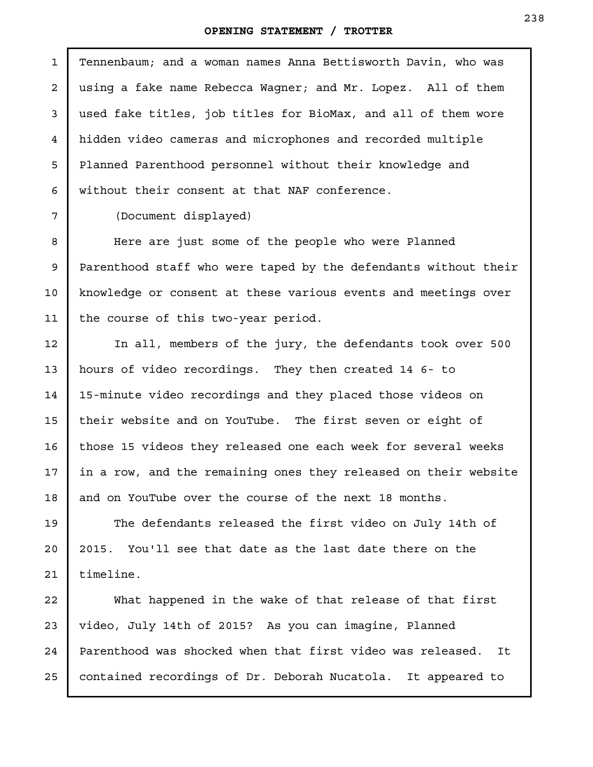Tennenbaum; and a woman names Anna Bettisworth Davin, who was using a fake name Rebecca Wagner; and Mr. Lopez. All of them used fake titles, job titles for BioMax, and all of them wore hidden video cameras and microphones and recorded multiple Planned Parenthood personnel without their knowledge and without their consent at that NAF conference. 1

(Document displayed)

Here are just some of the people who were Planned Parenthood staff who were taped by the defendants without their knowledge or consent at these various events and meetings over the course of this two-year period.

In all, members of the jury, the defendants took over 500 hours of video recordings. They then created 14 6- to 15-minute video recordings and they placed those videos on their website and on YouTube. The first seven or eight of those 15 videos they released one each week for several weeks in a row, and the remaining ones they released on their website and on YouTube over the course of the next 18 months.

The defendants released the first video on July 14th of 2015. You'll see that date as the last date there on the timeline.

What happened in the wake of that release of that first video, July 14th of 2015? As you can imagine, Planned Parenthood was shocked when that first video was released. It contained recordings of Dr. Deborah Nucatola. It appeared to 25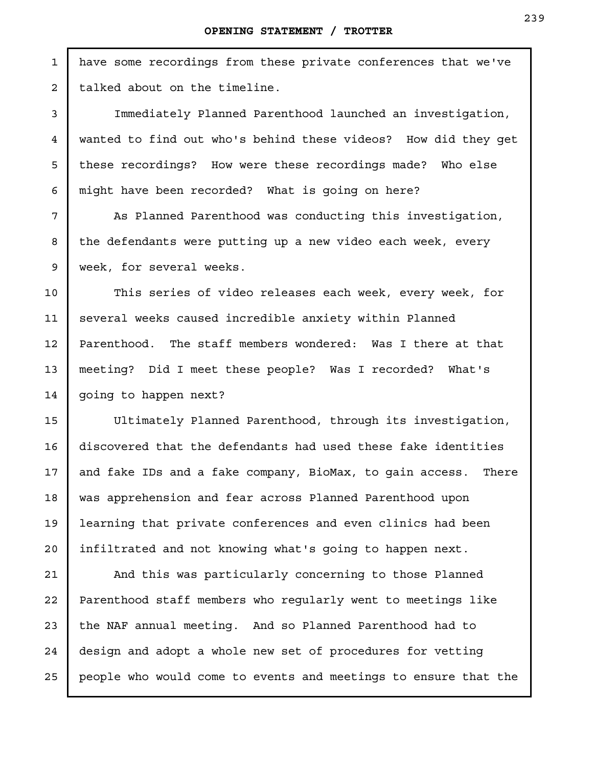have some recordings from these private conferences that we've talked about on the timeline.

Immediately Planned Parenthood launched an investigation, wanted to find out who's behind these videos? How did they get these recordings? How were these recordings made? Who else might have been recorded? What is going on here?

As Planned Parenthood was conducting this investigation, the defendants were putting up a new video each week, every week, for several weeks.

This series of video releases each week, every week, for several weeks caused incredible anxiety within Planned Parenthood. The staff members wondered: Was I there at that meeting? Did I meet these people? Was I recorded? What's going to happen next?

Ultimately Planned Parenthood, through its investigation, discovered that the defendants had used these fake identities and fake IDs and a fake company, BioMax, to gain access. There was apprehension and fear across Planned Parenthood upon learning that private conferences and even clinics had been infiltrated and not knowing what's going to happen next.

And this was particularly concerning to those Planned Parenthood staff members who regularly went to meetings like the NAF annual meeting. And so Planned Parenthood had to design and adopt a whole new set of procedures for vetting people who would come to events and meetings to ensure that the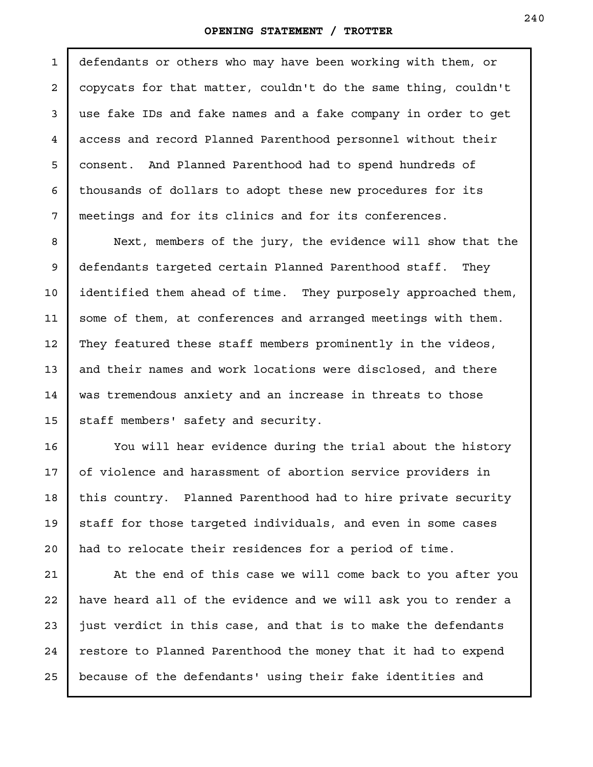defendants or others who may have been working with them, or copycats for that matter, couldn't do the same thing, couldn't use fake IDs and fake names and a fake company in order to get access and record Planned Parenthood personnel without their consent. And Planned Parenthood had to spend hundreds of thousands of dollars to adopt these new procedures for its meetings and for its clinics and for its conferences. 1 2 3 4 5 6 7

Next, members of the jury, the evidence will show that the defendants targeted certain Planned Parenthood staff. They identified them ahead of time. They purposely approached them, some of them, at conferences and arranged meetings with them. They featured these staff members prominently in the videos, and their names and work locations were disclosed, and there was tremendous anxiety and an increase in threats to those staff members' safety and security. 8 9 10 11 12 13 14 15

You will hear evidence during the trial about the history of violence and harassment of abortion service providers in this country. Planned Parenthood had to hire private security staff for those targeted individuals, and even in some cases had to relocate their residences for a period of time.

16

17

18

19

20

At the end of this case we will come back to you after you have heard all of the evidence and we will ask you to render a just verdict in this case, and that is to make the defendants restore to Planned Parenthood the money that it had to expend because of the defendants' using their fake identities and 21 22 23 24 25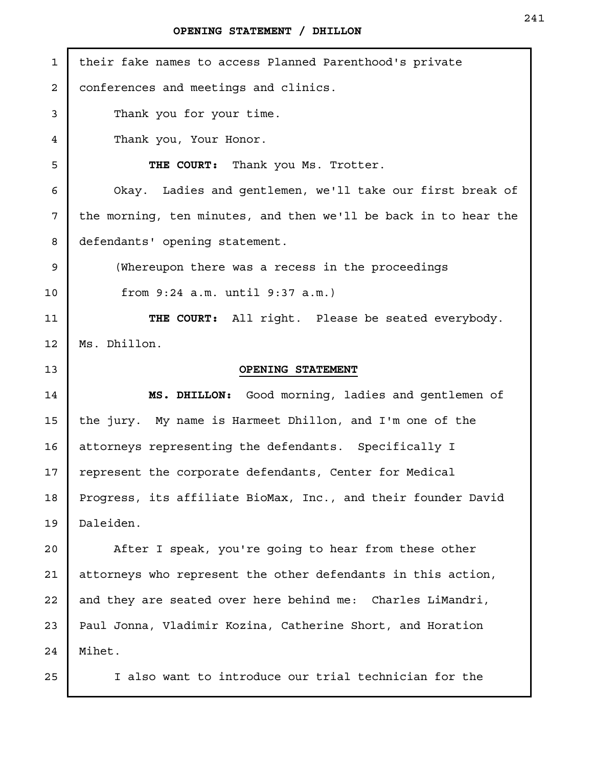| $\mathbf 1$    | their fake names to access Planned Parenthood's private         |
|----------------|-----------------------------------------------------------------|
| $\overline{a}$ | conferences and meetings and clinics.                           |
| 3              | Thank you for your time.                                        |
| $\overline{4}$ | Thank you, Your Honor.                                          |
| 5              | THE COURT: Thank you Ms. Trotter.                               |
| 6              | Okay. Ladies and gentlemen, we'll take our first break of       |
| 7              | the morning, ten minutes, and then we'll be back in to hear the |
| 8              | defendants' opening statement.                                  |
| 9              | (Whereupon there was a recess in the proceedings                |
| 10             | from 9:24 a.m. until 9:37 a.m.)                                 |
| 11             | THE COURT: All right. Please be seated everybody.               |
| 12             | Ms. Dhillon.                                                    |
| 13             | OPENING STATEMENT                                               |
| 14             | MS. DHILLON: Good morning, ladies and gentlemen of              |
| 15             | the jury. My name is Harmeet Dhillon, and I'm one of the        |
| 16             | attorneys representing the defendants. Specifically I           |
| 17             | represent the corporate defendants, Center for Medical          |
| 18             | Progress, its affiliate BioMax, Inc., and their founder David   |
| 19             | Daleiden.                                                       |
| 20             | After I speak, you're going to hear from these other            |
| 21             | attorneys who represent the other defendants in this action,    |
| 22             | and they are seated over here behind me: Charles LiMandri,      |
| 23             | Paul Jonna, Vladimir Kozina, Catherine Short, and Horation      |
| 24             |                                                                 |
|                | Mihet.                                                          |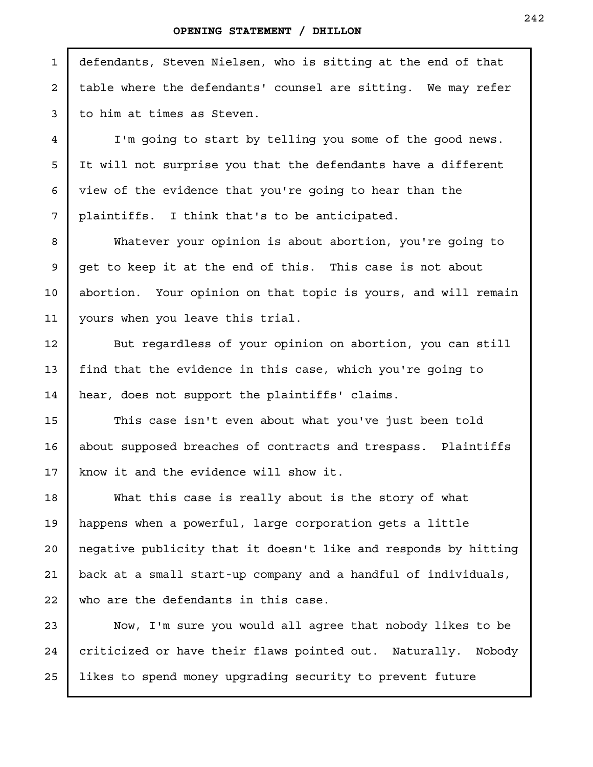defendants, Steven Nielsen, who is sitting at the end of that table where the defendants' counsel are sitting. We may refer to him at times as Steven.

I'm going to start by telling you some of the good news. It will not surprise you that the defendants have a different view of the evidence that you're going to hear than the plaintiffs. I think that's to be anticipated.

Whatever your opinion is about abortion, you're going to get to keep it at the end of this. This case is not about abortion. Your opinion on that topic is yours, and will remain yours when you leave this trial.

But regardless of your opinion on abortion, you can still find that the evidence in this case, which you're going to hear, does not support the plaintiffs' claims.

This case isn't even about what you've just been told about supposed breaches of contracts and trespass. Plaintiffs know it and the evidence will show it.

What this case is really about is the story of what happens when a powerful, large corporation gets a little negative publicity that it doesn't like and responds by hitting back at a small start-up company and a handful of individuals, who are the defendants in this case.

Now, I'm sure you would all agree that nobody likes to be criticized or have their flaws pointed out. Naturally. Nobody likes to spend money upgrading security to prevent future

1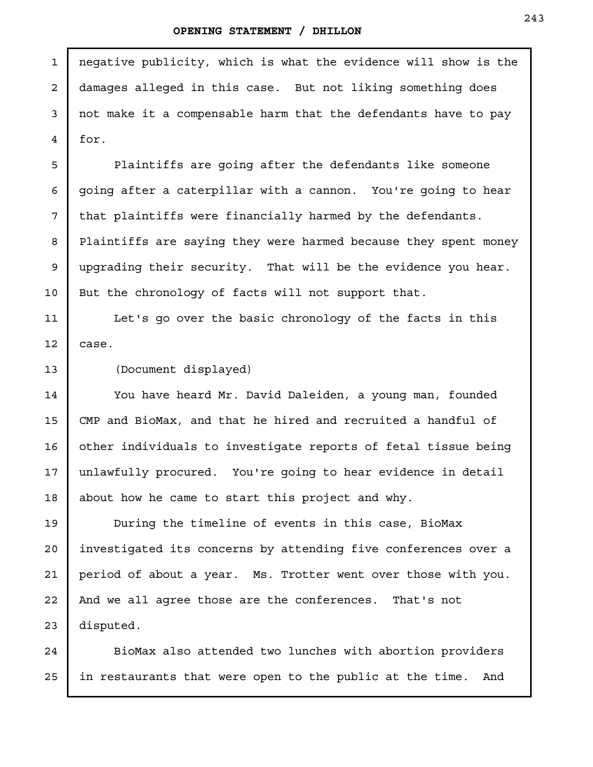negative publicity, which is what the evidence will show is the damages alleged in this case. But not liking something does not make it a compensable harm that the defendants have to pay for. Plaintiffs are going after the defendants like someone going after a caterpillar with a cannon. You're going to hear that plaintiffs were financially harmed by the defendants. Plaintiffs are saying they were harmed because they spent money upgrading their security. That will be the evidence you hear. But the chronology of facts will not support that. Let's go over the basic chronology of the facts in this case. (Document displayed) You have heard Mr. David Daleiden, a young man, founded CMP and BioMax, and that he hired and recruited a handful of other individuals to investigate reports of fetal tissue being unlawfully procured. You're going to hear evidence in detail about how he came to start this project and why. During the timeline of events in this case, BioMax investigated its concerns by attending five conferences over a period of about a year. Ms. Trotter went over those with you. And we all agree those are the conferences. That's not 1 2 3 4 5 6 7 8 9 10 11 12 13 14 15 16 17 18 19 20 21 22

BioMax also attended two lunches with abortion providers in restaurants that were open to the public at the time. And

disputed.

23

24

25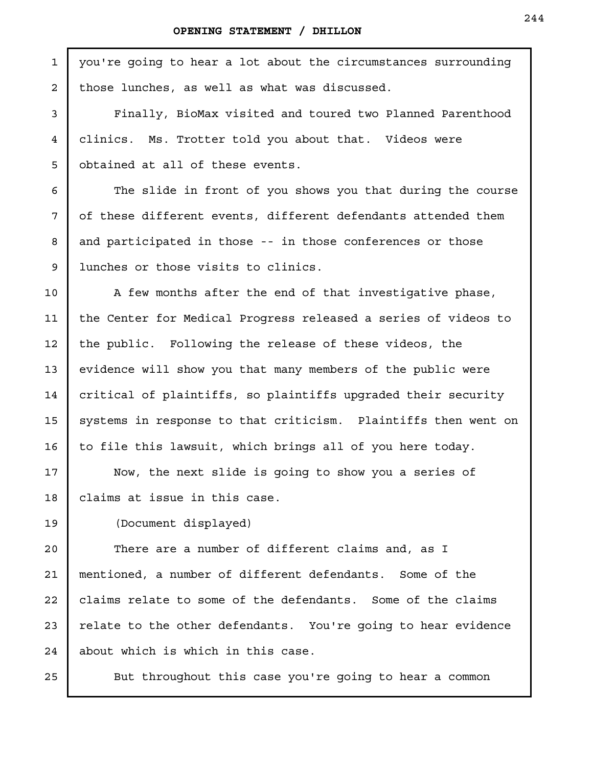| $\mathbf{1}$ | you're going to hear a lot about the circumstances surrounding |
|--------------|----------------------------------------------------------------|
| $\mathbf{2}$ | those lunches, as well as what was discussed.                  |
| 3            | Finally, BioMax visited and toured two Planned Parenthood      |
| 4            | clinics. Ms. Trotter told you about that. Videos were          |
| 5            | obtained at all of these events.                               |
| 6            | The slide in front of you shows you that during the course     |
| 7            | of these different events, different defendants attended them  |
| 8            | and participated in those -- in those conferences or those     |
| 9            | lunches or those visits to clinics.                            |
| 10           | A few months after the end of that investigative phase,        |
| 11           | the Center for Medical Progress released a series of videos to |
| 12           | the public. Following the release of these videos, the         |
| 13           | evidence will show you that many members of the public were    |
| 14           | critical of plaintiffs, so plaintiffs upgraded their security  |
| 15           | systems in response to that criticism. Plaintiffs then went on |
| 16           | to file this lawsuit, which brings all of you here today.      |
| 17           | Now, the next slide is going to show you a series of           |
| 18           | claims at issue in this case.                                  |
| 19           | (Document displayed)                                           |
| 20           | There are a number of different claims and, as I               |
| 21           | mentioned, a number of different defendants. Some of the       |
| 22           | claims relate to some of the defendants. Some of the claims    |
| 23           | relate to the other defendants. You're going to hear evidence  |
| 24           | about which is which in this case.                             |
| 25           | But throughout this case you're going to hear a common         |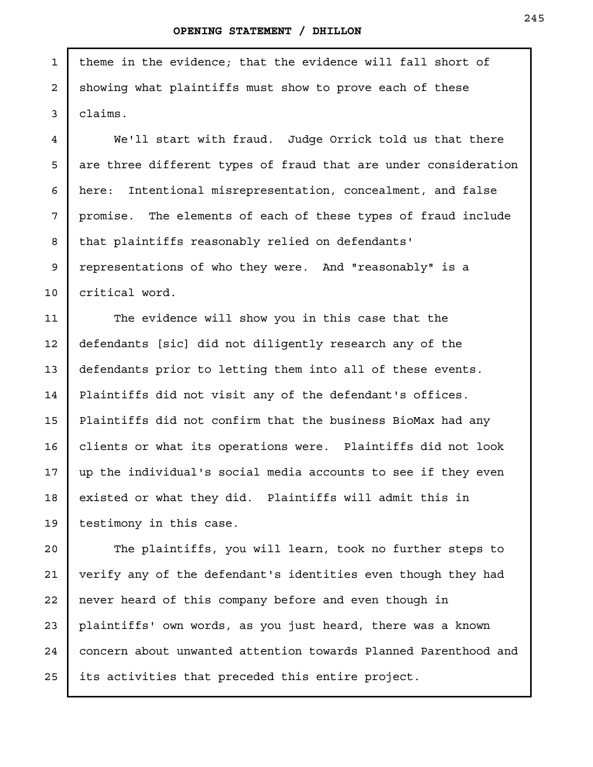theme in the evidence; that the evidence will fall short of showing what plaintiffs must show to prove each of these claims. 1 2 3

4

5

6

7

8

9

10

11

12

13

14

15

16

17

18

19

We'll start with fraud. Judge Orrick told us that there are three different types of fraud that are under consideration here: Intentional misrepresentation, concealment, and false promise. The elements of each of these types of fraud include that plaintiffs reasonably relied on defendants' representations of who they were. And "reasonably" is a critical word.

The evidence will show you in this case that the defendants [sic] did not diligently research any of the defendants prior to letting them into all of these events. Plaintiffs did not visit any of the defendant's offices. Plaintiffs did not confirm that the business BioMax had any clients or what its operations were. Plaintiffs did not look up the individual's social media accounts to see if they even existed or what they did. Plaintiffs will admit this in testimony in this case.

The plaintiffs, you will learn, took no further steps to verify any of the defendant's identities even though they had never heard of this company before and even though in plaintiffs' own words, as you just heard, there was a known concern about unwanted attention towards Planned Parenthood and its activities that preceded this entire project. 20 21 22 23 24 25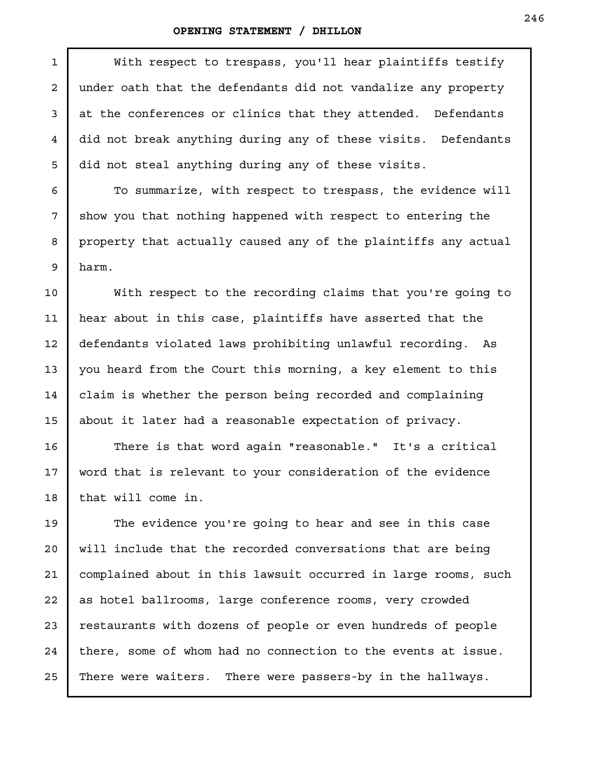1

With respect to trespass, you'll hear plaintiffs testify under oath that the defendants did not vandalize any property at the conferences or clinics that they attended. Defendants did not break anything during any of these visits. Defendants did not steal anything during any of these visits.

To summarize, with respect to trespass, the evidence will show you that nothing happened with respect to entering the property that actually caused any of the plaintiffs any actual harm.

With respect to the recording claims that you're going to hear about in this case, plaintiffs have asserted that the defendants violated laws prohibiting unlawful recording. As you heard from the Court this morning, a key element to this claim is whether the person being recorded and complaining about it later had a reasonable expectation of privacy.

There is that word again "reasonable." It's a critical word that is relevant to your consideration of the evidence that will come in.

The evidence you're going to hear and see in this case will include that the recorded conversations that are being complained about in this lawsuit occurred in large rooms, such as hotel ballrooms, large conference rooms, very crowded restaurants with dozens of people or even hundreds of people there, some of whom had no connection to the events at issue. There were waiters. There were passers-by in the hallways.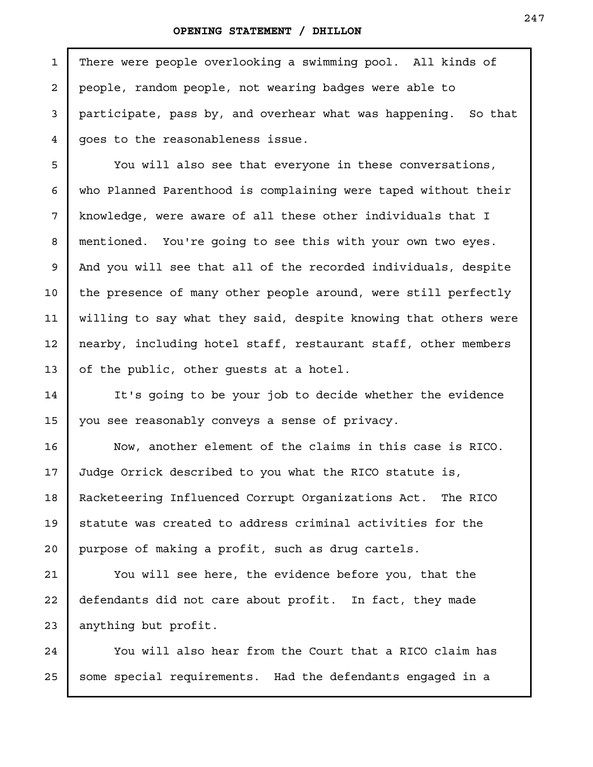1

2

3

4

5

6

7

8

9

10

11

12

13

14

15

There were people overlooking a swimming pool. All kinds of people, random people, not wearing badges were able to participate, pass by, and overhear what was happening. So that goes to the reasonableness issue.

You will also see that everyone in these conversations, who Planned Parenthood is complaining were taped without their knowledge, were aware of all these other individuals that I mentioned. You're going to see this with your own two eyes. And you will see that all of the recorded individuals, despite the presence of many other people around, were still perfectly willing to say what they said, despite knowing that others were nearby, including hotel staff, restaurant staff, other members of the public, other guests at a hotel.

It's going to be your job to decide whether the evidence you see reasonably conveys a sense of privacy.

Now, another element of the claims in this case is RICO. Judge Orrick described to you what the RICO statute is, Racketeering Influenced Corrupt Organizations Act. The RICO statute was created to address criminal activities for the purpose of making a profit, such as drug cartels. 16 17 18 19 20

You will see here, the evidence before you, that the defendants did not care about profit. In fact, they made anything but profit. 21 22 23

You will also hear from the Court that a RICO claim has some special requirements. Had the defendants engaged in a 24 25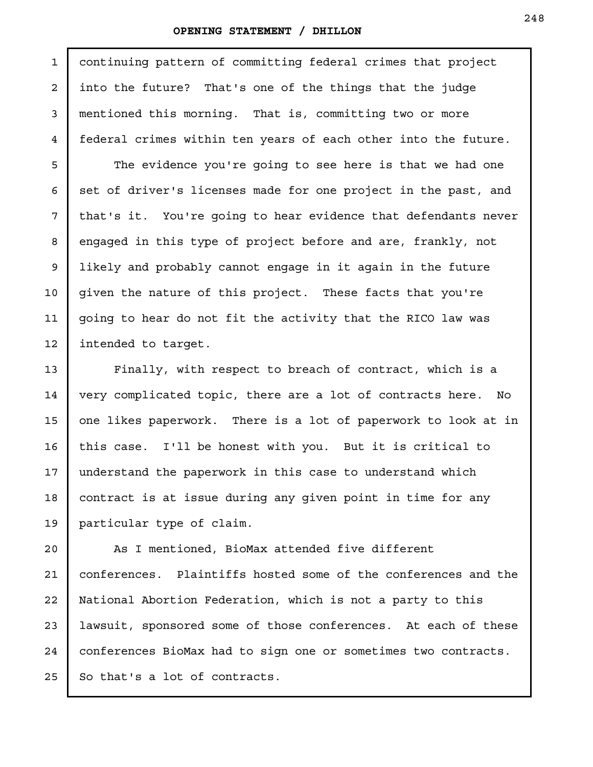1

2

3

4

5

6

7

8

9

10

11

12

13

14

15

16

17

18

19

continuing pattern of committing federal crimes that project into the future? That's one of the things that the judge mentioned this morning. That is, committing two or more federal crimes within ten years of each other into the future.

The evidence you're going to see here is that we had one set of driver's licenses made for one project in the past, and that's it. You're going to hear evidence that defendants never engaged in this type of project before and are, frankly, not likely and probably cannot engage in it again in the future given the nature of this project. These facts that you're going to hear do not fit the activity that the RICO law was intended to target.

Finally, with respect to breach of contract, which is a very complicated topic, there are a lot of contracts here. No one likes paperwork. There is a lot of paperwork to look at in this case. I'll be honest with you. But it is critical to understand the paperwork in this case to understand which contract is at issue during any given point in time for any particular type of claim.

As I mentioned, BioMax attended five different conferences. Plaintiffs hosted some of the conferences and the National Abortion Federation, which is not a party to this lawsuit, sponsored some of those conferences. At each of these conferences BioMax had to sign one or sometimes two contracts. So that's a lot of contracts. 20 21 22 23 24 25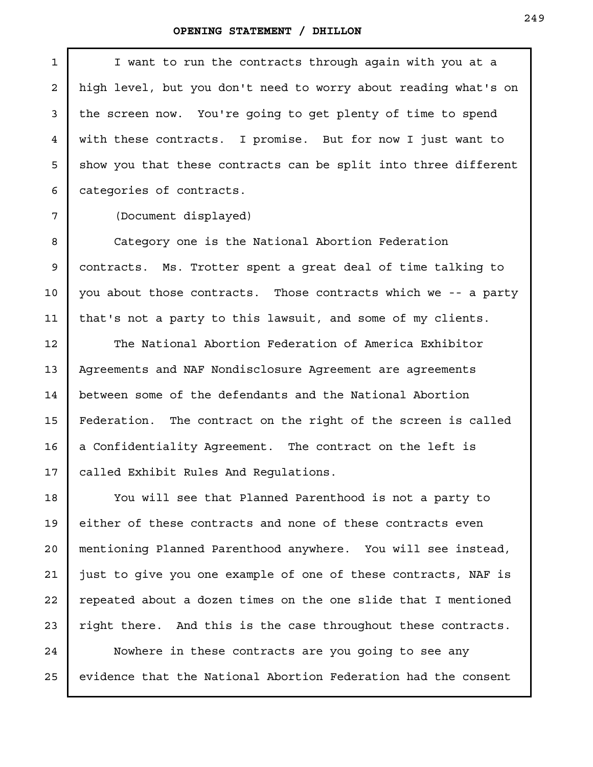| $\mathbf{1}$    | I want to run the contracts through again with you at a         |
|-----------------|-----------------------------------------------------------------|
| $\overline{2}$  | high level, but you don't need to worry about reading what's on |
| 3               | the screen now. You're going to get plenty of time to spend     |
| 4               | with these contracts. I promise. But for now I just want to     |
| 5               | show you that these contracts can be split into three different |
| 6               | categories of contracts.                                        |
| 7               | (Document displayed)                                            |
| 8               | Category one is the National Abortion Federation                |
| 9               | contracts. Ms. Trotter spent a great deal of time talking to    |
| 10 <sub>1</sub> | you about those contracts. Those contracts which we -- a party  |
| 11              | that's not a party to this lawsuit, and some of my clients.     |
| 12              | The National Abortion Federation of America Exhibitor           |
| 13              | Agreements and NAF Nondisclosure Agreement are agreements       |
| 14              | between some of the defendants and the National Abortion        |
| 15              | Federation. The contract on the right of the screen is called   |
| 16              | a Confidentiality Agreement. The contract on the left is        |
| 17              | called Exhibit Rules And Requlations.                           |
| 18              | You will see that Planned Parenthood is not a party to          |
| 19              | either of these contracts and none of these contracts even      |
| $20 \,$         | mentioning Planned Parenthood anywhere. You will see instead,   |
| 21              | just to give you one example of one of these contracts, NAF is  |
| 22              | repeated about a dozen times on the one slide that I mentioned  |
| 23              | right there. And this is the case throughout these contracts.   |
| 24              | Nowhere in these contracts are you going to see any             |

evidence that the National Abortion Federation had the consent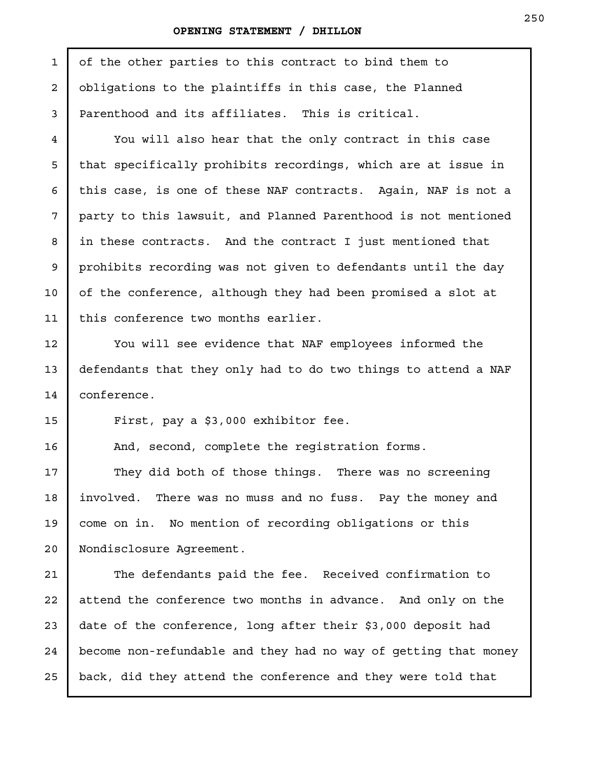of the other parties to this contract to bind them to obligations to the plaintiffs in this case, the Planned Parenthood and its affiliates. This is critical. You will also hear that the only contract in this case that specifically prohibits recordings, which are at issue in this case, is one of these NAF contracts. Again, NAF is not a party to this lawsuit, and Planned Parenthood is not mentioned in these contracts. And the contract I just mentioned that prohibits recording was not given to defendants until the day of the conference, although they had been promised a slot at this conference two months earlier. You will see evidence that NAF employees informed the defendants that they only had to do two things to attend a NAF conference. First, pay a \$3,000 exhibitor fee. And, second, complete the registration forms. They did both of those things. There was no screening involved. There was no muss and no fuss. Pay the money and come on in. No mention of recording obligations or this Nondisclosure Agreement. The defendants paid the fee. Received confirmation to attend the conference two months in advance. And only on the date of the conference, long after their \$3,000 deposit had become non-refundable and they had no way of getting that money 1 2 3 4 5 6 7 8 9 10 11 12 13 14 15 16 17 18 19 20 21 22 23 24

back, did they attend the conference and they were told that

25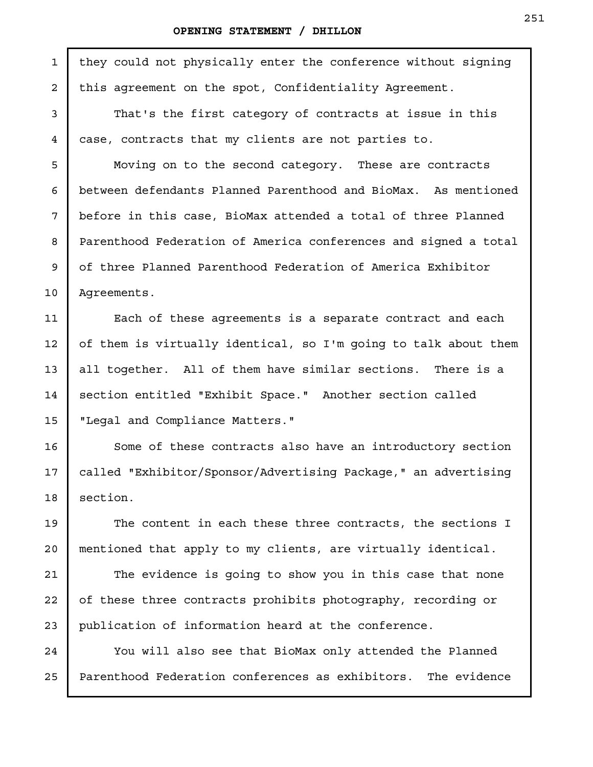#### **OPENING STATEMENT / DHILLON**

1

2

3

4

5

6

7

8

9

10

11

12

13

14

15

16

17

18

19

20

21

22

23

24

25

they could not physically enter the conference without signing this agreement on the spot, Confidentiality Agreement.

That's the first category of contracts at issue in this case, contracts that my clients are not parties to.

Moving on to the second category. These are contracts between defendants Planned Parenthood and BioMax. As mentioned before in this case, BioMax attended a total of three Planned Parenthood Federation of America conferences and signed a total of three Planned Parenthood Federation of America Exhibitor Agreements.

Each of these agreements is a separate contract and each of them is virtually identical, so I'm going to talk about them all together. All of them have similar sections. There is a section entitled "Exhibit Space." Another section called "Legal and Compliance Matters."

Some of these contracts also have an introductory section called "Exhibitor/Sponsor/Advertising Package," an advertising section.

The content in each these three contracts, the sections I mentioned that apply to my clients, are virtually identical.

The evidence is going to show you in this case that none of these three contracts prohibits photography, recording or publication of information heard at the conference.

You will also see that BioMax only attended the Planned Parenthood Federation conferences as exhibitors. The evidence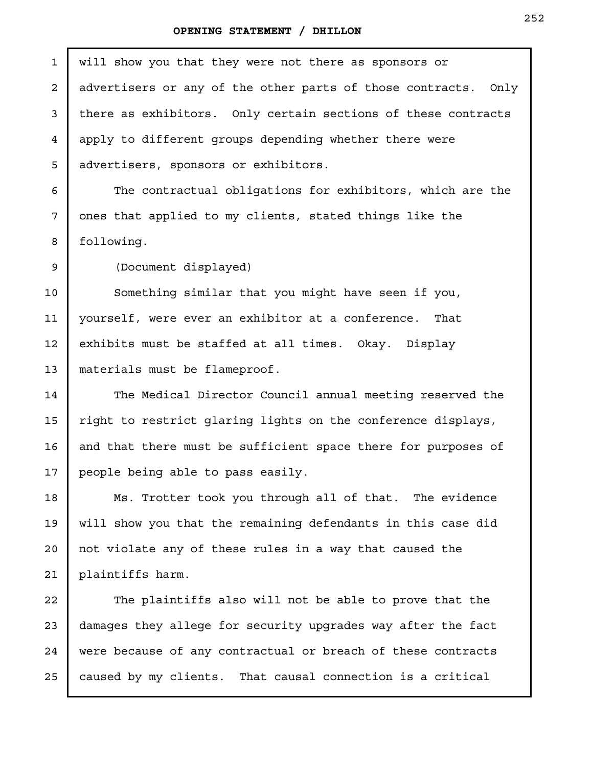## **OPENING STATEMENT / DHILLON**

П

| $\mathbf{1}$   | will show you that they were not there as sponsors or          |
|----------------|----------------------------------------------------------------|
| 2              | advertisers or any of the other parts of those contracts. Only |
| 3              | there as exhibitors. Only certain sections of these contracts  |
| $\overline{4}$ | apply to different groups depending whether there were         |
| 5              | advertisers, sponsors or exhibitors.                           |
| 6              | The contractual obligations for exhibitors, which are the      |
| 7              | ones that applied to my clients, stated things like the        |
| 8              | following.                                                     |
| 9              | (Document displayed)                                           |
| 10             | Something similar that you might have seen if you,             |
| 11             | yourself, were ever an exhibitor at a conference.<br>That      |
| 12             | exhibits must be staffed at all times. Okay. Display           |
| 13             | materials must be flameproof.                                  |
| 14             | The Medical Director Council annual meeting reserved the       |
| 15             | right to restrict glaring lights on the conference displays,   |
| 16             | and that there must be sufficient space there for purposes of  |
| 17             | people being able to pass easily.                              |
| 18             | Ms. Trotter took you through all of that. The evidence         |
| 19             | will show you that the remaining defendants in this case did   |
| 20             | not violate any of these rules in a way that caused the        |
| 21             | plaintiffs harm.                                               |
| 22             | The plaintiffs also will not be able to prove that the         |
| 23             | damages they allege for security upgrades way after the fact   |
| 24             | were because of any contractual or breach of these contracts   |
| 25             | caused by my clients. That causal connection is a critical     |
|                |                                                                |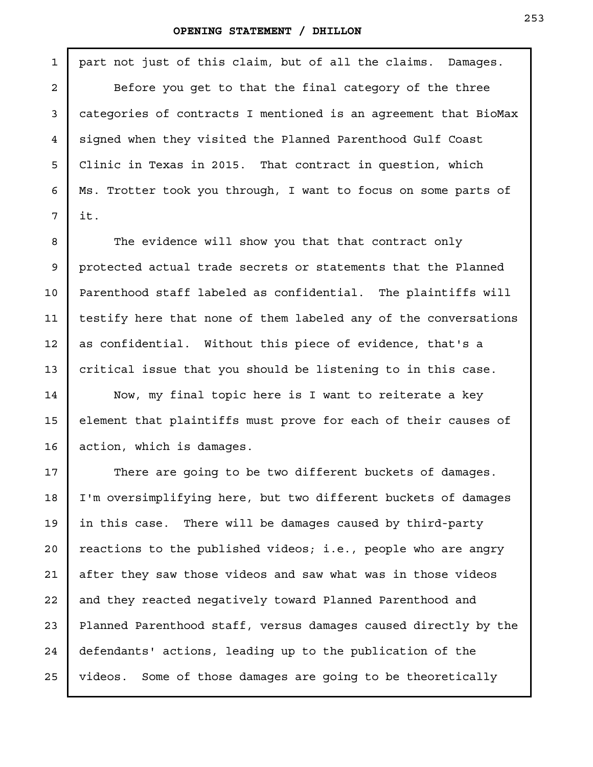#### **OPENING STATEMENT / DHILLON**

1

2

3

4

5

6

7

8

9

10

11

12

13

14

15

16

part not just of this claim, but of all the claims. Damages. Before you get to that the final category of the three categories of contracts I mentioned is an agreement that BioMax signed when they visited the Planned Parenthood Gulf Coast Clinic in Texas in 2015. That contract in question, which Ms. Trotter took you through, I want to focus on some parts of it.

The evidence will show you that that contract only protected actual trade secrets or statements that the Planned Parenthood staff labeled as confidential. The plaintiffs will testify here that none of them labeled any of the conversations as confidential. Without this piece of evidence, that's a critical issue that you should be listening to in this case.

Now, my final topic here is I want to reiterate a key element that plaintiffs must prove for each of their causes of action, which is damages.

There are going to be two different buckets of damages. I'm oversimplifying here, but two different buckets of damages in this case. There will be damages caused by third-party reactions to the published videos; i.e., people who are angry after they saw those videos and saw what was in those videos and they reacted negatively toward Planned Parenthood and Planned Parenthood staff, versus damages caused directly by the defendants' actions, leading up to the publication of the videos. Some of those damages are going to be theoretically 17 18 19 20 21 22 23 24 25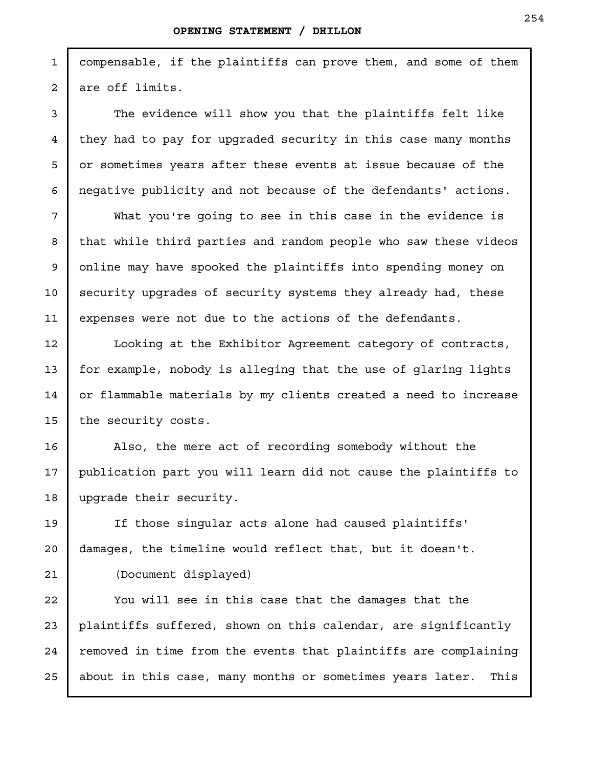compensable, if the plaintiffs can prove them, and some of them are off limits.

The evidence will show you that the plaintiffs felt like they had to pay for upgraded security in this case many months or sometimes years after these events at issue because of the negative publicity and not because of the defendants' actions.

What you're going to see in this case in the evidence is that while third parties and random people who saw these videos online may have spooked the plaintiffs into spending money on security upgrades of security systems they already had, these expenses were not due to the actions of the defendants.

Looking at the Exhibitor Agreement category of contracts, for example, nobody is alleging that the use of glaring lights or flammable materials by my clients created a need to increase the security costs.

Also, the mere act of recording somebody without the publication part you will learn did not cause the plaintiffs to upgrade their security.

If those singular acts alone had caused plaintiffs' damages, the timeline would reflect that, but it doesn't.

(Document displayed)

You will see in this case that the damages that the plaintiffs suffered, shown on this calendar, are significantly removed in time from the events that plaintiffs are complaining about in this case, many months or sometimes years later. This

1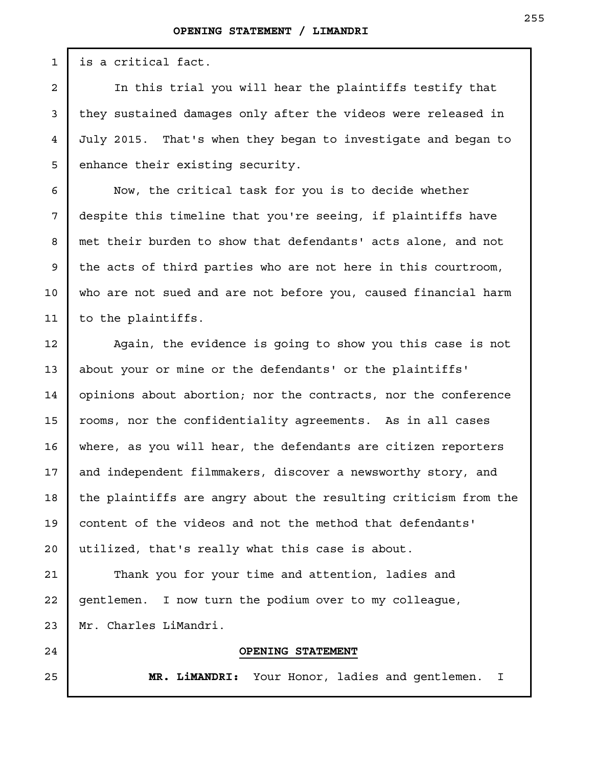is a critical fact.

In this trial you will hear the plaintiffs testify that they sustained damages only after the videos were released in July 2015. That's when they began to investigate and began to enhance their existing security.

Now, the critical task for you is to decide whether despite this timeline that you're seeing, if plaintiffs have met their burden to show that defendants' acts alone, and not the acts of third parties who are not here in this courtroom, who are not sued and are not before you, caused financial harm to the plaintiffs.

Again, the evidence is going to show you this case is not about your or mine or the defendants' or the plaintiffs' opinions about abortion; nor the contracts, nor the conference rooms, nor the confidentiality agreements. As in all cases where, as you will hear, the defendants are citizen reporters and independent filmmakers, discover a newsworthy story, and the plaintiffs are angry about the resulting criticism from the content of the videos and not the method that defendants' utilized, that's really what this case is about.

Thank you for your time and attention, ladies and gentlemen. I now turn the podium over to my colleague, Mr. Charles LiMandri.

### **OPENING STATEMENT**

**MR. LiMANDRI:** Your Honor, ladies and gentlemen. I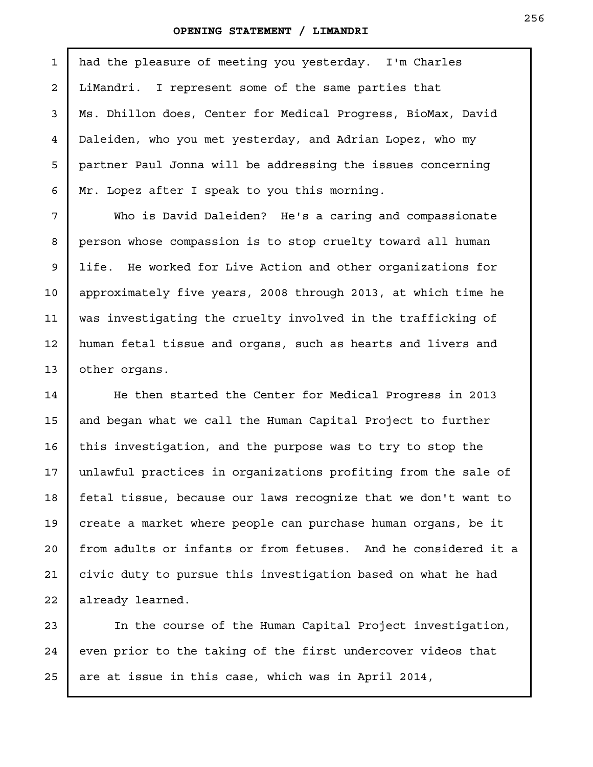had the pleasure of meeting you yesterday. I'm Charles LiMandri. I represent some of the same parties that Ms. Dhillon does, Center for Medical Progress, BioMax, David Daleiden, who you met yesterday, and Adrian Lopez, who my partner Paul Jonna will be addressing the issues concerning Mr. Lopez after I speak to you this morning. 1

Who is David Daleiden? He's a caring and compassionate person whose compassion is to stop cruelty toward all human life. He worked for Live Action and other organizations for approximately five years, 2008 through 2013, at which time he was investigating the cruelty involved in the trafficking of human fetal tissue and organs, such as hearts and livers and other organs.

He then started the Center for Medical Progress in 2013 and began what we call the Human Capital Project to further this investigation, and the purpose was to try to stop the unlawful practices in organizations profiting from the sale of fetal tissue, because our laws recognize that we don't want to create a market where people can purchase human organs, be it from adults or infants or from fetuses. And he considered it a civic duty to pursue this investigation based on what he had already learned.

In the course of the Human Capital Project investigation, even prior to the taking of the first undercover videos that are at issue in this case, which was in April 2014,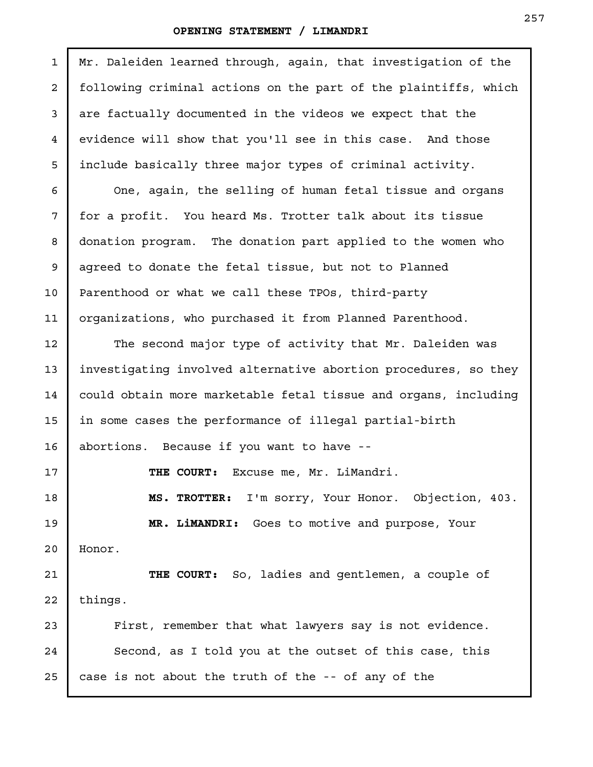I

| $\mathbf{1}$   | Mr. Daleiden learned through, again, that investigation of the  |
|----------------|-----------------------------------------------------------------|
| $\overline{a}$ | following criminal actions on the part of the plaintiffs, which |
| 3              | are factually documented in the videos we expect that the       |
| $\overline{4}$ | evidence will show that you'll see in this case. And those      |
| 5              | include basically three major types of criminal activity.       |
| 6              | One, again, the selling of human fetal tissue and organs        |
| 7              | for a profit. You heard Ms. Trotter talk about its tissue       |
| 8              | donation program. The donation part applied to the women who    |
| 9              | agreed to donate the fetal tissue, but not to Planned           |
| 10             | Parenthood or what we call these TPOs, third-party              |
| 11             | organizations, who purchased it from Planned Parenthood.        |
| 12             | The second major type of activity that Mr. Daleiden was         |
| 13             | investigating involved alternative abortion procedures, so they |
| 14             | could obtain more marketable fetal tissue and organs, including |
| 15             | in some cases the performance of illegal partial-birth          |
| 16             | abortions. Because if you want to have --                       |
| 17             | Excuse me, Mr. LiMandri.<br>THE COURT:                          |
| 18             | MS. TROTTER: I'm sorry, Your Honor. Objection, 403.             |
| 19             | MR. LiMANDRI: Goes to motive and purpose, Your                  |
| 20             | Honor.                                                          |
| 21             | THE COURT: So, ladies and gentlemen, a couple of                |
| 22             | things.                                                         |
| 23             | First, remember that what lawyers say is not evidence.          |
| 24             | Second, as I told you at the outset of this case, this          |
| 25             | case is not about the truth of the -- of any of the             |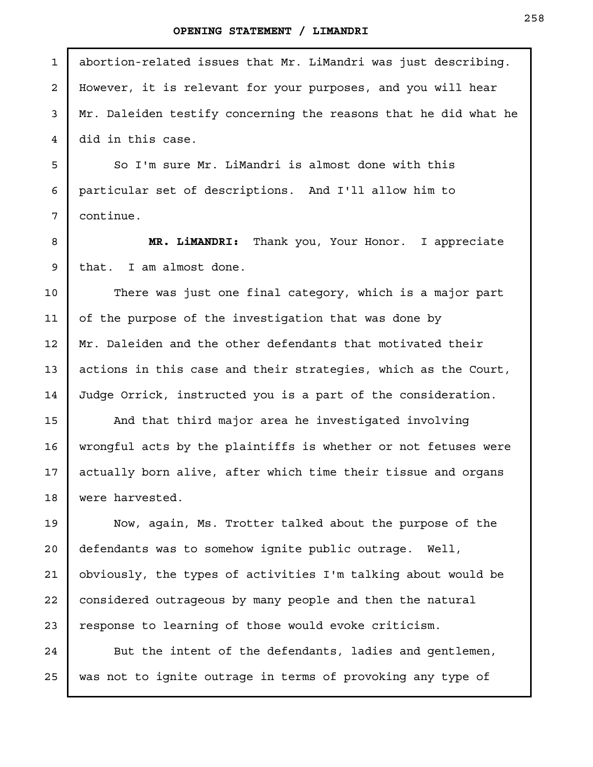| $\mathbf 1$    | abortion-related issues that Mr. LiMandri was just describing.  |
|----------------|-----------------------------------------------------------------|
| $\overline{a}$ | However, it is relevant for your purposes, and you will hear    |
| 3              | Mr. Daleiden testify concerning the reasons that he did what he |
| 4              | did in this case.                                               |
| 5              | So I'm sure Mr. LiMandri is almost done with this               |
| 6              | particular set of descriptions. And I'll allow him to           |
| 7              | continue.                                                       |
| 8              | MR. LiMANDRI: Thank you, Your Honor. I appreciate               |
| 9              | that. I am almost done.                                         |
| 10             | There was just one final category, which is a major part        |
| 11             | of the purpose of the investigation that was done by            |
| 12             | Mr. Daleiden and the other defendants that motivated their      |
| 13             | actions in this case and their strategies, which as the Court,  |
| 14             | Judge Orrick, instructed you is a part of the consideration.    |
| 15             | And that third major area he investigated involving             |
| 16             | wrongful acts by the plaintiffs is whether or not fetuses were  |
| 17             | actually born alive, after which time their tissue and organs   |
| 18             | were harvested.                                                 |
| 19             | Now, again, Ms. Trotter talked about the purpose of the         |
| 20             | defendants was to somehow ignite public outrage. Well,          |
| 21             | obviously, the types of activities I'm talking about would be   |
| 22             | considered outrageous by many people and then the natural       |
| 23             | response to learning of those would evoke criticism.            |
| 24             | But the intent of the defendants, ladies and gentlemen,         |

was not to ignite outrage in terms of provoking any type of

25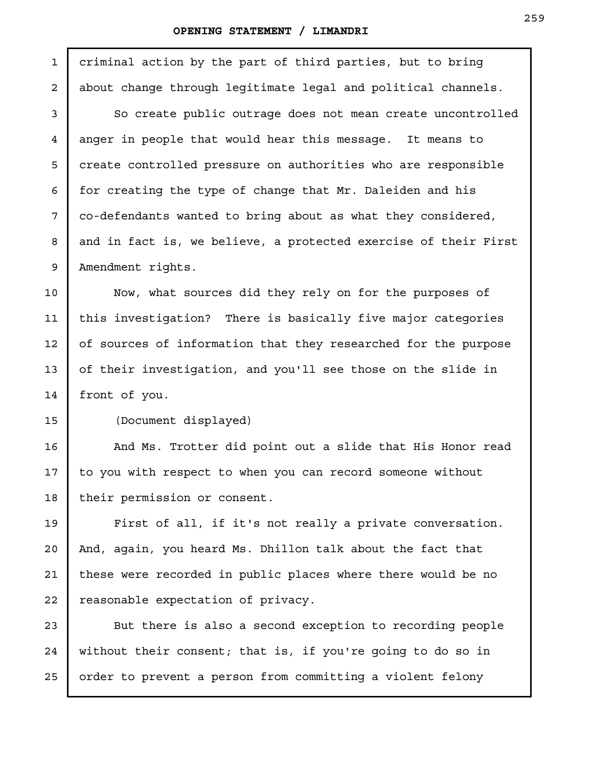criminal action by the part of third parties, but to bring about change through legitimate legal and political channels.

So create public outrage does not mean create uncontrolled anger in people that would hear this message. It means to create controlled pressure on authorities who are responsible for creating the type of change that Mr. Daleiden and his co-defendants wanted to bring about as what they considered, and in fact is, we believe, a protected exercise of their First Amendment rights.

Now, what sources did they rely on for the purposes of this investigation? There is basically five major categories of sources of information that they researched for the purpose of their investigation, and you'll see those on the slide in front of you.

1

2

3

4

5

6

7

8

9

10

11

12

13

14

15

19

20

21

22

(Document displayed)

And Ms. Trotter did point out a slide that His Honor read to you with respect to when you can record someone without their permission or consent. 16 17 18

First of all, if it's not really a private conversation. And, again, you heard Ms. Dhillon talk about the fact that these were recorded in public places where there would be no reasonable expectation of privacy.

But there is also a second exception to recording people without their consent; that is, if you're going to do so in order to prevent a person from committing a violent felony 23 24 25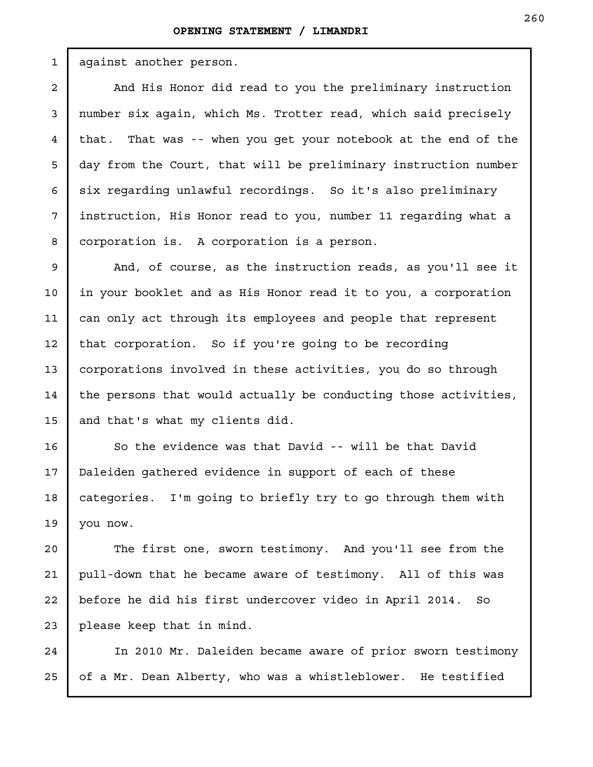against another person. And His Honor did read to you the preliminary instruction number six again, which Ms. Trotter read, which said precisely that. That was -- when you get your notebook at the end of the day from the Court, that will be preliminary instruction number six regarding unlawful recordings. So it's also preliminary instruction, His Honor read to you, number 11 regarding what a corporation is. A corporation is a person. And, of course, as the instruction reads, as you'll see it in your booklet and as His Honor read it to you, a corporation can only act through its employees and people that represent that corporation. So if you're going to be recording corporations involved in these activities, you do so through the persons that would actually be conducting those activities, 1 2 3 4 5 6 7 8 9 10 11 12 13 14

and that's what my clients did. 15

16

17

18

So the evidence was that David -- will be that David Daleiden gathered evidence in support of each of these categories. I'm going to briefly try to go through them with you now. 19

The first one, sworn testimony. And you'll see from the pull-down that he became aware of testimony. All of this was before he did his first undercover video in April 2014. So please keep that in mind. 20 21 22 23

In 2010 Mr. Daleiden became aware of prior sworn testimony of a Mr. Dean Alberty, who was a whistleblower. He testified 24 25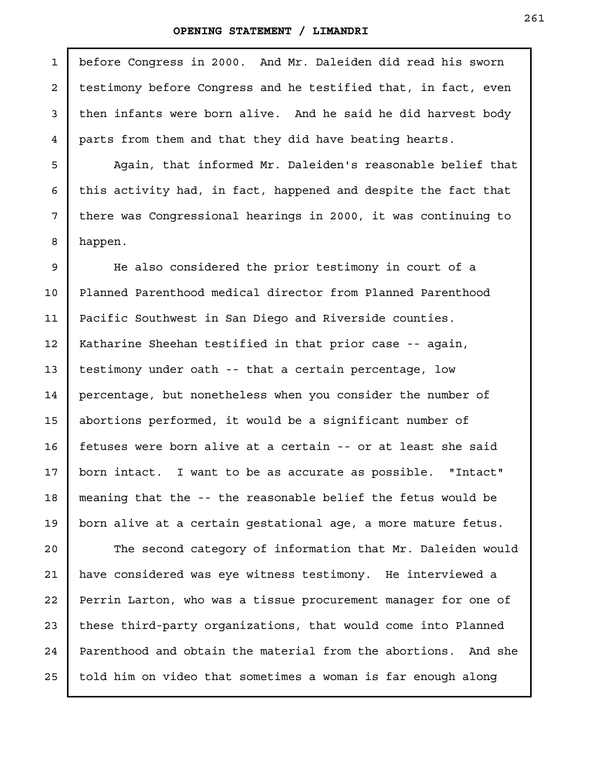before Congress in 2000. And Mr. Daleiden did read his sworn testimony before Congress and he testified that, in fact, even then infants were born alive. And he said he did harvest body parts from them and that they did have beating hearts. Again, that informed Mr. Daleiden's reasonable belief that this activity had, in fact, happened and despite the fact that there was Congressional hearings in 2000, it was continuing to happen. He also considered the prior testimony in court of a Planned Parenthood medical director from Planned Parenthood Pacific Southwest in San Diego and Riverside counties. Katharine Sheehan testified in that prior case -- again, testimony under oath -- that a certain percentage, low 1 2 3 4 5 6 7 8 9 10 11 12 13

percentage, but nonetheless when you consider the number of abortions performed, it would be a significant number of fetuses were born alive at a certain -- or at least she said born intact. I want to be as accurate as possible. "Intact" meaning that the -- the reasonable belief the fetus would be born alive at a certain gestational age, a more mature fetus. 14 15 16 17 18 19

The second category of information that Mr. Daleiden would have considered was eye witness testimony. He interviewed a Perrin Larton, who was a tissue procurement manager for one of these third-party organizations, that would come into Planned Parenthood and obtain the material from the abortions. And she told him on video that sometimes a woman is far enough along 20 21 22 23 24 25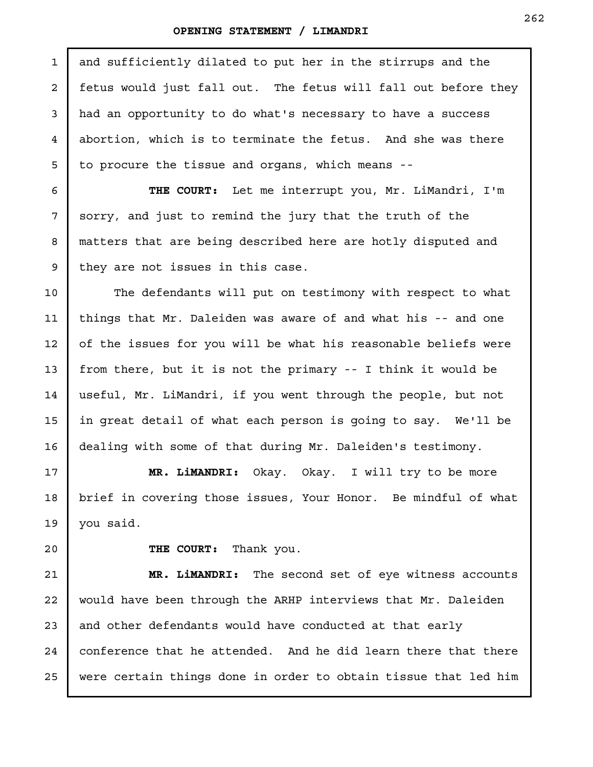and sufficiently dilated to put her in the stirrups and the fetus would just fall out. The fetus will fall out before they had an opportunity to do what's necessary to have a success abortion, which is to terminate the fetus. And she was there to procure the tissue and organs, which means -- **THE COURT:** Let me interrupt you, Mr. LiMandri, I'm sorry, and just to remind the jury that the truth of the matters that are being described here are hotly disputed and they are not issues in this case. The defendants will put on testimony with respect to what things that Mr. Daleiden was aware of and what his -- and one of the issues for you will be what his reasonable beliefs were from there, but it is not the primary -- I think it would be useful, Mr. LiMandri, if you went through the people, but not in great detail of what each person is going to say. We'll be dealing with some of that during Mr. Daleiden's testimony. **MR. LiMANDRI:** Okay. Okay. I will try to be more brief in covering those issues, Your Honor. Be mindful of what you said. **THE COURT:** Thank you. **MR. LiMANDRI:** The second set of eye witness accounts would have been through the ARHP interviews that Mr. Daleiden and other defendants would have conducted at that early conference that he attended. And he did learn there that there 1 2 3 4 5 6 7 8 9 10 11 12 13 14 15 16 17 18 19 20 21 22 23 24

were certain things done in order to obtain tissue that led him

25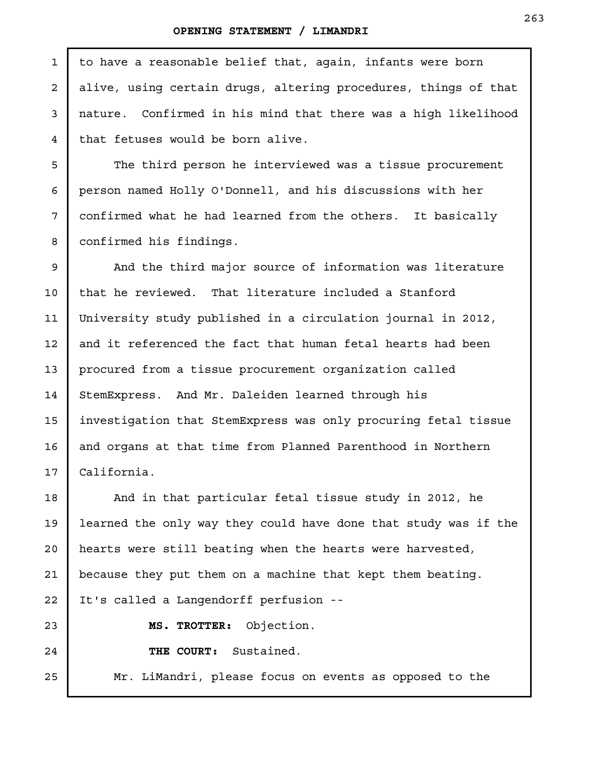to have a reasonable belief that, again, infants were born alive, using certain drugs, altering procedures, things of that nature. Confirmed in his mind that there was a high likelihood that fetuses would be born alive. The third person he interviewed was a tissue procurement person named Holly O'Donnell, and his discussions with her confirmed what he had learned from the others. It basically confirmed his findings. And the third major source of information was literature that he reviewed. That literature included a Stanford University study published in a circulation journal in 2012, and it referenced the fact that human fetal hearts had been procured from a tissue procurement organization called StemExpress. And Mr. Daleiden learned through his investigation that StemExpress was only procuring fetal tissue and organs at that time from Planned Parenthood in Northern California. And in that particular fetal tissue study in 2012, he learned the only way they could have done that study was if the hearts were still beating when the hearts were harvested, because they put them on a machine that kept them beating. It's called a Langendorff perfusion -- **MS. TROTTER:** Objection. **THE COURT:** Sustained. Mr. LiMandri, please focus on events as opposed to the 1 2 3 4 5 6 7 8 9 10 11 12 13 14 15 16 17 18 19 20 21 22 23 24 25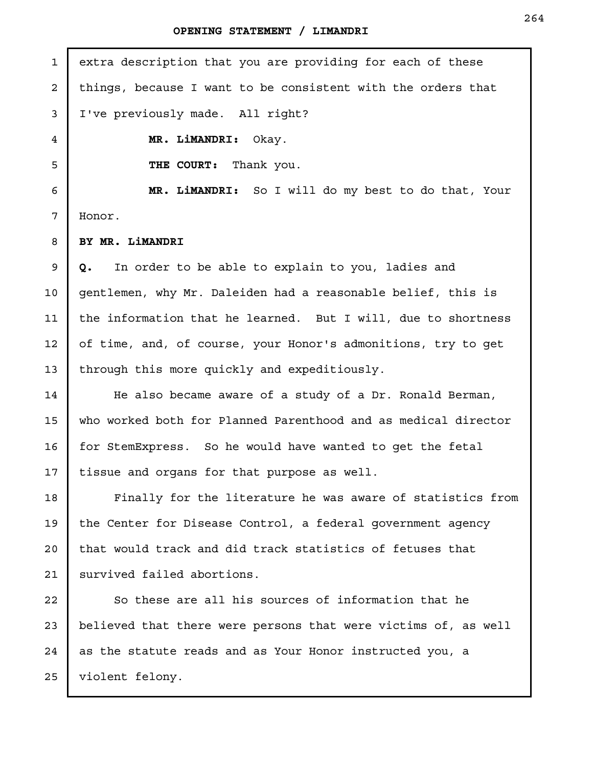extra description that you are providing for each of these things, because I want to be consistent with the orders that I've previously made. All right? **MR. LiMANDRI:** Okay. **THE COURT:** Thank you. **MR. LiMANDRI:** So I will do my best to do that, Your Honor. **BY MR. LiMANDRI Q.** In order to be able to explain to you, ladies and gentlemen, why Mr. Daleiden had a reasonable belief, this is the information that he learned. But I will, due to shortness of time, and, of course, your Honor's admonitions, try to get through this more quickly and expeditiously. He also became aware of a study of a Dr. Ronald Berman, who worked both for Planned Parenthood and as medical director for StemExpress. So he would have wanted to get the fetal tissue and organs for that purpose as well. Finally for the literature he was aware of statistics from the Center for Disease Control, a federal government agency that would track and did track statistics of fetuses that survived failed abortions. So these are all his sources of information that he believed that there were persons that were victims of, as well as the statute reads and as Your Honor instructed you, a violent felony. 1 2 3 4 5 6 7 8 9 10 11 12 13 14 15 16 17 18 19 20 21 22 23 24 25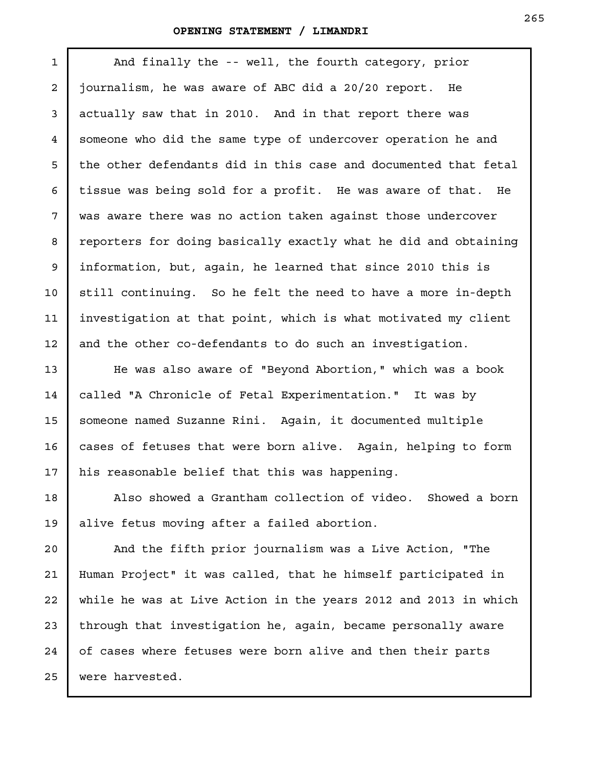And finally the -- well, the fourth category, prior journalism, he was aware of ABC did a 20/20 report. He actually saw that in 2010. And in that report there was someone who did the same type of undercover operation he and the other defendants did in this case and documented that fetal tissue was being sold for a profit. He was aware of that. He was aware there was no action taken against those undercover reporters for doing basically exactly what he did and obtaining information, but, again, he learned that since 2010 this is still continuing. So he felt the need to have a more in-depth investigation at that point, which is what motivated my client and the other co-defendants to do such an investigation. 1 2 3 4 5 6 7 8 9 10 11 12

He was also aware of "Beyond Abortion," which was a book called "A Chronicle of Fetal Experimentation." It was by someone named Suzanne Rini. Again, it documented multiple cases of fetuses that were born alive. Again, helping to form his reasonable belief that this was happening.

Also showed a Grantham collection of video. Showed a born alive fetus moving after a failed abortion.

And the fifth prior journalism was a Live Action, "The Human Project" it was called, that he himself participated in while he was at Live Action in the years 2012 and 2013 in which through that investigation he, again, became personally aware of cases where fetuses were born alive and then their parts were harvested. 20 21 22 25

23 24

13

14

15

16

17

18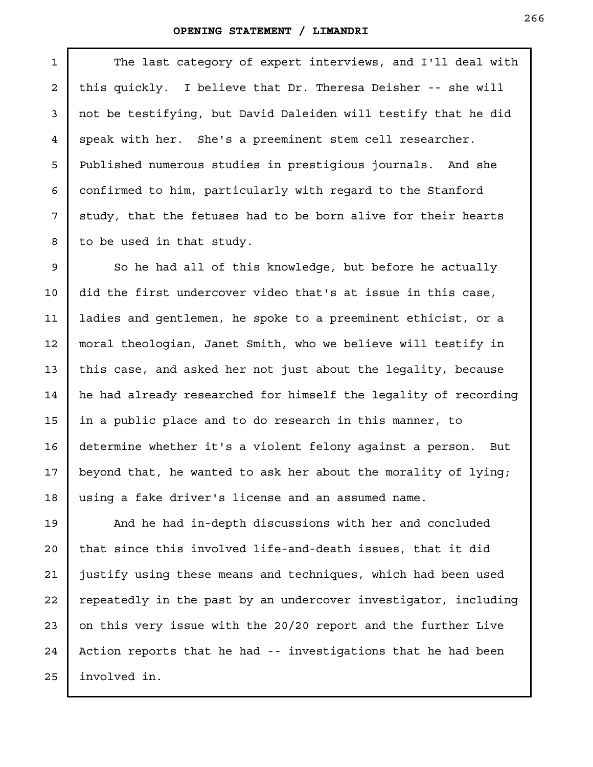1

2

3

4

5

6

7

8

The last category of expert interviews, and I'll deal with this quickly. I believe that Dr. Theresa Deisher -- she will not be testifying, but David Daleiden will testify that he did speak with her. She's a preeminent stem cell researcher. Published numerous studies in prestigious journals. And she confirmed to him, particularly with regard to the Stanford study, that the fetuses had to be born alive for their hearts to be used in that study.

So he had all of this knowledge, but before he actually did the first undercover video that's at issue in this case, ladies and gentlemen, he spoke to a preeminent ethicist, or a moral theologian, Janet Smith, who we believe will testify in this case, and asked her not just about the legality, because he had already researched for himself the legality of recording in a public place and to do research in this manner, to determine whether it's a violent felony against a person. But beyond that, he wanted to ask her about the morality of lying; using a fake driver's license and an assumed name. 9 10 11 12 13 14 15 16 17 18

And he had in-depth discussions with her and concluded that since this involved life-and-death issues, that it did justify using these means and techniques, which had been used repeatedly in the past by an undercover investigator, including on this very issue with the 20/20 report and the further Live Action reports that he had -- investigations that he had been involved in. 19 20 21 22 23 24 25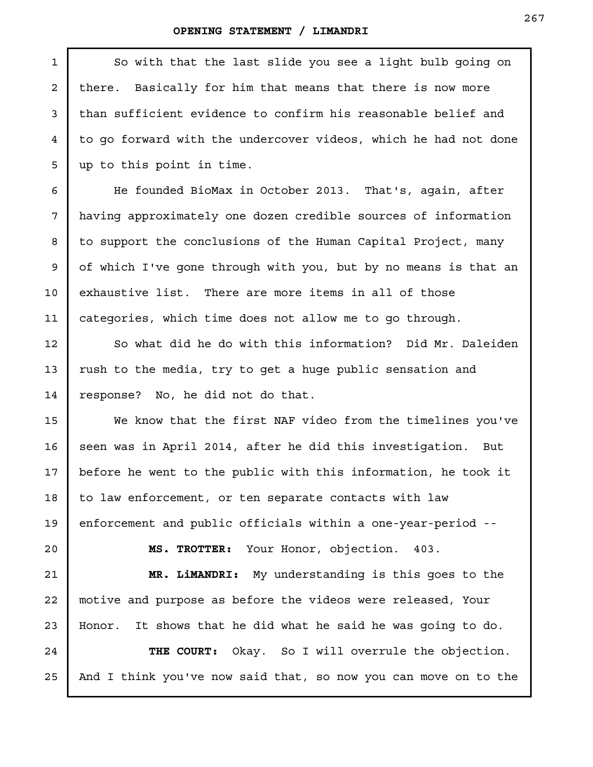So with that the last slide you see a light bulb going on there. Basically for him that means that there is now more than sufficient evidence to confirm his reasonable belief and to go forward with the undercover videos, which he had not done up to this point in time. He founded BioMax in October 2013. That's, again, after having approximately one dozen credible sources of information to support the conclusions of the Human Capital Project, many of which I've gone through with you, but by no means is that an exhaustive list. There are more items in all of those categories, which time does not allow me to go through. So what did he do with this information? Did Mr. Daleiden rush to the media, try to get a huge public sensation and response? No, he did not do that. We know that the first NAF video from the timelines you've seen was in April 2014, after he did this investigation. But before he went to the public with this information, he took it to law enforcement, or ten separate contacts with law enforcement and public officials within a one-year-period -- **MS. TROTTER:** Your Honor, objection. 403. **MR. LiMANDRI:** My understanding is this goes to the motive and purpose as before the videos were released, Your Honor. It shows that he did what he said he was going to do. **THE COURT:** Okay. So I will overrule the objection. And I think you've now said that, so now you can move on to the 1 2 3 4 5 6 7 8 9 10 11 12 13 14 15 16 17 18 19 20 21 22 23 24 25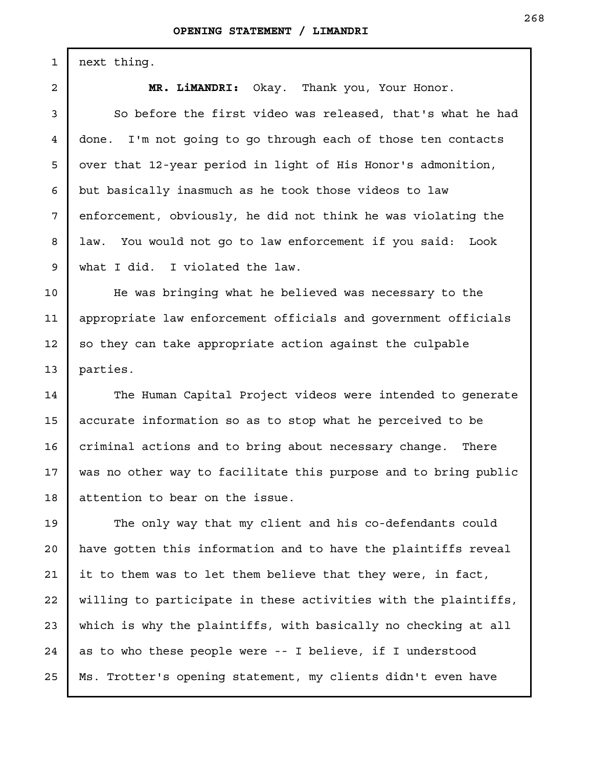next thing.

1

2

3

4

5

6

7

8

9

**MR. LiMANDRI:** Okay. Thank you, Your Honor.

So before the first video was released, that's what he had done. I'm not going to go through each of those ten contacts over that 12-year period in light of His Honor's admonition, but basically inasmuch as he took those videos to law enforcement, obviously, he did not think he was violating the law. You would not go to law enforcement if you said: Look what I did. I violated the law.

He was bringing what he believed was necessary to the appropriate law enforcement officials and government officials so they can take appropriate action against the culpable parties. 10 11 12 13

The Human Capital Project videos were intended to generate accurate information so as to stop what he perceived to be criminal actions and to bring about necessary change. There was no other way to facilitate this purpose and to bring public attention to bear on the issue. 14 15 16 17 18

The only way that my client and his co-defendants could have gotten this information and to have the plaintiffs reveal it to them was to let them believe that they were, in fact, willing to participate in these activities with the plaintiffs, which is why the plaintiffs, with basically no checking at all as to who these people were -- I believe, if I understood Ms. Trotter's opening statement, my clients didn't even have 19 20 21 22 23 24 25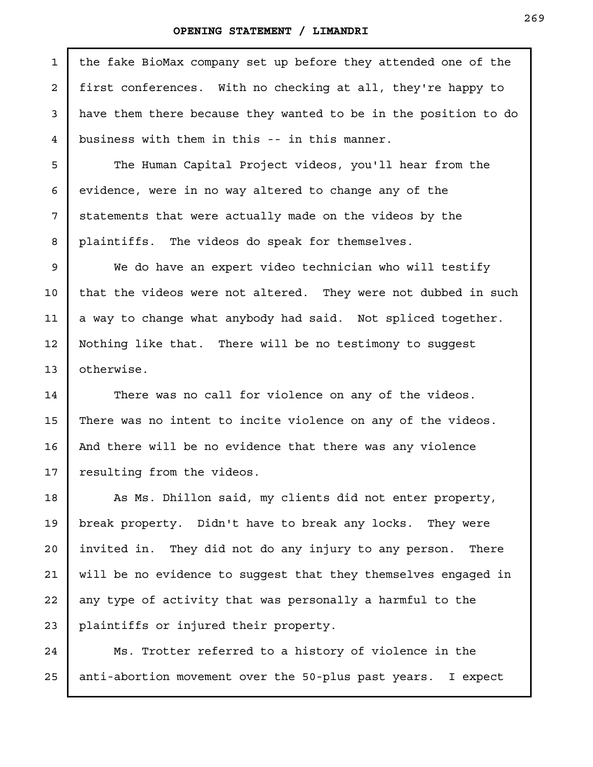| $\mathbf{1}$   | the fake BioMax company set up before they attended one of the  |
|----------------|-----------------------------------------------------------------|
| $\mathbf{2}$   | first conferences. With no checking at all, they're happy to    |
| $\mathsf{3}$   | have them there because they wanted to be in the position to do |
| $\overline{4}$ | business with them in this -- in this manner.                   |
| 5              | The Human Capital Project videos, you'll hear from the          |
| 6              | evidence, were in no way altered to change any of the           |
| 7              | statements that were actually made on the videos by the         |
| 8              | plaintiffs. The videos do speak for themselves.                 |
| 9              | We do have an expert video technician who will testify          |
| 10             | that the videos were not altered. They were not dubbed in such  |
| 11             | a way to change what anybody had said. Not spliced together.    |
| 12             | Nothing like that. There will be no testimony to suggest        |
| 13             | otherwise.                                                      |
| 14             | There was no call for violence on any of the videos.            |
| 15             | There was no intent to incite violence on any of the videos.    |
| 16             | And there will be no evidence that there was any violence       |
| 17             | resulting from the videos.                                      |
| 18             | As Ms. Dhillon said, my clients did not enter property,         |
| 19             | break property. Didn't have to break any locks. They were       |
| 20             | invited in. They did not do any injury to any person.<br>There  |
| 21             | will be no evidence to suggest that they themselves engaged in  |
| 22             | any type of activity that was personally a harmful to the       |
| 23             | plaintiffs or injured their property.                           |
| 24             | Ms. Trotter referred to a history of violence in the            |

Ms. Trotter referred to a history of violence in the anti-abortion movement over the 50-plus past years. I expect 25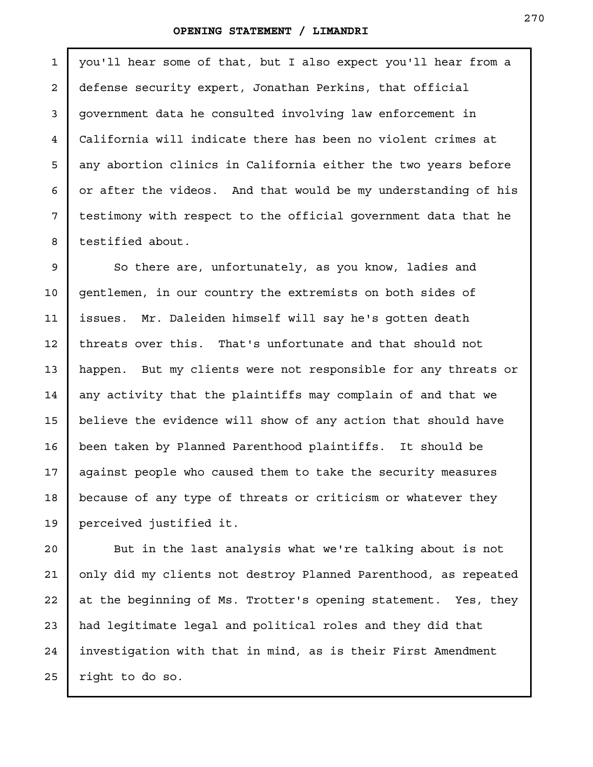1

2

3

4

5

6

7

8

you'll hear some of that, but I also expect you'll hear from a defense security expert, Jonathan Perkins, that official government data he consulted involving law enforcement in California will indicate there has been no violent crimes at any abortion clinics in California either the two years before or after the videos. And that would be my understanding of his testimony with respect to the official government data that he testified about.

So there are, unfortunately, as you know, ladies and gentlemen, in our country the extremists on both sides of issues. Mr. Daleiden himself will say he's gotten death threats over this. That's unfortunate and that should not happen. But my clients were not responsible for any threats or any activity that the plaintiffs may complain of and that we believe the evidence will show of any action that should have been taken by Planned Parenthood plaintiffs. It should be against people who caused them to take the security measures because of any type of threats or criticism or whatever they perceived justified it. 9 10 11 12 13 14 15 16 17 18 19

But in the last analysis what we're talking about is not only did my clients not destroy Planned Parenthood, as repeated at the beginning of Ms. Trotter's opening statement. Yes, they had legitimate legal and political roles and they did that investigation with that in mind, as is their First Amendment right to do so. 20 21 22 23 24 25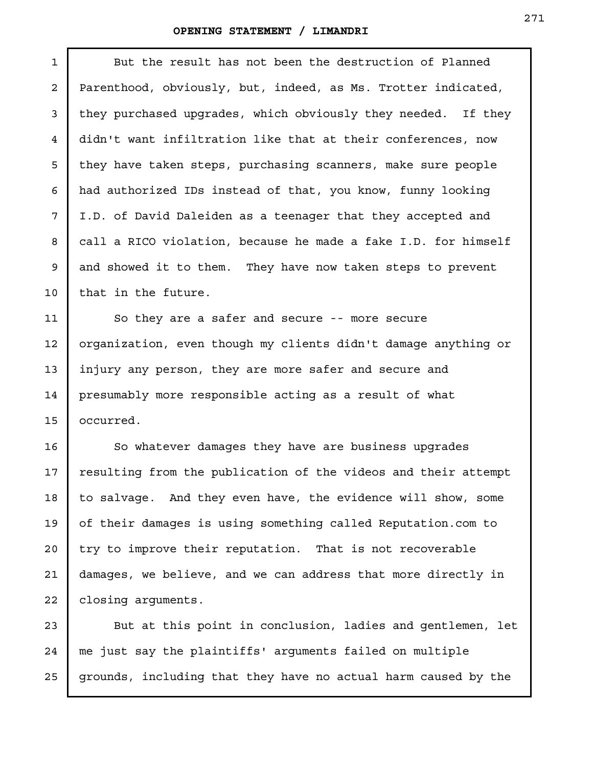| $\mathbf{1}$ | But the result has not been the destruction of Planned         |
|--------------|----------------------------------------------------------------|
| $\mathbf{2}$ | Parenthood, obviously, but, indeed, as Ms. Trotter indicated,  |
| 3            | they purchased upgrades, which obviously they needed. If they  |
| 4            | didn't want infiltration like that at their conferences, now   |
| 5            | they have taken steps, purchasing scanners, make sure people   |
| 6            | had authorized IDs instead of that, you know, funny looking    |
| 7            | I.D. of David Daleiden as a teenager that they accepted and    |
| 8            | call a RICO violation, because he made a fake I.D. for himself |
| 9            | and showed it to them. They have now taken steps to prevent    |
| 10           | that in the future.                                            |
| 11           | So they are a safer and secure -- more secure                  |
| 12           | organization, even though my clients didn't damage anything or |
| 13           | injury any person, they are more safer and secure and          |
| 14           | presumably more responsible acting as a result of what         |
| 15           | occurred.                                                      |
| 16           | So whatever damages they have are business upgrades            |
| 17           | resulting from the publication of the videos and their attempt |
| 18           | to salvage. And they even have, the evidence will show, some   |
| 19           | of their damages is using something called Reputation.com to   |
| 20           | try to improve their reputation. That is not recoverable       |
| 21           | damages, we believe, and we can address that more directly in  |
| 22           | closing arguments.                                             |
| 23           | But at this point in conclusion, ladies and gentlemen, let     |
| 24           | me just say the plaintiffs' arguments failed on multiple       |

grounds, including that they have no actual harm caused by the 25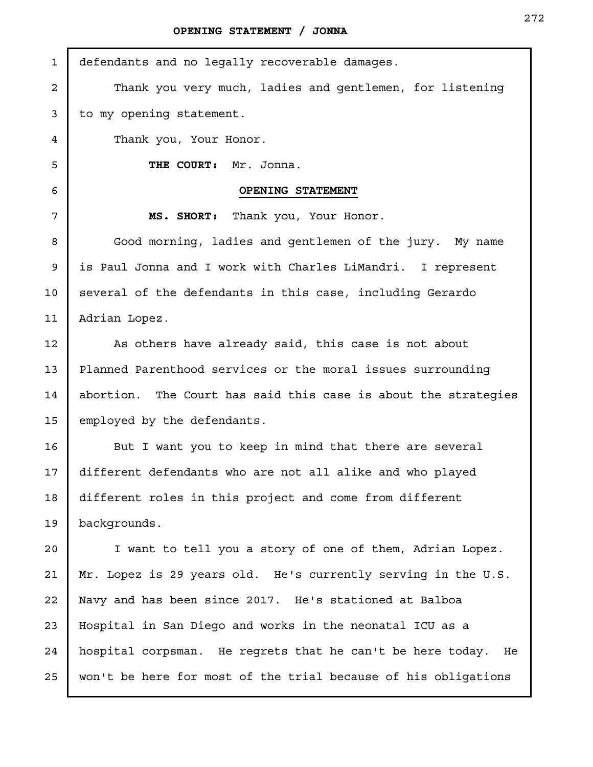| $\mathbf{1}$   | defendants and no legally recoverable damages.                 |
|----------------|----------------------------------------------------------------|
| $\overline{a}$ | Thank you very much, ladies and gentlemen, for listening       |
| 3              | to my opening statement.                                       |
| 4              | Thank you, Your Honor.                                         |
| 5              | THE COURT:<br>Mr. Jonna.                                       |
| 6              | OPENING STATEMENT                                              |
| 7              | MS. SHORT: Thank you, Your Honor.                              |
| 8              | Good morning, ladies and gentlemen of the jury. My name        |
| 9              | is Paul Jonna and I work with Charles LiMandri. I represent    |
| 10             | several of the defendants in this case, including Gerardo      |
| 11             | Adrian Lopez.                                                  |
| 12             | As others have already said, this case is not about            |
| 13             | Planned Parenthood services or the moral issues surrounding    |
| 14             | abortion. The Court has said this case is about the strategies |
| 15             | employed by the defendants.                                    |
| 16             | But I want you to keep in mind that there are several          |
| 17             | different defendants who are not all alike and who played      |
| 18             | different roles in this project and come from different        |
| 19             | backgrounds.                                                   |
| 20             | I want to tell you a story of one of them, Adrian Lopez.       |
| 21             | Mr. Lopez is 29 years old. He's currently serving in the U.S.  |
| 22             | Navy and has been since 2017. He's stationed at Balboa         |
| 23             | Hospital in San Diego and works in the neonatal ICU as a       |
| 24             | hospital corpsman. He regrets that he can't be here today. He  |
| 25             | won't be here for most of the trial because of his obligations |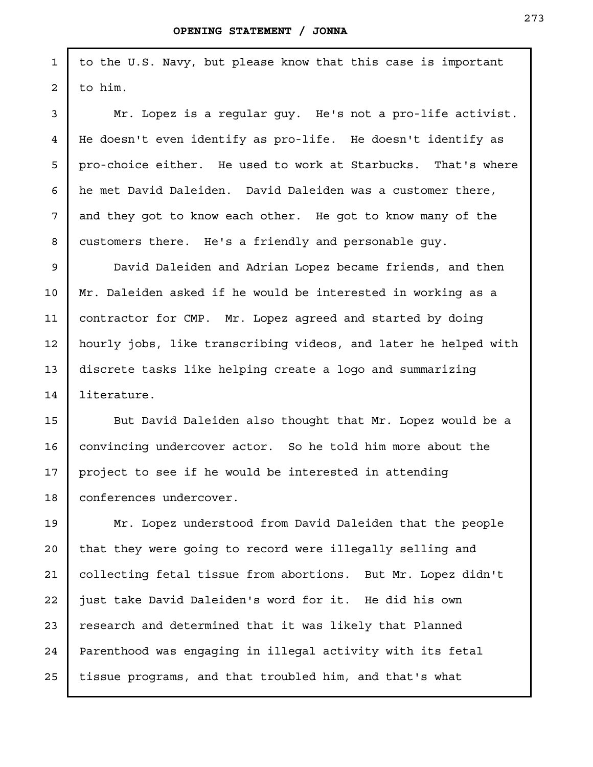1

2

3

4

5

6

7

8

9

10

11

12

13

14

to the U.S. Navy, but please know that this case is important to him.

Mr. Lopez is a regular guy. He's not a pro-life activist. He doesn't even identify as pro-life. He doesn't identify as pro-choice either. He used to work at Starbucks. That's where he met David Daleiden. David Daleiden was a customer there, and they got to know each other. He got to know many of the customers there. He's a friendly and personable guy.

David Daleiden and Adrian Lopez became friends, and then Mr. Daleiden asked if he would be interested in working as a contractor for CMP. Mr. Lopez agreed and started by doing hourly jobs, like transcribing videos, and later he helped with discrete tasks like helping create a logo and summarizing literature.

But David Daleiden also thought that Mr. Lopez would be a convincing undercover actor. So he told him more about the project to see if he would be interested in attending conferences undercover. 15 16 17 18

Mr. Lopez understood from David Daleiden that the people that they were going to record were illegally selling and collecting fetal tissue from abortions. But Mr. Lopez didn't just take David Daleiden's word for it. He did his own research and determined that it was likely that Planned Parenthood was engaging in illegal activity with its fetal tissue programs, and that troubled him, and that's what 19 20 21 22 23 24 25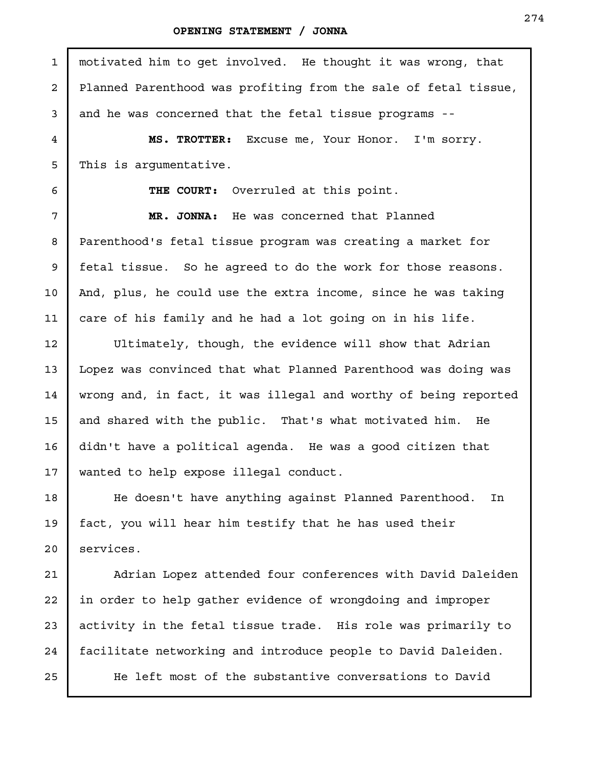motivated him to get involved. He thought it was wrong, that Planned Parenthood was profiting from the sale of fetal tissue, and he was concerned that the fetal tissue programs -- **MS. TROTTER:** Excuse me, Your Honor. I'm sorry. This is argumentative. **THE COURT:** Overruled at this point. **MR. JONNA:** He was concerned that Planned Parenthood's fetal tissue program was creating a market for fetal tissue. So he agreed to do the work for those reasons. And, plus, he could use the extra income, since he was taking care of his family and he had a lot going on in his life. Ultimately, though, the evidence will show that Adrian Lopez was convinced that what Planned Parenthood was doing was wrong and, in fact, it was illegal and worthy of being reported and shared with the public. That's what motivated him. He didn't have a political agenda. He was a good citizen that wanted to help expose illegal conduct. He doesn't have anything against Planned Parenthood. In fact, you will hear him testify that he has used their services. Adrian Lopez attended four conferences with David Daleiden in order to help gather evidence of wrongdoing and improper activity in the fetal tissue trade. His role was primarily to facilitate networking and introduce people to David Daleiden. 1 2 3 4 5 6 7 8 9

He left most of the substantive conversations to David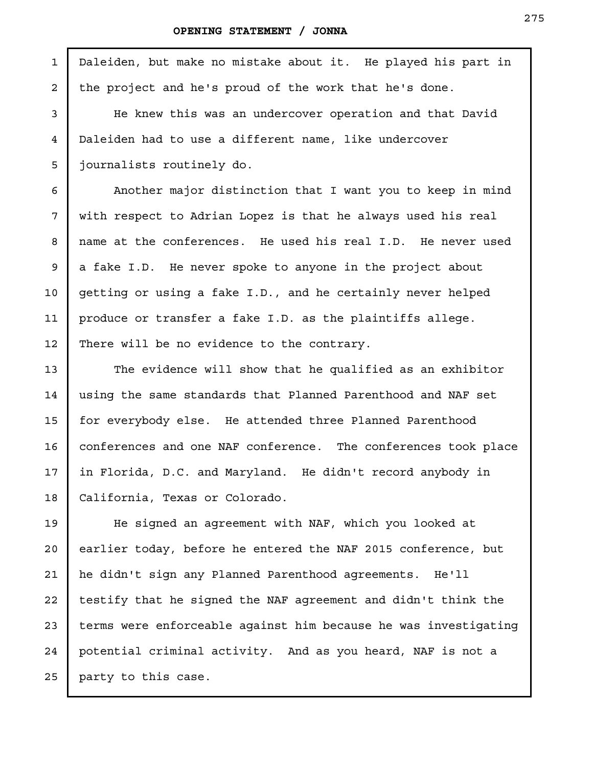3

4

5

6

7

8

9

10

11

12

13

14

15

16

17

18

Daleiden, but make no mistake about it. He played his part in the project and he's proud of the work that he's done. 1 2

He knew this was an undercover operation and that David Daleiden had to use a different name, like undercover journalists routinely do.

Another major distinction that I want you to keep in mind with respect to Adrian Lopez is that he always used his real name at the conferences. He used his real I.D. He never used a fake I.D. He never spoke to anyone in the project about getting or using a fake I.D., and he certainly never helped produce or transfer a fake I.D. as the plaintiffs allege. There will be no evidence to the contrary.

The evidence will show that he qualified as an exhibitor using the same standards that Planned Parenthood and NAF set for everybody else. He attended three Planned Parenthood conferences and one NAF conference. The conferences took place in Florida, D.C. and Maryland. He didn't record anybody in California, Texas or Colorado.

He signed an agreement with NAF, which you looked at earlier today, before he entered the NAF 2015 conference, but he didn't sign any Planned Parenthood agreements. He'll testify that he signed the NAF agreement and didn't think the terms were enforceable against him because he was investigating potential criminal activity. And as you heard, NAF is not a party to this case. 19 20 21 22 23 24 25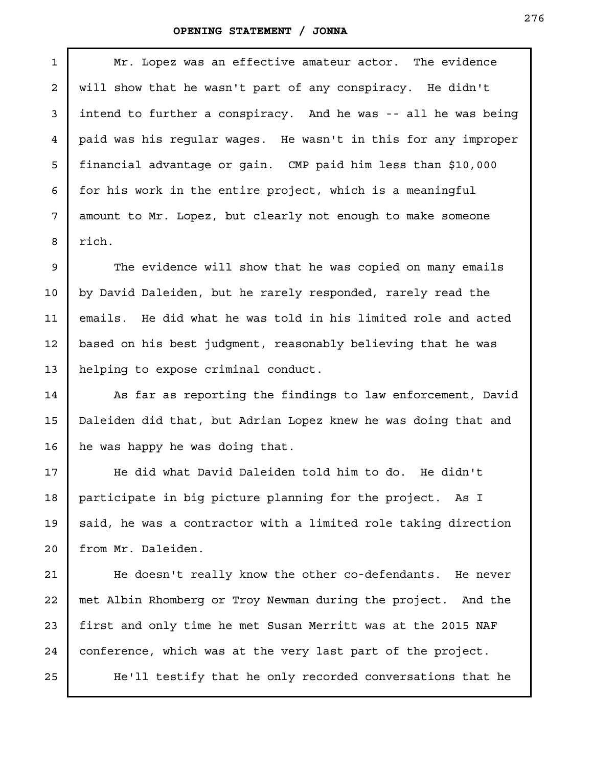Mr. Lopez was an effective amateur actor. The evidence will show that he wasn't part of any conspiracy. He didn't intend to further a conspiracy. And he was -- all he was being paid was his regular wages. He wasn't in this for any improper financial advantage or gain. CMP paid him less than \$10,000 for his work in the entire project, which is a meaningful amount to Mr. Lopez, but clearly not enough to make someone rich.

The evidence will show that he was copied on many emails by David Daleiden, but he rarely responded, rarely read the emails. He did what he was told in his limited role and acted based on his best judgment, reasonably believing that he was helping to expose criminal conduct.

As far as reporting the findings to law enforcement, David Daleiden did that, but Adrian Lopez knew he was doing that and he was happy he was doing that.

He did what David Daleiden told him to do. He didn't participate in big picture planning for the project. As I said, he was a contractor with a limited role taking direction from Mr. Daleiden.

He doesn't really know the other co-defendants. He never met Albin Rhomberg or Troy Newman during the project. And the first and only time he met Susan Merritt was at the 2015 NAF conference, which was at the very last part of the project.

He'll testify that he only recorded conversations that he

1

2

3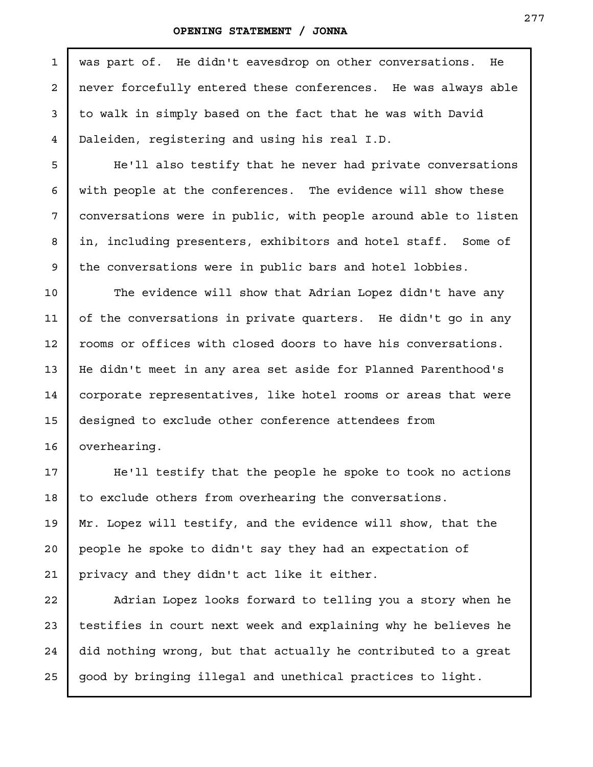| $\mathbf{1}$   | was part of. He didn't eavesdrop on other conversations. He     |
|----------------|-----------------------------------------------------------------|
| $\overline{a}$ | never forcefully entered these conferences. He was always able  |
| 3              | to walk in simply based on the fact that he was with David      |
| $\overline{4}$ | Daleiden, registering and using his real I.D.                   |
| 5              | He'll also testify that he never had private conversations      |
| 6              | with people at the conferences. The evidence will show these    |
| 7              | conversations were in public, with people around able to listen |
| 8              | in, including presenters, exhibitors and hotel staff. Some of   |
| 9              | the conversations were in public bars and hotel lobbies.        |
| 10             | The evidence will show that Adrian Lopez didn't have any        |
| 11             | of the conversations in private quarters. He didn't go in any   |
| 12             | rooms or offices with closed doors to have his conversations.   |
| 13             | He didn't meet in any area set aside for Planned Parenthood's   |
| 14             | corporate representatives, like hotel rooms or areas that were  |
| 15             | designed to exclude other conference attendees from             |
| 16             | overhearing.                                                    |
| 17             | He'll testify that the people he spoke to took no actions       |
| 18             | to exclude others from overhearing the conversations.           |
| 19             | Mr. Lopez will testify, and the evidence will show, that the    |
| 20             | people he spoke to didn't say they had an expectation of        |
| 21             | privacy and they didn't act like it either.                     |
| 22             | Adrian Lopez looks forward to telling you a story when he       |
| 23             | testifies in court next week and explaining why he believes he  |
| 24             | did nothing wrong, but that actually he contributed to a great  |

good by bringing illegal and unethical practices to light. 25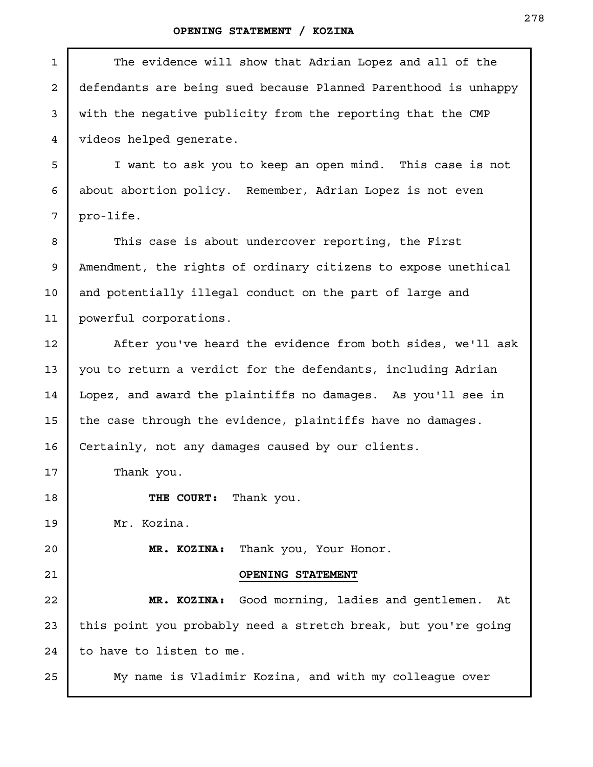| $\mathbf{1}$   | The evidence will show that Adrian Lopez and all of the         |
|----------------|-----------------------------------------------------------------|
| $\overline{2}$ | defendants are being sued because Planned Parenthood is unhappy |
| 3              | with the negative publicity from the reporting that the CMP     |
| 4              | videos helped generate.                                         |
| 5              | I want to ask you to keep an open mind. This case is not        |
| 6              | about abortion policy. Remember, Adrian Lopez is not even       |
| 7              | pro-life.                                                       |
| 8              | This case is about undercover reporting, the First              |
| 9              | Amendment, the rights of ordinary citizens to expose unethical  |
| 10             | and potentially illegal conduct on the part of large and        |
| 11             | powerful corporations.                                          |
| 12             | After you've heard the evidence from both sides, we'll ask      |
| 13             | you to return a verdict for the defendants, including Adrian    |
| 14             | Lopez, and award the plaintiffs no damages. As you'll see in    |
| 15             | the case through the evidence, plaintiffs have no damages.      |
| 16             | Certainly, not any damages caused by our clients.               |
| 17             | Thank you.                                                      |
| 18             | THE COURT: Thank you.                                           |
| 19             | Mr. Kozina.                                                     |
| 20             | Thank you, Your Honor.<br>MR. KOZINA:                           |
| 21             | OPENING STATEMENT                                               |
| 22             | MR. KOZINA: Good morning, ladies and gentlemen.<br>At           |
| 23             | this point you probably need a stretch break, but you're going  |
| 24             | to have to listen to me.                                        |
| 25             | My name is Vladimir Kozina, and with my colleague over          |
|                |                                                                 |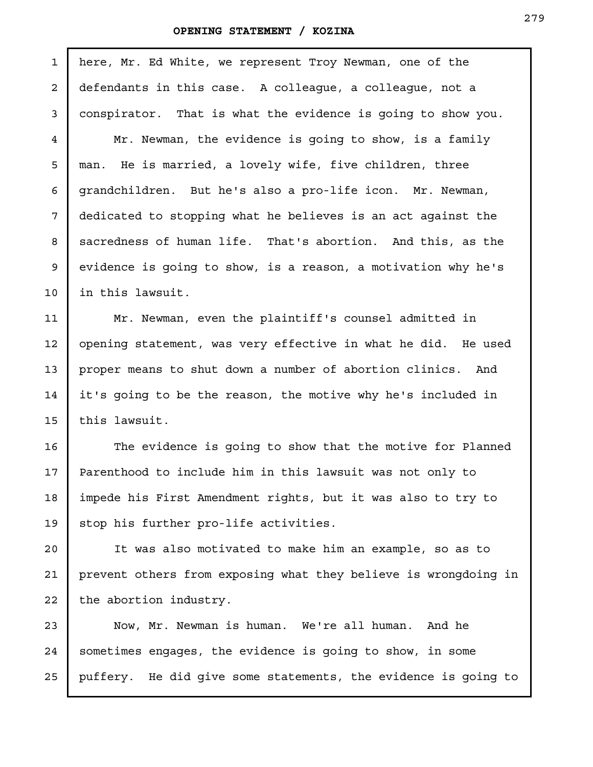5

6

7

8

9

10

12

13

14

15

here, Mr. Ed White, we represent Troy Newman, one of the defendants in this case. A colleague, a colleague, not a conspirator. That is what the evidence is going to show you. Mr. Newman, the evidence is going to show, is a family 1 2 3 4

man. He is married, a lovely wife, five children, three grandchildren. But he's also a pro-life icon. Mr. Newman, dedicated to stopping what he believes is an act against the sacredness of human life. That's abortion. And this, as the evidence is going to show, is a reason, a motivation why he's in this lawsuit.

Mr. Newman, even the plaintiff's counsel admitted in opening statement, was very effective in what he did. He used proper means to shut down a number of abortion clinics. And it's going to be the reason, the motive why he's included in this lawsuit. 11

The evidence is going to show that the motive for Planned Parenthood to include him in this lawsuit was not only to impede his First Amendment rights, but it was also to try to stop his further pro-life activities. 16 17 18 19

It was also motivated to make him an example, so as to prevent others from exposing what they believe is wrongdoing in the abortion industry. 20 21 22

Now, Mr. Newman is human. We're all human. And he sometimes engages, the evidence is going to show, in some puffery. He did give some statements, the evidence is going to 23 24 25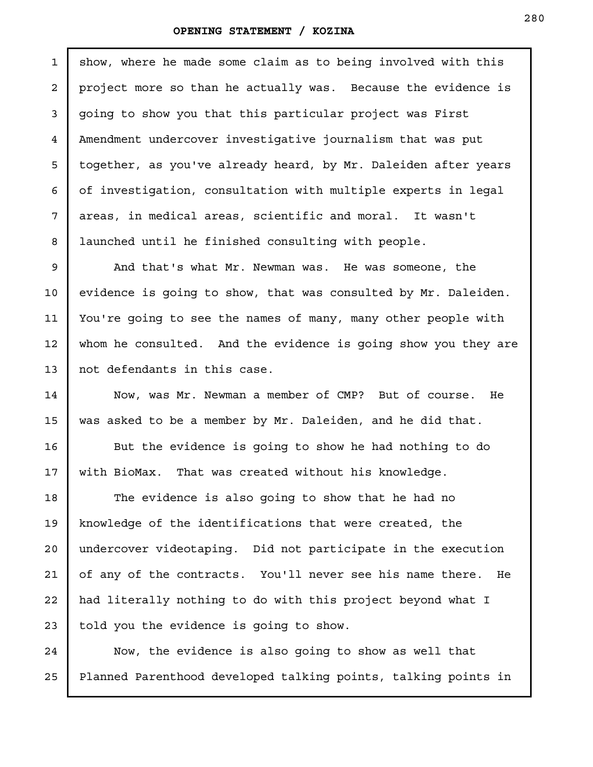show, where he made some claim as to being involved with this project more so than he actually was. Because the evidence is going to show you that this particular project was First Amendment undercover investigative journalism that was put together, as you've already heard, by Mr. Daleiden after years of investigation, consultation with multiple experts in legal areas, in medical areas, scientific and moral. It wasn't launched until he finished consulting with people. 1 2 3 4 5 6 7 8

And that's what Mr. Newman was. He was someone, the evidence is going to show, that was consulted by Mr. Daleiden. You're going to see the names of many, many other people with whom he consulted. And the evidence is going show you they are not defendants in this case.

9

10

11

12

13

14

15

16

17

18

19

20

21

22

23

Now, was Mr. Newman a member of CMP? But of course. He was asked to be a member by Mr. Daleiden, and he did that.

But the evidence is going to show he had nothing to do with BioMax. That was created without his knowledge.

The evidence is also going to show that he had no knowledge of the identifications that were created, the undercover videotaping. Did not participate in the execution of any of the contracts. You'll never see his name there. He had literally nothing to do with this project beyond what I told you the evidence is going to show.

Now, the evidence is also going to show as well that Planned Parenthood developed talking points, talking points in 24 25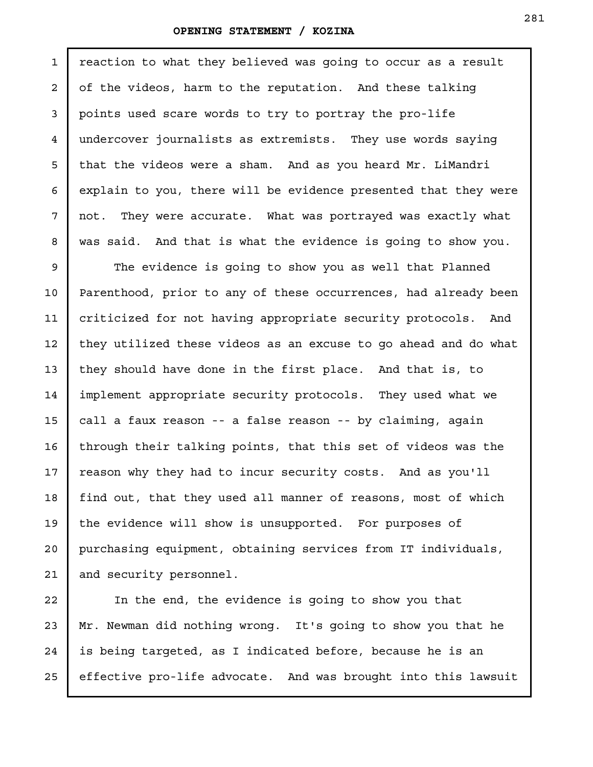reaction to what they believed was going to occur as a result of the videos, harm to the reputation. And these talking points used scare words to try to portray the pro-life undercover journalists as extremists. They use words saying that the videos were a sham. And as you heard Mr. LiMandri explain to you, there will be evidence presented that they were not. They were accurate. What was portrayed was exactly what was said. And that is what the evidence is going to show you. 1 2 3 4 5 6 7 8

The evidence is going to show you as well that Planned Parenthood, prior to any of these occurrences, had already been criticized for not having appropriate security protocols. And they utilized these videos as an excuse to go ahead and do what they should have done in the first place. And that is, to implement appropriate security protocols. They used what we call a faux reason -- a false reason -- by claiming, again through their talking points, that this set of videos was the reason why they had to incur security costs. And as you'll find out, that they used all manner of reasons, most of which the evidence will show is unsupported. For purposes of purchasing equipment, obtaining services from IT individuals, and security personnel. 9 10 11 12 13 14 15 16 17 18 19 20 21

In the end, the evidence is going to show you that Mr. Newman did nothing wrong. It's going to show you that he is being targeted, as I indicated before, because he is an effective pro-life advocate. And was brought into this lawsuit 22 23 24 25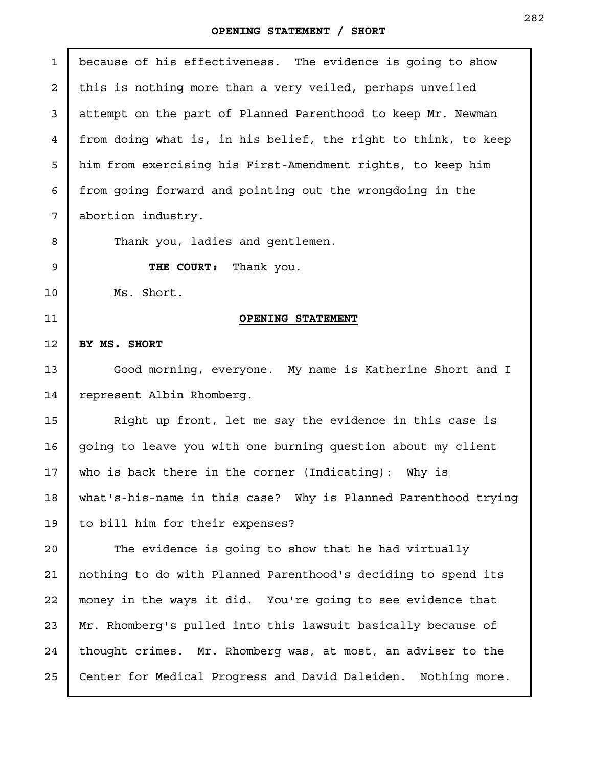| $\mathbf{1}$    | because of his effectiveness. The evidence is going to show      |
|-----------------|------------------------------------------------------------------|
| $\overline{a}$  | this is nothing more than a very veiled, perhaps unveiled        |
| 3               | attempt on the part of Planned Parenthood to keep Mr. Newman     |
| $\overline{4}$  | from doing what is, in his belief, the right to think, to keep   |
| 5               | him from exercising his First-Amendment rights, to keep him      |
| 6               | from going forward and pointing out the wrongdoing in the        |
| 7               | abortion industry.                                               |
| 8               | Thank you, ladies and gentlemen.                                 |
| 9               | THE COURT: Thank you.                                            |
| 10              | Ms. Short.                                                       |
| 11              | <b>OPENING STATEMENT</b>                                         |
| 12              | BY MS. SHORT                                                     |
| 13              | Good morning, everyone. My name is Katherine Short and I         |
| 14              | represent Albin Rhomberg.                                        |
| 15              | Right up front, let me say the evidence in this case is          |
| 16              | going to leave you with one burning question about my client     |
| 17 <sub>2</sub> | who is back there in the corner (Indicating): Why is             |
| 18              | what's-his-name in this case? Why is Planned Parenthood trying   |
| 19              | to bill him for their expenses?                                  |
| 20              | The evidence is going to show that he had virtually              |
| 21              | nothing to do with Planned Parenthood's deciding to spend its    |
| 22              | money in the ways it did. You're going to see evidence that      |
| 23              | Mr. Rhomberg's pulled into this lawsuit basically because of     |
| 24              | thought crimes. Mr. Rhomberg was, at most, an adviser to the     |
| 25              | Center for Medical Progress and David Daleiden.<br>Nothing more. |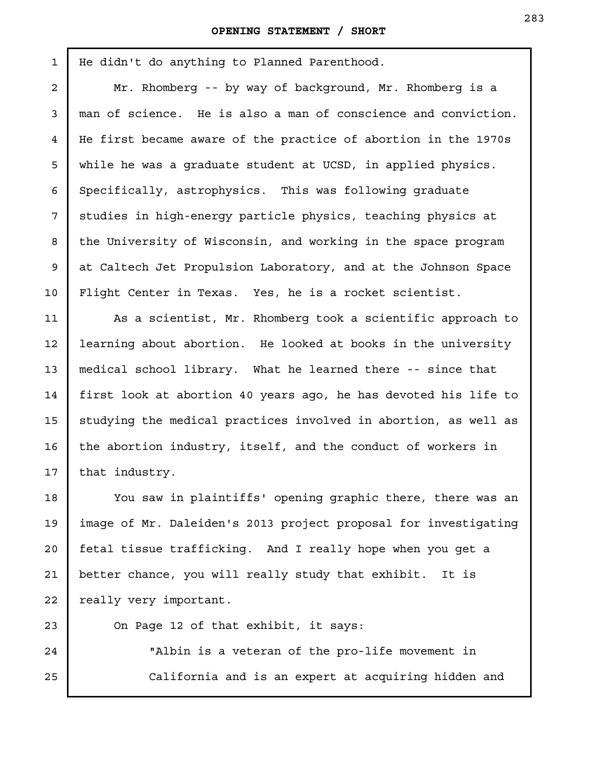He didn't do anything to Planned Parenthood.

Mr. Rhomberg -- by way of background, Mr. Rhomberg is a man of science. He is also a man of conscience and conviction. He first became aware of the practice of abortion in the 1970s while he was a graduate student at UCSD, in applied physics. Specifically, astrophysics. This was following graduate studies in high-energy particle physics, teaching physics at the University of Wisconsin, and working in the space program at Caltech Jet Propulsion Laboratory, and at the Johnson Space Flight Center in Texas. Yes, he is a rocket scientist.

As a scientist, Mr. Rhomberg took a scientific approach to learning about abortion. He looked at books in the university medical school library. What he learned there -- since that first look at abortion 40 years ago, he has devoted his life to studying the medical practices involved in abortion, as well as the abortion industry, itself, and the conduct of workers in that industry.

You saw in plaintiffs' opening graphic there, there was an image of Mr. Daleiden's 2013 project proposal for investigating fetal tissue trafficking. And I really hope when you get a better chance, you will really study that exhibit. It is really very important.

On Page 12 of that exhibit, it says:

"Albin is a veteran of the pro-life movement in California and is an expert at acquiring hidden and 25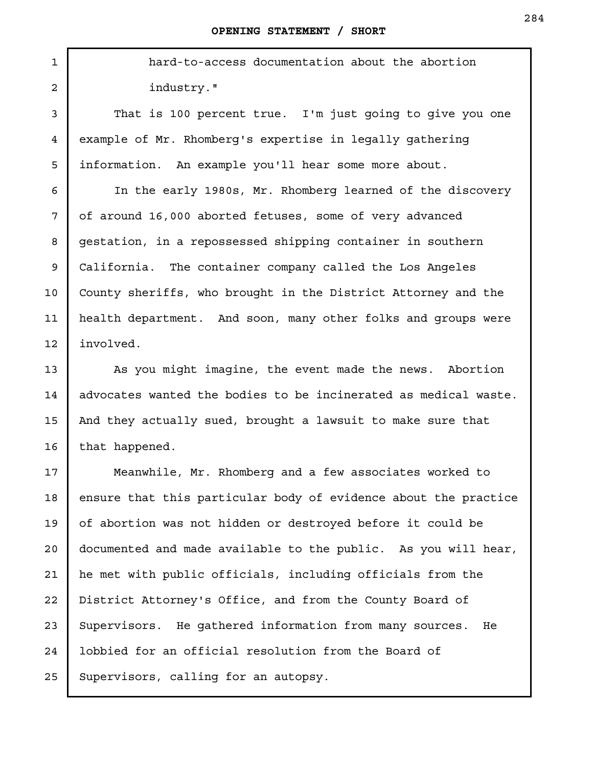hard-to-access documentation about the abortion industry."

That is 100 percent true. I'm just going to give you one example of Mr. Rhomberg's expertise in legally gathering information. An example you'll hear some more about.

In the early 1980s, Mr. Rhomberg learned of the discovery of around 16,000 aborted fetuses, some of very advanced gestation, in a repossessed shipping container in southern California. The container company called the Los Angeles County sheriffs, who brought in the District Attorney and the health department. And soon, many other folks and groups were involved.

As you might imagine, the event made the news. Abortion advocates wanted the bodies to be incinerated as medical waste. And they actually sued, brought a lawsuit to make sure that that happened.

Meanwhile, Mr. Rhomberg and a few associates worked to ensure that this particular body of evidence about the practice of abortion was not hidden or destroyed before it could be documented and made available to the public. As you will hear, he met with public officials, including officials from the District Attorney's Office, and from the County Board of Supervisors. He gathered information from many sources. He lobbied for an official resolution from the Board of Supervisors, calling for an autopsy. 20 21 22 23 24 25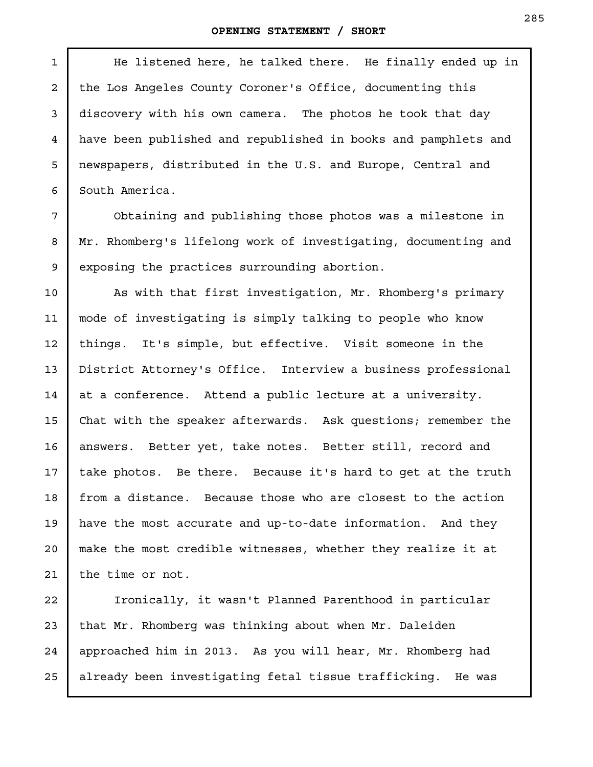#### **OPENING STATEMENT / SHORT**

He listened here, he talked there. He finally ended up in the Los Angeles County Coroner's Office, documenting this discovery with his own camera. The photos he took that day have been published and republished in books and pamphlets and newspapers, distributed in the U.S. and Europe, Central and South America.

1

2

3

4

5

6

7

8

9

Obtaining and publishing those photos was a milestone in Mr. Rhomberg's lifelong work of investigating, documenting and exposing the practices surrounding abortion.

As with that first investigation, Mr. Rhomberg's primary mode of investigating is simply talking to people who know things. It's simple, but effective. Visit someone in the District Attorney's Office. Interview a business professional at a conference. Attend a public lecture at a university. Chat with the speaker afterwards. Ask questions; remember the answers. Better yet, take notes. Better still, record and take photos. Be there. Because it's hard to get at the truth from a distance. Because those who are closest to the action have the most accurate and up-to-date information. And they make the most credible witnesses, whether they realize it at the time or not. 10 11 12 13 14 15 16 17 18 19 20 21

Ironically, it wasn't Planned Parenthood in particular that Mr. Rhomberg was thinking about when Mr. Daleiden approached him in 2013. As you will hear, Mr. Rhomberg had already been investigating fetal tissue trafficking. He was 22 23 24 25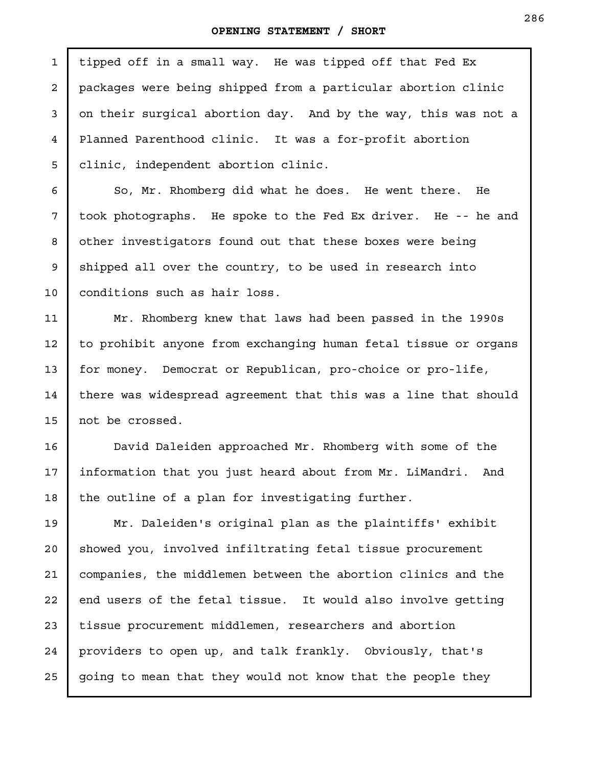| $\mathbf{1}$   | tipped off in a small way. He was tipped off that Fed Ex        |
|----------------|-----------------------------------------------------------------|
| $\overline{a}$ | packages were being shipped from a particular abortion clinic   |
| 3              | on their surgical abortion day. And by the way, this was not a  |
| 4              | Planned Parenthood clinic. It was a for-profit abortion         |
| 5              | clinic, independent abortion clinic.                            |
| 6              | So, Mr. Rhomberg did what he does. He went there.<br>He         |
| 7              | took photographs. He spoke to the Fed Ex driver. He -- he and   |
| 8              | other investigators found out that these boxes were being       |
| 9              | shipped all over the country, to be used in research into       |
| 10             | conditions such as hair loss.                                   |
| 11             | Mr. Rhomberg knew that laws had been passed in the 1990s        |
| 12             | to prohibit anyone from exchanging human fetal tissue or organs |
| 13             | for money. Democrat or Republican, pro-choice or pro-life,      |
| 14             | there was widespread agreement that this was a line that should |
| 15             | not be crossed.                                                 |
| 16             | David Daleiden approached Mr. Rhomberg with some of the         |
| 17             | information that you just heard about from Mr. LiMandri. And    |
| 18             | the outline of a plan for investigating further.                |
| 19             | Mr. Daleiden's original plan as the plaintiffs' exhibit         |
| 20             | showed you, involved infiltrating fetal tissue procurement      |
| 21             | companies, the middlemen between the abortion clinics and the   |
| 22             | end users of the fetal tissue. It would also involve getting    |
| 23             | tissue procurement middlemen, researchers and abortion          |
| 24             | providers to open up, and talk frankly. Obviously, that's       |
| 25             | going to mean that they would not know that the people they     |
|                |                                                                 |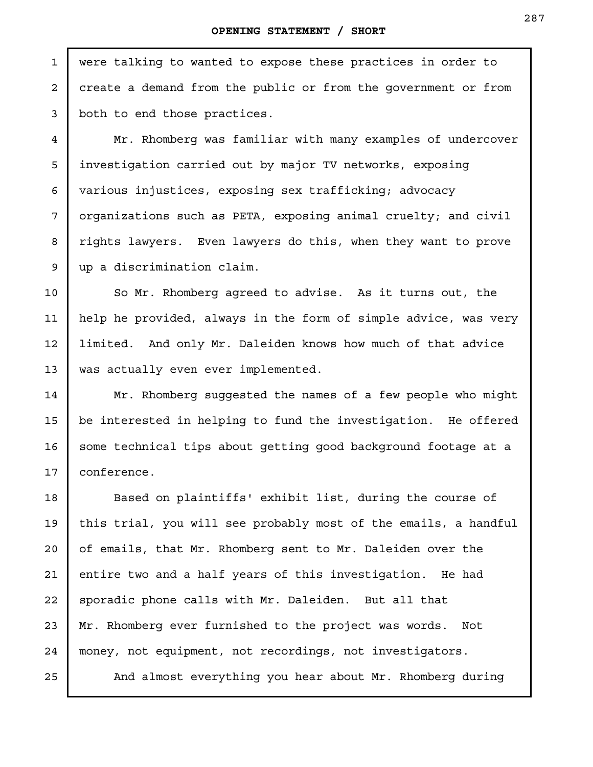were talking to wanted to expose these practices in order to create a demand from the public or from the government or from both to end those practices.

Mr. Rhomberg was familiar with many examples of undercover investigation carried out by major TV networks, exposing various injustices, exposing sex trafficking; advocacy organizations such as PETA, exposing animal cruelty; and civil rights lawyers. Even lawyers do this, when they want to prove up a discrimination claim.

So Mr. Rhomberg agreed to advise. As it turns out, the help he provided, always in the form of simple advice, was very limited. And only Mr. Daleiden knows how much of that advice was actually even ever implemented.

Mr. Rhomberg suggested the names of a few people who might be interested in helping to fund the investigation. He offered some technical tips about getting good background footage at a conference.

Based on plaintiffs' exhibit list, during the course of this trial, you will see probably most of the emails, a handful of emails, that Mr. Rhomberg sent to Mr. Daleiden over the entire two and a half years of this investigation. He had sporadic phone calls with Mr. Daleiden. But all that Mr. Rhomberg ever furnished to the project was words. Not money, not equipment, not recordings, not investigators.

And almost everything you hear about Mr. Rhomberg during

1

2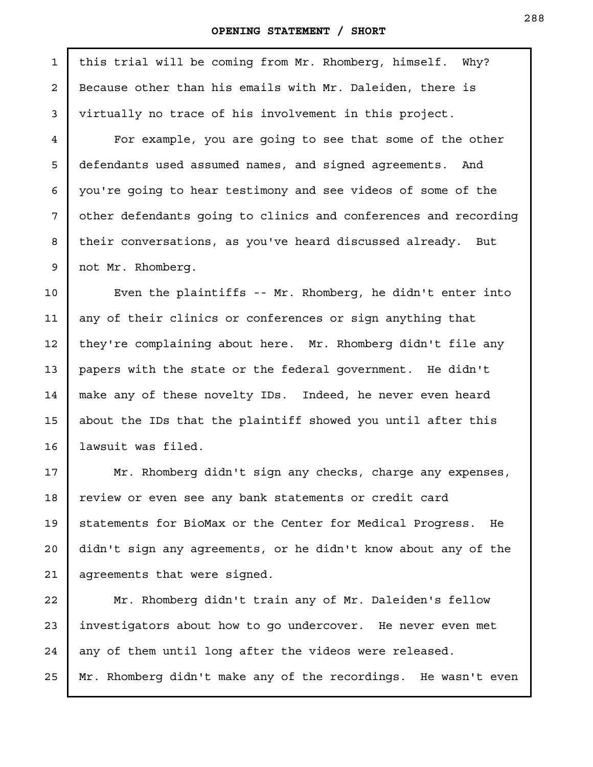this trial will be coming from Mr. Rhomberg, himself. Why? Because other than his emails with Mr. Daleiden, there is virtually no trace of his involvement in this project.

For example, you are going to see that some of the other defendants used assumed names, and signed agreements. And you're going to hear testimony and see videos of some of the other defendants going to clinics and conferences and recording their conversations, as you've heard discussed already. But not Mr. Rhomberg.

Even the plaintiffs -- Mr. Rhomberg, he didn't enter into any of their clinics or conferences or sign anything that they're complaining about here. Mr. Rhomberg didn't file any papers with the state or the federal government. He didn't make any of these novelty IDs. Indeed, he never even heard about the IDs that the plaintiff showed you until after this lawsuit was filed.

Mr. Rhomberg didn't sign any checks, charge any expenses, review or even see any bank statements or credit card statements for BioMax or the Center for Medical Progress. He didn't sign any agreements, or he didn't know about any of the agreements that were signed.

Mr. Rhomberg didn't train any of Mr. Daleiden's fellow investigators about how to go undercover. He never even met any of them until long after the videos were released. Mr. Rhomberg didn't make any of the recordings. He wasn't even

1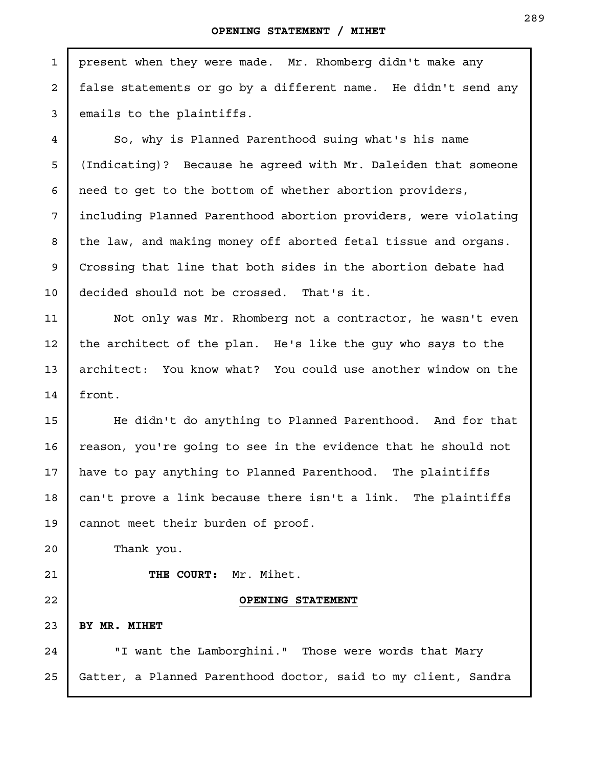present when they were made. Mr. Rhomberg didn't make any false statements or go by a different name. He didn't send any emails to the plaintiffs. So, why is Planned Parenthood suing what's his name (Indicating)? Because he agreed with Mr. Daleiden that someone need to get to the bottom of whether abortion providers, including Planned Parenthood abortion providers, were violating the law, and making money off aborted fetal tissue and organs. Crossing that line that both sides in the abortion debate had decided should not be crossed. That's it. Not only was Mr. Rhomberg not a contractor, he wasn't even the architect of the plan. He's like the guy who says to the architect: You know what? You could use another window on the front. He didn't do anything to Planned Parenthood. And for that reason, you're going to see in the evidence that he should not have to pay anything to Planned Parenthood. The plaintiffs can't prove a link because there isn't a link. The plaintiffs cannot meet their burden of proof. Thank you. **THE COURT:** Mr. Mihet. **OPENING STATEMENT BY MR. MIHET**  "I want the Lamborghini." Those were words that Mary Gatter, a Planned Parenthood doctor, said to my client, Sandra 1 2 3 4 5 6 7 8 9 10 11 12 13 14 15 16 17 18 19 20 21 22 23 24 25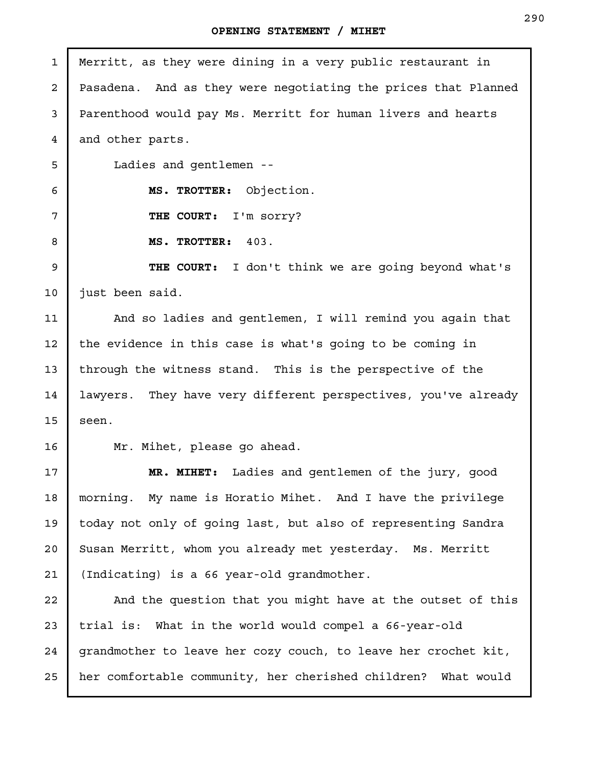| $\mathbf{1}$   | Merritt, as they were dining in a very public restaurant in    |
|----------------|----------------------------------------------------------------|
| $\overline{a}$ | Pasadena. And as they were negotiating the prices that Planned |
| 3              | Parenthood would pay Ms. Merritt for human livers and hearts   |
| 4              | and other parts.                                               |
| 5              | Ladies and gentlemen --                                        |
| 6              | MS. TROTTER: Objection.                                        |
| 7              | THE COURT: I'm sorry?                                          |
| 8              | MS. TROTTER: 403.                                              |
| 9              | <b>THE COURT:</b> I don't think we are going beyond what's     |
| 10             | just been said.                                                |
| 11             | And so ladies and gentlemen, I will remind you again that      |
| 12             | the evidence in this case is what's going to be coming in      |
| 13             | through the witness stand. This is the perspective of the      |
| 14             | lawyers. They have very different perspectives, you've already |
| 15             | seen.                                                          |
| 16             | Mr. Mihet, please go ahead.                                    |
| 17             | Ladies and gentlemen of the jury, good<br>MR. MIHET:           |
| 18             | morning. My name is Horatio Mihet. And I have the privilege    |
| 19             | today not only of going last, but also of representing Sandra  |
| 20             | Susan Merritt, whom you already met yesterday. Ms. Merritt     |
| 21             | (Indicating) is a 66 year-old grandmother.                     |
| 22             | And the question that you might have at the outset of this     |
| 23             | trial is: What in the world would compel a 66-year-old         |
| 24             | grandmother to leave her cozy couch, to leave her crochet kit, |
| 25             | her comfortable community, her cherished children? What would  |
|                |                                                                |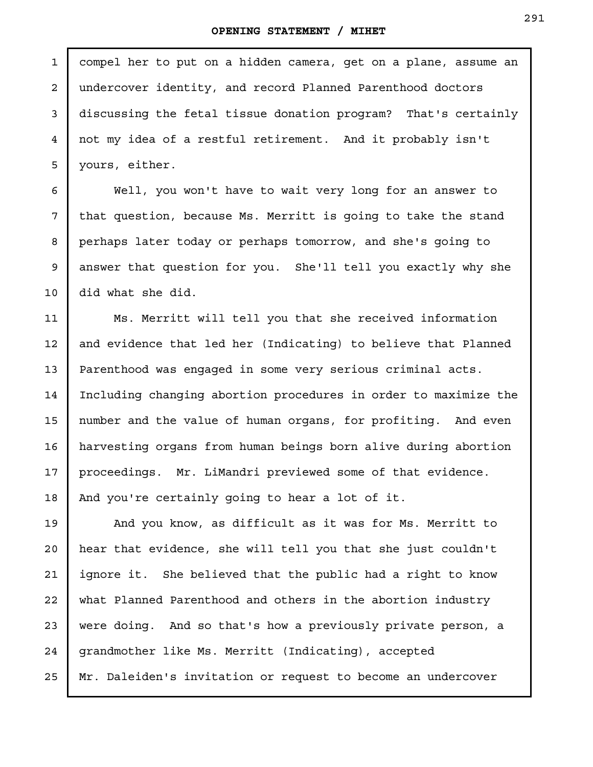compel her to put on a hidden camera, get on a plane, assume an undercover identity, and record Planned Parenthood doctors discussing the fetal tissue donation program? That's certainly not my idea of a restful retirement. And it probably isn't yours, either. 1 2 3 4 5

Well, you won't have to wait very long for an answer to that question, because Ms. Merritt is going to take the stand perhaps later today or perhaps tomorrow, and she's going to answer that question for you. She'll tell you exactly why she did what she did.

6

7

8

9

10

Ms. Merritt will tell you that she received information and evidence that led her (Indicating) to believe that Planned Parenthood was engaged in some very serious criminal acts. Including changing abortion procedures in order to maximize the number and the value of human organs, for profiting. And even harvesting organs from human beings born alive during abortion proceedings. Mr. LiMandri previewed some of that evidence. And you're certainly going to hear a lot of it. 11 12 13 14 15 16 17 18

And you know, as difficult as it was for Ms. Merritt to hear that evidence, she will tell you that she just couldn't ignore it. She believed that the public had a right to know what Planned Parenthood and others in the abortion industry were doing. And so that's how a previously private person, a grandmother like Ms. Merritt (Indicating), accepted Mr. Daleiden's invitation or request to become an undercover 19 20 21 22 23 24 25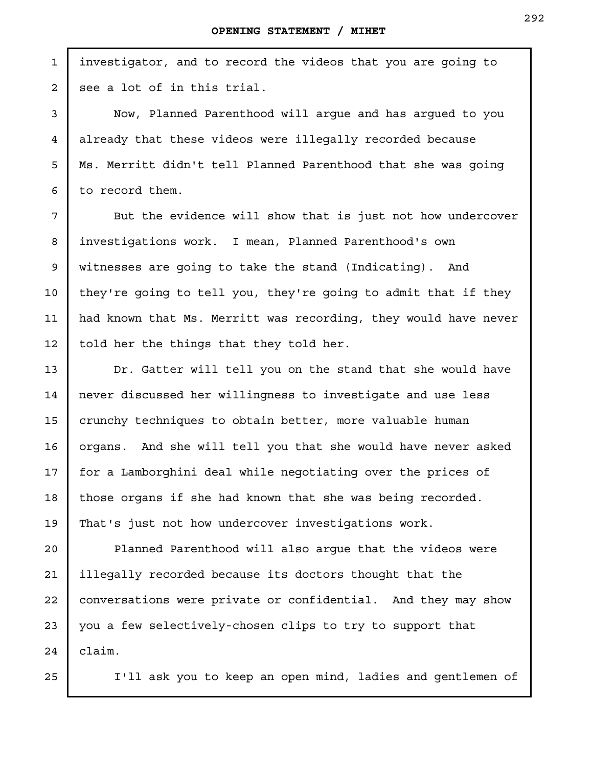investigator, and to record the videos that you are going to see a lot of in this trial.

Now, Planned Parenthood will argue and has argued to you already that these videos were illegally recorded because Ms. Merritt didn't tell Planned Parenthood that she was going to record them.

But the evidence will show that is just not how undercover investigations work. I mean, Planned Parenthood's own witnesses are going to take the stand (Indicating). And they're going to tell you, they're going to admit that if they had known that Ms. Merritt was recording, they would have never told her the things that they told her.

Dr. Gatter will tell you on the stand that she would have never discussed her willingness to investigate and use less crunchy techniques to obtain better, more valuable human organs. And she will tell you that she would have never asked for a Lamborghini deal while negotiating over the prices of those organs if she had known that she was being recorded. That's just not how undercover investigations work.

Planned Parenthood will also argue that the videos were illegally recorded because its doctors thought that the conversations were private or confidential. And they may show you a few selectively-chosen clips to try to support that claim. 20 21 22 23 24

25

1

2

3

4

5

6

7

8

9

10

11

12

13

14

15

16

17

18

19

I'll ask you to keep an open mind, ladies and gentlemen of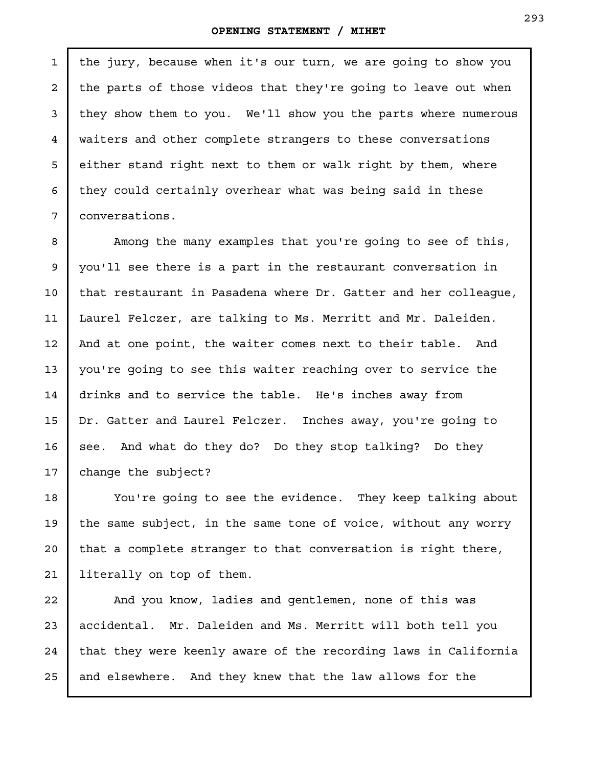2

3

4

5

6

7

the jury, because when it's our turn, we are going to show you the parts of those videos that they're going to leave out when they show them to you. We'll show you the parts where numerous waiters and other complete strangers to these conversations either stand right next to them or walk right by them, where they could certainly overhear what was being said in these conversations.

Among the many examples that you're going to see of this, you'll see there is a part in the restaurant conversation in that restaurant in Pasadena where Dr. Gatter and her colleague, Laurel Felczer, are talking to Ms. Merritt and Mr. Daleiden. And at one point, the waiter comes next to their table. And you're going to see this waiter reaching over to service the drinks and to service the table. He's inches away from Dr. Gatter and Laurel Felczer. Inches away, you're going to see. And what do they do? Do they stop talking? Do they change the subject? 8 9 10 11 12 13 14 15 16 17

You're going to see the evidence. They keep talking about the same subject, in the same tone of voice, without any worry that a complete stranger to that conversation is right there, literally on top of them. 18 19 20 21

And you know, ladies and gentlemen, none of this was accidental. Mr. Daleiden and Ms. Merritt will both tell you that they were keenly aware of the recording laws in California and elsewhere. And they knew that the law allows for the 22 23 24 25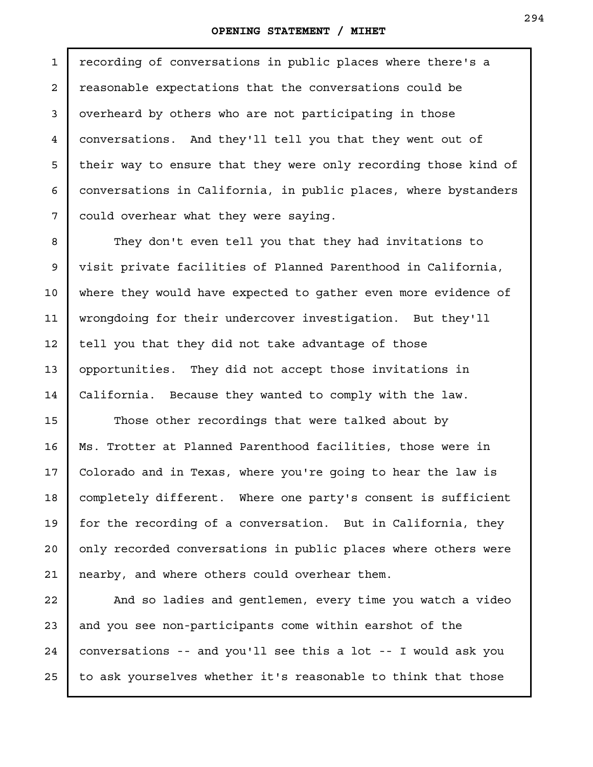recording of conversations in public places where there's a reasonable expectations that the conversations could be overheard by others who are not participating in those conversations. And they'll tell you that they went out of their way to ensure that they were only recording those kind of conversations in California, in public places, where bystanders could overhear what they were saying.

They don't even tell you that they had invitations to visit private facilities of Planned Parenthood in California, where they would have expected to gather even more evidence of wrongdoing for their undercover investigation. But they'll tell you that they did not take advantage of those opportunities. They did not accept those invitations in California. Because they wanted to comply with the law.

Those other recordings that were talked about by Ms. Trotter at Planned Parenthood facilities, those were in Colorado and in Texas, where you're going to hear the law is completely different. Where one party's consent is sufficient for the recording of a conversation. But in California, they only recorded conversations in public places where others were nearby, and where others could overhear them.

And so ladies and gentlemen, every time you watch a video and you see non-participants come within earshot of the conversations -- and you'll see this a lot -- I would ask you to ask yourselves whether it's reasonable to think that those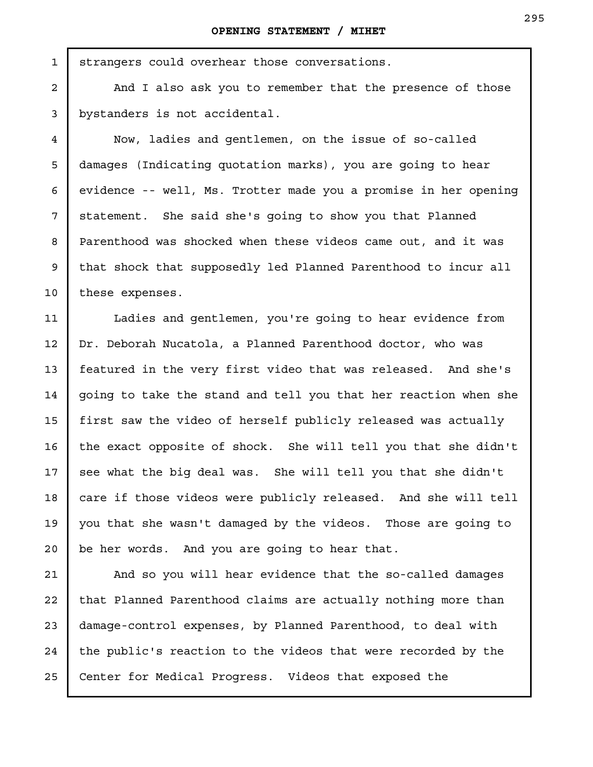strangers could overhear those conversations.

And I also ask you to remember that the presence of those bystanders is not accidental.

Now, ladies and gentlemen, on the issue of so-called damages (Indicating quotation marks), you are going to hear evidence -- well, Ms. Trotter made you a promise in her opening statement. She said she's going to show you that Planned Parenthood was shocked when these videos came out, and it was that shock that supposedly led Planned Parenthood to incur all these expenses.

Ladies and gentlemen, you're going to hear evidence from Dr. Deborah Nucatola, a Planned Parenthood doctor, who was featured in the very first video that was released. And she's going to take the stand and tell you that her reaction when she first saw the video of herself publicly released was actually the exact opposite of shock. She will tell you that she didn't see what the big deal was. She will tell you that she didn't care if those videos were publicly released. And she will tell you that she wasn't damaged by the videos. Those are going to be her words. And you are going to hear that. 11 12 13 14 15 16 17 18 19 20

And so you will hear evidence that the so-called damages that Planned Parenthood claims are actually nothing more than damage-control expenses, by Planned Parenthood, to deal with the public's reaction to the videos that were recorded by the Center for Medical Progress. Videos that exposed the 21 22 23 24 25

8

9

10

1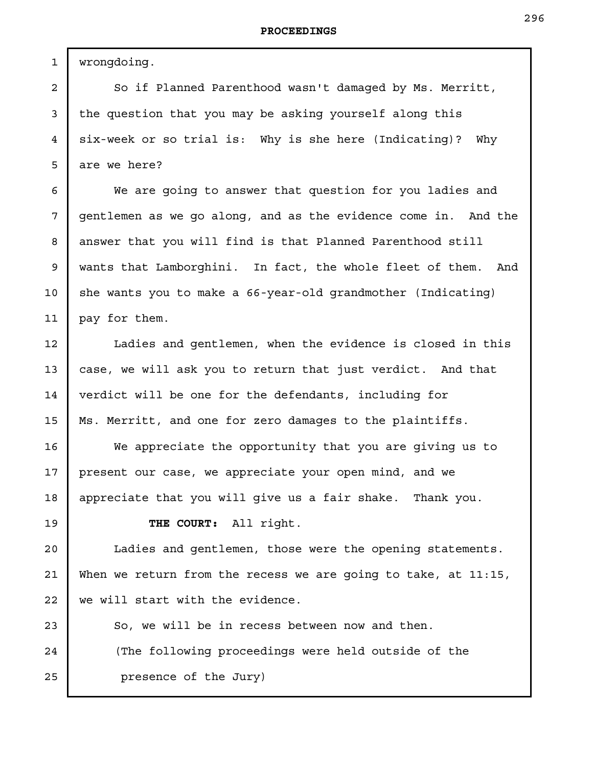wrongdoing.

1

2

3

4

5

6

7

8

9

10

11

12

13

14

15

16

17

18

19

So if Planned Parenthood wasn't damaged by Ms. Merritt, the question that you may be asking yourself along this six-week or so trial is: Why is she here (Indicating)? Why are we here?

We are going to answer that question for you ladies and gentlemen as we go along, and as the evidence come in. And the answer that you will find is that Planned Parenthood still wants that Lamborghini. In fact, the whole fleet of them. And she wants you to make a 66-year-old grandmother (Indicating) pay for them.

Ladies and gentlemen, when the evidence is closed in this case, we will ask you to return that just verdict. And that verdict will be one for the defendants, including for Ms. Merritt, and one for zero damages to the plaintiffs.

We appreciate the opportunity that you are giving us to present our case, we appreciate your open mind, and we appreciate that you will give us a fair shake. Thank you.

**THE COURT:** All right.

Ladies and gentlemen, those were the opening statements. When we return from the recess we are going to take, at 11:15, we will start with the evidence. 20 21 22

So, we will be in recess between now and then. (The following proceedings were held outside of the presence of the Jury) 23 24 25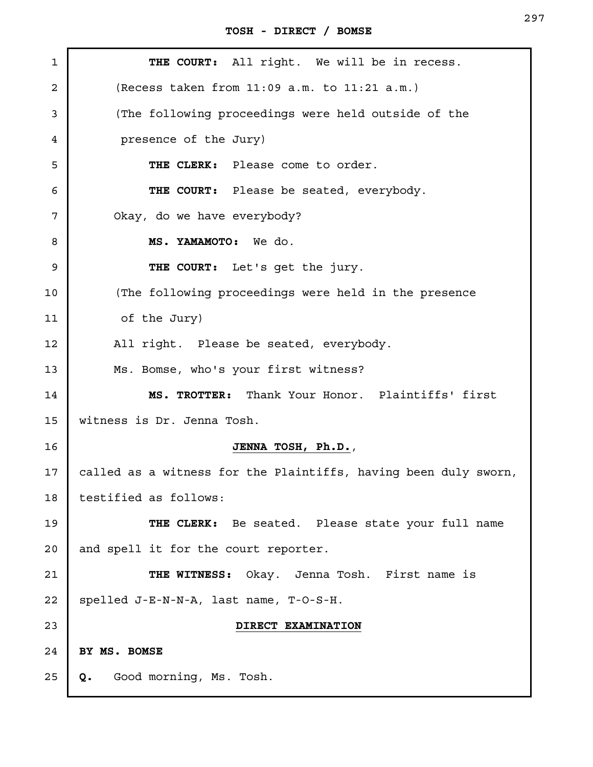| 1  | THE COURT: All right. We will be in recess.                     |
|----|-----------------------------------------------------------------|
| 2  | (Recess taken from 11:09 a.m. to 11:21 a.m.)                    |
| 3  | (The following proceedings were held outside of the             |
| 4  | presence of the Jury)                                           |
| 5  | THE CLERK: Please come to order.                                |
| 6  | THE COURT: Please be seated, everybody.                         |
| 7  | Okay, do we have everybody?                                     |
| 8  | MS. YAMAMOTO: We do.                                            |
| 9  | THE COURT: Let's get the jury.                                  |
| 10 | (The following proceedings were held in the presence            |
| 11 | of the Jury)                                                    |
| 12 | All right. Please be seated, everybody.                         |
| 13 | Ms. Bomse, who's your first witness?                            |
| 14 | MS. TROTTER: Thank Your Honor. Plaintiffs' first                |
| 15 | witness is Dr. Jenna Tosh.                                      |
| 16 | JENNA TOSH, Ph.D.,                                              |
| 17 | called as a witness for the Plaintiffs, having been duly sworn, |
| 18 | testified as follows:                                           |
| 19 | THE CLERK: Be seated. Please state your full name               |
| 20 | and spell it for the court reporter.                            |
| 21 | THE WITNESS: Okay. Jenna Tosh. First name is                    |
| 22 | spelled J-E-N-N-A, last name, T-O-S-H.                          |
| 23 | DIRECT EXAMINATION                                              |
| 24 | BY MS. BOMSE                                                    |
| 25 | Good morning, Ms. Tosh.<br>Q.                                   |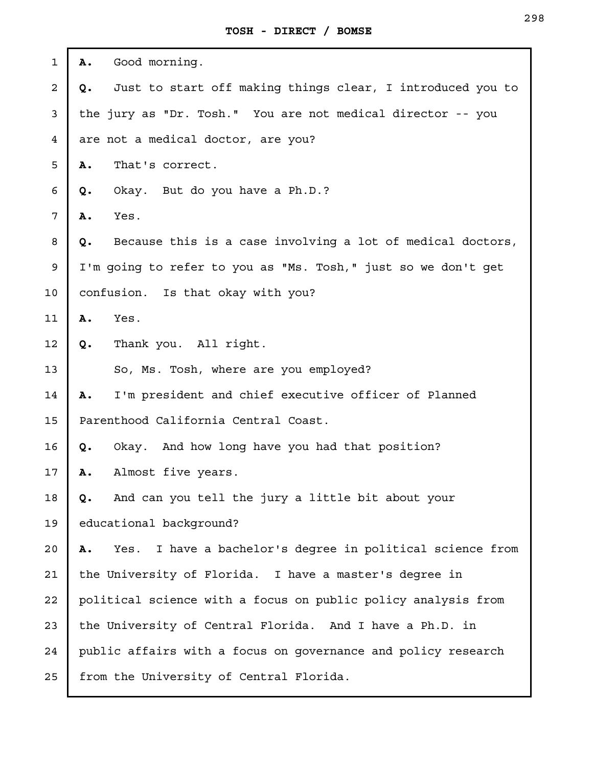| $\mathbf{1}$            | Good morning.<br>Α.                                                |  |
|-------------------------|--------------------------------------------------------------------|--|
| $\overline{\mathbf{c}}$ | Just to start off making things clear, I introduced you to<br>Q.   |  |
| 3                       | the jury as "Dr. Tosh." You are not medical director -- you        |  |
| $\overline{4}$          | are not a medical doctor, are you?                                 |  |
| 5                       | That's correct.<br>Α.                                              |  |
| 6                       | Okay. But do you have a Ph.D.?<br>Q.                               |  |
| 7                       | Yes.<br>Α.                                                         |  |
| 8                       | Because this is a case involving a lot of medical doctors,<br>Q.   |  |
| $\mathsf 9$             | I'm going to refer to you as "Ms. Tosh," just so we don't get      |  |
| 10                      | confusion. Is that okay with you?                                  |  |
| 11                      | Yes.<br>Α.                                                         |  |
| 12                      | Thank you. All right.<br>Q.                                        |  |
| 13                      | So, Ms. Tosh, where are you employed?                              |  |
| 14                      | I'm president and chief executive officer of Planned<br>Α.         |  |
| 15                      | Parenthood California Central Coast.                               |  |
| 16                      | Okay. And how long have you had that position?<br>Q.               |  |
| 17                      | Almost five years.<br>Α.                                           |  |
| 18                      | And can you tell the jury a little bit about your<br>Q.            |  |
| 19                      | educational background?                                            |  |
| 20                      | I have a bachelor's degree in political science from<br>Α.<br>Yes. |  |
| 21                      | the University of Florida. I have a master's degree in             |  |
| 22                      | political science with a focus on public policy analysis from      |  |
| 23                      | the University of Central Florida. And I have a Ph.D. in           |  |
| 24                      | public affairs with a focus on governance and policy research      |  |
| 25                      | from the University of Central Florida.                            |  |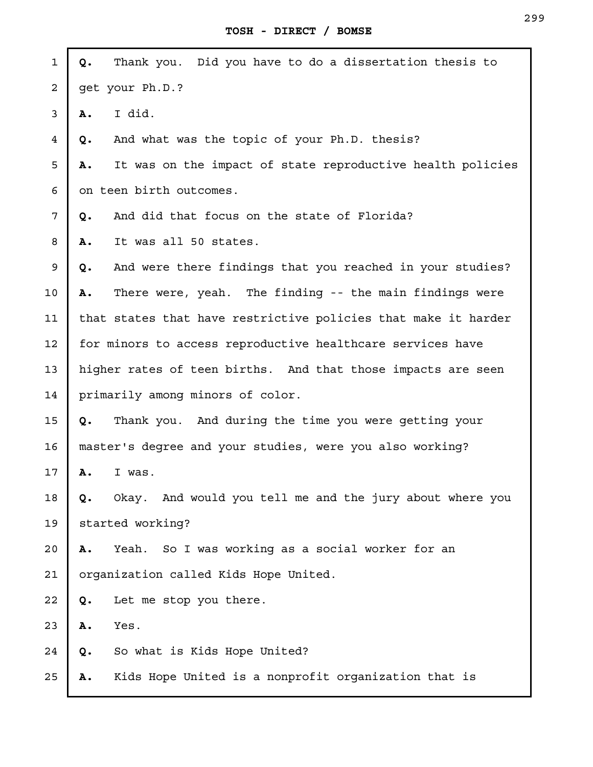| $\mathbf{1}$   | Q. | Thank you. Did you have to do a dissertation thesis to         |
|----------------|----|----------------------------------------------------------------|
| $\overline{a}$ |    | get your Ph.D.?                                                |
| 3              | Α. | I did.                                                         |
| 4              | Q. | And what was the topic of your Ph.D. thesis?                   |
| 5              | Α. | It was on the impact of state reproductive health policies     |
| 6              |    | on teen birth outcomes.                                        |
| 7              | Q. | And did that focus on the state of Florida?                    |
| 8              | Α. | It was all 50 states.                                          |
| 9              | Q. | And were there findings that you reached in your studies?      |
| 10             | Α. | There were, yeah. The finding -- the main findings were        |
| 11             |    | that states that have restrictive policies that make it harder |
| 12             |    | for minors to access reproductive healthcare services have     |
| 13             |    | higher rates of teen births. And that those impacts are seen   |
| 14             |    | primarily among minors of color.                               |
| 15             | Q. | Thank you. And during the time you were getting your           |
| 16             |    | master's degree and your studies, were you also working?       |
| 17             | Α. | I was.                                                         |
| 18             | Q. | Okay. And would you tell me and the jury about where you       |
| 19             |    | started working?                                               |
| 20             | Α. | Yeah. So I was working as a social worker for an               |
| 21             |    | organization called Kids Hope United.                          |
| 22             | Q. | Let me stop you there.                                         |
| 23             | Α. | Yes.                                                           |
| 24             | Q. | So what is Kids Hope United?                                   |
| 25             | Α. | Kids Hope United is a nonprofit organization that is           |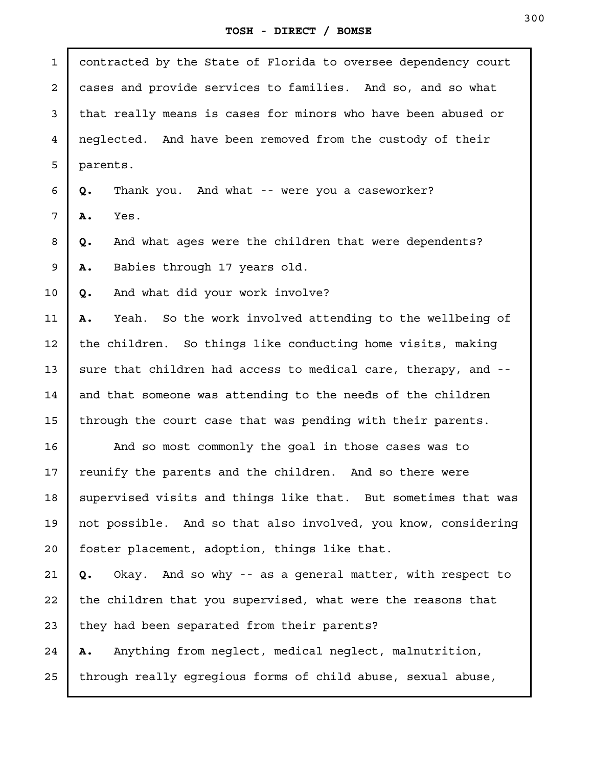contracted by the State of Florida to oversee dependency court cases and provide services to families. And so, and so what that really means is cases for minors who have been abused or neglected. And have been removed from the custody of their parents. **Q.** Thank you. And what -- were you a caseworker? **A.** Yes. **Q.** And what ages were the children that were dependents? **A.** Babies through 17 years old. **Q.** And what did your work involve? **A.** Yeah. So the work involved attending to the wellbeing of the children. So things like conducting home visits, making sure that children had access to medical care, therapy, and - and that someone was attending to the needs of the children through the court case that was pending with their parents. And so most commonly the goal in those cases was to reunify the parents and the children. And so there were supervised visits and things like that. But sometimes that was not possible. And so that also involved, you know, considering foster placement, adoption, things like that. **Q.** Okay. And so why -- as a general matter, with respect to the children that you supervised, what were the reasons that they had been separated from their parents? **A.** Anything from neglect, medical neglect, malnutrition, through really egregious forms of child abuse, sexual abuse, 1 2 3 4 5 6 7 8 9 10 11 12 13 14 15 16 17 18 19 20 21 22 23 24 25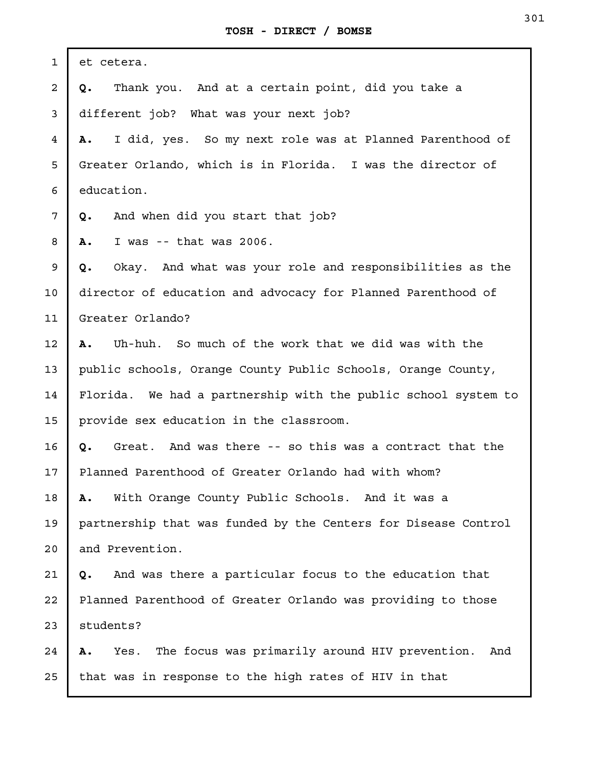| $\mathbf 1$             | et cetera.                                                          |  |
|-------------------------|---------------------------------------------------------------------|--|
| $\overline{\mathbf{c}}$ | Thank you. And at a certain point, did you take a<br>Q.             |  |
| 3                       | different job? What was your next job?                              |  |
| $\overline{4}$          | I did, yes. So my next role was at Planned Parenthood of<br>Α.      |  |
| 5                       | Greater Orlando, which is in Florida. I was the director of         |  |
| 6                       | education.                                                          |  |
| 7                       | And when did you start that job?<br>Q.                              |  |
| 8                       | I was $-$ - that was 2006.<br>Α.                                    |  |
| 9                       | Okay. And what was your role and responsibilities as the<br>Q.      |  |
| 10                      | director of education and advocacy for Planned Parenthood of        |  |
| 11                      | Greater Orlando?                                                    |  |
| 12                      | Uh-huh. So much of the work that we did was with the<br>A.          |  |
| 13                      | public schools, Orange County Public Schools, Orange County,        |  |
| 14                      | Florida. We had a partnership with the public school system to      |  |
| 15                      | provide sex education in the classroom.                             |  |
| 16                      | Great. And was there -- so this was a contract that the<br>Q.       |  |
| 17                      | Planned Parenthood of Greater Orlando had with whom?                |  |
| 18                      | With Orange County Public Schools. And it was a<br>Α.               |  |
| 19                      | partnership that was funded by the Centers for Disease Control      |  |
| 20                      | and Prevention.                                                     |  |
| 21                      | And was there a particular focus to the education that<br>Q.        |  |
| 22                      | Planned Parenthood of Greater Orlando was providing to those        |  |
| 23                      | students?                                                           |  |
| 24                      | The focus was primarily around HIV prevention.<br>And<br>Yes.<br>Α. |  |
| 25                      | that was in response to the high rates of HIV in that               |  |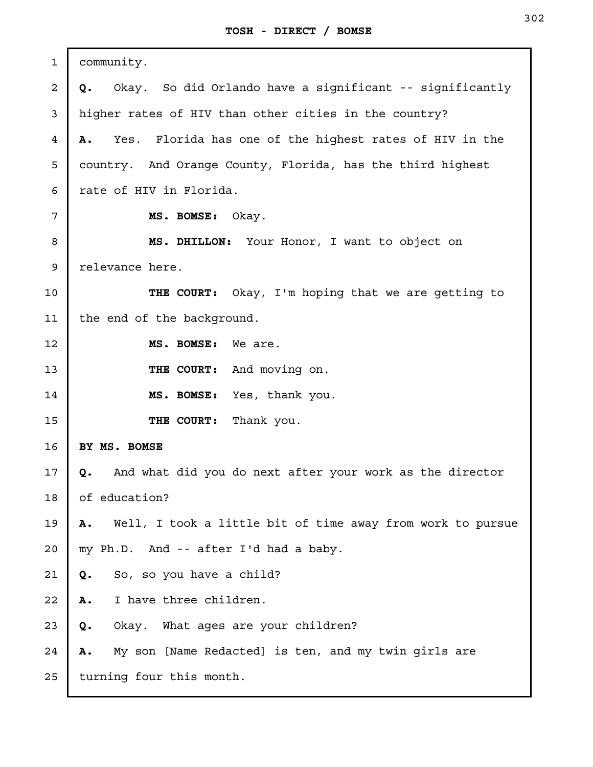| 1              | community.                                                       |
|----------------|------------------------------------------------------------------|
| 2              | Okay. So did Orlando have a significant -- significantly<br>Q.   |
| 3              | higher rates of HIV than other cities in the country?            |
| $\overline{4}$ | Yes. Florida has one of the highest rates of HIV in the<br>Α.    |
| 5              | country. And Orange County, Florida, has the third highest       |
| 6              | rate of HIV in Florida.                                          |
| 7              | MS. BOMSE: Okay.                                                 |
| 8              | MS. DHILLON: Your Honor, I want to object on                     |
| 9              | relevance here.                                                  |
| 10             | THE COURT: Okay, I'm hoping that we are getting to               |
| 11             | the end of the background.                                       |
| 12             | MS. BOMSE:<br>We are.                                            |
| 13             | THE COURT: And moving on.                                        |
| 14             | MS. BOMSE: Yes, thank you.                                       |
| 15             | THE COURT:<br>Thank you.                                         |
| 16             | BY MS. BOMSE                                                     |
| 17             | And what did you do next after your work as the director<br>Q.   |
| 18             | of education?                                                    |
| 19             | Well, I took a little bit of time away from work to pursue<br>Α. |
| 20             | my Ph.D. And -- after I'd had a baby.                            |
| 21             | So, so you have a child?<br>Q.                                   |
| 22             | I have three children.<br>Α.                                     |
| 23             | Okay. What ages are your children?<br>Q.                         |
| 24             | My son [Name Redacted] is ten, and my twin girls are<br>Α.       |
| 25             | turning four this month.                                         |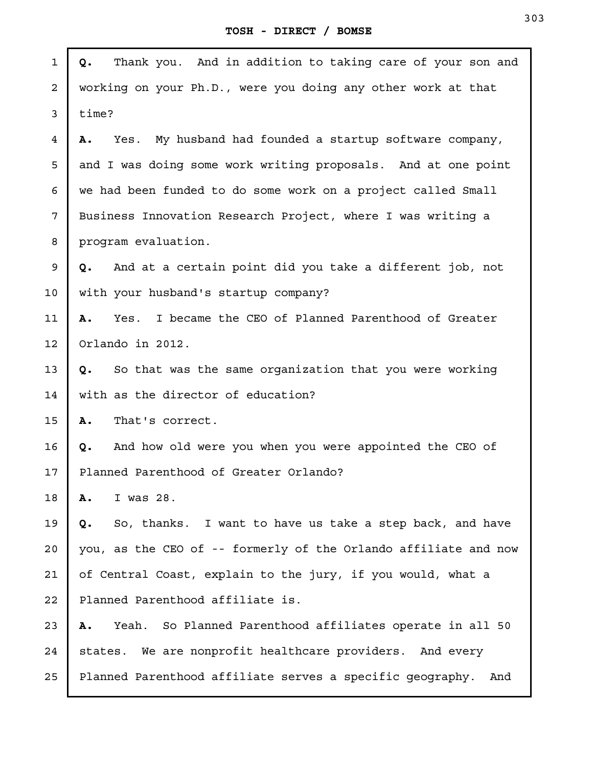J.

| $\mathbf{1}$   | Thank you. And in addition to taking care of your son and<br>Q.   |
|----------------|-------------------------------------------------------------------|
| $\overline{a}$ | working on your Ph.D., were you doing any other work at that      |
| 3              | time?                                                             |
| $\overline{4}$ | Yes. My husband had founded a startup software company,<br>Α.     |
| 5              | and I was doing some work writing proposals. And at one point     |
| 6              | we had been funded to do some work on a project called Small      |
| 7              | Business Innovation Research Project, where I was writing a       |
| 8              | program evaluation.                                               |
| 9              | And at a certain point did you take a different job, not<br>Q.    |
| 10             | with your husband's startup company?                              |
| 11             | I became the CEO of Planned Parenthood of Greater<br>Yes.<br>Α.   |
| 12             | Orlando in 2012.                                                  |
| 13             | So that was the same organization that you were working<br>Q.     |
| 14             | with as the director of education?                                |
| 15             | Α.<br>That's correct.                                             |
| 16             | And how old were you when you were appointed the CEO of<br>Q.     |
| 17             | Planned Parenthood of Greater Orlando?                            |
| 18             | I was 28.<br>Α.                                                   |
| 19             | So, thanks. I want to have us take a step back, and have<br>Q.    |
| 20             | you, as the CEO of -- formerly of the Orlando affiliate and now   |
| 21             | of Central Coast, explain to the jury, if you would, what a       |
| 22             | Planned Parenthood affiliate is.                                  |
| 23             | So Planned Parenthood affiliates operate in all 50<br>Yeah.<br>Α. |
| 24             | states. We are nonprofit healthcare providers. And every          |
| 25             | Planned Parenthood affiliate serves a specific geography.<br>And  |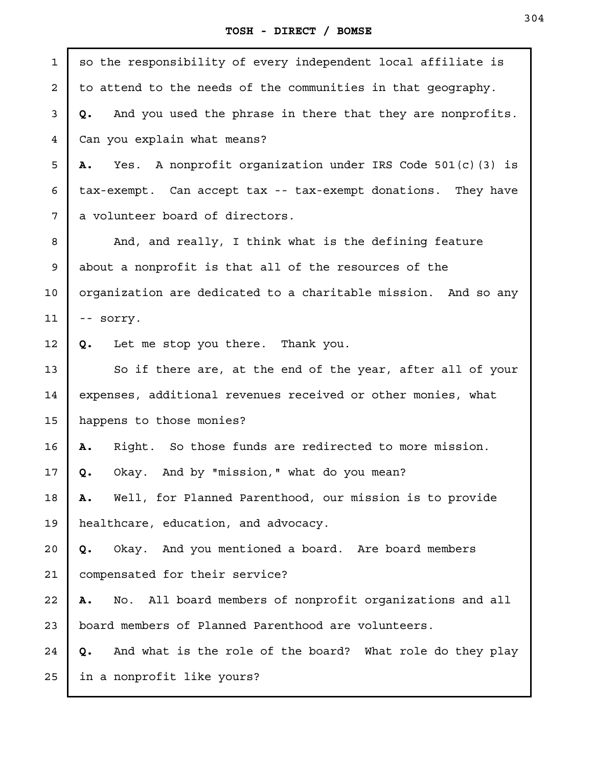| $\mathbf{1}$   | so the responsibility of every independent local affiliate is    |  |
|----------------|------------------------------------------------------------------|--|
| 2              | to attend to the needs of the communities in that geography.     |  |
| 3              | And you used the phrase in there that they are nonprofits.<br>Q. |  |
| $\overline{4}$ | Can you explain what means?                                      |  |
| 5              | Yes. A nonprofit organization under IRS Code 501(c)(3) is<br>Α.  |  |
| 6              | tax-exempt. Can accept tax -- tax-exempt donations. They have    |  |
| 7              | a volunteer board of directors.                                  |  |
| 8              | And, and really, I think what is the defining feature            |  |
| 9              | about a nonprofit is that all of the resources of the            |  |
| 10             | organization are dedicated to a charitable mission. And so any   |  |
| 11             | -- sorry.                                                        |  |
| 12             | Let me stop you there. Thank you.<br>Q.                          |  |
| 13             | So if there are, at the end of the year, after all of your       |  |
| 14             | expenses, additional revenues received or other monies, what     |  |
| 15             | happens to those monies?                                         |  |
| 16             | Right. So those funds are redirected to more mission.<br>Α.      |  |
| 17             | Okay. And by "mission," what do you mean?<br>Q.                  |  |
| 18             | Well, for Planned Parenthood, our mission is to provide<br>Α.    |  |
| 19             | healthcare, education, and advocacy.                             |  |
| 20             | Okay. And you mentioned a board. Are board members<br>Q.         |  |
| 21             | compensated for their service?                                   |  |
| 22             | No. All board members of nonprofit organizations and all<br>Α.   |  |
| 23             | board members of Planned Parenthood are volunteers.              |  |
| 24             | And what is the role of the board? What role do they play<br>Q.  |  |
| 25             | in a nonprofit like yours?                                       |  |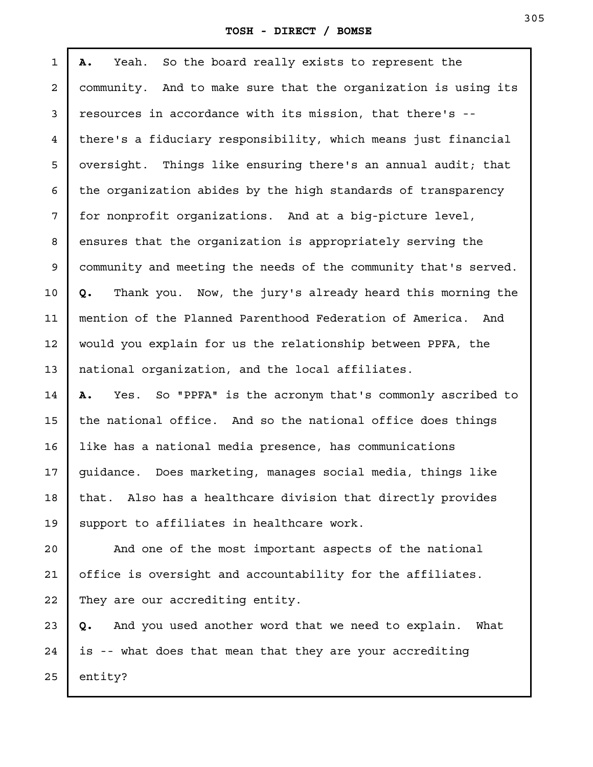**A.** Yeah. So the board really exists to represent the community. And to make sure that the organization is using its resources in accordance with its mission, that there's - there's a fiduciary responsibility, which means just financial oversight. Things like ensuring there's an annual audit; that the organization abides by the high standards of transparency for nonprofit organizations. And at a big-picture level, ensures that the organization is appropriately serving the community and meeting the needs of the community that's served. **Q.** Thank you. Now, the jury's already heard this morning the mention of the Planned Parenthood Federation of America. And would you explain for us the relationship between PPFA, the national organization, and the local affiliates. **A.** Yes. So "PPFA" is the acronym that's commonly ascribed to the national office. And so the national office does things like has a national media presence, has communications guidance. Does marketing, manages social media, things like that. Also has a healthcare division that directly provides support to affiliates in healthcare work. And one of the most important aspects of the national 1 2 3 4 5 6 7 8 9 10 11 12 13 14 15 16 17 18 19 20

office is oversight and accountability for the affiliates. They are our accrediting entity. 21 22

**Q.** And you used another word that we need to explain. What is -- what does that mean that they are your accrediting entity? 23 24 25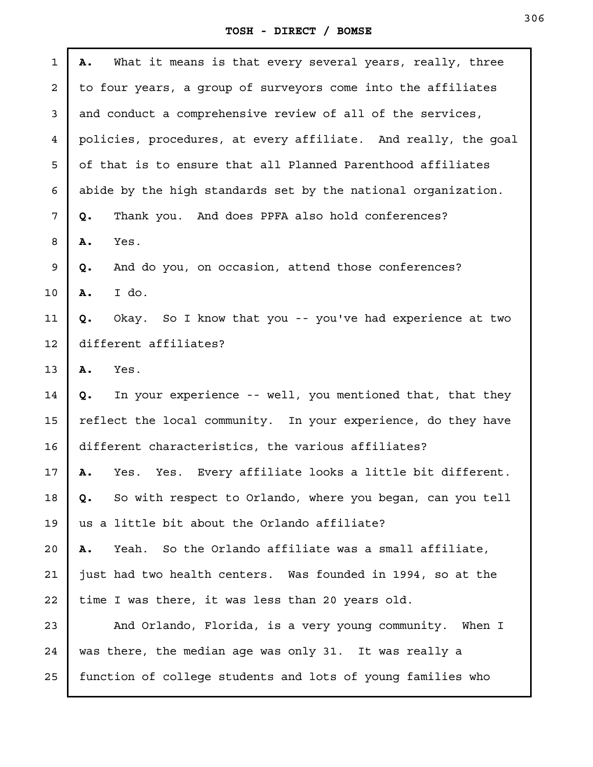| $\mathbf{1}$ | What it means is that every several years, really, three<br>Α.  |  |
|--------------|-----------------------------------------------------------------|--|
| 2            | to four years, a group of surveyors come into the affiliates    |  |
| 3            | and conduct a comprehensive review of all of the services,      |  |
| 4            | policies, procedures, at every affiliate. And really, the goal  |  |
| 5            | of that is to ensure that all Planned Parenthood affiliates     |  |
| 6            | abide by the high standards set by the national organization.   |  |
| 7            | Thank you. And does PPFA also hold conferences?<br>Q.           |  |
| 8            | Yes.<br>Α.                                                      |  |
| 9            | And do you, on occasion, attend those conferences?<br>Q.        |  |
| 10           | I do.<br>Α.                                                     |  |
| 11           | Okay. So I know that you -- you've had experience at two<br>Q.  |  |
| 12           | different affiliates?                                           |  |
| 13           | Yes.<br>Α.                                                      |  |
| 14           | Q. In your experience -- well, you mentioned that, that they    |  |
| 15           | reflect the local community. In your experience, do they have   |  |
| 16           | different characteristics, the various affiliates?              |  |
| 17           | Yes. Yes. Every affiliate looks a little bit different.<br>Α.   |  |
| 18           | So with respect to Orlando, where you began, can you tell<br>Q. |  |
| 19           | us a little bit about the Orlando affiliate?                    |  |
| 20           | Yeah. So the Orlando affiliate was a small affiliate,<br>Α.     |  |
| 21           | just had two health centers. Was founded in 1994, so at the     |  |
| 22           | time I was there, it was less than 20 years old.                |  |
| 23           | And Orlando, Florida, is a very young community. When I         |  |
| 24           | was there, the median age was only 31. It was really a          |  |
| 25           | function of college students and lots of young families who     |  |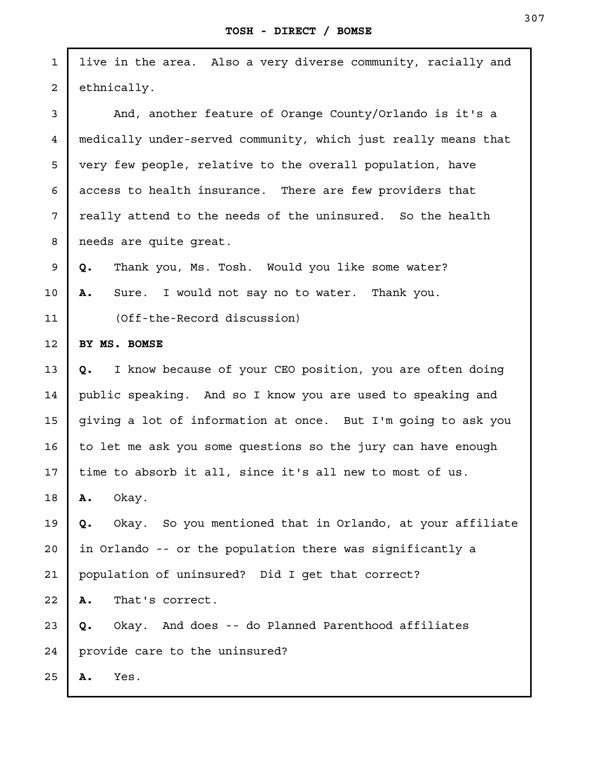| $\mathbf 1$    | live in the area. Also a very diverse community, racially and   |  |
|----------------|-----------------------------------------------------------------|--|
| $\overline{a}$ | ethnically.                                                     |  |
| $\mathsf{3}$   | And, another feature of Orange County/Orlando is it's a         |  |
| 4              | medically under-served community, which just really means that  |  |
| 5              | very few people, relative to the overall population, have       |  |
| 6              | access to health insurance. There are few providers that        |  |
| 7              | really attend to the needs of the uninsured. So the health      |  |
| 8              | needs are quite great.                                          |  |
| 9              | Thank you, Ms. Tosh. Would you like some water?<br>Q.           |  |
| 10             | Sure. I would not say no to water. Thank you.<br>Α.             |  |
| 11             | (Off-the-Record discussion)                                     |  |
| 12             | BY MS. BOMSE                                                    |  |
| 13             | I know because of your CEO position, you are often doing<br>Q.  |  |
| 14             | public speaking. And so I know you are used to speaking and     |  |
| 15             | giving a lot of information at once. But I'm going to ask you   |  |
| 16             | to let me ask you some questions so the jury can have enough    |  |
| 17             | time to absorb it all, since it's all new to most of us.        |  |
| 18             | Α.<br>Okay.                                                     |  |
| 19             | Okay. So you mentioned that in Orlando, at your affiliate<br>Q. |  |
| 20             | in Orlando -- or the population there was significantly a       |  |
| 21             | population of uninsured? Did I get that correct?                |  |
| 22             | That's correct.<br>Α.                                           |  |
| 23             | Okay. And does -- do Planned Parenthood affiliates<br>Q.        |  |
| 24             | provide care to the uninsured?                                  |  |
| 25             | Yes.<br>Α.                                                      |  |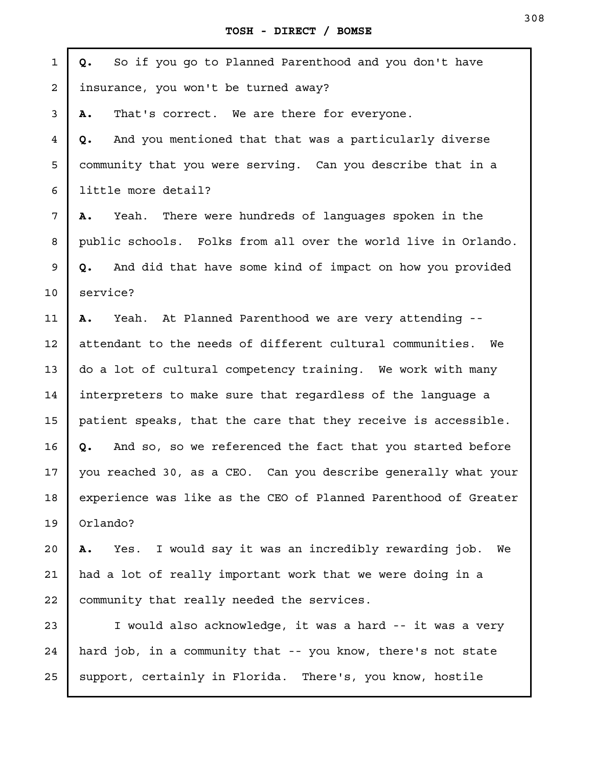| $\mathbf{1}$   | So if you go to Planned Parenthood and you don't have<br>Q.      |  |
|----------------|------------------------------------------------------------------|--|
| $\overline{a}$ | insurance, you won't be turned away?                             |  |
| 3              | That's correct. We are there for everyone.<br>Α.                 |  |
| 4              | And you mentioned that that was a particularly diverse<br>Q.     |  |
| 5              | community that you were serving. Can you describe that in a      |  |
| 6              | little more detail?                                              |  |
| 7              | Yeah. There were hundreds of languages spoken in the<br>Α.       |  |
| 8              | public schools. Folks from all over the world live in Orlando.   |  |
| 9              | And did that have some kind of impact on how you provided<br>Q.  |  |
| 10             | service?                                                         |  |
| 11             | Yeah. At Planned Parenthood we are very attending --<br>Α.       |  |
| 12             | attendant to the needs of different cultural communities. We     |  |
| 13             | do a lot of cultural competency training. We work with many      |  |
| 14             | interpreters to make sure that regardless of the language a      |  |
| 15             | patient speaks, that the care that they receive is accessible.   |  |
| 16             | And so, so we referenced the fact that you started before<br>Q.  |  |
| 17             | you reached 30, as a CEO. Can you describe qenerally what your   |  |
| 18             | experience was like as the CEO of Planned Parenthood of Greater  |  |
| 19             | Orlando?                                                         |  |
| 20             | Yes. I would say it was an incredibly rewarding job.<br>We<br>Α. |  |
| 21             | had a lot of really important work that we were doing in a       |  |
| 22             | community that really needed the services.                       |  |
| 23             | I would also acknowledge, it was a hard -- it was a very         |  |
| 24             | hard job, in a community that -- you know, there's not state     |  |
| 25             | support, certainly in Florida. There's, you know, hostile        |  |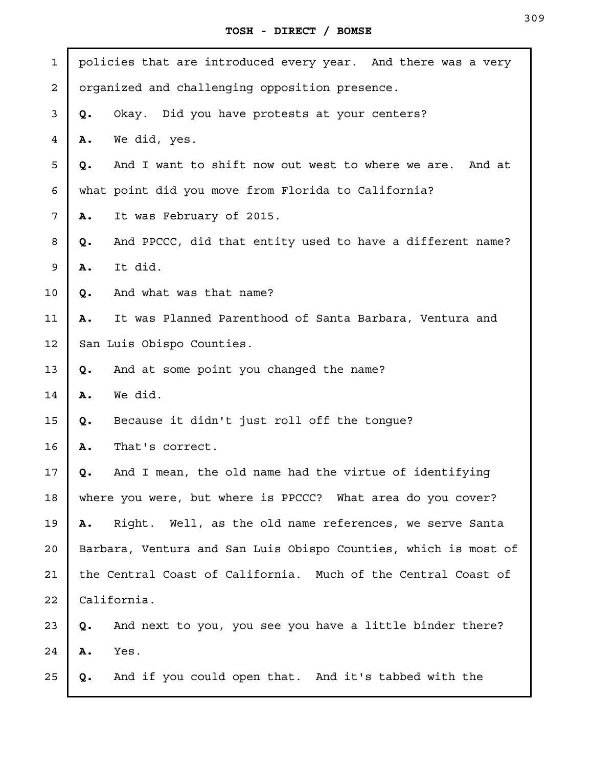J.

| $\mathbf 1$             |                           | policies that are introduced every year. And there was a very   |
|-------------------------|---------------------------|-----------------------------------------------------------------|
| $\overline{\mathbf{c}}$ |                           | organized and challenging opposition presence.                  |
| 3                       | Q.                        | Okay. Did you have protests at your centers?                    |
| 4                       | Α.                        | We did, yes.                                                    |
| 5                       | Q.                        | And I want to shift now out west to where we are. And at        |
| 6                       |                           | what point did you move from Florida to California?             |
| 7                       | Α.                        | It was February of 2015.                                        |
| 8                       | Q.                        | And PPCCC, did that entity used to have a different name?       |
| 9                       | Α.                        | It did.                                                         |
| 10                      | Q.                        | And what was that name?                                         |
| 11                      | Α.                        | It was Planned Parenthood of Santa Barbara, Ventura and         |
| 12                      | San Luis Obispo Counties. |                                                                 |
| 13                      | Q.                        | And at some point you changed the name?                         |
| 14                      | Α.                        | We did.                                                         |
| 15                      | Q.                        | Because it didn't just roll off the tongue?                     |
| 16                      | Α.                        | That's correct.                                                 |
| 17                      | Q.                        | And I mean, the old name had the virtue of identifying          |
| 18                      |                           | where you were, but where is PPCCC? What area do you cover?     |
| 19                      | Α.                        | Right. Well, as the old name references, we serve Santa         |
| 20                      |                           | Barbara, Ventura and San Luis Obispo Counties, which is most of |
| 21                      |                           | the Central Coast of California. Much of the Central Coast of   |
| 22                      |                           | California.                                                     |
| 23                      | Q.                        | And next to you, you see you have a little binder there?        |
| 24                      | Α.                        | Yes.                                                            |
| 25                      | Q.                        | And if you could open that. And it's tabbed with the            |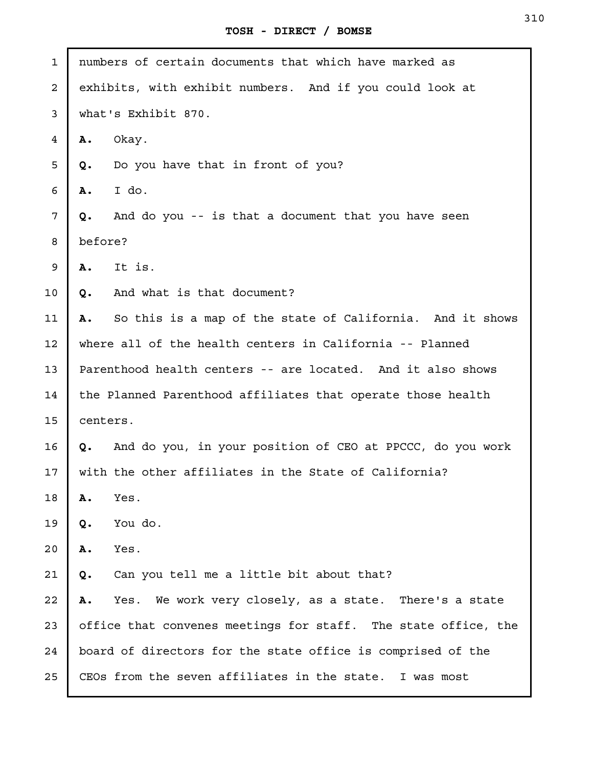| $\mathbf{1}$ | numbers of certain documents that which have marked as          |
|--------------|-----------------------------------------------------------------|
| $\mathbf{2}$ | exhibits, with exhibit numbers. And if you could look at        |
| 3            | what's Exhibit 870.                                             |
| 4            | Okay.<br>Α.                                                     |
| 5            | Do you have that in front of you?<br>Q.                         |
| 6            | I do.<br>Α.                                                     |
| 7            | And do you -- is that a document that you have seen<br>Q.       |
| 8            | before?                                                         |
| 9            | It is.<br>Α.                                                    |
| 10           | And what is that document?<br>Q.                                |
| 11           | So this is a map of the state of California. And it shows<br>Α. |
| 12           | where all of the health centers in California -- Planned        |
| 13           | Parenthood health centers -- are located. And it also shows     |
| 14           | the Planned Parenthood affiliates that operate those health     |
| 15           | centers.                                                        |
| 16           | Q. And do you, in your position of CEO at PPCCC, do you work    |
| 17           | with the other affiliates in the State of California?           |
| 18           | Yes.<br>Α.                                                      |
| 19           | You do.<br>Q.                                                   |
| 20           | Yes.<br>Α.                                                      |
| 21           | Can you tell me a little bit about that?<br>Q.                  |
| 22           | We work very closely, as a state. There's a state<br>Α.<br>Yes. |
| 23           | office that convenes meetings for staff. The state office, the  |
| 24           | board of directors for the state office is comprised of the     |
| 25           | CEOs from the seven affiliates in the state. I was most         |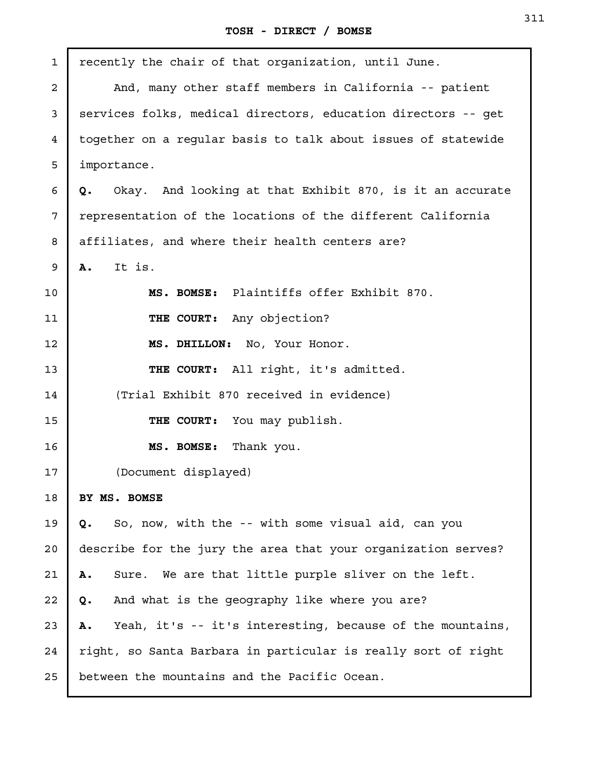| $\mathbf{1}$   | recently the chair of that organization, until June.            |
|----------------|-----------------------------------------------------------------|
| $\overline{a}$ | And, many other staff members in California -- patient          |
| 3              | services folks, medical directors, education directors -- get   |
| 4              | together on a regular basis to talk about issues of statewide   |
| 5              | importance.                                                     |
| 6              | Okay. And looking at that Exhibit 870, is it an accurate<br>Q.  |
| 7              | representation of the locations of the different California     |
| 8              | affiliates, and where their health centers are?                 |
| 9              | It is.<br><b>A.</b>                                             |
| 10             | MS. BOMSE: Plaintiffs offer Exhibit 870.                        |
| 11             | THE COURT: Any objection?                                       |
| 12             | MS. DHILLON: No, Your Honor.                                    |
| 13             | THE COURT: All right, it's admitted.                            |
| 14             | (Trial Exhibit 870 received in evidence)                        |
| 15             | THE COURT: You may publish.                                     |
| 16             | MS. BOMSE: Thank you.                                           |
| 17             | (Document displayed)                                            |
| 18             | BY MS. BOMSE                                                    |
| 19             | So, now, with the -- with some visual aid, can you<br>Q.        |
| 20             | describe for the jury the area that your organization serves?   |
| 21             | Sure. We are that little purple sliver on the left.<br>Α.       |
| 22             | And what is the geography like where you are?<br>Q.             |
| 23             | Yeah, it's -- it's interesting, because of the mountains,<br>Α. |
| 24             | right, so Santa Barbara in particular is really sort of right   |
| 25             | between the mountains and the Pacific Ocean.                    |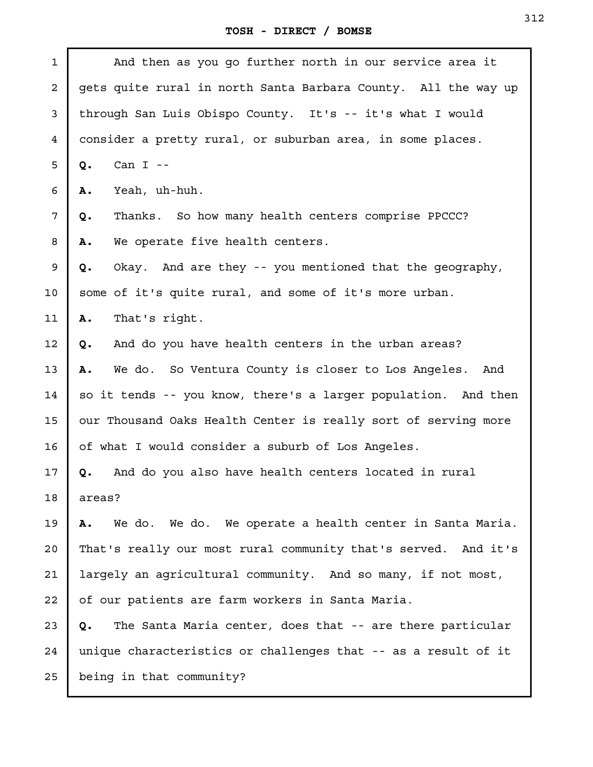| $\mathbf 1$ | And then as you go further north in our service area it         |
|-------------|-----------------------------------------------------------------|
| 2           | gets quite rural in north Santa Barbara County. All the way up  |
| 3           | through San Luis Obispo County. It's -- it's what I would       |
| 4           | consider a pretty rural, or suburban area, in some places.      |
| 5           | Can $I$ --<br>Q.                                                |
| 6           | Α.<br>Yeah, uh-huh.                                             |
| 7           | Thanks. So how many health centers comprise PPCCC?<br>Q.        |
| 8           | We operate five health centers.<br>Α.                           |
| 9           | Okay. And are they -- you mentioned that the geography,<br>Q.   |
| 10          | some of it's quite rural, and some of it's more urban.          |
| 11          | That's right.<br>Α.                                             |
| 12          | And do you have health centers in the urban areas?<br>Q.        |
| 13          | We do. So Ventura County is closer to Los Angeles.<br>Α.<br>And |
| 14          | so it tends -- you know, there's a larger population. And then  |
| 15          | our Thousand Oaks Health Center is really sort of serving more  |
| 16          | of what I would consider a suburb of Los Angeles.               |
| 17          | And do you also have health centers located in rural<br>Q.      |
| 18          | areas?                                                          |
| 19          | We do. We do. We operate a health center in Santa Maria.<br>Α.  |
| 20          | That's really our most rural community that's served. And it's  |
| 21          | largely an agricultural community. And so many, if not most,    |
| 22          | of our patients are farm workers in Santa Maria.                |
| 23          | The Santa Maria center, does that -- are there particular<br>Q. |
| 24          | unique characteristics or challenges that -- as a result of it  |
| 25          | being in that community?                                        |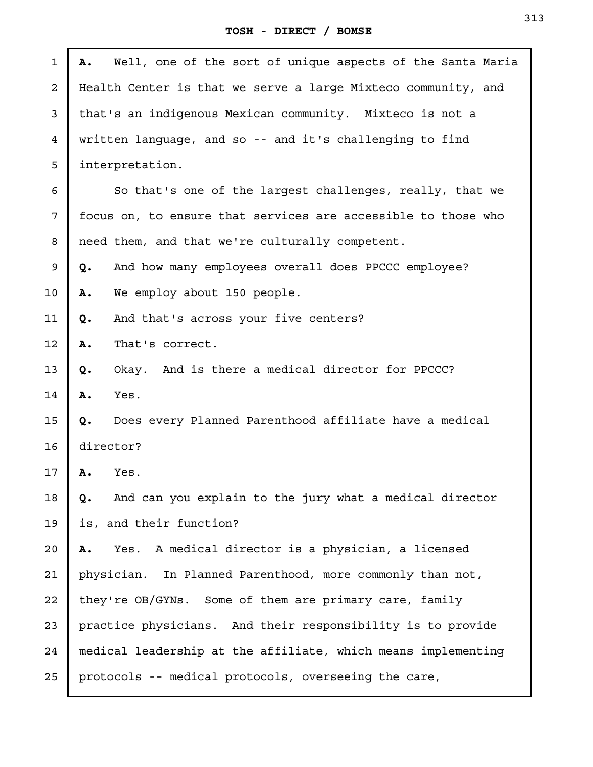| 1                       | Well, one of the sort of unique aspects of the Santa Maria<br>Α. |
|-------------------------|------------------------------------------------------------------|
| $\overline{\mathbf{c}}$ | Health Center is that we serve a large Mixteco community, and    |
| 3                       | that's an indigenous Mexican community. Mixteco is not a         |
| 4                       | written language, and so -- and it's challenging to find         |
| 5                       | interpretation.                                                  |
| 6                       | So that's one of the largest challenges, really, that we         |
| 7                       | focus on, to ensure that services are accessible to those who    |
| 8                       | need them, and that we're culturally competent.                  |
| 9                       | And how many employees overall does PPCCC employee?<br>Q.        |
| 10                      | Α.<br>We employ about 150 people.                                |
| 11                      | And that's across your five centers?<br>Q.                       |
| 12                      | Α.<br>That's correct.                                            |
| 13                      | Okay. And is there a medical director for PPCCC?<br>Q.           |
| 14                      | Α.<br>Yes.                                                       |
| 15                      | Does every Planned Parenthood affiliate have a medical<br>Q.     |
| 16                      | director?                                                        |
| 17                      | Yes.<br>Α.                                                       |
| 18                      | And can you explain to the jury what a medical director<br>Q.    |
| 19                      | is, and their function?                                          |
| 20                      | Yes. A medical director is a physician, a licensed<br>Α.         |
| 21                      | physician. In Planned Parenthood, more commonly than not,        |
| 22                      | they're OB/GYNs. Some of them are primary care, family           |
| 23                      | practice physicians. And their responsibility is to provide      |
| 24                      | medical leadership at the affiliate, which means implementing    |
| 25                      | protocols -- medical protocols, overseeing the care,             |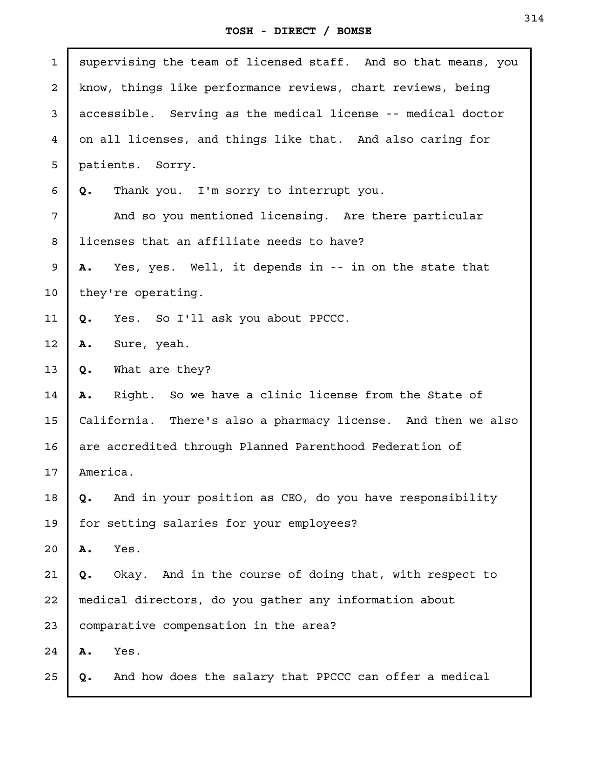| $\mathbf{1}$   | supervising the team of licensed staff. And so that means, you |
|----------------|----------------------------------------------------------------|
| $\overline{a}$ | know, things like performance reviews, chart reviews, being    |
| 3              | accessible. Serving as the medical license -- medical doctor   |
| 4              | on all licenses, and things like that. And also caring for     |
| 5              | patients. Sorry.                                               |
| 6              | Q.<br>Thank you. I'm sorry to interrupt you.                   |
| 7              | And so you mentioned licensing. Are there particular           |
| 8              | licenses that an affiliate needs to have?                      |
| 9              | A. Yes, yes. Well, it depends in -- in on the state that       |
| 10             | they're operating.                                             |
| 11             | Yes. So I'll ask you about PPCCC.<br>Q.                        |
| 12             | Sure, yeah.<br>Α.                                              |
| 13             | What are they?<br>Q.                                           |
| 14             | Right. So we have a clinic license from the State of<br>Α.     |
| 15             | California. There's also a pharmacy license. And then we also  |
| 16             | are accredited through Planned Parenthood Federation of        |
| 17             | America.                                                       |
| 18             | And in your position as CEO, do you have responsibility<br>Q.  |
| 19             | for setting salaries for your employees?                       |
| 20             | Yes.<br>Α.                                                     |
| 21             | Okay. And in the course of doing that, with respect to<br>Q.   |
| 22             | medical directors, do you gather any information about         |
| 23             | comparative compensation in the area?                          |
| 24             | Yes.<br>Α.                                                     |
| 25             | And how does the salary that PPCCC can offer a medical<br>Q.   |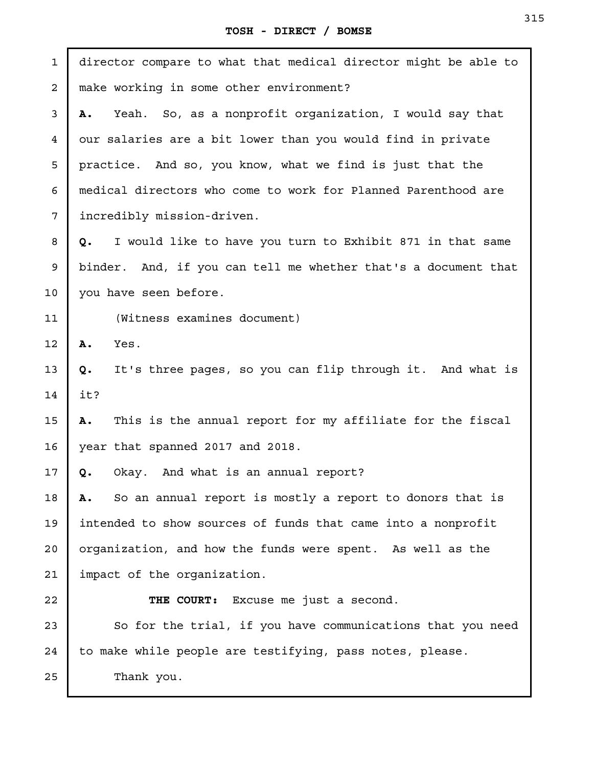| $\mathbf{1}$ | director compare to what that medical director might be able to |
|--------------|-----------------------------------------------------------------|
| 2            | make working in some other environment?                         |
| 3            | Yeah. So, as a nonprofit organization, I would say that<br>Α.   |
| 4            | our salaries are a bit lower than you would find in private     |
| 5            | practice. And so, you know, what we find is just that the       |
| 6            | medical directors who come to work for Planned Parenthood are   |
| 7            | incredibly mission-driven.                                      |
| 8            | I would like to have you turn to Exhibit 871 in that same<br>Q. |
| 9            | binder. And, if you can tell me whether that's a document that  |
| 10           | you have seen before.                                           |
| 11           | (Witness examines document)                                     |
| 12           | Α.<br>Yes.                                                      |
| 13           | It's three pages, so you can flip through it. And what is<br>Q. |
| 14           | it?                                                             |
| 15           | This is the annual report for my affiliate for the fiscal<br>Α. |
| 16           | year that spanned 2017 and 2018.                                |
| 17           | Okay. And what is an annual report?<br>Q.                       |
| 18           | So an annual report is mostly a report to donors that is<br>А.  |
| 19           | intended to show sources of funds that came into a nonprofit    |
| 20           | organization, and how the funds were spent. As well as the      |
| 21           | impact of the organization.                                     |
| 22           | THE COURT:<br>Excuse me just a second.                          |
| 23           | So for the trial, if you have communications that you need      |
| 24           | to make while people are testifying, pass notes, please.        |
| 25           | Thank you.                                                      |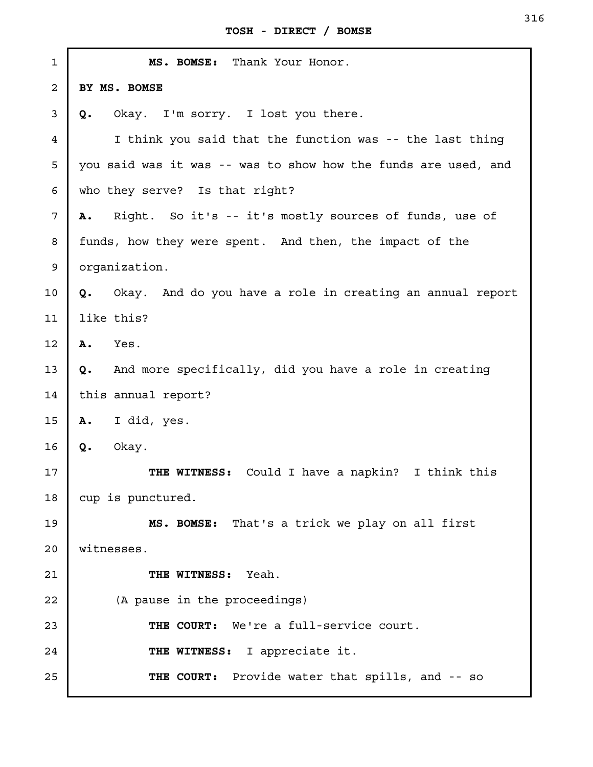| $\mathbf 1$ | MS. BOMSE: Thank Your Honor.                                   |
|-------------|----------------------------------------------------------------|
| 2           | BY MS. BOMSE                                                   |
| 3           | Okay. I'm sorry. I lost you there.<br>Q.                       |
| 4           | I think you said that the function was -- the last thing       |
| 5           | you said was it was -- was to show how the funds are used, and |
| 6           | who they serve? Is that right?                                 |
| 7           | Right. So it's -- it's mostly sources of funds, use of<br>Α.   |
| 8           | funds, how they were spent. And then, the impact of the        |
| 9           | organization.                                                  |
| 10          | Q. Okay. And do you have a role in creating an annual report   |
| 11          | like this?                                                     |
| 12          | Α.<br>Yes.                                                     |
| 13          | And more specifically, did you have a role in creating<br>Q.   |
| 14          | this annual report?                                            |
| 15          | I did, yes.<br><b>A.</b>                                       |
| 16          | Okay.<br>Q.                                                    |
| 17          | Could I have a napkin? I think this<br>THE WITNESS:            |
| 18          | cup is punctured.                                              |
| 19          | MS. BOMSE: That's a trick we play on all first                 |
| 20          | witnesses.                                                     |
| 21          | THE WITNESS: Yeah.                                             |
| 22          | (A pause in the proceedings)                                   |
| 23          | THE COURT: We're a full-service court.                         |
| 24          | THE WITNESS: I appreciate it.                                  |
| 25          | THE COURT: Provide water that spills, and -- so                |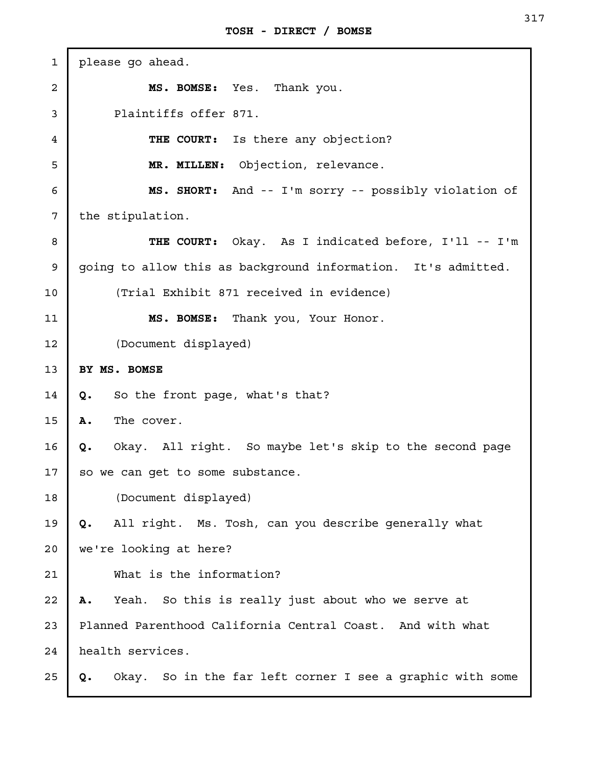| $\mathbf{1}$   | please go ahead.                                                |
|----------------|-----------------------------------------------------------------|
| $\overline{a}$ | MS. BOMSE: Yes. Thank you.                                      |
| 3              | Plaintiffs offer 871.                                           |
| 4              | THE COURT: Is there any objection?                              |
| 5              | MR. MILLEN: Objection, relevance.                               |
| 6              | MS. SHORT: And -- I'm sorry -- possibly violation of            |
| 7              | the stipulation.                                                |
| 8              | THE COURT: Okay. As I indicated before, I'll -- I'm             |
| 9              | going to allow this as background information. It's admitted.   |
| 10             | (Trial Exhibit 871 received in evidence)                        |
| 11             | MS. BOMSE: Thank you, Your Honor.                               |
| 12             | (Document displayed)                                            |
| 13             | BY MS. BOMSE                                                    |
| 14             | So the front page, what's that?<br>Q.                           |
| 15             | The cover.<br>Α.                                                |
| 16             | Okay. All right. So maybe let's skip to the second page<br>Q.   |
| 17             | so we can get to some substance.                                |
| 18             | (Document displayed)                                            |
| 19             | All right. Ms. Tosh, can you describe generally what<br>Q.      |
| 20             | we're looking at here?                                          |
| 21             | What is the information?                                        |
| 22             | Yeah. So this is really just about who we serve at<br>Α.        |
| 23             | Planned Parenthood California Central Coast. And with what      |
| 24             | health services.                                                |
| 25             | Okay. So in the far left corner I see a graphic with some<br>Q. |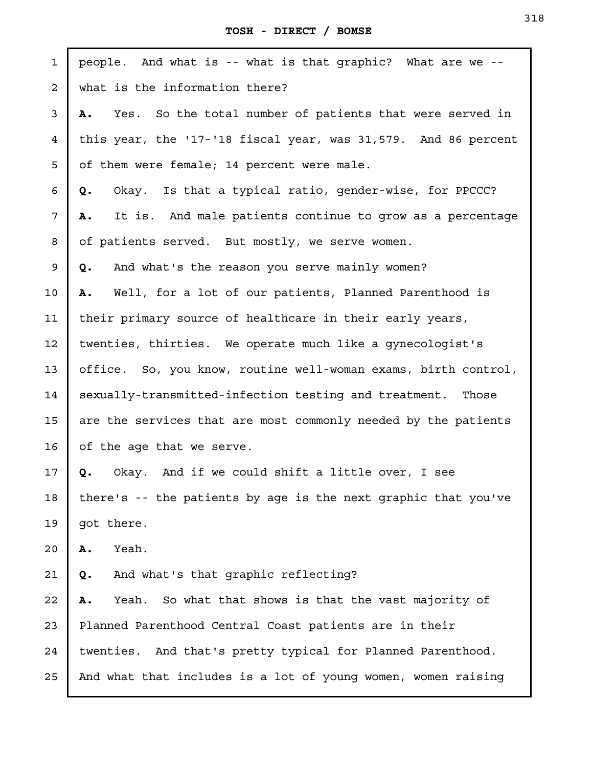| $\mathbf{1}$    | people. And what is -- what is that graphic? What are we --     |
|-----------------|-----------------------------------------------------------------|
| 2               | what is the information there?                                  |
| 3               | Yes. So the total number of patients that were served in<br>Α.  |
| $\overline{4}$  | this year, the '17-'18 fiscal year, was 31,579. And 86 percent  |
| 5               | of them were female; 14 percent were male.                      |
| 6               | Okay. Is that a typical ratio, gender-wise, for PPCCC?<br>Q.    |
| $7\phantom{.}$  | It is. And male patients continue to grow as a percentage<br>Α. |
| 8               | of patients served. But mostly, we serve women.                 |
| 9               | And what's the reason you serve mainly women?<br>Q.             |
| 10              | Well, for a lot of our patients, Planned Parenthood is<br>Α.    |
| 11              | their primary source of healthcare in their early years,        |
| 12 <sub>1</sub> | twenties, thirties. We operate much like a gynecologist's       |
| 13              | office. So, you know, routine well-woman exams, birth control,  |
| 14              | sexually-transmitted-infection testing and treatment. Those     |
| 15              | are the services that are most commonly needed by the patients  |
| 16              | of the age that we serve.                                       |
| 17 <sub>2</sub> | Okay. And if we could shift a little over, I see<br>Q.          |
| 18              | there's -- the patients by age is the next graphic that you've  |
| 19              | got there.                                                      |
| 20              | Yeah.<br>Α.                                                     |
| 21              | And what's that graphic reflecting?<br>Q.                       |
| 22              | Yeah. So what that shows is that the vast majority of<br>Α.     |
| 23              | Planned Parenthood Central Coast patients are in their          |
| 24              | twenties. And that's pretty typical for Planned Parenthood.     |
| 25              | And what that includes is a lot of young women, women raising   |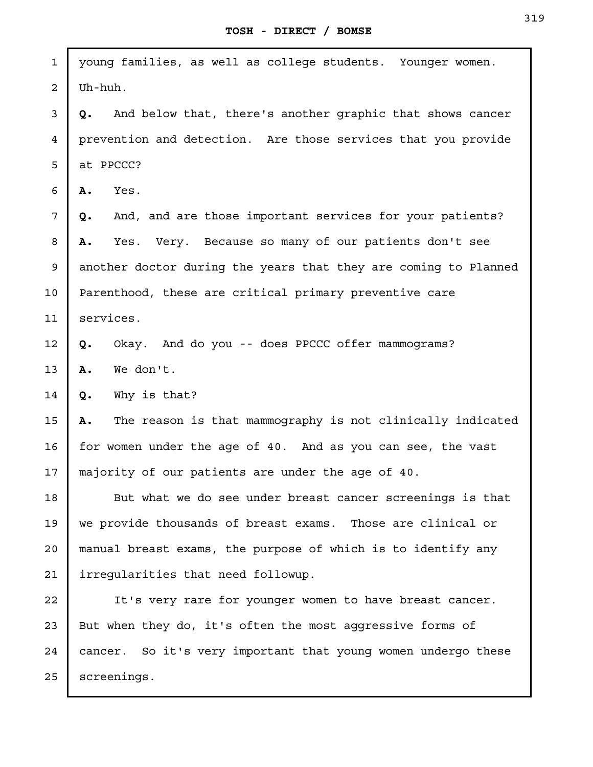| $\mathbf{1}$   | young families, as well as college students. Younger women.      |
|----------------|------------------------------------------------------------------|
| $\overline{a}$ | Uh-huh.                                                          |
| 3              | And below that, there's another graphic that shows cancer<br>Q.  |
| $\overline{4}$ | prevention and detection. Are those services that you provide    |
| 5              | at PPCCC?                                                        |
| 6              | Yes.<br>Α.                                                       |
| 7              | And, and are those important services for your patients?<br>Q.   |
| 8              | Yes. Very. Because so many of our patients don't see<br>Α.       |
| 9              | another doctor during the years that they are coming to Planned  |
| 10             | Parenthood, these are critical primary preventive care           |
| 11             | services.                                                        |
| 12             | Okay. And do you -- does PPCCC offer mammograms?<br>Q.           |
| 13             | We don't.<br>Α.                                                  |
| 14             | Why is that?<br>Q.                                               |
| 15             | The reason is that mammography is not clinically indicated<br>Α. |
| 16             | for women under the age of 40. And as you can see, the vast      |
| 17             | majority of our patients are under the age of 40.                |
| 18             | But what we do see under breast cancer screenings is that        |
| 19             | we provide thousands of breast exams. Those are clinical or      |
| 20             | manual breast exams, the purpose of which is to identify any     |
| 21             | irreqularities that need followup.                               |
| 22             | It's very rare for younger women to have breast cancer.          |
| 23             | But when they do, it's often the most aggressive forms of        |
| 24             | cancer. So it's very important that young women undergo these    |
| 25             | screenings.                                                      |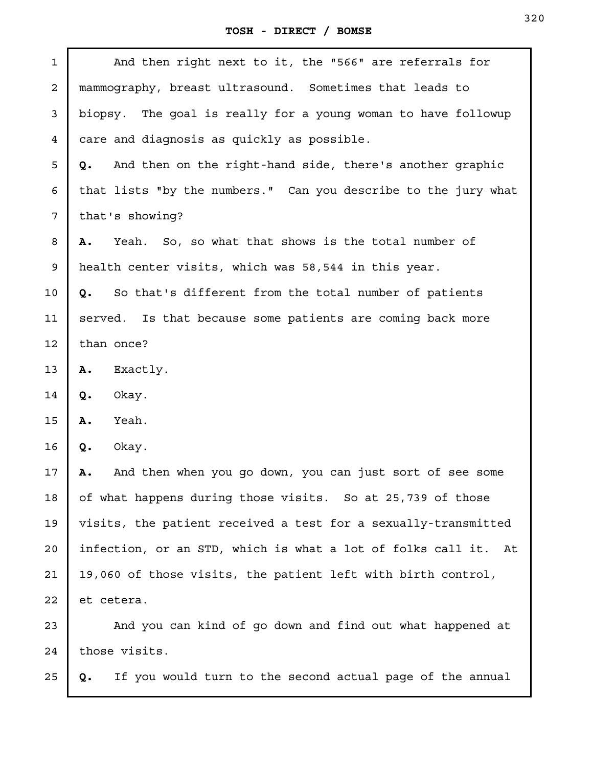| 1  | And then right next to it, the "566" are referrals for          |
|----|-----------------------------------------------------------------|
| 2  | mammography, breast ultrasound. Sometimes that leads to         |
| 3  | biopsy. The goal is really for a young woman to have followup   |
| 4  | care and diagnosis as quickly as possible.                      |
| 5  | And then on the right-hand side, there's another graphic<br>Q.  |
| 6  | that lists "by the numbers." Can you describe to the jury what  |
| 7  | that's showing?                                                 |
| 8  | Yeah. So, so what that shows is the total number of<br>Α.       |
| 9  | health center visits, which was 58,544 in this year.            |
| 10 | So that's different from the total number of patients<br>Q.     |
| 11 | served. Is that because some patients are coming back more      |
| 12 | than once?                                                      |
| 13 | Exactly.<br>Α.                                                  |
| 14 | Okay.<br>Q.                                                     |
| 15 | Yeah.<br>Α.                                                     |
| 16 | Okay.<br>Q.                                                     |
| 17 | And then when you go down, you can just sort of see some<br>Α.  |
| 18 | of what happens during those visits. So at 25,739 of those      |
| 19 | visits, the patient received a test for a sexually-transmitted  |
| 20 | infection, or an STD, which is what a lot of folks call it. At  |
| 21 | 19,060 of those visits, the patient left with birth control,    |
| 22 | et cetera.                                                      |
| 23 | And you can kind of go down and find out what happened at       |
| 24 | those visits.                                                   |
| 25 | If you would turn to the second actual page of the annual<br>Q. |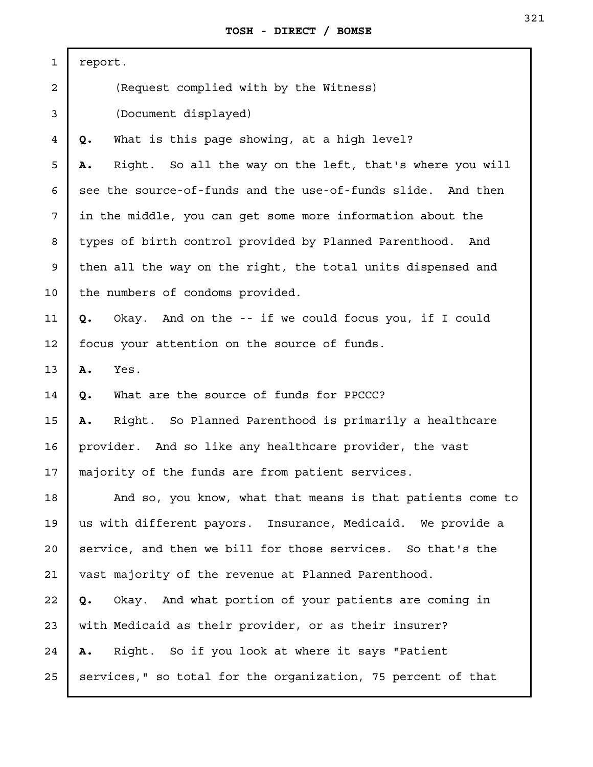| $\mathbf{1}$    | report.                                                        |
|-----------------|----------------------------------------------------------------|
| $\overline{a}$  | (Request complied with by the Witness)                         |
| 3               | (Document displayed)                                           |
| $\overline{4}$  | What is this page showing, at a high level?<br>Q.              |
| 5               | Right. So all the way on the left, that's where you will<br>Α. |
| 6               | see the source-of-funds and the use-of-funds slide. And then   |
| 7               | in the middle, you can get some more information about the     |
| 8               | types of birth control provided by Planned Parenthood. And     |
| 9               | then all the way on the right, the total units dispensed and   |
| 10              | the numbers of condoms provided.                               |
| 11              | Okay. And on the -- if we could focus you, if I could<br>Q.    |
| 12 <sup>°</sup> | focus your attention on the source of funds.                   |
| 13              | Yes.<br>Α.                                                     |
| 14              | What are the source of funds for PPCCC?<br>Q.                  |
| 15              | Right. So Planned Parenthood is primarily a healthcare<br>Α.   |
| 16              | provider. And so like any healthcare provider, the vast        |
| 17              | majority of the funds are from patient services.               |
| 18              | And so, you know, what that means is that patients come to     |
| 19              | us with different payors. Insurance, Medicaid. We provide a    |
| 20              | service, and then we bill for those services. So that's the    |
| 21              | vast majority of the revenue at Planned Parenthood.            |
| 22              | Okay. And what portion of your patients are coming in<br>Q.    |
| 23              | with Medicaid as their provider, or as their insurer?          |
| 24              | Right. So if you look at where it says "Patient<br>Α.          |
| 25              | services," so total for the organization, 75 percent of that   |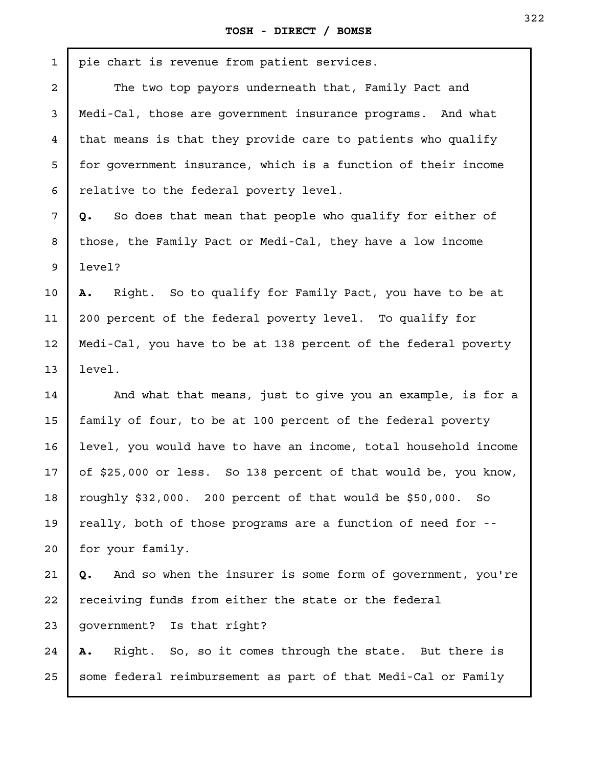| $\mathbf{1}$   | pie chart is revenue from patient services.                      |
|----------------|------------------------------------------------------------------|
| $\overline{a}$ | The two top payors underneath that, Family Pact and              |
| 3              | Medi-Cal, those are government insurance programs. And what      |
| 4              | that means is that they provide care to patients who qualify     |
| 5              | for government insurance, which is a function of their income    |
| 6              | relative to the federal poverty level.                           |
| 7              | So does that mean that people who qualify for either of<br>Q.    |
| 8              | those, the Family Pact or Medi-Cal, they have a low income       |
| 9              | level?                                                           |
| 10             | Right. So to qualify for Family Pact, you have to be at<br>А.    |
| 11             | 200 percent of the federal poverty level. To qualify for         |
| 12             | Medi-Cal, you have to be at 138 percent of the federal poverty   |
| 13             | level.                                                           |
| 14             | And what that means, just to give you an example, is for a       |
| 15             | family of four, to be at 100 percent of the federal poverty      |
| 16             | level, you would have to have an income, total household income  |
| 17             | of \$25,000 or less. So 138 percent of that would be, you know,  |
| 18             | roughly \$32,000. 200 percent of that would be \$50,000. So      |
| 19             | really, both of those programs are a function of need for --     |
| 20             | for your family.                                                 |
| 21             | And so when the insurer is some form of government, you're<br>Q. |
| 22             | receiving funds from either the state or the federal             |
| 23             | government? Is that right?                                       |
| 24             | Right. So, so it comes through the state. But there is<br>Α.     |
|                |                                                                  |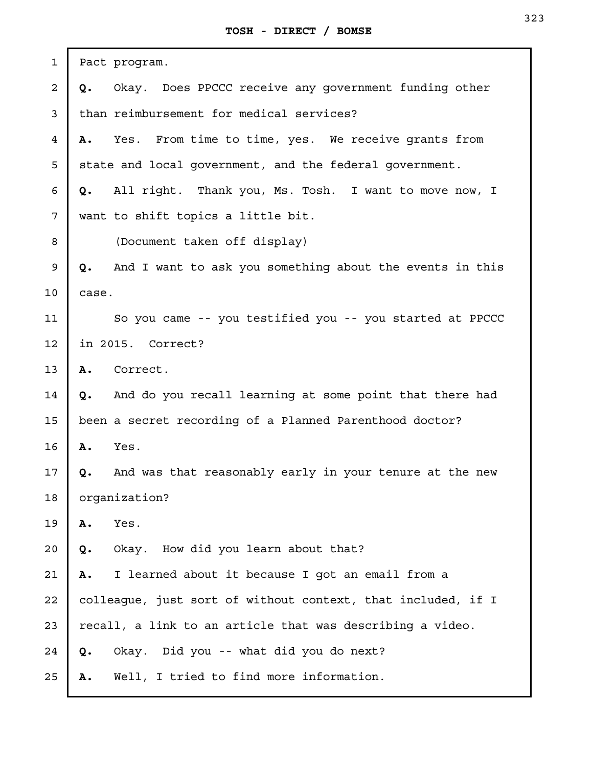| $\mathbf{1}$            | Pact program.                                                  |
|-------------------------|----------------------------------------------------------------|
| $\overline{\mathbf{c}}$ | Okay. Does PPCCC receive any government funding other<br>Q.    |
| $\mathfrak{Z}$          | than reimbursement for medical services?                       |
| $\overline{4}$          | Yes. From time to time, yes. We receive grants from<br>Α.      |
| 5                       | state and local government, and the federal government.        |
| 6                       | All right. Thank you, Ms. Tosh. I want to move now, I<br>Q.    |
| 7                       | want to shift topics a little bit.                             |
| 8                       | (Document taken off display)                                   |
| 9                       | And I want to ask you something about the events in this<br>Q. |
| 10                      | case.                                                          |
| 11                      | So you came -- you testified you -- you started at PPCCC       |
| 12                      | in 2015. Correct?                                              |
| 13                      | Correct.<br>Α.                                                 |
| 14                      | And do you recall learning at some point that there had<br>Q.  |
| 15                      | been a secret recording of a Planned Parenthood doctor?        |
| 16                      | Yes.<br>Α.                                                     |
| 17                      | And was that reasonably early in your tenure at the new<br>Q.  |
| 18                      | organization?                                                  |
| 19                      | Yes.<br>Α.                                                     |
| 20                      | Okay. How did you learn about that?<br>Q.                      |
| 21                      | I learned about it because I got an email from a<br>Α.         |
| 22                      | colleague, just sort of without context, that included, if I   |
| 23                      | recall, a link to an article that was describing a video.      |
| 24                      | Okay. Did you -- what did you do next?<br>Q.                   |
| 25                      | Well, I tried to find more information.<br>Α.                  |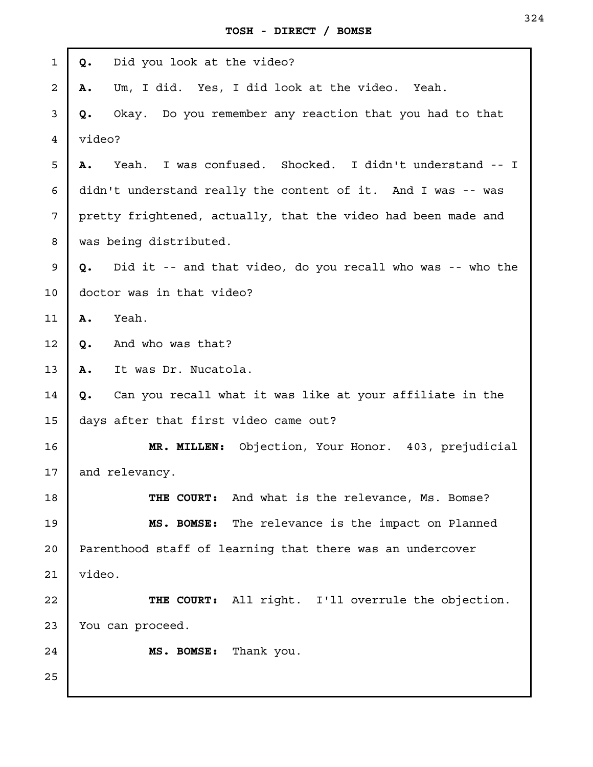| 1  | Did you look at the video?<br>Q.                                 |
|----|------------------------------------------------------------------|
| 2  | Um, I did. Yes, I did look at the video. Yeah.<br>Α.             |
| 3  | Okay. Do you remember any reaction that you had to that<br>Q.    |
| 4  | video?                                                           |
| 5  | Yeah. I was confused. Shocked. I didn't understand -- I<br>Α.    |
| 6  | didn't understand really the content of it. And I was -- was     |
| 7  | pretty frightened, actually, that the video had been made and    |
| 8  | was being distributed.                                           |
| 9  | Did it -- and that video, do you recall who was -- who the<br>Q. |
| 10 | doctor was in that video?                                        |
| 11 | Yeah.<br>Α.                                                      |
| 12 | And who was that?<br>Q.                                          |
| 13 | It was Dr. Nucatola.<br>Α.                                       |
| 14 | Can you recall what it was like at your affiliate in the<br>Q.   |
| 15 | days after that first video came out?                            |
| 16 | Objection, Your Honor. 403, prejudicial<br>MR. MILLEN:           |
| 17 | and relevancy.                                                   |
| 18 | THE COURT: And what is the relevance, Ms. Bomse?                 |
| 19 | MS. BOMSE: The relevance is the impact on Planned                |
| 20 | Parenthood staff of learning that there was an undercover        |
| 21 | video.                                                           |
| 22 | THE COURT: All right. I'll overrule the objection.               |
| 23 | You can proceed.                                                 |
| 24 | MS. BOMSE: Thank you.                                            |
| 25 |                                                                  |
|    |                                                                  |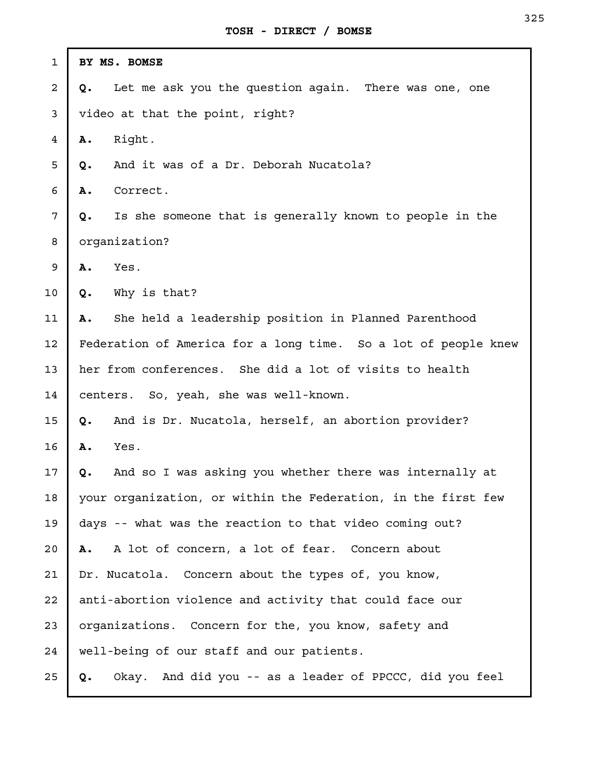| 1  | BY MS. BOMSE                                                   |
|----|----------------------------------------------------------------|
| 2  | Let me ask you the question again. There was one, one<br>Q.    |
| 3  | video at that the point, right?                                |
| 4  | Right.<br>Α.                                                   |
| 5  | And it was of a Dr. Deborah Nucatola?<br>Q.                    |
| 6  | Correct.<br>Α.                                                 |
| 7  | Is she someone that is generally known to people in the<br>Q.  |
| 8  | organization?                                                  |
| 9  | Yes.<br>Α.                                                     |
| 10 | Why is that?<br>Q.                                             |
| 11 | She held a leadership position in Planned Parenthood<br>Α.     |
| 12 | Federation of America for a long time. So a lot of people knew |
| 13 | her from conferences. She did a lot of visits to health        |
| 14 | centers. So, yeah, she was well-known.                         |
| 15 | And is Dr. Nucatola, herself, an abortion provider?<br>Q.      |
| 16 | Yes.<br>Α.                                                     |
| 17 | And so I was asking you whether there was internally at<br>Q.  |
| 18 | your organization, or within the Federation, in the first few  |
| 19 | days -- what was the reaction to that video coming out?        |
| 20 | A lot of concern, a lot of fear. Concern about<br>Α.           |
| 21 | Dr. Nucatola. Concern about the types of, you know,            |
| 22 | anti-abortion violence and activity that could face our        |
| 23 | organizations. Concern for the, you know, safety and           |
| 24 | well-being of our staff and our patients.                      |
| 25 | Okay. And did you -- as a leader of PPCCC, did you feel<br>Q.  |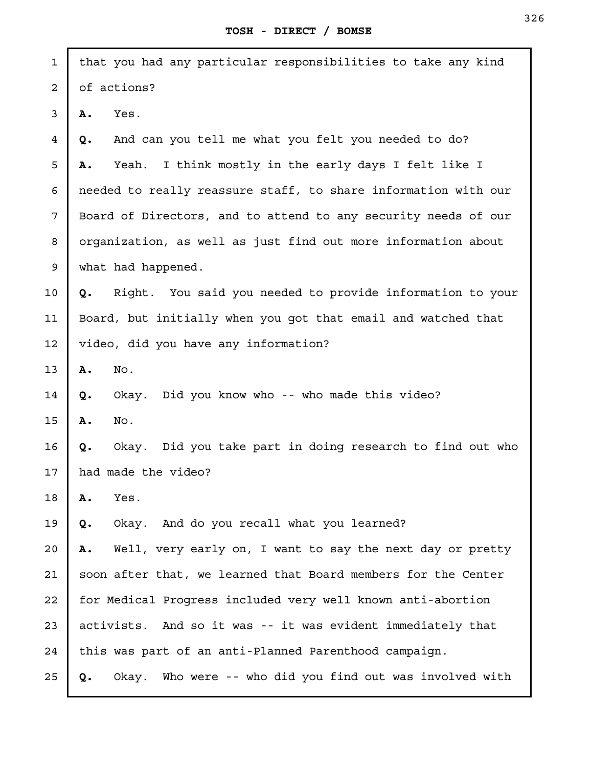| $\mathbf{1}$      | that you had any particular responsibilities to take any kind   |  |
|-------------------|-----------------------------------------------------------------|--|
| $\overline{a}$    | of actions?                                                     |  |
| 3                 | Yes.<br>Α.                                                      |  |
| $\overline{4}$    | And can you tell me what you felt you needed to do?<br>Q.       |  |
| 5                 | Yeah. I think mostly in the early days I felt like I<br>Α.      |  |
| 6                 | needed to really reassure staff, to share information with our  |  |
| 7                 | Board of Directors, and to attend to any security needs of our  |  |
| 8                 | organization, as well as just find out more information about   |  |
| 9                 | what had happened.                                              |  |
| 10                | Right. You said you needed to provide information to your<br>Q. |  |
| 11                | Board, but initially when you got that email and watched that   |  |
| $12 \overline{ }$ | video, did you have any information?                            |  |
| 13                | No.<br>Α.                                                       |  |
| 14                | Okay. Did you know who -- who made this video?<br>Q.            |  |
| 15                | No.<br>Α.                                                       |  |
| 16                | Okay. Did you take part in doing research to find out who<br>Q. |  |
| 17                | had made the video?                                             |  |
| 18                | Α.<br>Yes.                                                      |  |
| 19                | Okay. And do you recall what you learned?<br>Q.                 |  |
| 20                | Well, very early on, I want to say the next day or pretty<br>Α. |  |
| 21                | soon after that, we learned that Board members for the Center   |  |
| 22                | for Medical Progress included very well known anti-abortion     |  |
| 23                | activists. And so it was -- it was evident immediately that     |  |
| 24                | this was part of an anti-Planned Parenthood campaign.           |  |
| 25                | Okay. Who were -- who did you find out was involved with<br>Q.  |  |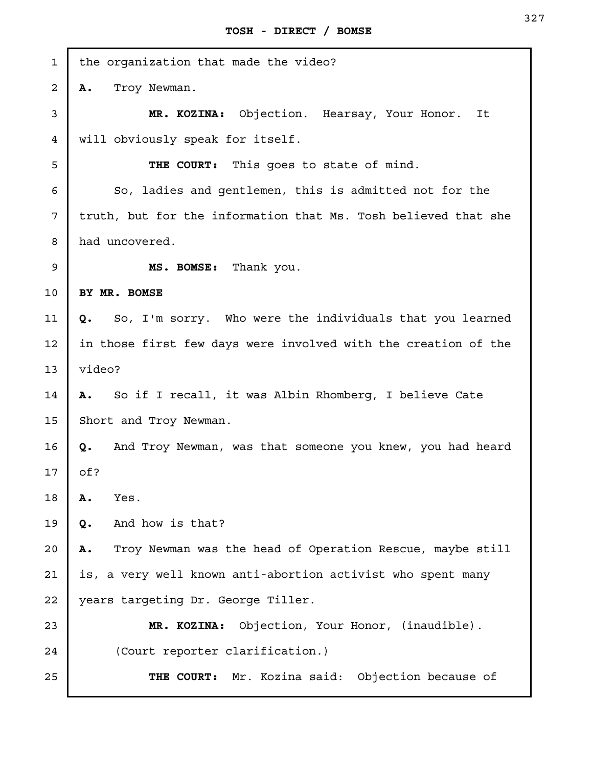| 1  | the organization that made the video?                              |  |
|----|--------------------------------------------------------------------|--|
| 2  | Troy Newman.<br>Α.                                                 |  |
| 3  | MR. KOZINA:<br>Objection. Hearsay, Your Honor.<br>It               |  |
| 4  | will obviously speak for itself.                                   |  |
| 5  | THE COURT: This goes to state of mind.                             |  |
| 6  | So, ladies and gentlemen, this is admitted not for the             |  |
| 7  | truth, but for the information that Ms. Tosh believed that she     |  |
| 8  | had uncovered.                                                     |  |
| 9  | MS. BOMSE: Thank you.                                              |  |
| 10 | BY MR. BOMSE                                                       |  |
| 11 | So, I'm sorry. Who were the individuals that you learned<br>Q.     |  |
| 12 | in those first few days were involved with the creation of the     |  |
| 13 | video?                                                             |  |
| 14 | So if I recall, it was Albin Rhomberg, I believe Cate<br><b>A.</b> |  |
| 15 | Short and Troy Newman.                                             |  |
| 16 | And Troy Newman, was that someone you knew, you had heard<br>Q.    |  |
| 17 | of?                                                                |  |
| 18 | Α.<br>Yes.                                                         |  |
| 19 | And how is that?<br>Q.                                             |  |
| 20 | Troy Newman was the head of Operation Rescue, maybe still<br>Α.    |  |
| 21 | is, a very well known anti-abortion activist who spent many        |  |
| 22 | years targeting Dr. George Tiller.                                 |  |
| 23 | Objection, Your Honor, (inaudible).<br>MR. KOZINA:                 |  |
| 24 | (Court reporter clarification.)                                    |  |
| 25 | THE COURT: Mr. Kozina said: Objection because of                   |  |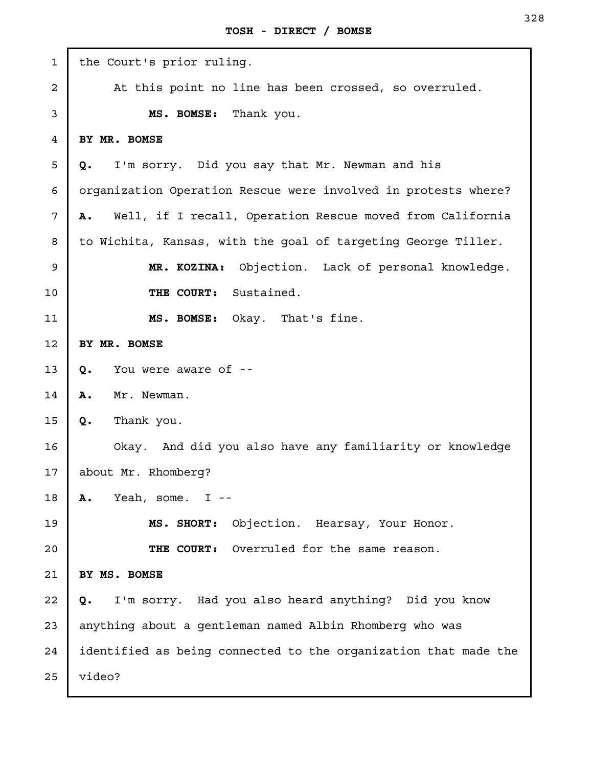| $\mathbf 1$    | the Court's prior ruling.                                       |
|----------------|-----------------------------------------------------------------|
| $\overline{a}$ | At this point no line has been crossed, so overruled.           |
| 3              | Thank you.<br>MS. BOMSE:                                        |
| $\overline{4}$ | BY MR. BOMSE                                                    |
| 5              | I'm sorry. Did you say that Mr. Newman and his<br>Q.            |
| 6              | organization Operation Rescue were involved in protests where?  |
| 7              | Well, if I recall, Operation Rescue moved from California<br>Α. |
| 8              | to Wichita, Kansas, with the goal of targeting George Tiller.   |
| 9              | Objection. Lack of personal knowledge.<br>MR. KOZINA:           |
| 10             | THE COURT: Sustained.                                           |
| 11             | MS. BOMSE: Okay. That's fine.                                   |
| 12             | BY MR. BOMSE                                                    |
| 13             | You were aware of --<br>Q.                                      |
| 14             | Mr. Newman.<br>Α.                                               |
| 15             | Thank you.<br>Q.                                                |
| 16             | Okay. And did you also have any familiarity or knowledge        |
| 17             | about Mr. Rhomberg?                                             |
| 18             | Yeah, some. $I$ --<br>Α.                                        |
| 19             | Objection. Hearsay, Your Honor.<br>MS. SHORT:                   |
| 20             | THE COURT: Overruled for the same reason.                       |
| 21             | BY MS. BOMSE                                                    |
| 22             | I'm sorry. Had you also heard anything? Did you know<br>Q.      |
| 23             | anything about a gentleman named Albin Rhomberg who was         |
| 24             | identified as being connected to the organization that made the |
| 25             | video?                                                          |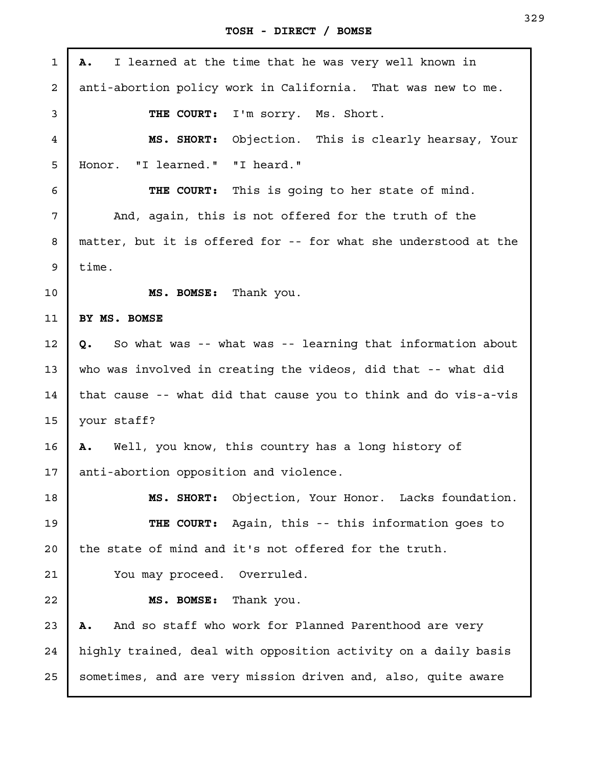| $\mathbf{1}$      | I learned at the time that he was very well known in<br>Α.       |
|-------------------|------------------------------------------------------------------|
| $\overline{a}$    | anti-abortion policy work in California. That was new to me.     |
| 3                 | THE COURT:<br>I'm sorry. Ms. Short.                              |
| 4                 | MS. SHORT: Objection. This is clearly hearsay, Your              |
| 5                 | Honor. "I learned." "I heard."                                   |
| 6                 | THE COURT: This is going to her state of mind.                   |
| 7                 | And, again, this is not offered for the truth of the             |
| 8                 | matter, but it is offered for -- for what she understood at the  |
| 9                 | time.                                                            |
| 10                | MS. BOMSE: Thank you.                                            |
| 11                | BY MS. BOMSE                                                     |
| $12 \overline{ }$ | So what was -- what was -- learning that information about<br>Q. |
| 13                | who was involved in creating the videos, did that -- what did    |
| 14                | that cause -- what did that cause you to think and do vis-a-vis  |
| 15                | your staff?                                                      |
| 16                | A. Well, you know, this country has a long history of            |
| 17                | anti-abortion opposition and violence.                           |
| 18                | MS. SHORT: Objection, Your Honor. Lacks foundation.              |
| 19                | THE COURT: Again, this -- this information goes to               |
| 20                | the state of mind and it's not offered for the truth.            |
| 21                | You may proceed. Overruled.                                      |
| 22                | MS. BOMSE: Thank you.                                            |
| 23                | And so staff who work for Planned Parenthood are very<br>Α.      |
| 24                | highly trained, deal with opposition activity on a daily basis   |
| 25                | sometimes, and are very mission driven and, also, quite aware    |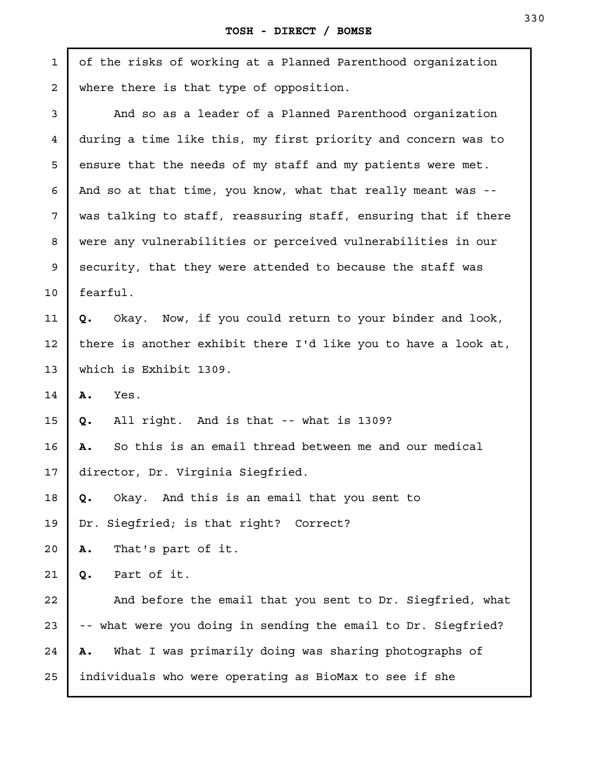| $\mathbf{1}$   | of the risks of working at a Planned Parenthood organization   |  |
|----------------|----------------------------------------------------------------|--|
| $\overline{a}$ | where there is that type of opposition.                        |  |
| 3              | And so as a leader of a Planned Parenthood organization        |  |
| $\overline{4}$ | during a time like this, my first priority and concern was to  |  |
| 5              | ensure that the needs of my staff and my patients were met.    |  |
| 6              | And so at that time, you know, what that really meant was --   |  |
| 7              | was talking to staff, reassuring staff, ensuring that if there |  |
| 8              | were any vulnerabilities or perceived vulnerabilities in our   |  |
| 9              | security, that they were attended to because the staff was     |  |
| 10             | fearful.                                                       |  |
| 11             | Okay. Now, if you could return to your binder and look,<br>Q.  |  |
| 12             | there is another exhibit there I'd like you to have a look at, |  |
| 13             | which is Exhibit 1309.                                         |  |
| 14             | Α.<br>Yes.                                                     |  |
| 15             | All right. And is that -- what is 1309?<br>Q.                  |  |
| 16             | So this is an email thread between me and our medical<br>Α.    |  |
| 17             | director, Dr. Virginia Siegfried.                              |  |
| 18             | Okay. And this is an email that you sent to<br>Q.              |  |
| 19             | Siegfried; is that right? Correct?<br>Dr.                      |  |
| 20             | That's part of it.<br>Α.                                       |  |
| 21             | Part of it.<br>Q.                                              |  |
| 22             | And before the email that you sent to Dr. Siegfried, what      |  |
| 23             | -- what were you doing in sending the email to Dr. Siegfried?  |  |
| 24             | What I was primarily doing was sharing photographs of<br>Α.    |  |
| 25             | individuals who were operating as BioMax to see if she         |  |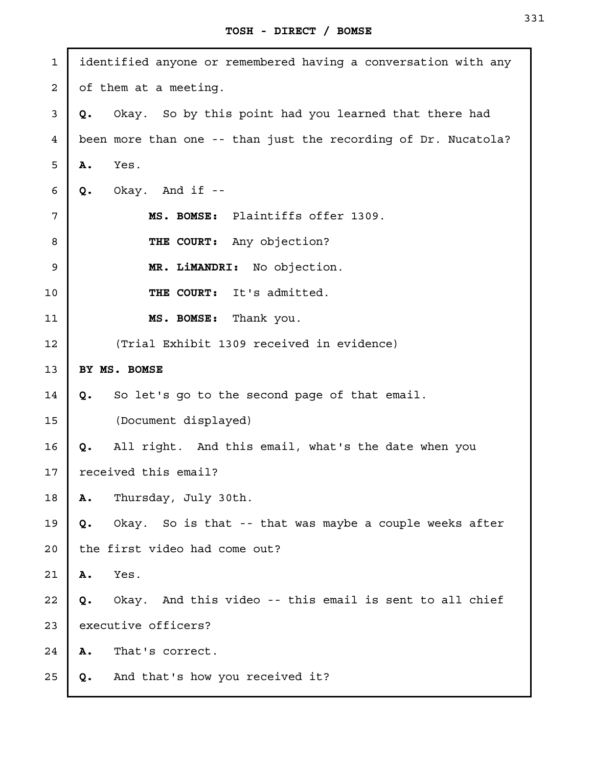identified anyone or remembered having a conversation with any of them at a meeting. **Q.** Okay. So by this point had you learned that there had been more than one -- than just the recording of Dr. Nucatola? **A.** Yes. **Q.** Okay. And if -- **MS. BOMSE:** Plaintiffs offer 1309. **THE COURT:** Any objection? **MR. LiMANDRI:** No objection. **THE COURT:** It's admitted. **MS. BOMSE:** Thank you. (Trial Exhibit 1309 received in evidence) **BY MS. BOMSE Q.** So let's go to the second page of that email. (Document displayed) **Q.** All right. And this email, what's the date when you received this email? **A.** Thursday, July 30th. **Q.** Okay. So is that -- that was maybe a couple weeks after the first video had come out? **A.** Yes. **Q.** Okay. And this video -- this email is sent to all chief executive officers? **A.** That's correct. **Q.** And that's how you received it? 1 2 3 4 5 6 7 8 9 10 11 12 13 14 15 16 17 18 19 20 21 22 23 24 25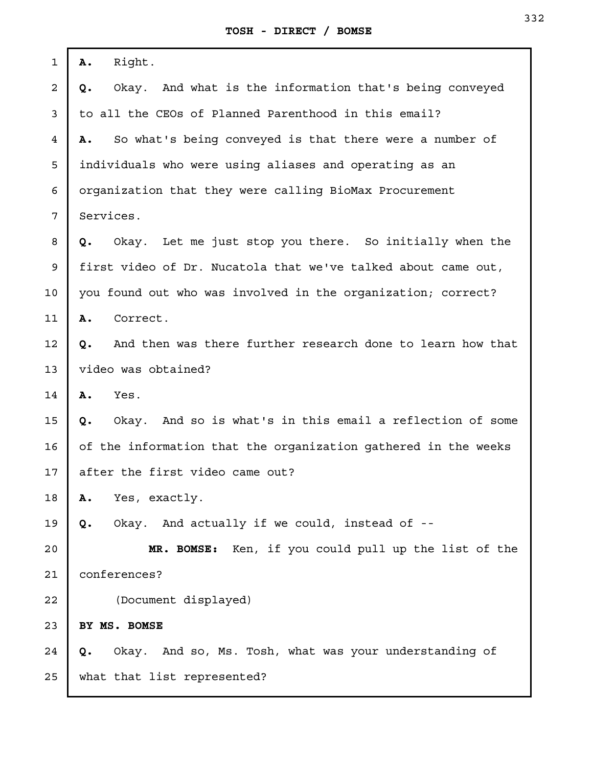| 1              | Right.<br>Α.                                                     |  |
|----------------|------------------------------------------------------------------|--|
| $\overline{a}$ | Okay. And what is the information that's being conveyed<br>Q.    |  |
| 3              | to all the CEOs of Planned Parenthood in this email?             |  |
| 4              | So what's being conveyed is that there were a number of<br>Α.    |  |
| 5              | individuals who were using aliases and operating as an           |  |
| 6              | organization that they were calling BioMax Procurement           |  |
| 7              | Services.                                                        |  |
| 8              | Let me just stop you there. So initially when the<br>Q.<br>Okay. |  |
| 9              | first video of Dr. Nucatola that we've talked about came out,    |  |
| 10             | you found out who was involved in the organization; correct?     |  |
| 11             | Correct.<br>Α.                                                   |  |
| 12             | And then was there further research done to learn how that<br>Q. |  |
| 13             | video was obtained?                                              |  |
| 14             | Α.<br>Yes.                                                       |  |
| 15             | Okay. And so is what's in this email a reflection of some<br>Q.  |  |
| 16             | of the information that the organization gathered in the weeks   |  |
| 17             | after the first video came out?                                  |  |
| 18             | Yes, exactly.<br>Α.                                              |  |
| 19             | Okay. And actually if we could, instead of --<br>Q.              |  |
| 20             | MR. BOMSE: Ken, if you could pull up the list of the             |  |
| 21             | conferences?                                                     |  |
| 22             | (Document displayed)                                             |  |
| 23             | BY MS. BOMSE                                                     |  |
| 24             | Okay. And so, Ms. Tosh, what was your understanding of<br>Q.     |  |
| 25             | what that list represented?                                      |  |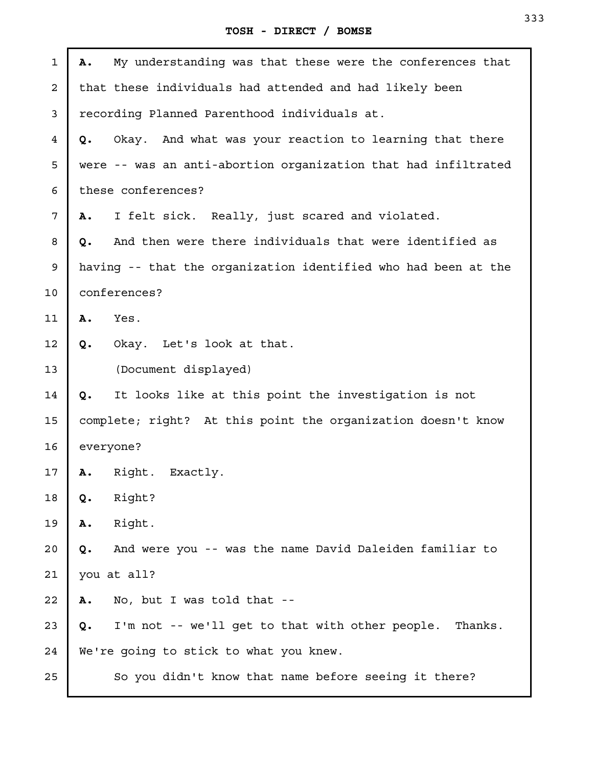| $\mathbf 1$ | Α. | My understanding was that these were the conferences that      |
|-------------|----|----------------------------------------------------------------|
| 2           |    | that these individuals had attended and had likely been        |
| 3           |    | recording Planned Parenthood individuals at.                   |
| 4           | Q. | Okay. And what was your reaction to learning that there        |
| 5           |    | were -- was an anti-abortion organization that had infiltrated |
| 6           |    | these conferences?                                             |
| 7           | Α. | I felt sick. Really, just scared and violated.                 |
| 8           | Q. | And then were there individuals that were identified as        |
| 9           |    | having -- that the organization identified who had been at the |
| 10          |    | conferences?                                                   |
| 11          | A. | Yes.                                                           |
| 12          | Q. | Okay. Let's look at that.                                      |
| 13          |    | (Document displayed)                                           |
| 14          | Q. | It looks like at this point the investigation is not           |
| 15          |    | complete; right? At this point the organization doesn't know   |
| 16          |    | everyone?                                                      |
| 17          | Α. | Right. Exactly.                                                |
| 18          | Q. | Right?                                                         |
| 19          | Α. | Right.                                                         |
| 20          | Q. | And were you -- was the name David Daleiden familiar to        |
| 21          |    | you at all?                                                    |
| 22          | Α. | No, but I was told that --                                     |
| 23          | Q. | I'm not -- we'll get to that with other people. Thanks.        |
| 24          |    | We're going to stick to what you knew.                         |
| 25          |    | So you didn't know that name before seeing it there?           |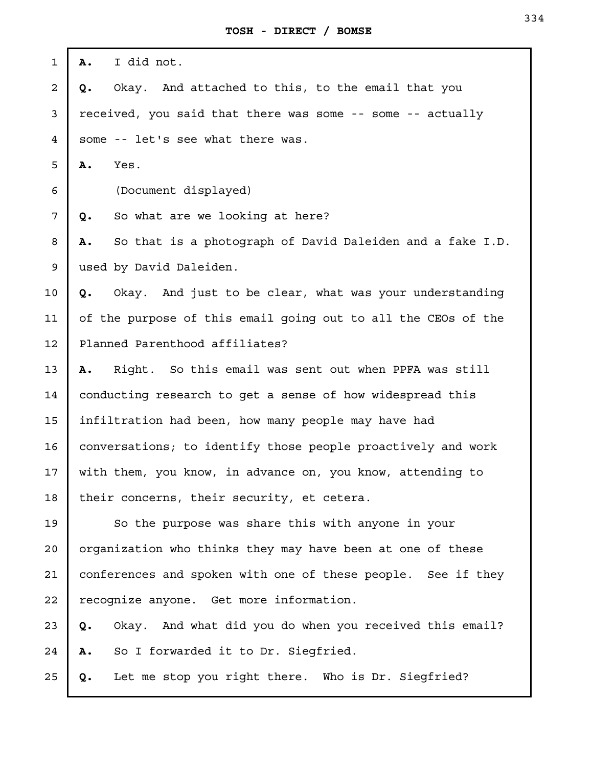| 1  | I did not.<br>Α.                                                |
|----|-----------------------------------------------------------------|
| 2  | Okay. And attached to this, to the email that you<br>Q.         |
| 3  | received, you said that there was some -- some -- actually      |
| 4  | some -- let's see what there was.                               |
| 5  | Yes.<br>Α.                                                      |
| 6  | (Document displayed)                                            |
| 7  | So what are we looking at here?<br>Q.                           |
| 8  | So that is a photograph of David Daleiden and a fake I.D.<br>Α. |
| 9  | used by David Daleiden.                                         |
| 10 | Okay. And just to be clear, what was your understanding<br>Q.   |
| 11 | of the purpose of this email going out to all the CEOs of the   |
| 12 | Planned Parenthood affiliates?                                  |
| 13 | Right. So this email was sent out when PPFA was still<br>Α.     |
| 14 | conducting research to get a sense of how widespread this       |
| 15 | infiltration had been, how many people may have had             |
| 16 | conversations; to identify those people proactively and work    |
| 17 | with them, you know, in advance on, you know, attending to      |
| 18 | their concerns, their security, et cetera.                      |
| 19 | So the purpose was share this with anyone in your               |
| 20 | organization who thinks they may have been at one of these      |
| 21 | conferences and spoken with one of these people. See if they    |
| 22 | recognize anyone. Get more information.                         |
| 23 | Okay. And what did you do when you received this email?<br>Q.   |
| 24 | So I forwarded it to Dr. Siegfried.<br>Α.                       |
| 25 | Let me stop you right there. Who is Dr. Siegfried?<br>Q.        |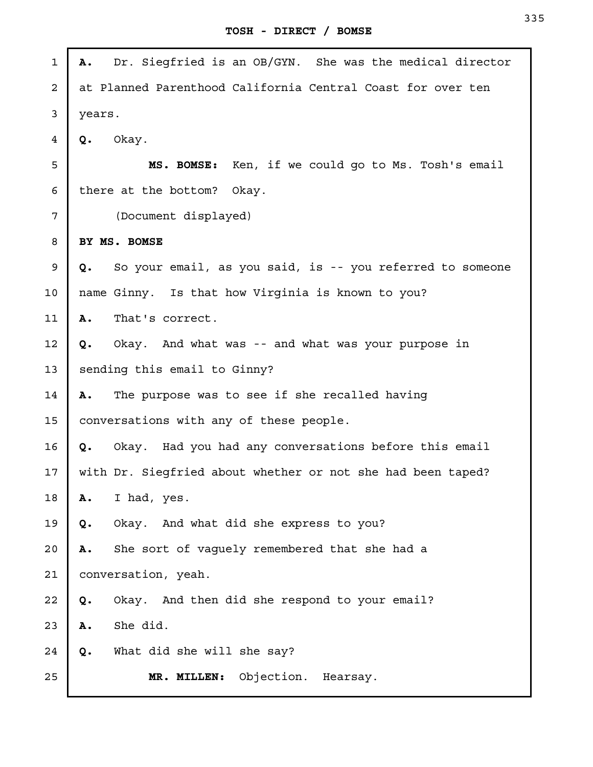| $\mathbf 1$    | Dr. Siegfried is an OB/GYN. She was the medical director<br>Α.  |
|----------------|-----------------------------------------------------------------|
| $\overline{a}$ | at Planned Parenthood California Central Coast for over ten     |
| 3              | years.                                                          |
| 4              | Okay.<br>Q.                                                     |
| 5              | MS. BOMSE: Ken, if we could go to Ms. Tosh's email              |
| 6              | there at the bottom? Okay.                                      |
| 7              | (Document displayed)                                            |
| 8              | BY MS. BOMSE                                                    |
| 9              | So your email, as you said, is -- you referred to someone<br>Q. |
| 10             | name Ginny. Is that how Virginia is known to you?               |
| 11             | That's correct.<br>Α.                                           |
| 12             | Okay. And what was -- and what was your purpose in<br>Q.        |
| 13             | sending this email to Ginny?                                    |
| 14             | The purpose was to see if she recalled having<br>Α.             |
| 15             | conversations with any of these people.                         |
| 16             | Okay. Had you had any conversations before this email<br>Q.     |
| 17             | with Dr. Siegfried about whether or not she had been taped?     |
| 18             | I had, yes.<br>Α.                                               |
| 19             | Okay. And what did she express to you?<br>Q.                    |
| 20             | She sort of vaguely remembered that she had a<br>Α.             |
| 21             | conversation, yeah.                                             |
| 22             | Okay. And then did she respond to your email?<br>Q.             |
| 23             | She did.<br>Α.                                                  |
| 24             | What did she will she say?<br>Q.                                |
| 25             | Objection. Hearsay.<br>MR. MILLEN:                              |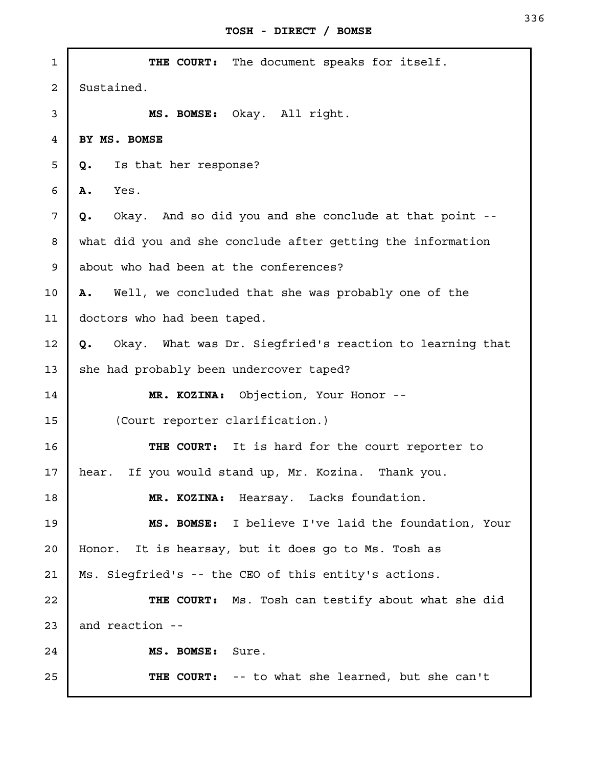| 1  | THE COURT: The document speaks for itself.                     |
|----|----------------------------------------------------------------|
| 2  | Sustained.                                                     |
| 3  | MS. BOMSE: Okay. All right.                                    |
| 4  | BY MS. BOMSE                                                   |
| 5  | Is that her response?<br>Q.                                    |
| 6  | Yes.<br>Α.                                                     |
| 7  | Okay. And so did you and she conclude at that point --<br>Q.   |
| 8  | what did you and she conclude after getting the information    |
| 9  | about who had been at the conferences?                         |
| 10 | Well, we concluded that she was probably one of the<br>Α.      |
| 11 | doctors who had been taped.                                    |
| 12 | Okay. What was Dr. Siegfried's reaction to learning that<br>Q. |
| 13 | she had probably been undercover taped?                        |
| 14 | MR. KOZINA: Objection, Your Honor --                           |
| 15 | (Court reporter clarification.)                                |
| 16 | THE COURT: It is hard for the court reporter to                |
| 17 | hear. If you would stand up, Mr. Kozina. Thank you.            |
| 18 | MR. KOZINA: Hearsay. Lacks foundation.                         |
| 19 | MS. BOMSE: I believe I've laid the foundation, Your            |
| 20 | Honor. It is hearsay, but it does go to Ms. Tosh as            |
| 21 | Ms. Siegfried's -- the CEO of this entity's actions.           |
| 22 | THE COURT: Ms. Tosh can testify about what she did             |
| 23 | and reaction --                                                |
| 24 | MS. BOMSE:<br>Sure.                                            |
| 25 | THE COURT: -- to what she learned, but she can't               |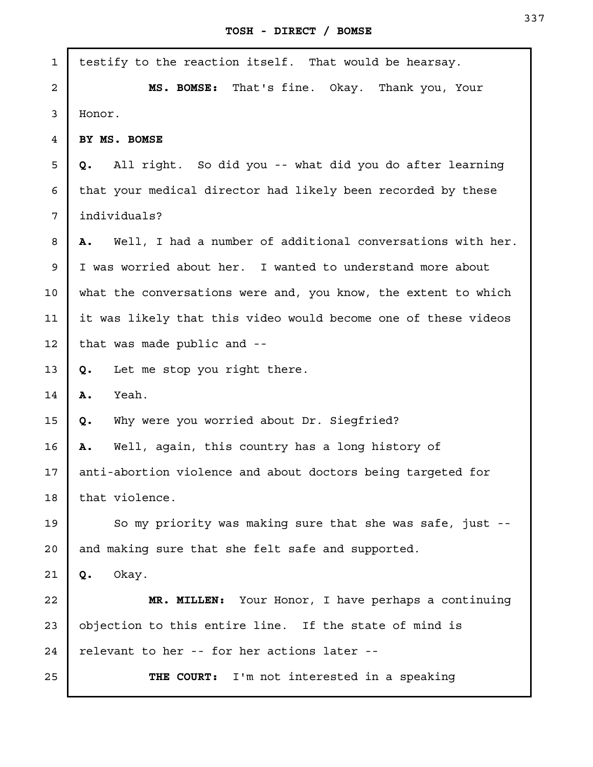J.

| $\mathbf{1}$   | testify to the reaction itself. That would be hearsay.                  |
|----------------|-------------------------------------------------------------------------|
| $\overline{a}$ | MS. BOMSE: That's fine. Okay. Thank you, Your                           |
| 3              | Honor.                                                                  |
| 4              | BY MS. BOMSE                                                            |
| 5              | All right. So did you -- what did you do after learning<br>Q.           |
| 6              | that your medical director had likely been recorded by these            |
| 7              | individuals?                                                            |
| 8              | Well, I had a number of additional conversations with her.<br><b>A.</b> |
| 9              | I was worried about her. I wanted to understand more about              |
| 10             | what the conversations were and, you know, the extent to which          |
| 11             | it was likely that this video would become one of these videos          |
| 12             | that was made public and --                                             |
| 13             | Let me stop you right there.<br>Q.                                      |
| 14             | Yeah.<br>Α.                                                             |
| 15             | Why were you worried about Dr. Siegfried?<br>Q.                         |
| 16             | Well, again, this country has a long history of<br>Α.                   |
| 17             | anti-abortion violence and about doctors being targeted for             |
| 18             | that violence.                                                          |
| 19             | So my priority was making sure that she was safe, just --               |
| 20             | and making sure that she felt safe and supported.                       |
| 21             | Okay.<br>Q.                                                             |
| 22             | MR. MILLEN: Your Honor, I have perhaps a continuing                     |
| 23             | objection to this entire line. If the state of mind is                  |
| 24             | relevant to her -- for her actions later --                             |
| 25             | I'm not interested in a speaking<br>THE COURT:                          |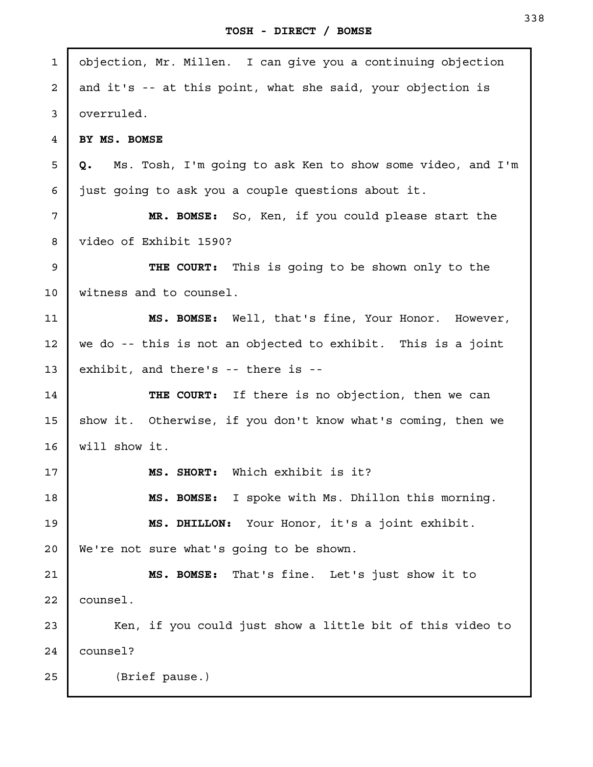| $\mathbf{1}$ | objection, Mr. Millen. I can give you a continuing objection     |
|--------------|------------------------------------------------------------------|
| 2            | and it's -- at this point, what she said, your objection is      |
| 3            | overruled.                                                       |
| 4            | BY MS. BOMSE                                                     |
| 5            | Ms. Tosh, I'm going to ask Ken to show some video, and I'm<br>Q. |
| 6            | just going to ask you a couple questions about it.               |
| 7            | MR. BOMSE: So, Ken, if you could please start the                |
| 8            | video of Exhibit 1590?                                           |
| 9            | THE COURT: This is going to be shown only to the                 |
| 10           | witness and to counsel.                                          |
| 11           | MS. BOMSE: Well, that's fine, Your Honor. However,               |
| 12           | we do -- this is not an objected to exhibit. This is a joint     |
| 13           | exhibit, and there's -- there is --                              |
| 14           | THE COURT:<br>If there is no objection, then we can              |
| 15           | show it. Otherwise, if you don't know what's coming, then we     |
| 16           | will show it.                                                    |
| 17           | MS. SHORT: Which exhibit is it?                                  |
| 18           | MS. BOMSE: I spoke with Ms. Dhillon this morning.                |
| 19           | MS. DHILLON: Your Honor, it's a joint exhibit.                   |
| 20           | We're not sure what's going to be shown.                         |
| 21           | That's fine. Let's just show it to<br>MS. BOMSE:                 |
| 22           | counsel.                                                         |
| 23           | Ken, if you could just show a little bit of this video to        |
| 24           | counsel?                                                         |
| 25           | (Brief pause.)                                                   |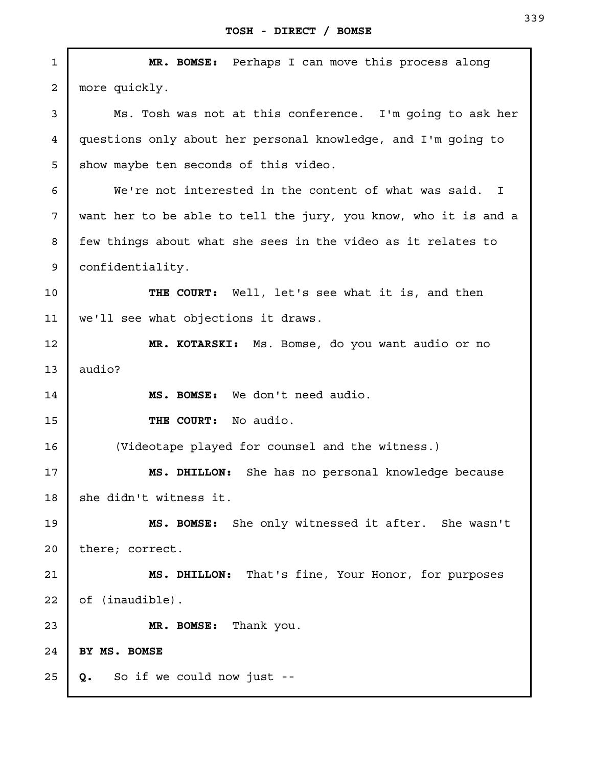| $\mathbf{1}$   | MR. BOMSE: Perhaps I can move this process along                |
|----------------|-----------------------------------------------------------------|
| $\overline{a}$ | more quickly.                                                   |
| 3              | Ms. Tosh was not at this conference. I'm going to ask her       |
| 4              | questions only about her personal knowledge, and I'm going to   |
| 5              | show maybe ten seconds of this video.                           |
| 6              | We're not interested in the content of what was said. I         |
| 7              | want her to be able to tell the jury, you know, who it is and a |
| 8              | few things about what she sees in the video as it relates to    |
| 9              | confidentiality.                                                |
| 10             | THE COURT: Well, let's see what it is, and then                 |
| 11             | we'll see what objections it draws.                             |
| 12             | MR. KOTARSKI: Ms. Bomse, do you want audio or no                |
| 13             | audio?                                                          |
| 14             | MS. BOMSE: We don't need audio.                                 |
| 15             | THE COURT: No audio.                                            |
| 16             | (Videotape played for counsel and the witness.)                 |
| 17             | MS. DHILLON: She has no personal knowledge because              |
| 18             | she didn't witness it.                                          |
| 19             | MS. BOMSE: She only witnessed it after. She wasn't              |
| 20             | there; correct.                                                 |
| 21             | MS. DHILLON: That's fine, Your Honor, for purposes              |
| 22             | of (inaudible).                                                 |
| 23             | Thank you.<br>MR. BOMSE:                                        |
| 24             | BY MS. BOMSE                                                    |
| 25             | So if we could now just --<br>Q.                                |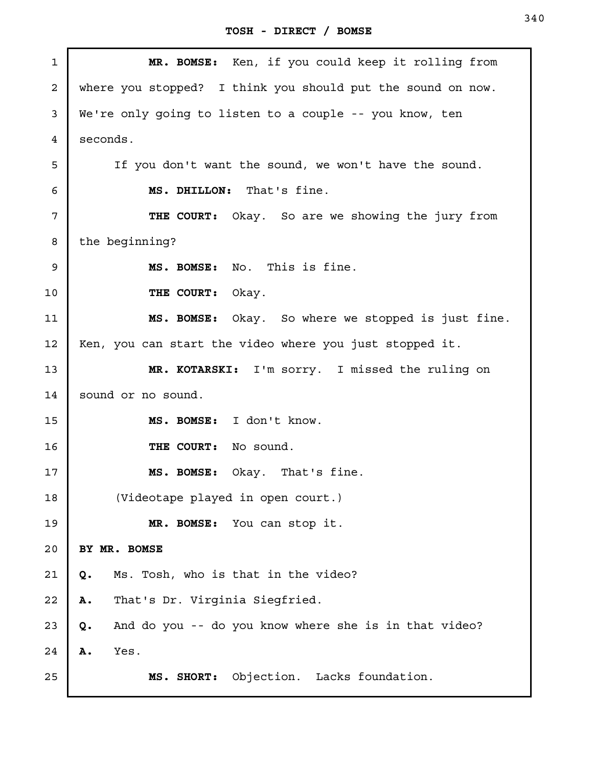| $\mathbf{1}$   | MR. BOMSE: Ken, if you could keep it rolling from           |
|----------------|-------------------------------------------------------------|
| $\overline{a}$ | where you stopped? I think you should put the sound on now. |
| 3              | We're only going to listen to a couple -- you know, ten     |
| $\overline{4}$ | seconds.                                                    |
| 5              | If you don't want the sound, we won't have the sound.       |
| 6              | MS. DHILLON: That's fine.                                   |
| 7              | THE COURT: Okay. So are we showing the jury from            |
| 8              | the beginning?                                              |
| 9              | No. This is fine.<br>MS. BOMSE:                             |
| 10             | THE COURT: Okay.                                            |
| 11             | MS. BOMSE: Okay. So where we stopped is just fine.          |
| 12             | Ken, you can start the video where you just stopped it.     |
| 13             | MR. KOTARSKI: I'm sorry. I missed the ruling on             |
| 14             | sound or no sound.                                          |
| 15             | MS. BOMSE: I don't know.                                    |
| 16             | THE COURT: No sound.                                        |
| 17             | Okay. That's fine.<br>MS. BOMSE:                            |
| 18             | (Videotape played in open court.)                           |
| 19             | MR. BOMSE: You can stop it.                                 |
| 20             | BY MR. BOMSE                                                |
| 21             | Ms. Tosh, who is that in the video?<br>Q.                   |
| 22             | That's Dr. Virginia Siegfried.<br>Α.                        |
| 23             | And do you -- do you know where she is in that video?<br>Q. |
| 24             | Α.<br>Yes.                                                  |
| 25             | Objection. Lacks foundation.<br>MS. SHORT:                  |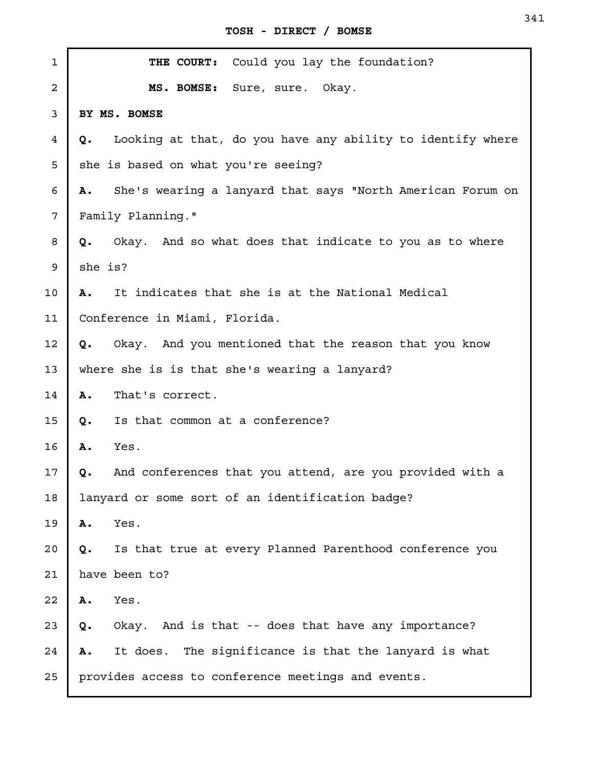| $\mathbf{1}$   | THE COURT: Could you lay the foundation?                         |
|----------------|------------------------------------------------------------------|
| $\overline{a}$ | MS. BOMSE: Sure, sure. Okay.                                     |
| 3              | BY MS. BOMSE                                                     |
| 4              | Looking at that, do you have any ability to identify where<br>Q. |
| 5              | she is based on what you're seeing?                              |
| 6              | She's wearing a lanyard that says "North American Forum on<br>Α. |
| 7              | Family Planning."                                                |
| 8              | Okay. And so what does that indicate to you as to where<br>Q.    |
| 9              | she is?                                                          |
| 10             | It indicates that she is at the National Medical<br>Α.           |
| 11             | Conference in Miami, Florida.                                    |
| 12             | Okay. And you mentioned that the reason that you know<br>Q.      |
| 13             | where she is is that she's wearing a lanyard?                    |
| 14             | Α.<br>That's correct.                                            |
| 15             | Is that common at a conference?<br>Q.                            |
| 16             | Yes.<br>Α.                                                       |
| 17             | And conferences that you attend, are you provided with a<br>Q.   |
| 18             | lanyard or some sort of an identification badge?                 |
| 19             | Yes.<br>Α.                                                       |
| 20             | Is that true at every Planned Parenthood conference you<br>Q.    |
| 21             | have been to?                                                    |
| 22             | Yes.<br>Α.                                                       |
| 23             | Okay. And is that -- does that have any importance?<br>Q.        |
| 24             | It does. The significance is that the lanyard is what<br>Α.      |
| 25             | provides access to conference meetings and events.               |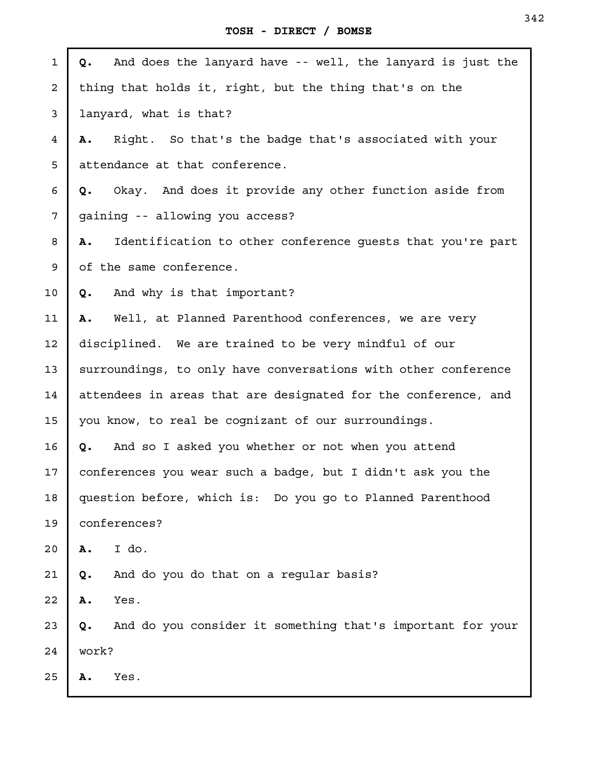| $\mathbf{1}$ | And does the lanyard have -- well, the lanyard is just the<br>Q. |  |
|--------------|------------------------------------------------------------------|--|
| 2            | thing that holds it, right, but the thing that's on the          |  |
| 3            | lanyard, what is that?                                           |  |
| 4            | Right. So that's the badge that's associated with your<br>Α.     |  |
| 5            | attendance at that conference.                                   |  |
| 6            | Okay. And does it provide any other function aside from<br>Q.    |  |
| 7            | gaining -- allowing you access?                                  |  |
| 8            | Identification to other conference quests that you're part<br>Α. |  |
| 9            | of the same conference.                                          |  |
| 10           | And why is that important?<br>Q.                                 |  |
| 11           | Well, at Planned Parenthood conferences, we are very<br>Α.       |  |
| 12           | disciplined. We are trained to be very mindful of our            |  |
| 13           | surroundings, to only have conversations with other conference   |  |
| 14           | attendees in areas that are designated for the conference, and   |  |
| 15           | you know, to real be cognizant of our surroundings.              |  |
| 16           | And so I asked you whether or not when you attend<br>Q.          |  |
| 17           | conferences you wear such a badge, but I didn't ask you the      |  |
| 18           | question before, which is: Do you go to Planned Parenthood       |  |
| 19           | conferences?                                                     |  |
| 20           | I do.<br>Α.                                                      |  |
| 21           | And do you do that on a regular basis?<br>Q.                     |  |
| 22           | Yes.<br>Α.                                                       |  |
| 23           | And do you consider it something that's important for your<br>Q. |  |
| 24           | work?                                                            |  |
| 25           | Yes.<br>Α.                                                       |  |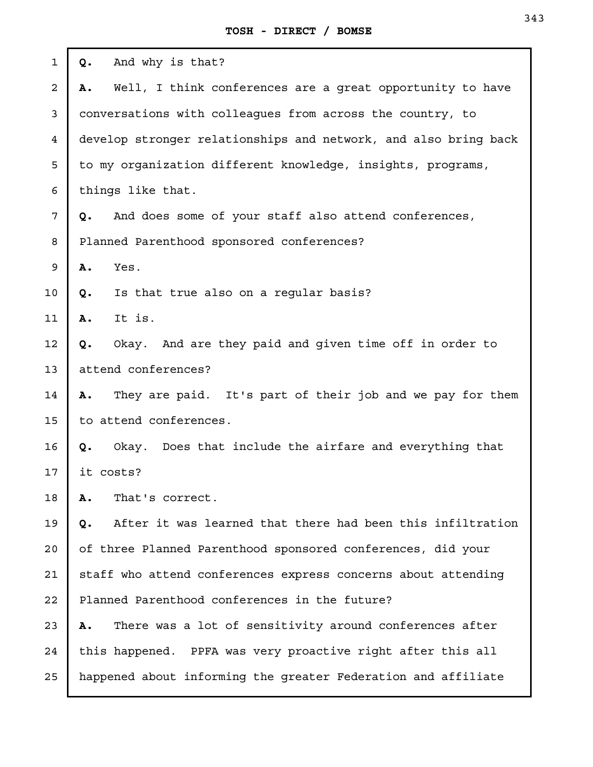| $\mathbf{1}$ | And why is that?<br>Q.                                           |  |
|--------------|------------------------------------------------------------------|--|
| 2            | Well, I think conferences are a great opportunity to have<br>Α.  |  |
| 3            | conversations with colleagues from across the country, to        |  |
| 4            | develop stronger relationships and network, and also bring back  |  |
| 5            | to my organization different knowledge, insights, programs,      |  |
| 6            | things like that.                                                |  |
| 7            | And does some of your staff also attend conferences,<br>Q.       |  |
| 8            | Planned Parenthood sponsored conferences?                        |  |
| 9            | Α.<br>Yes.                                                       |  |
| 10           | Is that true also on a regular basis?<br>Q.                      |  |
| 11           | It is.<br>Α.                                                     |  |
| 12           | Okay. And are they paid and given time off in order to<br>Q.     |  |
| 13           | attend conferences?                                              |  |
| 14           | They are paid. It's part of their job and we pay for them<br>Α.  |  |
| 15           | to attend conferences.                                           |  |
| 16           | Okay. Does that include the airfare and everything that<br>Q.    |  |
| 17           | it costs?                                                        |  |
| 18           | That's correct.<br>Α.                                            |  |
| 19           | After it was learned that there had been this infiltration<br>Q. |  |
| 20           | of three Planned Parenthood sponsored conferences, did your      |  |
| 21           | staff who attend conferences express concerns about attending    |  |
| 22           | Planned Parenthood conferences in the future?                    |  |
| 23           | There was a lot of sensitivity around conferences after<br>Α.    |  |
| 24           | this happened. PPFA was very proactive right after this all      |  |
| 25           | happened about informing the greater Federation and affiliate    |  |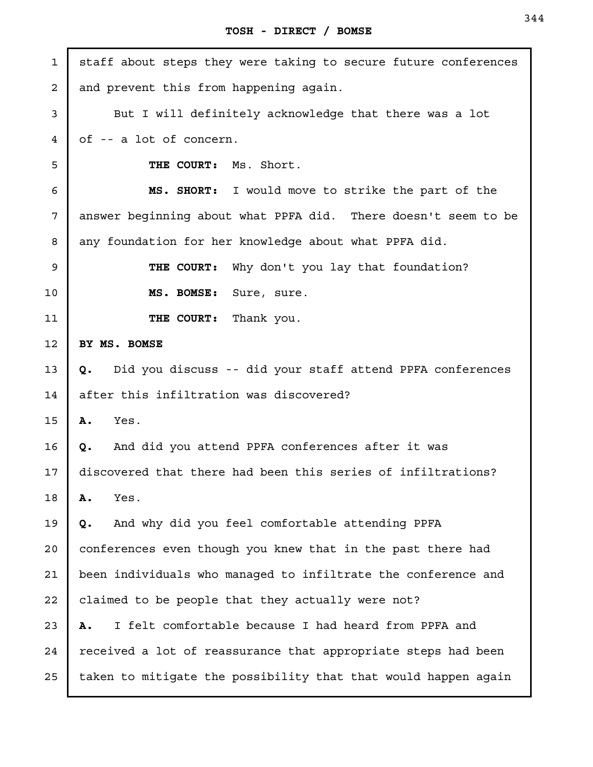| 1              | staff about steps they were taking to secure future conferences |
|----------------|-----------------------------------------------------------------|
| $\overline{a}$ | and prevent this from happening again.                          |
| 3              | But I will definitely acknowledge that there was a lot          |
| 4              | of -- a lot of concern.                                         |
| 5              | THE COURT: Ms. Short.                                           |
| 6              | MS. SHORT: I would move to strike the part of the               |
| 7              | answer beginning about what PPFA did. There doesn't seem to be  |
| 8              | any foundation for her knowledge about what PPFA did.           |
| 9              | THE COURT: Why don't you lay that foundation?                   |
| 10             | MS. BOMSE: Sure, sure.                                          |
| 11             | THE COURT: Thank you.                                           |
| 12             | BY MS. BOMSE                                                    |
| 13             | Did you discuss -- did your staff attend PPFA conferences<br>Q. |
| 14             | after this infiltration was discovered?                         |
| 15             | Yes.<br>Α.                                                      |
| 16             | And did you attend PPFA conferences after it was<br>Q.          |
| 17             | discovered that there had been this series of infiltrations?    |
| 18             | A.<br>Yes.                                                      |
| 19             | And why did you feel comfortable attending PPFA<br>Q.           |
| 20             | conferences even though you knew that in the past there had     |
| 21             | been individuals who managed to infiltrate the conference and   |
| 22             | claimed to be people that they actually were not?               |
| 23             | I felt comfortable because I had heard from PPFA and<br>Α.      |
| 24             | received a lot of reassurance that appropriate steps had been   |
| 25             | taken to mitigate the possibility that that would happen again  |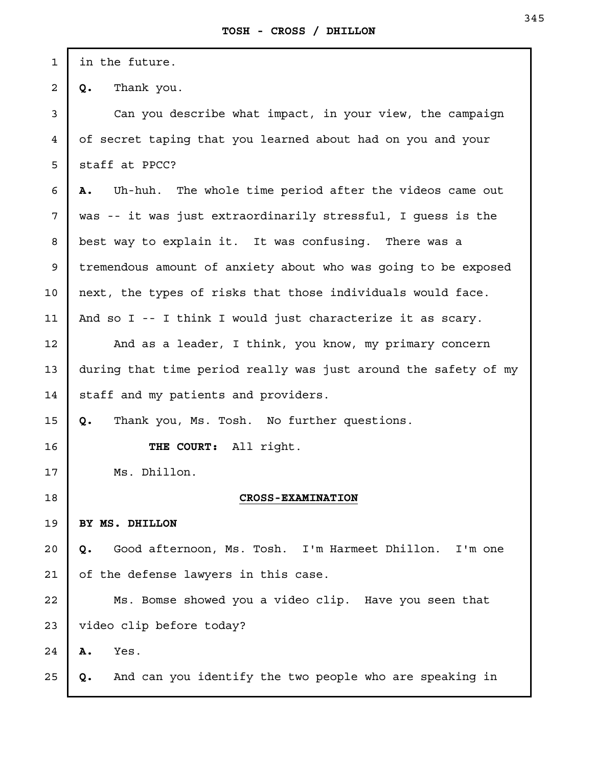in the future.

1

2

3

4

5

6

12

13

14

15

16

17

19

20

21

24

25

**Q.** Thank you.

Can you describe what impact, in your view, the campaign of secret taping that you learned about had on you and your staff at PPCC?

**A.** Uh-huh. The whole time period after the videos came out was -- it was just extraordinarily stressful, I guess is the best way to explain it. It was confusing. There was a tremendous amount of anxiety about who was going to be exposed next, the types of risks that those individuals would face. And so I -- I think I would just characterize it as scary. 7 8 9 10 11

And as a leader, I think, you know, my primary concern during that time period really was just around the safety of my staff and my patients and providers.

**Q.** Thank you, Ms. Tosh. No further questions.

**THE COURT:** All right.

Ms. Dhillon.

18

## **CROSS-EXAMINATION**

**BY MS. DHILLON** 

**Q.** Good afternoon, Ms. Tosh. I'm Harmeet Dhillon. I'm one of the defense lawyers in this case.

Ms. Bomse showed you a video clip. Have you seen that video clip before today? 22 23

**A.** Yes.

**Q.** And can you identify the two people who are speaking in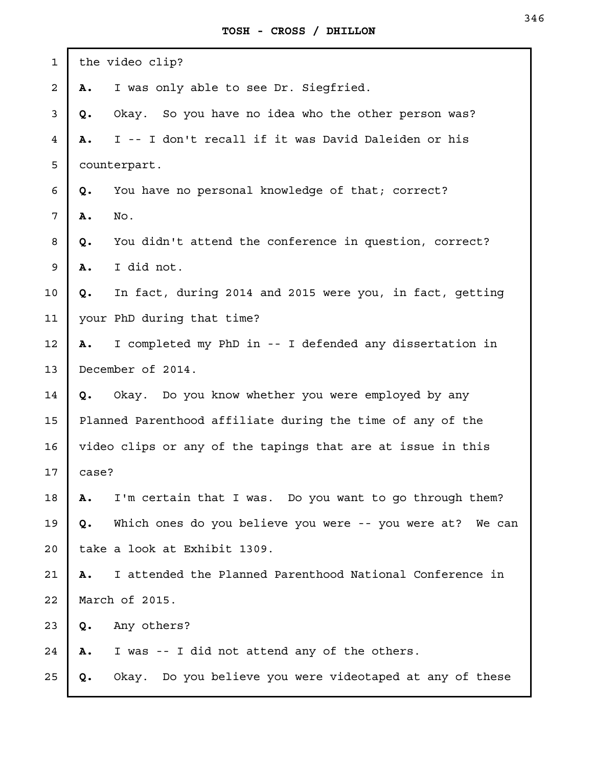| $\mathbf{1}$ |                                                             | the video clip?                                            |
|--------------|-------------------------------------------------------------|------------------------------------------------------------|
| 2            | Α.                                                          | I was only able to see Dr. Siegfried.                      |
| 3            | Q.                                                          | Okay. So you have no idea who the other person was?        |
| 4            | Α.                                                          | I -- I don't recall if it was David Daleiden or his        |
| 5            |                                                             | counterpart.                                               |
| 6            | Q.                                                          | You have no personal knowledge of that; correct?           |
| 7            | Α.                                                          | No.                                                        |
| 8            | Q.                                                          | You didn't attend the conference in question, correct?     |
| 9            | Α.                                                          | I did not.                                                 |
| 10           | Q.                                                          | In fact, during 2014 and 2015 were you, in fact, getting   |
| 11           |                                                             | your PhD during that time?                                 |
| 12           | Α.                                                          | I completed my PhD in -- I defended any dissertation in    |
| 13           |                                                             | December of 2014.                                          |
| 14           | Q.                                                          | Okay. Do you know whether you were employed by any         |
| 15           |                                                             | Planned Parenthood affiliate during the time of any of the |
| 16           | video clips or any of the tapings that are at issue in this |                                                            |
| 17           | case?                                                       |                                                            |
| 18           | Α.                                                          | I'm certain that I was. Do you want to go through them?    |
| 19           | Q.                                                          | Which ones do you believe you were -- you were at? We can  |
| 20           |                                                             | take a look at Exhibit 1309.                               |
| 21           | Α.                                                          | I attended the Planned Parenthood National Conference in   |
| 22           |                                                             | March of 2015.                                             |
| 23           | Q.                                                          | Any others?                                                |
| 24           | Α.                                                          | I was -- I did not attend any of the others.               |
| 25           | Q.                                                          | Okay. Do you believe you were videotaped at any of these   |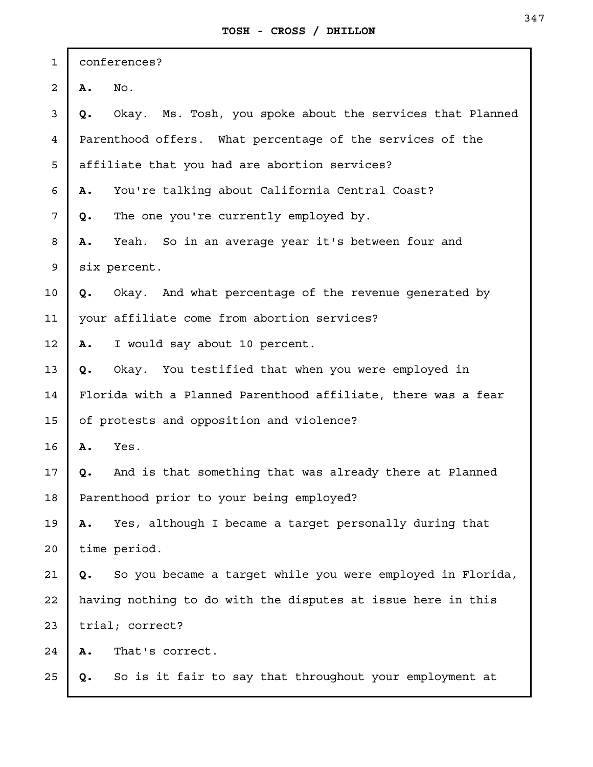| $\mathbf{1}$   | conferences? |                                                               |
|----------------|--------------|---------------------------------------------------------------|
| $\overline{c}$ | Α.           | No.                                                           |
| 3              | Q.           | Okay. Ms. Tosh, you spoke about the services that Planned     |
| $\overline{4}$ |              | Parenthood offers. What percentage of the services of the     |
| 5              |              | affiliate that you had are abortion services?                 |
| 6              | Α.           | You're talking about California Central Coast?                |
| $\overline{7}$ | Q.           | The one you're currently employed by.                         |
| 8              | Α.           | Yeah. So in an average year it's between four and             |
| 9              |              | six percent.                                                  |
| 10             | Q.           | Okay. And what percentage of the revenue generated by         |
| 11             |              | your affiliate come from abortion services?                   |
| 12             | Α.           | I would say about 10 percent.                                 |
| 13             | Q.           | Okay. You testified that when you were employed in            |
| 14             |              | Florida with a Planned Parenthood affiliate, there was a fear |
| 15             |              | of protests and opposition and violence?                      |
| 16             | Α.           | Yes.                                                          |
| 17             | Q.           | And is that something that was already there at Planned       |
| 18             |              | Parenthood prior to your being employed?                      |
| 19             | Α.           | Yes, although I became a target personally during that        |
| 20             |              | time period.                                                  |
| 21             | Q.           | So you became a target while you were employed in Florida,    |
| 22             |              | having nothing to do with the disputes at issue here in this  |
| 23             |              | trial; correct?                                               |
| 24             | Α.           | That's correct.                                               |
| 25             | Q.           | So is it fair to say that throughout your employment at       |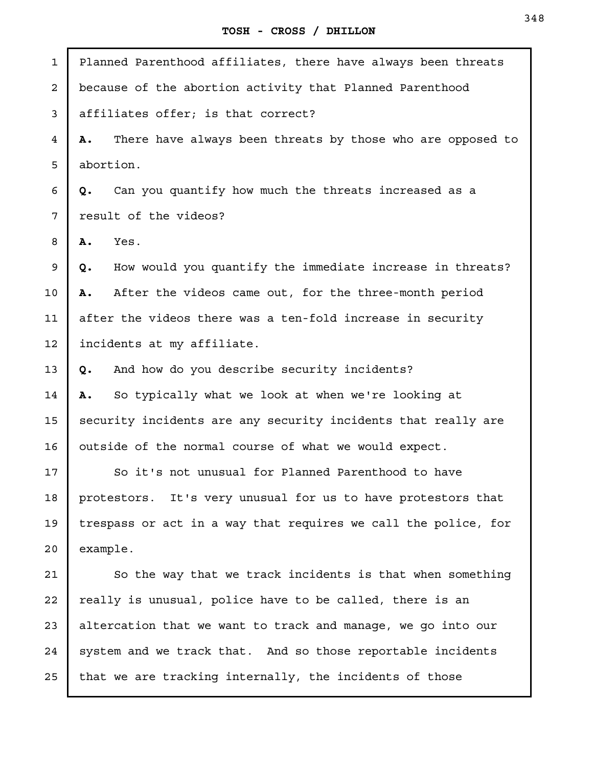**TOSH - CROSS / DHILLON**

Planned Parenthood affiliates, there have always been threats because of the abortion activity that Planned Parenthood affiliates offer; is that correct? **A.** There have always been threats by those who are opposed to abortion. **Q.** Can you quantify how much the threats increased as a result of the videos? **A.** Yes. **Q.** How would you quantify the immediate increase in threats? **A.** After the videos came out, for the three-month period after the videos there was a ten-fold increase in security incidents at my affiliate. **Q.** And how do you describe security incidents? **A.** So typically what we look at when we're looking at security incidents are any security incidents that really are outside of the normal course of what we would expect. So it's not unusual for Planned Parenthood to have protestors. It's very unusual for us to have protestors that trespass or act in a way that requires we call the police, for example. So the way that we track incidents is that when something really is unusual, police have to be called, there is an altercation that we want to track and manage, we go into our system and we track that. And so those reportable incidents that we are tracking internally, the incidents of those 1 2 3 4 5 6 7 8 9 10 11 12 13 14 15 16 17 18 19 20 21 22 23 24 25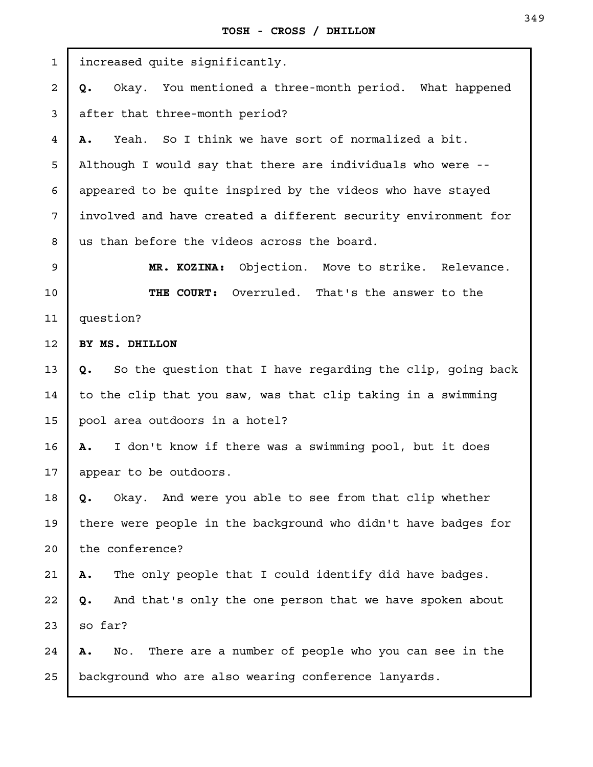| $\mathbf{1}$   | increased quite significantly.                                   |
|----------------|------------------------------------------------------------------|
| $\overline{a}$ | Okay. You mentioned a three-month period. What happened<br>Q.    |
| 3              | after that three-month period?                                   |
| $\overline{4}$ | Yeah. So I think we have sort of normalized a bit.<br>Α.         |
| 5              | Although I would say that there are individuals who were --      |
| 6              | appeared to be quite inspired by the videos who have stayed      |
| 7              | involved and have created a different security environment for   |
| 8              | us than before the videos across the board.                      |
| 9              | Objection. Move to strike. Relevance.<br>MR. KOZINA:             |
| 10             | THE COURT: Overruled. That's the answer to the                   |
| 11             | question?                                                        |
| 12             | BY MS. DHILLON                                                   |
| 13             | So the question that I have regarding the clip, going back<br>Q. |
| 14             | to the clip that you saw, was that clip taking in a swimming     |
| 15             | pool area outdoors in a hotel?                                   |
| 16             | I don't know if there was a swimming pool, but it does<br>Α.     |
| 17             | appear to be outdoors.                                           |
| 18             | Okay. And were you able to see from that clip whether<br>Q.      |
| 19             | there were people in the background who didn't have badges for   |
| 20             | the conference?                                                  |
| 21             | The only people that I could identify did have badges.<br>Α.     |
| 22             | And that's only the one person that we have spoken about<br>Q.   |
| 23             | so far?                                                          |
| 24             | There are a number of people who you can see in the<br>No.<br>Α. |
| 25             | background who are also wearing conference lanyards.             |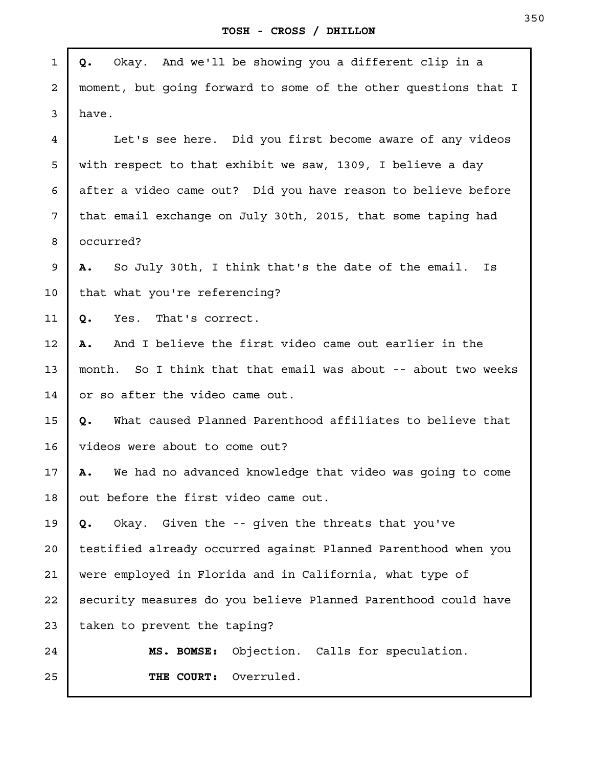J.

| $\mathbf{1}$   | Okay. And we'll be showing you a different clip in a<br>Q.      |
|----------------|-----------------------------------------------------------------|
| $\overline{a}$ | moment, but going forward to some of the other questions that I |
| 3              | have.                                                           |
| $\overline{4}$ | Let's see here. Did you first become aware of any videos        |
| 5              | with respect to that exhibit we saw, 1309, I believe a day      |
| 6              | after a video came out? Did you have reason to believe before   |
| 7              | that email exchange on July 30th, 2015, that some taping had    |
| 8              | occurred?                                                       |
| 9              | So July 30th, I think that's the date of the email.<br>Α.<br>Is |
| 10             | that what you're referencing?                                   |
| 11             | That's correct.<br>Q.<br>Yes.                                   |
| 12             | And I believe the first video came out earlier in the<br>Α.     |
| 13             | month. So I think that that email was about -- about two weeks  |
| 14             | or so after the video came out.                                 |
| 15             | What caused Planned Parenthood affiliates to believe that<br>Q. |
| 16             | videos were about to come out?                                  |
| 17             | We had no advanced knowledge that video was going to come<br>Α. |
| 18             | out before the first video came out.                            |
| 19             | Okay. Given the -- given the threats that you've<br>Q.          |
| 20             | testified already occurred against Planned Parenthood when you  |
| 21             | were employed in Florida and in California, what type of        |
| 22             | security measures do you believe Planned Parenthood could have  |
| 23             | taken to prevent the taping?                                    |
| 24             | Objection. Calls for speculation.<br>MS. BOMSE:                 |
| 25             | THE COURT: Overruled.                                           |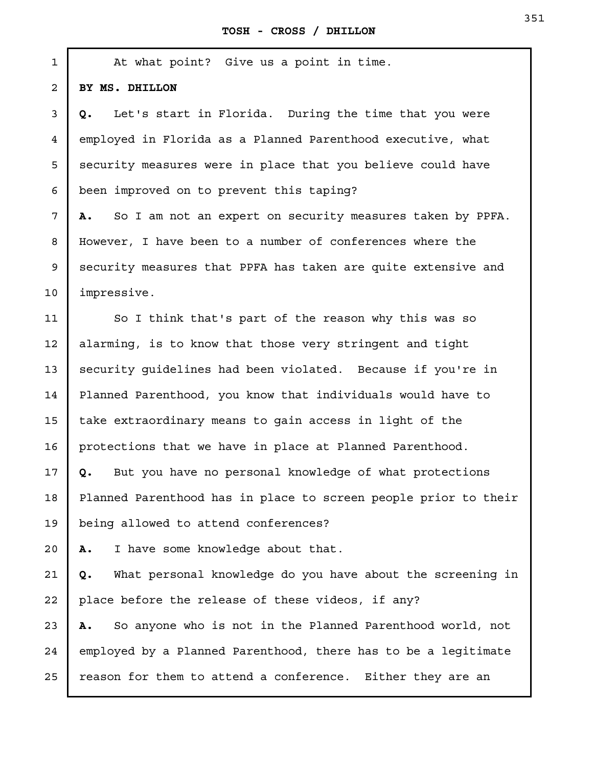Г

| $\mathbf{1}$ | At what point? Give us a point in time.                          |
|--------------|------------------------------------------------------------------|
| $\mathbf{2}$ | BY MS. DHILLON                                                   |
| 3            | Let's start in Florida. During the time that you were<br>Q.      |
| 4            | employed in Florida as a Planned Parenthood executive, what      |
| 5            | security measures were in place that you believe could have      |
| 6            | been improved on to prevent this taping?                         |
| 7            | So I am not an expert on security measures taken by PPFA.<br>Α.  |
| 8            | However, I have been to a number of conferences where the        |
| 9            | security measures that PPFA has taken are quite extensive and    |
| 10           | impressive.                                                      |
| 11           | So I think that's part of the reason why this was so             |
| 12           | alarming, is to know that those very stringent and tight         |
| 13           | security guidelines had been violated. Because if you're in      |
| 14           | Planned Parenthood, you know that individuals would have to      |
| 15           | take extraordinary means to gain access in light of the          |
| 16           | protections that we have in place at Planned Parenthood.         |
| 17           | But you have no personal knowledge of what protections<br>Q.     |
| 18           | Planned Parenthood has in place to screen people prior to their  |
| 19           | being allowed to attend conferences?                             |
| 20           | I have some knowledge about that.<br>Α.                          |
| 21           | What personal knowledge do you have about the screening in<br>Q. |
| 22           | place before the release of these videos, if any?                |
| 23           | So anyone who is not in the Planned Parenthood world, not<br>А.  |
| 24           | employed by a Planned Parenthood, there has to be a legitimate   |
| 25           | reason for them to attend a conference. Either they are an       |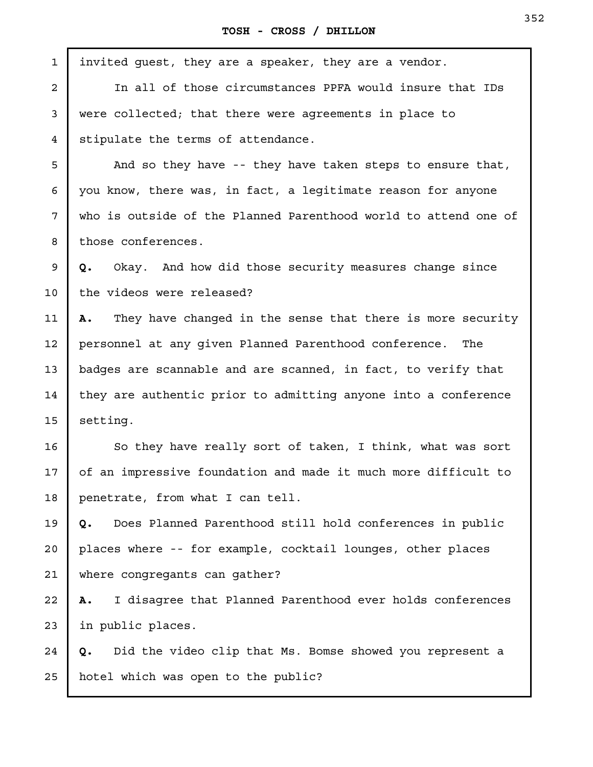| $\mathbf{1}$   | invited guest, they are a speaker, they are a vendor.            |
|----------------|------------------------------------------------------------------|
| $\overline{a}$ | In all of those circumstances PPFA would insure that IDs         |
| 3              | were collected; that there were agreements in place to           |
| 4              | stipulate the terms of attendance.                               |
| 5              | And so they have -- they have taken steps to ensure that,        |
| 6              | you know, there was, in fact, a legitimate reason for anyone     |
| 7              | who is outside of the Planned Parenthood world to attend one of  |
| 8              | those conferences.                                               |
| 9              | Okay. And how did those security measures change since<br>Q.     |
| 10             | the videos were released?                                        |
| 11             | They have changed in the sense that there is more security<br>Α. |
| 12             | personnel at any given Planned Parenthood conference. The        |
| 13             | badges are scannable and are scanned, in fact, to verify that    |
| 14             | they are authentic prior to admitting anyone into a conference   |
| 15             | setting.                                                         |
| 16             | So they have really sort of taken, I think, what was sort        |
| 17             | of an impressive foundation and made it much more difficult to   |
| 18             | penetrate, from what I can tell.                                 |
| 19             | Does Planned Parenthood still hold conferences in public<br>Q.   |
| 20             | places where -- for example, cocktail lounges, other places      |
| 21             | where congregants can gather?                                    |
| 22             | I disagree that Planned Parenthood ever holds conferences<br>Α.  |
| 23             | in public places.                                                |
| 24             | Did the video clip that Ms. Bomse showed you represent a<br>Q.   |
| 25             | hotel which was open to the public?                              |
|                |                                                                  |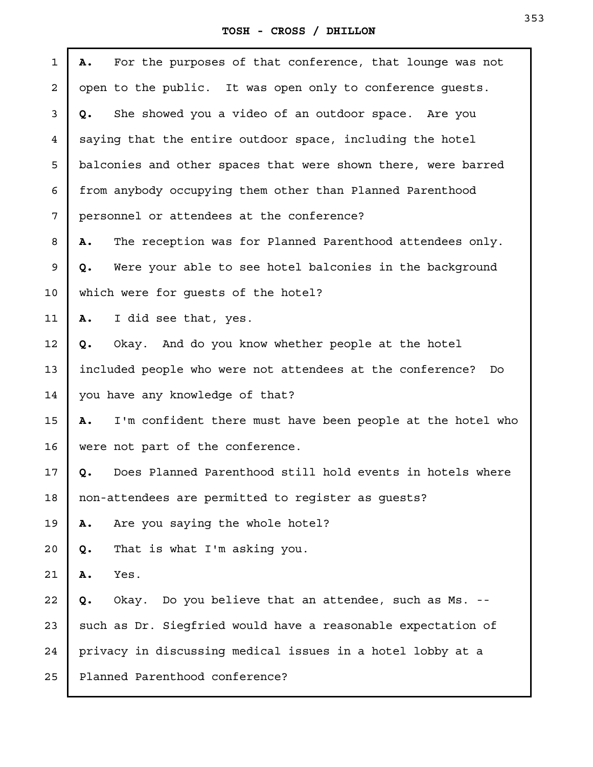## **TOSH - CROSS / DHILLON**

| 1  | For the purposes of that conference, that lounge was not<br>Α.   |
|----|------------------------------------------------------------------|
| 2  | open to the public. It was open only to conference guests.       |
| 3  | She showed you a video of an outdoor space. Are you<br>Q.        |
| 4  | saying that the entire outdoor space, including the hotel        |
| 5  | balconies and other spaces that were shown there, were barred    |
| 6  | from anybody occupying them other than Planned Parenthood        |
| 7  | personnel or attendees at the conference?                        |
| 8  | The reception was for Planned Parenthood attendees only.<br>Α.   |
| 9  | Were your able to see hotel balconies in the background<br>Q.    |
| 10 | which were for quests of the hotel?                              |
| 11 | I did see that, yes.<br>Α.                                       |
| 12 | Okay. And do you know whether people at the hotel<br>Q.          |
| 13 | included people who were not attendees at the conference?<br>Do  |
| 14 | you have any knowledge of that?                                  |
| 15 | I'm confident there must have been people at the hotel who<br>Α. |
| 16 | were not part of the conference.                                 |
| 17 | Does Planned Parenthood still hold events in hotels where<br>Q.  |
| 18 | non-attendees are permitted to register as guests?               |
| 19 | Are you saying the whole hotel?<br>Α.                            |
| 20 | That is what I'm asking you.<br>Q.                               |
| 21 | Yes.<br>Α.                                                       |
| 22 | Okay. Do you believe that an attendee, such as Ms. --<br>Q.      |
| 23 | such as Dr. Siegfried would have a reasonable expectation of     |
| 24 | privacy in discussing medical issues in a hotel lobby at a       |
| 25 | Planned Parenthood conference?                                   |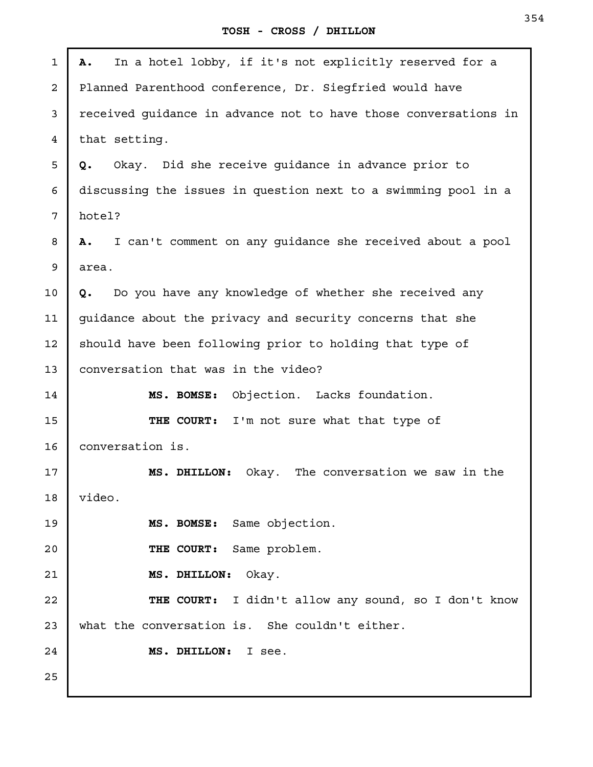| $\mathbf{1}$ | In a hotel lobby, if it's not explicitly reserved for a<br>Α.   |
|--------------|-----------------------------------------------------------------|
| 2            | Planned Parenthood conference, Dr. Siegfried would have         |
| 3            | received guidance in advance not to have those conversations in |
| 4            | that setting.                                                   |
| 5            | Okay. Did she receive guidance in advance prior to<br>Q.        |
| 6            | discussing the issues in question next to a swimming pool in a  |
| 7            | hotel?                                                          |
| 8            | I can't comment on any quidance she received about a pool<br>Α. |
| 9            | area.                                                           |
| 10           | Do you have any knowledge of whether she received any<br>Q.     |
| 11           | guidance about the privacy and security concerns that she       |
| 12           | should have been following prior to holding that type of        |
| 13           | conversation that was in the video?                             |
| 14           | MS. BOMSE: Objection. Lacks foundation.                         |
| 15           | THE COURT: I'm not sure what that type of                       |
| 16           | conversation is.                                                |
| 17           | MS. DHILLON: Okay. The conversation we saw in the               |
| 18           | video.                                                          |
| 19           | MS. BOMSE: Same objection.                                      |
| 20           | THE COURT: Same problem.                                        |
| 21           | MS. DHILLON:<br>Okay.                                           |
| 22           | THE COURT: I didn't allow any sound, so I don't know            |
| 23           | what the conversation is. She couldn't either.                  |
| 24           | MS. DHILLON: I see.                                             |
| 25           |                                                                 |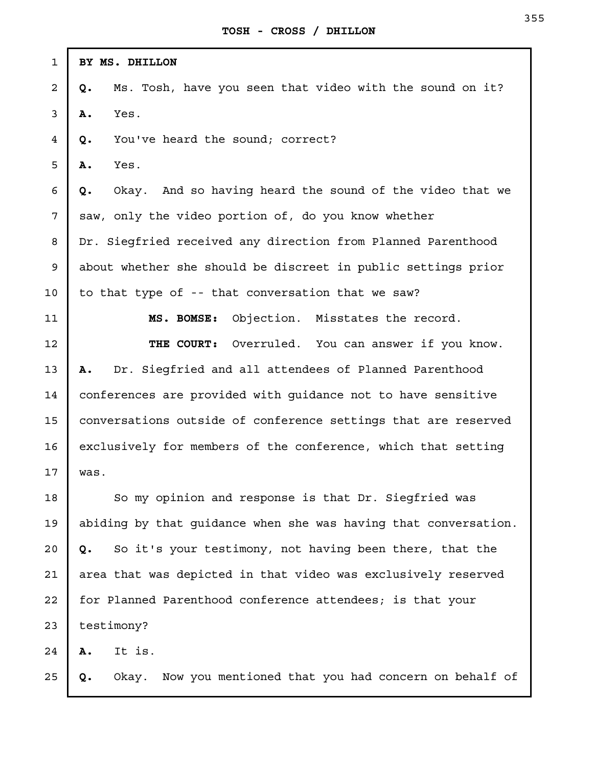| $\mathbf{1}$   | BY MS. DHILLON                                                  |
|----------------|-----------------------------------------------------------------|
| $\overline{a}$ | Ms. Tosh, have you seen that video with the sound on it?<br>Q.  |
| 3              | Yes.<br>Α.                                                      |
| 4              | You've heard the sound; correct?<br>Q.                          |
| 5              | Yes.<br>Α.                                                      |
| 6              | Okay. And so having heard the sound of the video that we<br>Q.  |
| 7              | saw, only the video portion of, do you know whether             |
| 8              | Dr. Siegfried received any direction from Planned Parenthood    |
| 9              | about whether she should be discreet in public settings prior   |
| $10 \,$        | to that type of -- that conversation that we saw?               |
| 11             | Objection. Misstates the record.<br>MS. BOMSE:                  |
| 12             | Overruled. You can answer if you know.<br>THE COURT:            |
| 13             | Dr. Siegfried and all attendees of Planned Parenthood<br>Α.     |
| 14             | conferences are provided with guidance not to have sensitive    |
| 15             | conversations outside of conference settings that are reserved  |
| 16             | exclusively for members of the conference, which that setting   |
| 17             | was.                                                            |
| 18             | So my opinion and response is that Dr. Siegfried was            |
| 19             | abiding by that guidance when she was having that conversation. |
| $20 \,$        | So it's your testimony, not having been there, that the<br>Q.   |
| 21             | area that was depicted in that video was exclusively reserved   |
| 22             | for Planned Parenthood conference attendees; is that your       |
| 23             | testimony?                                                      |
| 24             | It is.<br>Α.                                                    |
| 25             | Okay. Now you mentioned that you had concern on behalf of<br>Q. |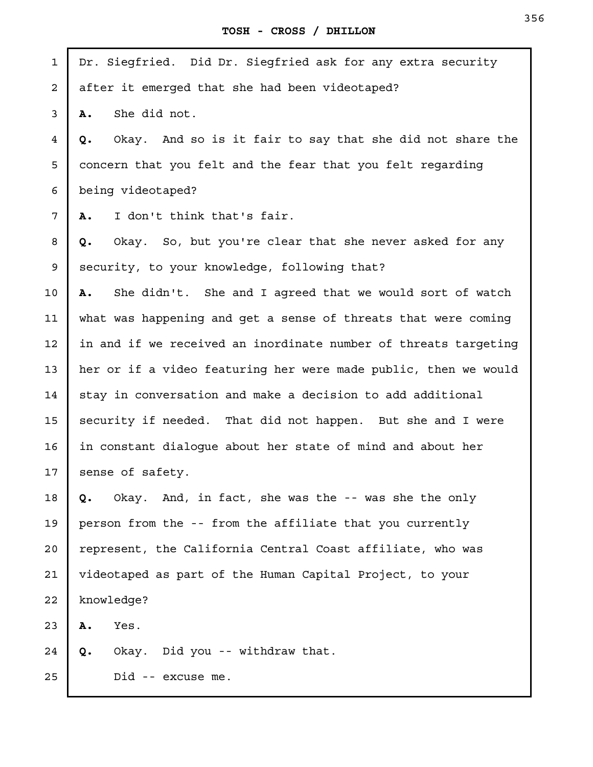| $\mathbf{1}$ | Dr. Siegfried. Did Dr. Siegfried ask for any extra security     |
|--------------|-----------------------------------------------------------------|
| 2            | after it emerged that she had been videotaped?                  |
| 3            | She did not.<br>Α.                                              |
| 4            | Okay. And so is it fair to say that she did not share the<br>Q. |
| 5            | concern that you felt and the fear that you felt regarding      |
| 6            | being videotaped?                                               |
| 7            | I don't think that's fair.<br>Α.                                |
| 8            | Okay. So, but you're clear that she never asked for any<br>Q.   |
| 9            | security, to your knowledge, following that?                    |
| 10           | She didn't. She and I agreed that we would sort of watch<br>Α.  |
| 11           | what was happening and get a sense of threats that were coming  |
| 12           | in and if we received an inordinate number of threats targeting |
| 13           | her or if a video featuring her were made public, then we would |
| 14           | stay in conversation and make a decision to add additional      |
| 15           | security if needed. That did not happen. But she and I were     |
| 16           | in constant dialogue about her state of mind and about her      |
| 17           | sense of safety.                                                |
| 18           | Okay. And, in fact, she was the -- was she the only<br>Q.       |
| 19           | person from the -- from the affiliate that you currently        |
| 20           | represent, the California Central Coast affiliate, who was      |
| 21           | videotaped as part of the Human Capital Project, to your        |
| 22           | knowledge?                                                      |
| 23           | Yes.<br>Α.                                                      |
| 24           | Okay. Did you -- withdraw that.<br>Q.                           |
| 25           | Did -- excuse me.                                               |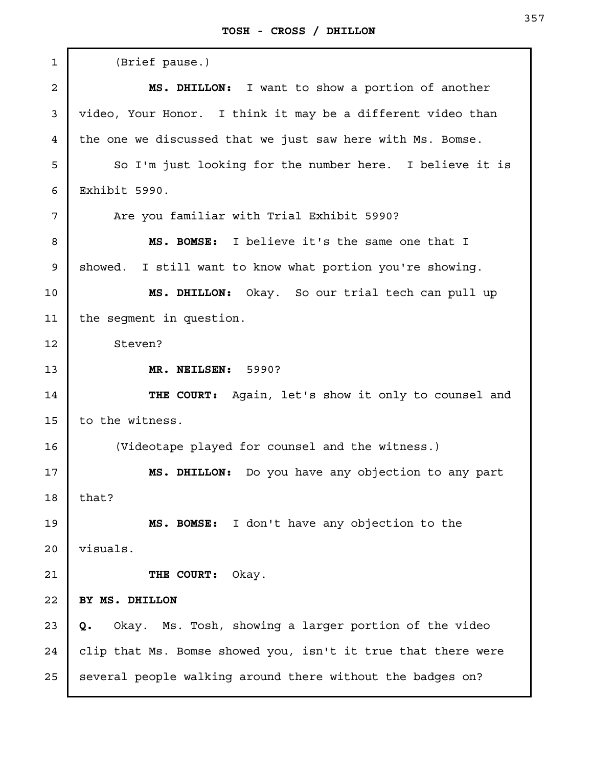| $\mathbf 1$ | (Brief pause.)                                                |
|-------------|---------------------------------------------------------------|
| 2           | MS. DHILLON: I want to show a portion of another              |
| 3           | video, Your Honor. I think it may be a different video than   |
| 4           | the one we discussed that we just saw here with Ms. Bomse.    |
| 5           | So I'm just looking for the number here. I believe it is      |
| 6           | Exhibit 5990.                                                 |
| 7           | Are you familiar with Trial Exhibit 5990?                     |
| 8           | MS. BOMSE: I believe it's the same one that I                 |
| 9           | showed.<br>I still want to know what portion you're showing.  |
| 10          | MS. DHILLON: Okay. So our trial tech can pull up              |
| 11          | the segment in question.                                      |
| 12          | Steven?                                                       |
| 13          | MR. NEILSEN: 5990?                                            |
| 14          | THE COURT: Again, let's show it only to counsel and           |
| 15          | to the witness.                                               |
| 16          | (Videotape played for counsel and the witness.)               |
| 17          | MS. DHILLON: Do you have any objection to any part            |
| 18          | that?                                                         |
| 19          | MS. BOMSE: I don't have any objection to the                  |
| 20          | visuals.                                                      |
| 21          | THE COURT:<br>Okay.                                           |
| 22          | BY MS. DHILLON                                                |
| 23          | Okay. Ms. Tosh, showing a larger portion of the video<br>Q.   |
| 24          | clip that Ms. Bomse showed you, isn't it true that there were |
| 25          | several people walking around there without the badges on?    |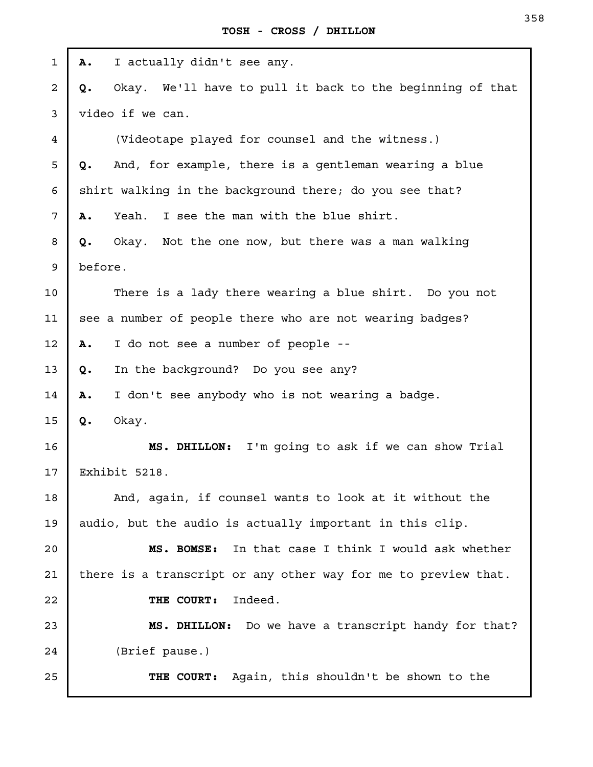| 1            | I actually didn't see any.<br>Α.                                |
|--------------|-----------------------------------------------------------------|
| 2            | Okay. We'll have to pull it back to the beginning of that<br>Q. |
| $\mathsf{3}$ | video if we can.                                                |
| 4            | (Videotape played for counsel and the witness.)                 |
| 5            | And, for example, there is a gentleman wearing a blue<br>Q.     |
| 6            | shirt walking in the background there; do you see that?         |
| 7            | Yeah. I see the man with the blue shirt.<br>Α.                  |
| 8            | Okay. Not the one now, but there was a man walking<br>Q.        |
| 9            | before.                                                         |
| 10           | There is a lady there wearing a blue shirt. Do you not          |
| 11           | see a number of people there who are not wearing badges?        |
| 12           | I do not see a number of people --<br>Α.                        |
| 13           | In the background? Do you see any?<br>Q.                        |
| 14           | I don't see anybody who is not wearing a badge.<br>Α.           |
| 15           | Q.<br>Okay.                                                     |
| 16           | I'm going to ask if we can show Trial<br>MS. DHILLON:           |
| 17           | Exhibit 5218.                                                   |
| 18           | And, again, if counsel wants to look at it without the          |
| 19           | audio, but the audio is actually important in this clip.        |
| 20           | In that case I think I would ask whether<br>MS. BOMSE:          |
| 21           | there is a transcript or any other way for me to preview that.  |
| 22           | Indeed.<br>THE COURT:                                           |
| 23           | MS. DHILLON: Do we have a transcript handy for that?            |
| 24           | (Brief pause.)                                                  |
| 25           | THE COURT: Again, this shouldn't be shown to the                |
|              |                                                                 |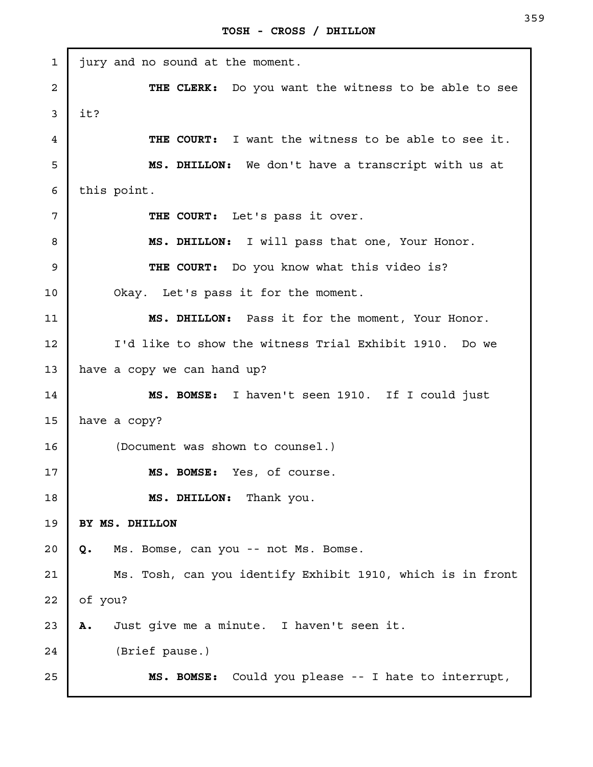| $\mathbf{1}$   | jury and no sound at the moment.                           |
|----------------|------------------------------------------------------------|
| $\overline{a}$ | THE CLERK: Do you want the witness to be able to see       |
| 3              | it?                                                        |
| 4              | THE COURT: I want the witness to be able to see it.        |
| 5              | MS. DHILLON: We don't have a transcript with us at         |
| 6              | this point.                                                |
| 7              | THE COURT: Let's pass it over.                             |
| 8              | MS. DHILLON: I will pass that one, Your Honor.             |
| 9              | THE COURT: Do you know what this video is?                 |
| 10             | Okay. Let's pass it for the moment.                        |
| 11             | MS. DHILLON: Pass it for the moment, Your Honor.           |
| 12             | I'd like to show the witness Trial Exhibit 1910. Do we     |
| 13             | have a copy we can hand up?                                |
| 14             | MS. BOMSE: I haven't seen 1910. If I could just            |
| 15             | have a copy?                                               |
| 16             | (Document was shown to counsel.)                           |
| 17             | MS. BOMSE: Yes, of course.                                 |
| 18             | MS. DHILLON: Thank you.                                    |
| 19             | BY MS. DHILLON                                             |
| 20             | Ms. Bomse, can you -- not Ms. Bomse.<br>Q.                 |
| 21             | Ms. Tosh, can you identify Exhibit 1910, which is in front |
| 22             | of you?                                                    |
| 23             | Just give me a minute. I haven't seen it.<br>Α.            |
| 24             | (Brief pause.)                                             |
| 25             | MS. BOMSE: Could you please -- I hate to interrupt,        |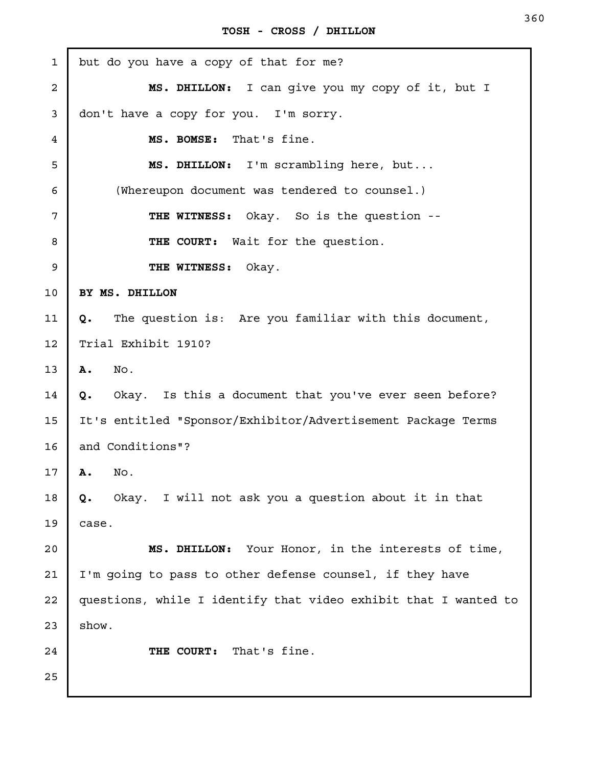| <b>TOSH</b> |  |  |  | CROSS / DHILLON |
|-------------|--|--|--|-----------------|
|-------------|--|--|--|-----------------|

| $\mathbf 1$    | but do you have a copy of that for me?                          |
|----------------|-----------------------------------------------------------------|
| $\overline{a}$ | MS. DHILLON: I can give you my copy of it, but I                |
| 3              | don't have a copy for you. I'm sorry.                           |
| 4              | That's fine.<br>MS. BOMSE:                                      |
| 5              | MS. DHILLON: I'm scrambling here, but                           |
| 6              | (Whereupon document was tendered to counsel.)                   |
| 7              | <b>THE WITNESS:</b> Okay. So is the question --                 |
| 8              | THE COURT: Wait for the question.                               |
| 9              | THE WITNESS:<br>Okay.                                           |
| 10             | BY MS. DHILLON                                                  |
| 11             | The question is: Are you familiar with this document,<br>Q.     |
| 12             | Trial Exhibit 1910?                                             |
| 13             | Α.<br>No.                                                       |
| 14             | Okay. Is this a document that you've ever seen before?<br>Q.    |
| 15             | It's entitled "Sponsor/Exhibitor/Advertisement Package Terms    |
| 16             | and Conditions"?                                                |
| 17             | No.<br>Α.                                                       |
| 18             | Okay. I will not ask you a question about it in that<br>Q.      |
| 19             | case.                                                           |
| 20             | MS. DHILLON: Your Honor, in the interests of time,              |
| 21             | I'm going to pass to other defense counsel, if they have        |
| 22             | questions, while I identify that video exhibit that I wanted to |
| 23             | show.                                                           |
| 24             | That's fine.<br>THE COURT:                                      |
| 25             |                                                                 |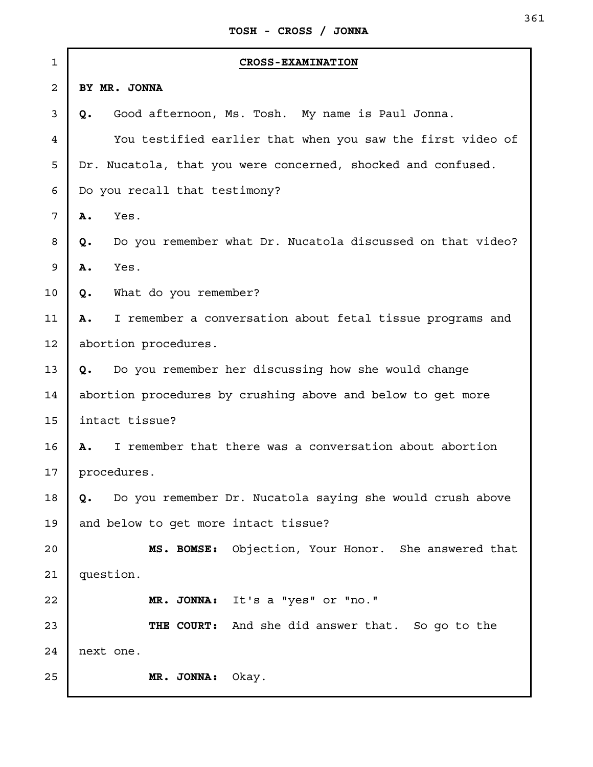| $\mathbf 1$    | <b>CROSS-EXAMINATION</b>                                         |
|----------------|------------------------------------------------------------------|
| $\overline{a}$ | BY MR. JONNA                                                     |
| 3              | Good afternoon, Ms. Tosh. My name is Paul Jonna.<br>Q.           |
| 4              | You testified earlier that when you saw the first video of       |
| 5              | Dr. Nucatola, that you were concerned, shocked and confused.     |
| 6              | Do you recall that testimony?                                    |
| 7              | Yes.<br>Α.                                                       |
| 8              | Do you remember what Dr. Nucatola discussed on that video?<br>Q. |
| 9              | Yes.<br>Α.                                                       |
| 10             | What do you remember?<br>Q.                                      |
| 11             | I remember a conversation about fetal tissue programs and<br>Α.  |
| 12             | abortion procedures.                                             |
| 13             | Do you remember her discussing how she would change<br>Q.        |
| 14             | abortion procedures by crushing above and below to get more      |
| 15             | intact tissue?                                                   |
| 16             | I remember that there was a conversation about abortion<br>Α.    |
| 17             | procedures.                                                      |
| 18             | Do you remember Dr. Nucatola saying she would crush above<br>Q.  |
| 19             | and below to get more intact tissue?                             |
| 20             | MS. BOMSE: Objection, Your Honor. She answered that              |
| 21             | question.                                                        |
| 22             | MR. JONNA: It's a "yes" or "no."                                 |
| 23             | THE COURT: And she did answer that. So go to the                 |
| 24             | next one.                                                        |
| 25             | Okay.<br>MR. JONNA:                                              |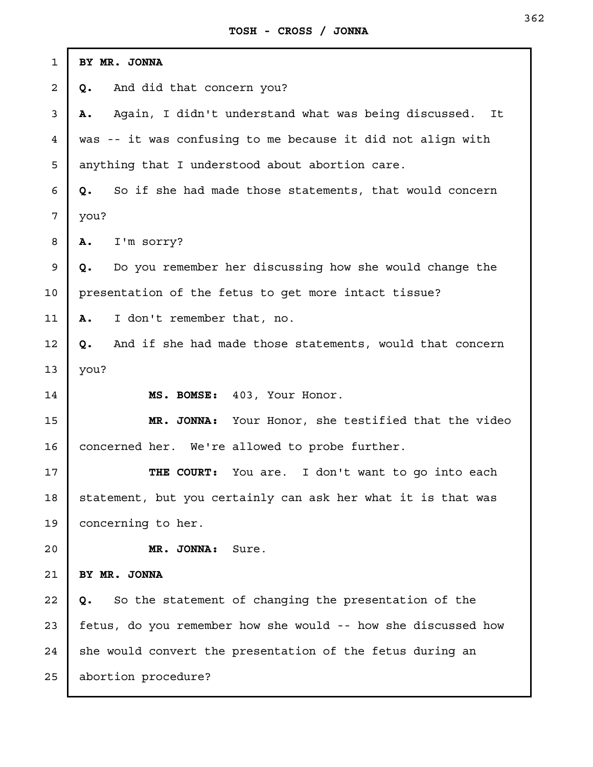| $\mathbf{1}$   | BY MR. JONNA                                                   |
|----------------|----------------------------------------------------------------|
| $\overline{a}$ | And did that concern you?<br>Q.                                |
| $\mathsf{3}$   | Again, I didn't understand what was being discussed. It<br>Α.  |
| $\overline{4}$ | was -- it was confusing to me because it did not align with    |
| 5              | anything that I understood about abortion care.                |
| 6              | So if she had made those statements, that would concern<br>Q.  |
| 7              | you?                                                           |
| 8              | I'm sorry?<br>Α.                                               |
| 9              | Do you remember her discussing how she would change the<br>Q.  |
| 10             | presentation of the fetus to get more intact tissue?           |
| 11             | I don't remember that, no.<br><b>A.</b>                        |
| 12             | And if she had made those statements, would that concern<br>Q. |
| 13             | you?                                                           |
| 14             | MS. BOMSE: 403, Your Honor.                                    |
| 15             | MR. JONNA: Your Honor, she testified that the video            |
| 16             | concerned her. We're allowed to probe further.                 |
| 17             | THE COURT:<br>You are. I don't want to go into each            |
| 18             | statement, but you certainly can ask her what it is that was   |
| 19             | concerning to her.                                             |
| 20             | MR. JONNA:<br>Sure.                                            |
| 21             | BY MR. JONNA                                                   |
| 22             | So the statement of changing the presentation of the<br>Q.     |
| 23             | fetus, do you remember how she would -- how she discussed how  |
| 24             | she would convert the presentation of the fetus during an      |
| 25             | abortion procedure?                                            |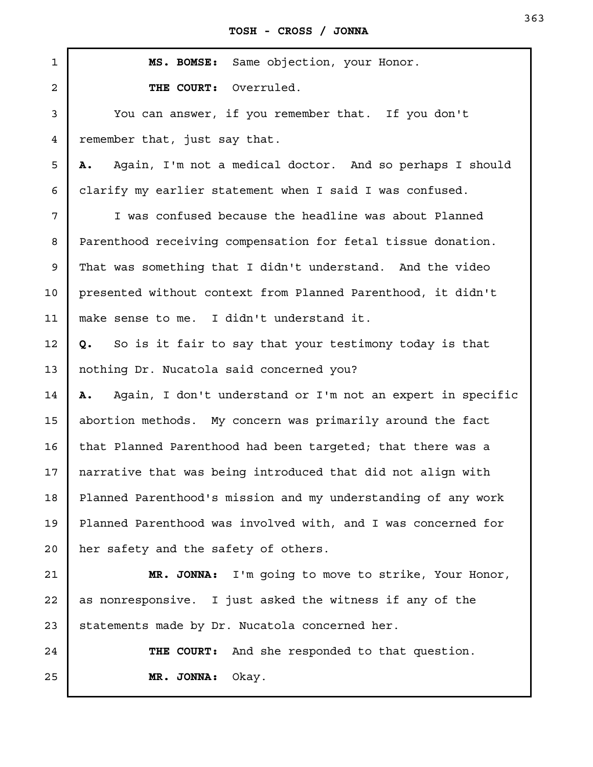**TOSH - CROSS / JONNA**

**MS. BOMSE:** Same objection, your Honor. **THE COURT:** Overruled. You can answer, if you remember that. If you don't remember that, just say that. **A.** Again, I'm not a medical doctor. And so perhaps I should clarify my earlier statement when I said I was confused. I was confused because the headline was about Planned Parenthood receiving compensation for fetal tissue donation. That was something that I didn't understand. And the video presented without context from Planned Parenthood, it didn't make sense to me. I didn't understand it. **Q.** So is it fair to say that your testimony today is that nothing Dr. Nucatola said concerned you? **A.** Again, I don't understand or I'm not an expert in specific abortion methods. My concern was primarily around the fact that Planned Parenthood had been targeted; that there was a narrative that was being introduced that did not align with Planned Parenthood's mission and my understanding of any work Planned Parenthood was involved with, and I was concerned for her safety and the safety of others. **MR. JONNA:** I'm going to move to strike, Your Honor, as nonresponsive. I just asked the witness if any of the statements made by Dr. Nucatola concerned her. **THE COURT:** And she responded to that question. **MR. JONNA:** Okay. 1 2 3 4 5 6 7 8 9 10 11 12 13 14 15 16 17 18 19 20 21 22 23 24 25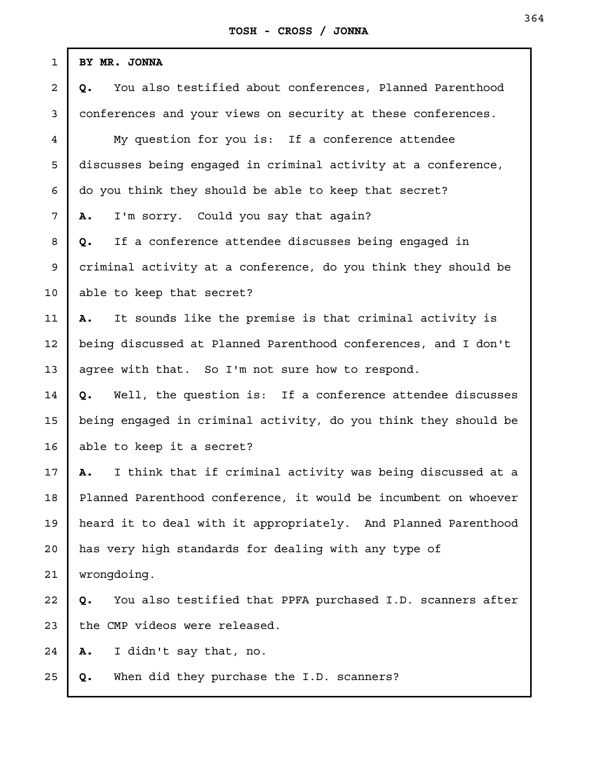| $\mathbf{1}$   | BY MR. JONNA                                                     |
|----------------|------------------------------------------------------------------|
| 2              | You also testified about conferences, Planned Parenthood<br>Q.   |
| 3              | conferences and your views on security at these conferences.     |
| $\overline{4}$ | My question for you is: If a conference attendee                 |
| 5              | discusses being engaged in criminal activity at a conference,    |
| 6              | do you think they should be able to keep that secret?            |
| 7              | I'm sorry. Could you say that again?<br>Α.                       |
| 8              | If a conference attendee discusses being engaged in<br>Q.        |
| 9              | criminal activity at a conference, do you think they should be   |
| 10             | able to keep that secret?                                        |
| 11             | It sounds like the premise is that criminal activity is<br>А.    |
| 12             | being discussed at Planned Parenthood conferences, and I don't   |
| 13             | agree with that. So I'm not sure how to respond.                 |
| 14             | Well, the question is: If a conference attendee discusses<br>Q.  |
| 15             | being engaged in criminal activity, do you think they should be  |
| 16             | able to keep it a secret?                                        |
| 17             | I think that if criminal activity was being discussed at a<br>Α. |
| 18             | Planned Parenthood conference, it would be incumbent on whoever  |
| 19             | heard it to deal with it appropriately. And Planned Parenthood   |
| 20             | has very high standards for dealing with any type of             |
| 21             | wrongdoing.                                                      |
| 22             | You also testified that PPFA purchased I.D. scanners after<br>Q. |
| 23             | the CMP videos were released.                                    |
| 24             | I didn't say that, no.<br>Α.                                     |
| 25             | When did they purchase the I.D. scanners?<br>Q.                  |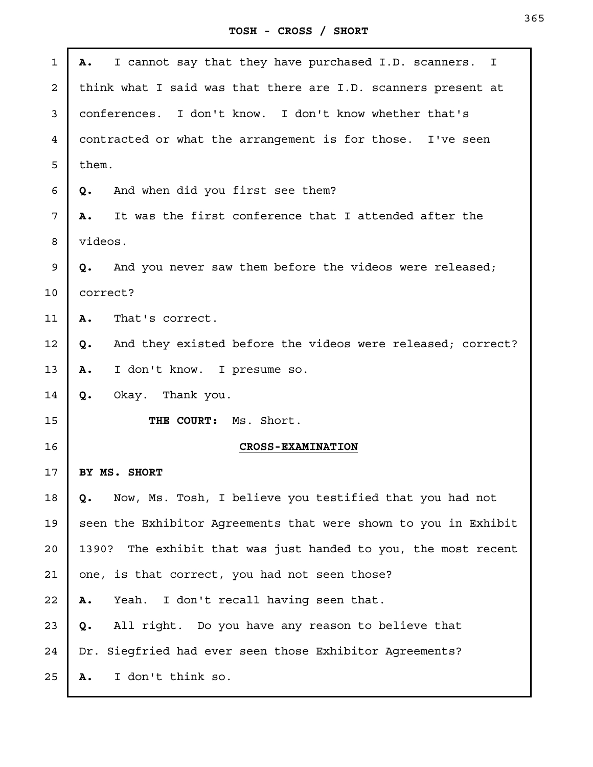**TOSH - CROSS / SHORT**

| $\mathbf{1}$            | I cannot say that they have purchased I.D. scanners. I<br>Α.      |
|-------------------------|-------------------------------------------------------------------|
| $\overline{\mathbf{c}}$ | think what I said was that there are I.D. scanners present at     |
| 3                       | conferences. I don't know. I don't know whether that's            |
| 4                       | contracted or what the arrangement is for those. I've seen        |
| 5                       | them.                                                             |
| 6                       | And when did you first see them?<br>Q.                            |
| 7                       | It was the first conference that I attended after the<br>Α.       |
| 8                       | videos.                                                           |
| 9                       | And you never saw them before the videos were released;<br>Q.     |
| 10                      | correct?                                                          |
| 11                      | That's correct.<br>Α.                                             |
| 12                      | And they existed before the videos were released; correct?<br>Q.  |
| 13                      | I don't know. I presume so.<br>Α.                                 |
| 14                      | Okay. Thank you.<br>Q.                                            |
| 15                      | THE COURT: Ms. Short.                                             |
| 16                      | <b>CROSS-EXAMINATION</b>                                          |
| 17                      | BY MS. SHORT                                                      |
| 18                      | Now, Ms. Tosh, I believe you testified that you had not<br>Q.     |
| 19                      | seen the Exhibitor Agreements that were shown to you in Exhibit   |
| 20                      | The exhibit that was just handed to you, the most recent<br>1390? |
| 21                      | one, is that correct, you had not seen those?                     |
| 22                      | I don't recall having seen that.<br>Yeah.<br>Α.                   |
| 23                      | All right. Do you have any reason to believe that<br>Q.           |
| 24                      | Siegfried had ever seen those Exhibitor Agreements?<br>Dr.        |
| 25                      | I don't think so.<br>Α.                                           |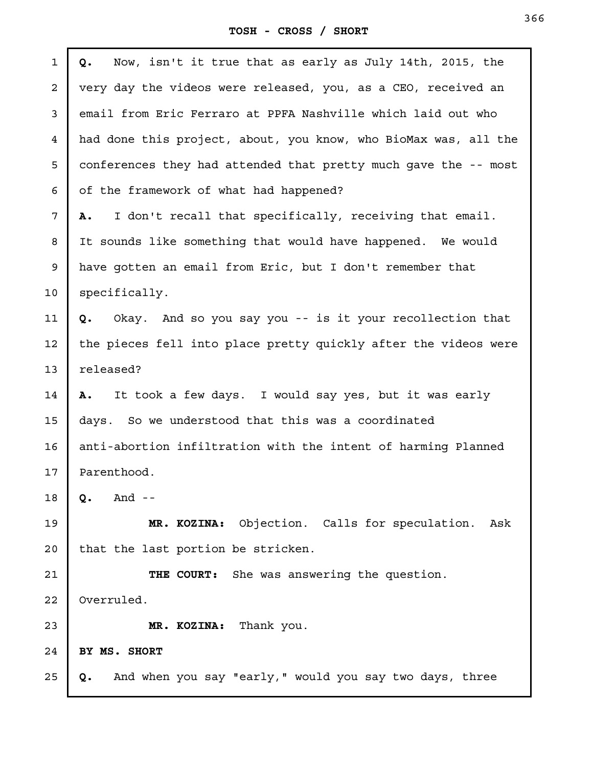**TOSH - CROSS / SHORT**

| $\mathbf{1}$ | Now, isn't it true that as early as July 14th, 2015, the<br>Q.     |
|--------------|--------------------------------------------------------------------|
| $\mathbf{2}$ | very day the videos were released, you, as a CEO, received an      |
| 3            | email from Eric Ferraro at PPFA Nashville which laid out who       |
| 4            | had done this project, about, you know, who BioMax was, all the    |
| 5            | conferences they had attended that pretty much gave the -- most    |
| 6            | of the framework of what had happened?                             |
| 7            | I don't recall that specifically, receiving that email.<br>Α.      |
| 8            | It sounds like something that would have happened. We would        |
| 9            | have gotten an email from Eric, but I don't remember that          |
| 10           | specifically.                                                      |
| 11           | Okay. And so you say you -- is it your recollection that<br>Q.     |
| 12           | the pieces fell into place pretty quickly after the videos were    |
| 13           | released?                                                          |
| 14           | It took a few days. I would say yes, but it was early<br><b>A.</b> |
| 15           | days. So we understood that this was a coordinated                 |
| 16           | anti-abortion infiltration with the intent of harming Planned      |
| 17           | Parenthood.                                                        |
| 18           | And $-$<br>Q.                                                      |
| 19           | MR. KOZINA: Objection. Calls for speculation.<br>Ask               |
| 20           | that the last portion be stricken.                                 |
| 21           | THE COURT: She was answering the question.                         |
| 22           | Overruled.                                                         |
| 23           | MR. KOZINA: Thank you.                                             |
| 24           | BY MS. SHORT                                                       |
| 25           | And when you say "early," would you say two days, three<br>Q.      |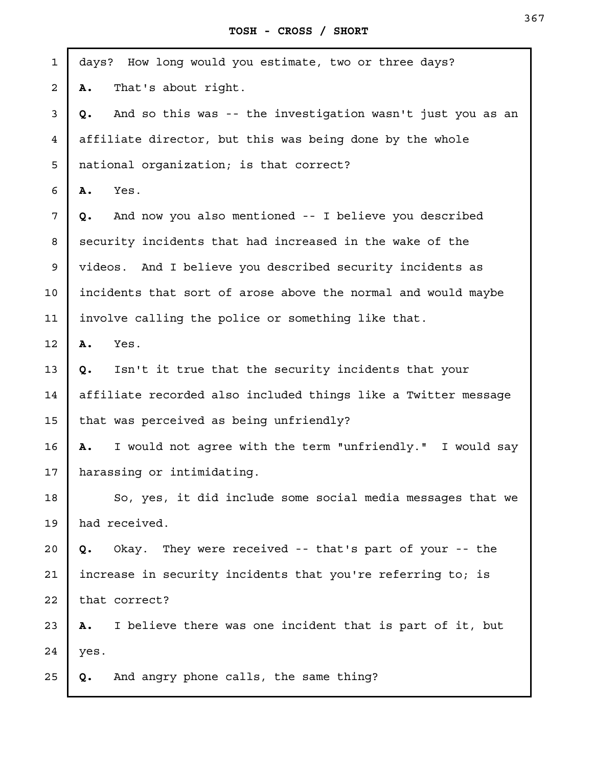| $\mathbf 1$ | days? How long would you estimate, two or three days?            |
|-------------|------------------------------------------------------------------|
| 2           | That's about right.<br>Α.                                        |
| 3           | And so this was -- the investigation wasn't just you as an<br>Q. |
| 4           | affiliate director, but this was being done by the whole         |
| 5           | national organization; is that correct?                          |
| 6           | Yes.<br>Α.                                                       |
| 7           | And now you also mentioned -- I believe you described<br>Q.      |
| 8           | security incidents that had increased in the wake of the         |
| 9           | videos. And I believe you described security incidents as        |
| 10          | incidents that sort of arose above the normal and would maybe    |
| 11          | involve calling the police or something like that.               |
| 12          | Yes.<br>Α.                                                       |
| 13          | Isn't it true that the security incidents that your<br>Q.        |
| 14          | affiliate recorded also included things like a Twitter message   |
| 15          | that was perceived as being unfriendly?                          |
| 16          | I would not agree with the term "unfriendly." I would say<br>Α.  |
| 17          | harassing or intimidating.                                       |
| 18          | So, yes, it did include some social media messages that we       |
| 19          | had received.                                                    |
| 20          | Okay. They were received -- that's part of your -- the<br>Q.     |
| 21          | increase in security incidents that you're referring to; is      |
| 22          | that correct?                                                    |
| 23          | I believe there was one incident that is part of it, but<br>Α.   |
| 24          | yes.                                                             |
| 25          | And angry phone calls, the same thing?<br>Q.                     |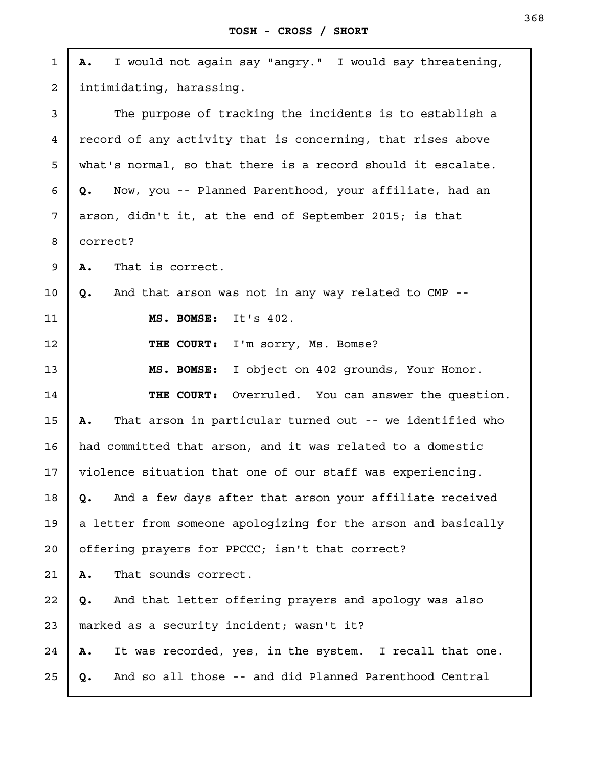**TOSH - CROSS / SHORT**

**A.** I would not again say "angry." I would say threatening, intimidating, harassing. The purpose of tracking the incidents is to establish a record of any activity that is concerning, that rises above what's normal, so that there is a record should it escalate. **Q.** Now, you -- Planned Parenthood, your affiliate, had an arson, didn't it, at the end of September 2015; is that correct? **A.** That is correct. **Q.** And that arson was not in any way related to CMP -- **MS. BOMSE:** It's 402. **THE COURT:** I'm sorry, Ms. Bomse? **MS. BOMSE:** I object on 402 grounds, Your Honor. **THE COURT:** Overruled. You can answer the question. **A.** That arson in particular turned out -- we identified who had committed that arson, and it was related to a domestic violence situation that one of our staff was experiencing. **Q.** And a few days after that arson your affiliate received a letter from someone apologizing for the arson and basically offering prayers for PPCCC; isn't that correct? **A.** That sounds correct. **Q.** And that letter offering prayers and apology was also marked as a security incident; wasn't it? **A.** It was recorded, yes, in the system. I recall that one. **Q.** And so all those -- and did Planned Parenthood Central 1 2 3 4 5 6 7 8 9 10 11 12 13 14 15 16 17 18 19 20 21 22 23 24 25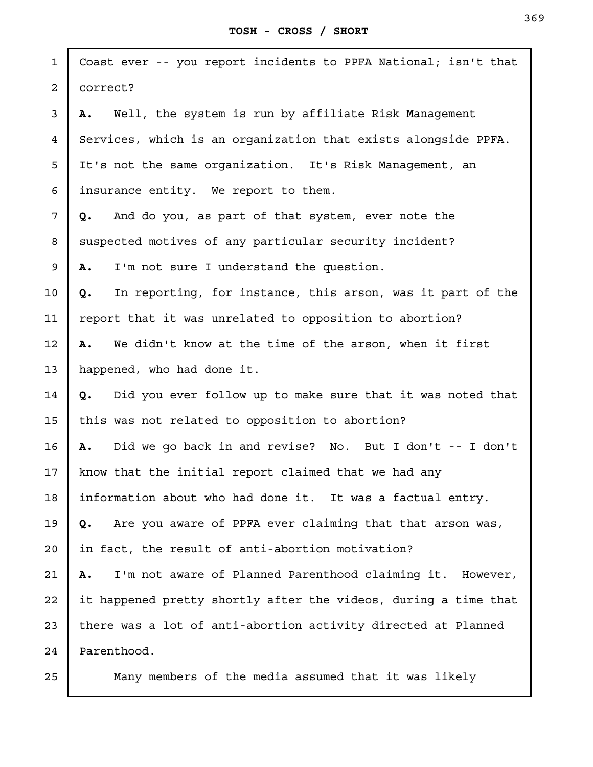| $\mathbf{1}$   | Coast ever -- you report incidents to PPFA National; isn't that  |
|----------------|------------------------------------------------------------------|
| $\overline{a}$ | correct?                                                         |
| 3              | Well, the system is run by affiliate Risk Management<br>Α.       |
| $\overline{4}$ | Services, which is an organization that exists alongside PPFA.   |
| 5              | It's not the same organization. It's Risk Management, an         |
| 6              | insurance entity. We report to them.                             |
| 7              | And do you, as part of that system, ever note the<br>Q.          |
| 8              | suspected motives of any particular security incident?           |
| 9              | I'm not sure I understand the question.<br>Α.                    |
| 10             | In reporting, for instance, this arson, was it part of the<br>Q. |
| 11             | report that it was unrelated to opposition to abortion?          |
| 12             | We didn't know at the time of the arson, when it first<br>Α.     |
| 13             | happened, who had done it.                                       |
| 14             | Did you ever follow up to make sure that it was noted that<br>Q. |
| 15             | this was not related to opposition to abortion?                  |
| 16             | Did we go back in and revise? No. But I don't -- I don't<br>Α.   |
| 17             | know that the initial report claimed that we had any             |
| 18             | information about who had done it. It was a factual entry.       |
| 19             | Are you aware of PPFA ever claiming that that arson was,<br>Q.   |
| 20             | in fact, the result of anti-abortion motivation?                 |
| 21             | I'm not aware of Planned Parenthood claiming it. However,<br>Α.  |
| 22             | it happened pretty shortly after the videos, during a time that  |
| 23             | there was a lot of anti-abortion activity directed at Planned    |
| 24             | Parenthood.                                                      |
| 25             | Many members of the media assumed that it was likely             |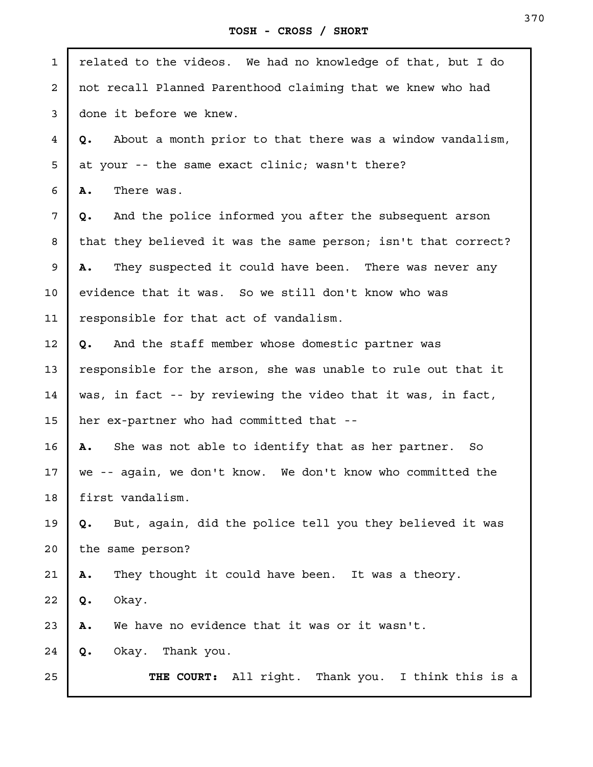| $\mathbf{1}$   | related to the videos. We had no knowledge of that, but I do    |
|----------------|-----------------------------------------------------------------|
| $\overline{a}$ | not recall Planned Parenthood claiming that we knew who had     |
| 3              | done it before we knew.                                         |
| 4              | About a month prior to that there was a window vandalism,<br>Q. |
| 5              | at your -- the same exact clinic; wasn't there?                 |
| 6              | There was.<br>Α.                                                |
| 7              | And the police informed you after the subsequent arson<br>Q.    |
| 8              | that they believed it was the same person; isn't that correct?  |
| 9              | They suspected it could have been. There was never any<br>Α.    |
| 10             | evidence that it was. So we still don't know who was            |
| 11             | responsible for that act of vandalism.                          |
| 12             | And the staff member whose domestic partner was<br>Q.           |
| 13             | responsible for the arson, she was unable to rule out that it   |
| 14             | was, in fact -- by reviewing the video that it was, in fact,    |
| 15             | her ex-partner who had committed that --                        |
| 16             | She was not able to identify that as her partner. So<br>Α.      |
| 17             | we -- again, we don't know. We don't know who committed the     |
| 18             | first vandalism.                                                |
| 19             | But, again, did the police tell you they believed it was<br>Q.  |
| 20             | the same person?                                                |
| 21             | They thought it could have been. It was a theory.<br>Α.         |
| 22             | Okay.<br>Q.                                                     |
| 23             | We have no evidence that it was or it wasn't.<br>Α.             |
| 24             | Okay. Thank you.<br>Q.                                          |
| 25             | THE COURT: All right. Thank you. I think this is a              |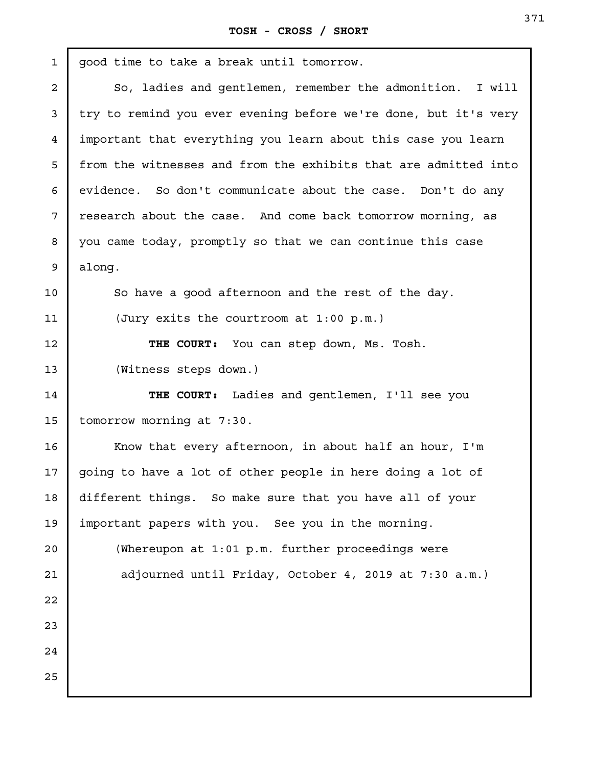| $\mathbf{1}$ | good time to take a break until tomorrow.                       |
|--------------|-----------------------------------------------------------------|
| 2            | So, ladies and gentlemen, remember the admonition. I will       |
| 3            | try to remind you ever evening before we're done, but it's very |
| 4            | important that everything you learn about this case you learn   |
| 5            | from the witnesses and from the exhibits that are admitted into |
| 6            | evidence. So don't communicate about the case. Don't do any     |
| 7            | research about the case. And come back tomorrow morning, as     |
| 8            | you came today, promptly so that we can continue this case      |
| 9            | along.                                                          |
| 10           | So have a good afternoon and the rest of the day.               |
| 11           | (Jury exits the courtroom at 1:00 p.m.)                         |
| 12           | THE COURT: You can step down, Ms. Tosh.                         |
| 13           | (Witness steps down.)                                           |
| 14           | THE COURT: Ladies and gentlemen, I'll see you                   |
| 15           | tomorrow morning at 7:30.                                       |
| 16           | Know that every afternoon, in about half an hour, I'm           |
| $17 \,$      | going to have a lot of other people in here doing a lot of      |
| 18           | different things. So make sure that you have all of your        |
| 19           | important papers with you. See you in the morning.              |
| 20           | (Whereupon at 1:01 p.m. further proceedings were                |
| 21           | adjourned until Friday, October 4, 2019 at 7:30 a.m.)           |
| 22           |                                                                 |
| 23           |                                                                 |
| 24           |                                                                 |
| 25           |                                                                 |
|              |                                                                 |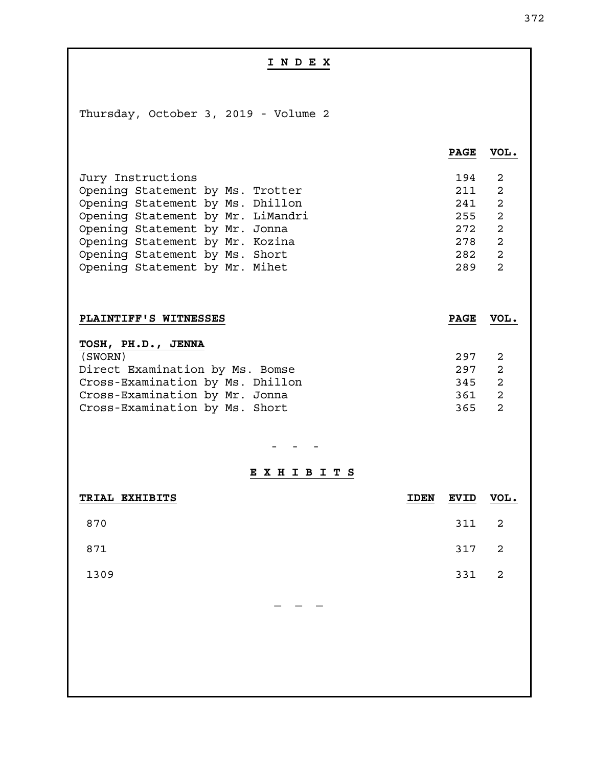| INDEX                                                                                                                                                                                                                                                                   |             |                                                      |                                                                                                                                              |
|-------------------------------------------------------------------------------------------------------------------------------------------------------------------------------------------------------------------------------------------------------------------------|-------------|------------------------------------------------------|----------------------------------------------------------------------------------------------------------------------------------------------|
|                                                                                                                                                                                                                                                                         |             |                                                      |                                                                                                                                              |
| Thursday, October 3, 2019 - Volume 2                                                                                                                                                                                                                                    |             |                                                      |                                                                                                                                              |
|                                                                                                                                                                                                                                                                         |             | <b>PAGE</b>                                          | VOL.                                                                                                                                         |
| Jury Instructions<br>Opening Statement by Ms. Trotter<br>Opening Statement by Ms. Dhillon<br>Opening Statement by Mr. LiMandri<br>Opening Statement by Mr. Jonna<br>Opening Statement by Mr. Kozina<br>Opening Statement by Ms. Short<br>Opening Statement by Mr. Mihet |             | 194<br>211<br>241<br>255<br>272<br>278<br>282<br>289 | $\overline{2}$<br>$\overline{a}$<br>$\overline{2}$<br>$\overline{a}$<br>$\overline{a}$<br>$\overline{2}$<br>$\overline{a}$<br>$\overline{a}$ |
| PLAINTIFF'S WITNESSES                                                                                                                                                                                                                                                   |             | <b>PAGE</b>                                          | VOL.                                                                                                                                         |
| TOSH, PH.D., JENNA<br>(SWORN)<br>Direct Examination by Ms. Bomse<br>Cross-Examination by Ms. Dhillon<br>Cross-Examination by Mr. Jonna<br>Cross-Examination by Ms. Short                                                                                                |             | 297<br>297<br>345<br>361<br>365                      | 2<br>$\overline{a}$<br>$\overline{2}$<br>$\overline{a}$<br>$\overline{2}$                                                                    |
| EXHIBITS                                                                                                                                                                                                                                                                |             |                                                      |                                                                                                                                              |
| TRIAL EXHIBITS                                                                                                                                                                                                                                                          | <b>IDEN</b> | <b>EVID</b>                                          | VOL.                                                                                                                                         |
| 870                                                                                                                                                                                                                                                                     |             | 311                                                  | $\mathbf 2$                                                                                                                                  |
| 871                                                                                                                                                                                                                                                                     |             | 317                                                  | $\overline{\mathbf{c}}$                                                                                                                      |
| 1309                                                                                                                                                                                                                                                                    |             | 331                                                  | $\overline{a}$                                                                                                                               |
|                                                                                                                                                                                                                                                                         |             |                                                      |                                                                                                                                              |
|                                                                                                                                                                                                                                                                         |             |                                                      |                                                                                                                                              |
|                                                                                                                                                                                                                                                                         |             |                                                      |                                                                                                                                              |
|                                                                                                                                                                                                                                                                         |             |                                                      |                                                                                                                                              |